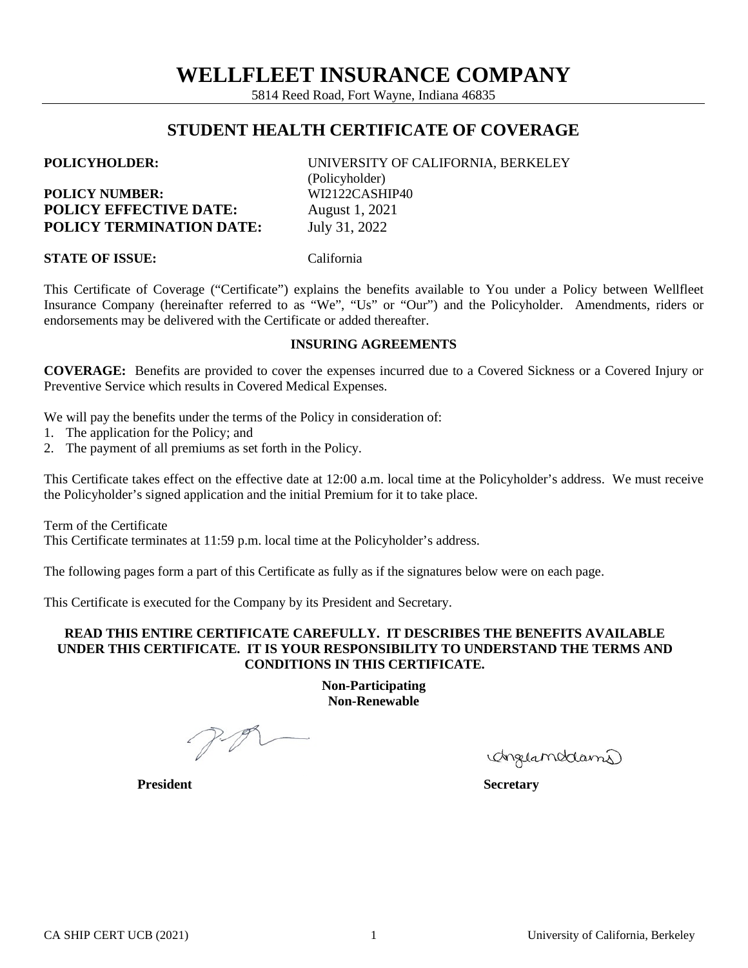5814 Reed Road, Fort Wayne, Indiana 46835

# **STUDENT HEALTH CERTIFICATE OF COVERAGE**

| <b>POLICYHOLDER:</b>            | UNIVERSITY OF CALIFORNIA, BERKELEY |
|---------------------------------|------------------------------------|
|                                 | (Policyholder)                     |
| <b>POLICY NUMBER:</b>           | WI2122CASHIP40                     |
| <b>POLICY EFFECTIVE DATE:</b>   | August 1, 2021                     |
| <b>POLICY TERMINATION DATE:</b> | July 31, 2022                      |

**STATE OF ISSUE:** California

This Certificate of Coverage ("Certificate") explains the benefits available to You under a Policy between Wellfleet Insurance Company (hereinafter referred to as "We", "Us" or "Our") and the Policyholder. Amendments, riders or endorsements may be delivered with the Certificate or added thereafter.

# **INSURING AGREEMENTS**

**COVERAGE:** Benefits are provided to cover the expenses incurred due to a Covered Sickness or a Covered Injury or Preventive Service which results in Covered Medical Expenses.

We will pay the benefits under the terms of the Policy in consideration of:

- 1. The application for the Policy; and
- 2. The payment of all premiums as set forth in the Policy.

This Certificate takes effect on the effective date at 12:00 a.m. local time at the Policyholder's address. We must receive the Policyholder's signed application and the initial Premium for it to take place.

Term of the Certificate

This Certificate terminates at 11:59 p.m. local time at the Policyholder's address.

The following pages form a part of this Certificate as fully as if the signatures below were on each page.

This Certificate is executed for the Company by its President and Secretary.

### **READ THIS ENTIRE CERTIFICATE CAREFULLY. IT DESCRIBES THE BENEFITS AVAILABLE UNDER THIS CERTIFICATE. IT IS YOUR RESPONSIBILITY TO UNDERSTAND THE TERMS AND CONDITIONS IN THIS CERTIFICATE.**

**Non-Participating Non-Renewable**

 $P-P1$ 

Anglamedama

**President Secretary**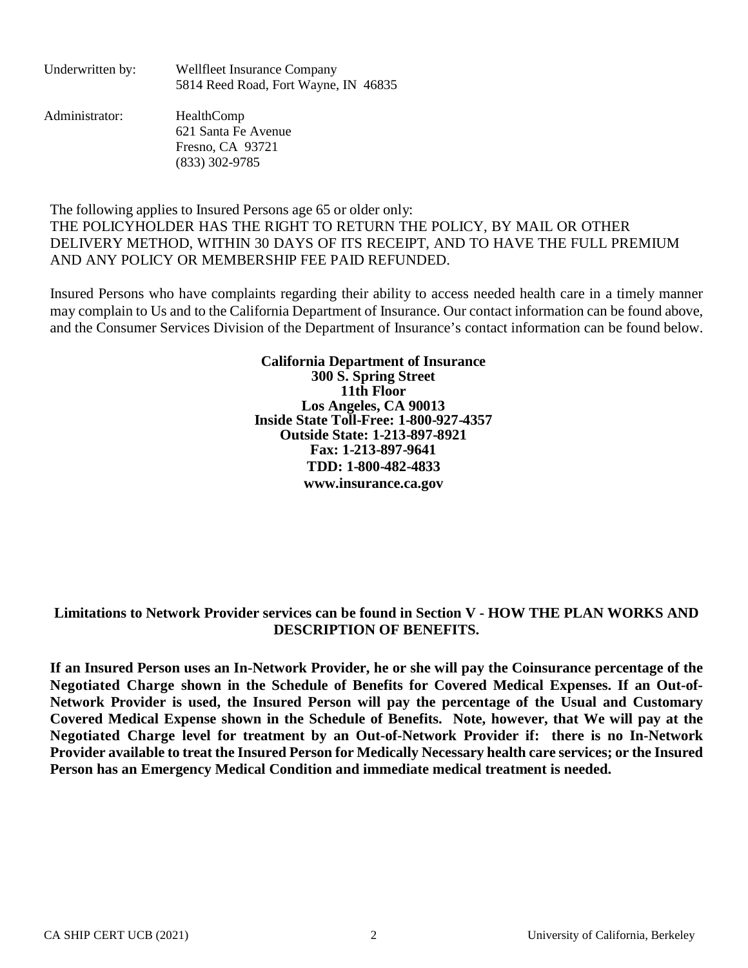| Underwritten by: | <b>Wellfleet Insurance Company</b>   |  |
|------------------|--------------------------------------|--|
|                  | 5814 Reed Road, Fort Wayne, IN 46835 |  |

Administrator: HealthComp 621 Santa Fe Avenue Fresno, CA 93721 (833) 302-9785

The following applies to Insured Persons age 65 or older only: THE POLICYHOLDER HAS THE RIGHT TO RETURN THE POLICY, BY MAIL OR OTHER DELIVERY METHOD, WITHIN 30 DAYS OF ITS RECEIPT, AND TO HAVE THE FULL PREMIUM AND ANY POLICY OR MEMBERSHIP FEE PAID REFUNDED.

Insured Persons who have complaints regarding their ability to access needed health care in a timely manner may complain to Us and to the California Department of Insurance. Our contact information can be found above, and the Consumer Services Division of the Department of Insurance's contact information can be found below.

> **California Department of Insurance 300 S. Spring Street 11th Floor Los Angeles, CA 90013 Inside State Toll-Free: 1-800-927-4357 Outside State: 1-213-897-8921 Fax: 1-213-897-9641 TDD: 1-800-482-4833 www.insurance.ca.gov**

# **Limitations to Network Provider services can be found in Section V - HOW THE PLAN WORKS AND DESCRIPTION OF BENEFITS.**

**If an Insured Person uses an In-Network Provider, he or she will pay the Coinsurance percentage of the Negotiated Charge shown in the Schedule of Benefits for Covered Medical Expenses. If an Out-of-Network Provider is used, the Insured Person will pay the percentage of the Usual and Customary Covered Medical Expense shown in the Schedule of Benefits. Note, however, that We will pay at the Negotiated Charge level for treatment by an Out-of-Network Provider if: there is no In-Network Provider available to treat the Insured Person for Medically Necessary health care services; or the Insured Person has an Emergency Medical Condition and immediate medical treatment is needed.**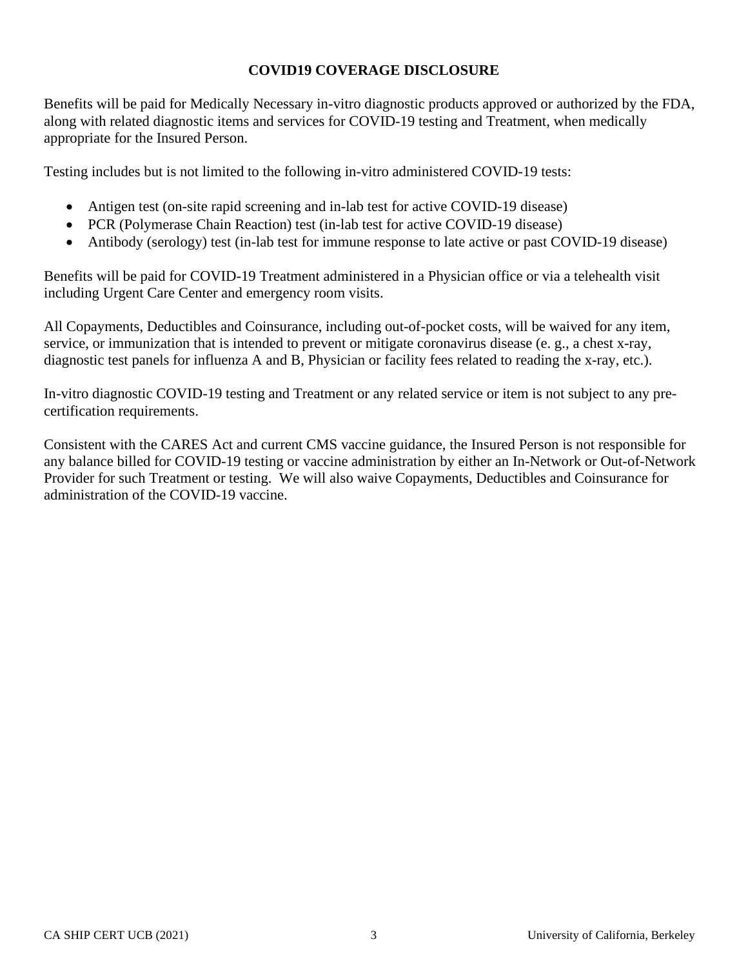# **COVID19 COVERAGE DISCLOSURE**

Benefits will be paid for Medically Necessary in-vitro diagnostic products approved or authorized by the FDA, along with related diagnostic items and services for COVID-19 testing and Treatment, when medically appropriate for the Insured Person.

Testing includes but is not limited to the following in-vitro administered COVID-19 tests:

- Antigen test (on-site rapid screening and in-lab test for active COVID-19 disease)
- PCR (Polymerase Chain Reaction) test (in-lab test for active COVID-19 disease)
- Antibody (serology) test (in-lab test for immune response to late active or past COVID-19 disease)

Benefits will be paid for COVID-19 Treatment administered in a Physician office or via a telehealth visit including Urgent Care Center and emergency room visits.

All Copayments, Deductibles and Coinsurance, including out-of-pocket costs, will be waived for any item, service, or immunization that is intended to prevent or mitigate coronavirus disease (e. g., a chest x-ray, diagnostic test panels for influenza A and B, Physician or facility fees related to reading the x-ray, etc.).

In-vitro diagnostic COVID-19 testing and Treatment or any related service or item is not subject to any precertification requirements.

Consistent with the CARES Act and current CMS vaccine guidance, the Insured Person is not responsible for any balance billed for COVID-19 testing or vaccine administration by either an In-Network or Out-of-Network Provider for such Treatment or testing. We will also waive Copayments, Deductibles and Coinsurance for administration of the COVID-19 vaccine.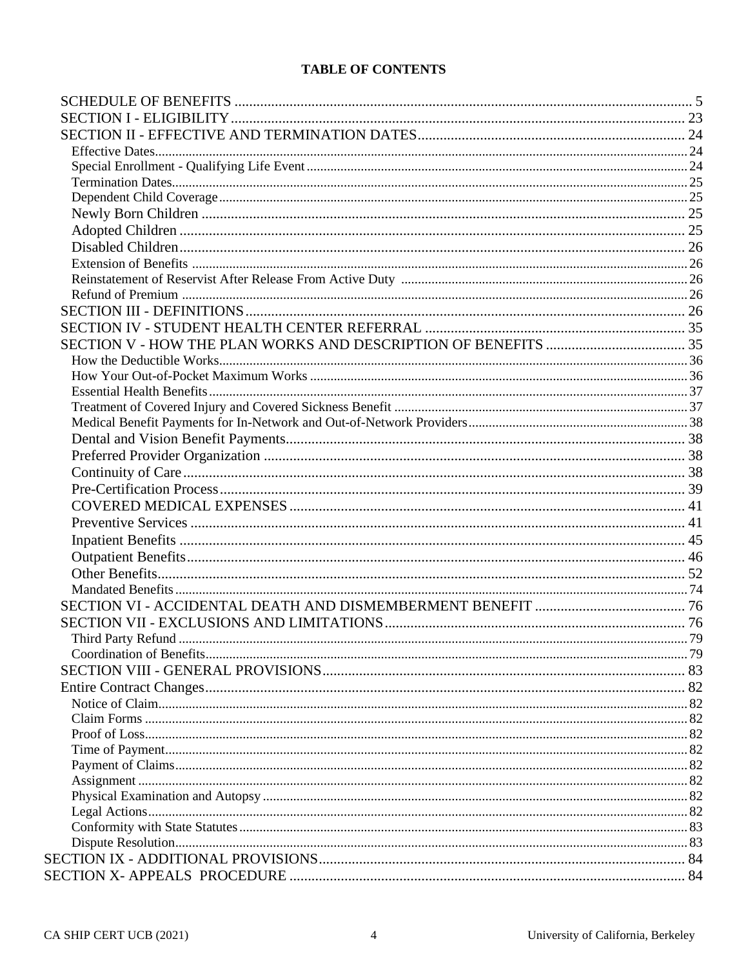# **TABLE OF CONTENTS**

| Third Party Refund | .79 |
|--------------------|-----|
|                    |     |
|                    |     |
|                    |     |
|                    |     |
|                    |     |
|                    |     |
|                    |     |
|                    |     |
|                    |     |
|                    |     |
|                    |     |
|                    |     |
|                    |     |
|                    |     |
|                    |     |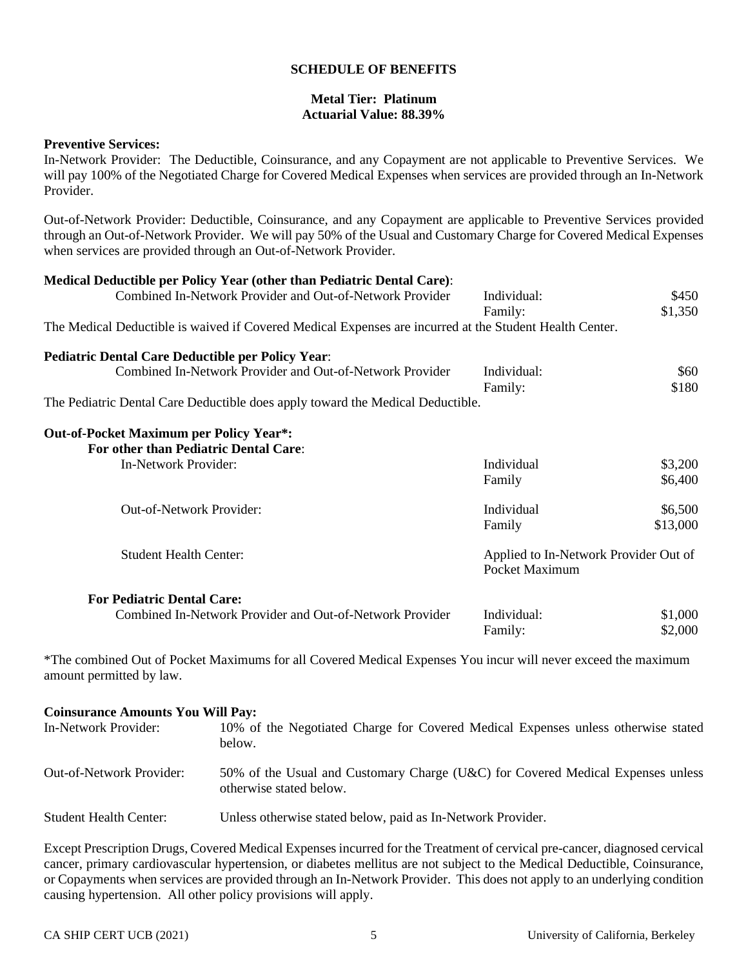### **SCHEDULE OF BENEFITS**

### **Metal Tier: Platinum Actuarial Value: 88.39%**

### **Preventive Services:**

In-Network Provider: The Deductible, Coinsurance, and any Copayment are not applicable to Preventive Services. We will pay 100% of the Negotiated Charge for Covered Medical Expenses when services are provided through an In-Network Provider.

Out-of-Network Provider: Deductible, Coinsurance, and any Copayment are applicable to Preventive Services provided through an Out-of-Network Provider. We will pay 50% of the Usual and Customary Charge for Covered Medical Expenses when services are provided through an Out-of-Network Provider.

| Medical Deductible per Policy Year (other than Pediatric Dental Care):                                  |                                                         |          |
|---------------------------------------------------------------------------------------------------------|---------------------------------------------------------|----------|
| Combined In-Network Provider and Out-of-Network Provider                                                | Individual:                                             | \$450    |
|                                                                                                         | Family:                                                 | \$1,350  |
| The Medical Deductible is waived if Covered Medical Expenses are incurred at the Student Health Center. |                                                         |          |
| <b>Pediatric Dental Care Deductible per Policy Year:</b>                                                |                                                         |          |
| Combined In-Network Provider and Out-of-Network Provider                                                | Individual:                                             | \$60     |
|                                                                                                         | Family:                                                 | \$180    |
| The Pediatric Dental Care Deductible does apply toward the Medical Deductible.                          |                                                         |          |
| <b>Out-of-Pocket Maximum per Policy Year*:</b><br>For other than Pediatric Dental Care:                 |                                                         |          |
| In-Network Provider:                                                                                    | Individual                                              | \$3,200  |
|                                                                                                         | Family                                                  | \$6,400  |
| Out-of-Network Provider:                                                                                | Individual                                              | \$6,500  |
|                                                                                                         | Family                                                  | \$13,000 |
| <b>Student Health Center:</b>                                                                           | Applied to In-Network Provider Out of<br>Pocket Maximum |          |
| <b>For Pediatric Dental Care:</b>                                                                       |                                                         |          |
| Combined In-Network Provider and Out-of-Network Provider                                                | Individual:                                             | \$1,000  |
|                                                                                                         | Family:                                                 | \$2,000  |

\*The combined Out of Pocket Maximums for all Covered Medical Expenses You incur will never exceed the maximum amount permitted by law.

#### **Coinsurance Amounts You Will Pay:**

| In-Network Provider:            | 10% of the Negotiated Charge for Covered Medical Expenses unless otherwise stated<br>below.                |
|---------------------------------|------------------------------------------------------------------------------------------------------------|
| <b>Out-of-Network Provider:</b> | 50% of the Usual and Customary Charge (U&C) for Covered Medical Expenses unless<br>otherwise stated below. |
| <b>Student Health Center:</b>   | Unless otherwise stated below, paid as In-Network Provider.                                                |

Except Prescription Drugs, Covered Medical Expenses incurred for the Treatment of cervical pre-cancer, diagnosed cervical cancer, primary cardiovascular hypertension, or diabetes mellitus are not subject to the Medical Deductible, Coinsurance, or Copayments when services are provided through an In-Network Provider. This does not apply to an underlying condition causing hypertension. All other policy provisions will apply.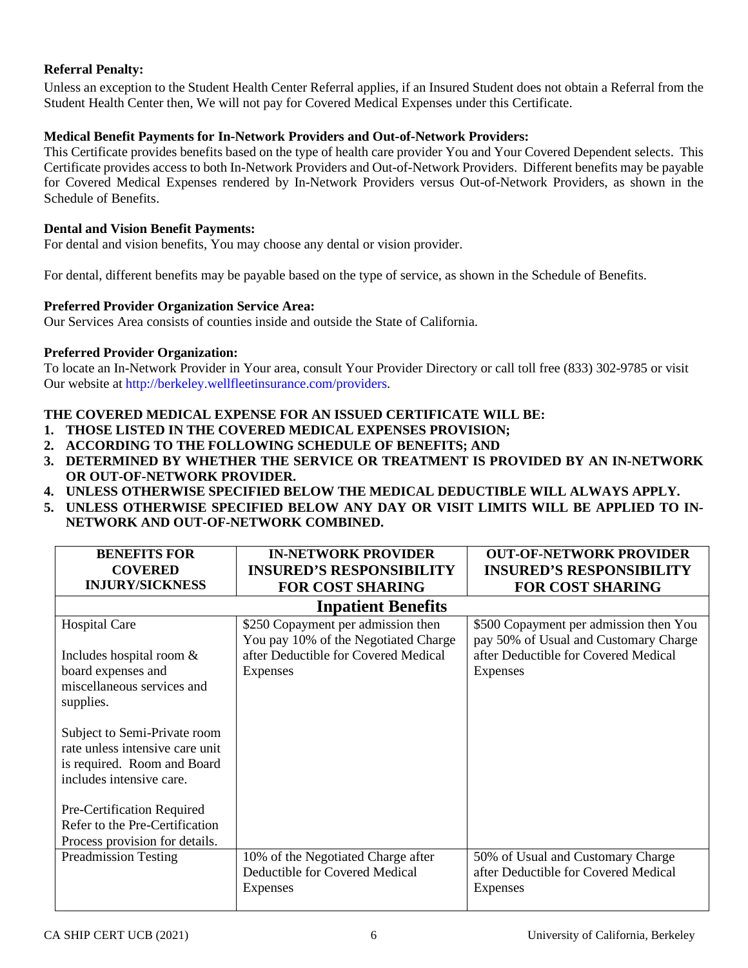# **Referral Penalty:**

Unless an exception to the Student Health Center Referral applies, if an Insured Student does not obtain a Referral from the Student Health Center then, We will not pay for Covered Medical Expenses under this Certificate.

## **Medical Benefit Payments for In-Network Providers and Out-of-Network Providers:**

This Certificate provides benefits based on the type of health care provider You and Your Covered Dependent selects. This Certificate provides access to both In-Network Providers and Out-of-Network Providers. Different benefits may be payable for Covered Medical Expenses rendered by In-Network Providers versus Out-of-Network Providers, as shown in the Schedule of Benefits.

### **Dental and Vision Benefit Payments:**

For dental and vision benefits, You may choose any dental or vision provider.

For dental, different benefits may be payable based on the type of service, as shown in the Schedule of Benefits.

### **Preferred Provider Organization Service Area:**

Our Services Area consists of counties inside and outside the State of California.

### **Preferred Provider Organization:**

To locate an In-Network Provider in Your area, consult Your Provider Directory or call toll free (833) 302-9785 or visit Our website at [http://berkeley.wellfleetinsurance.com/providers.](http://berkeley.wellfleetinsurance.com/providers)

# **THE COVERED MEDICAL EXPENSE FOR AN ISSUED CERTIFICATE WILL BE:**

- **1. THOSE LISTED IN THE COVERED MEDICAL EXPENSES PROVISION;**
- **2. ACCORDING TO THE FOLLOWING SCHEDULE OF BENEFITS; AND**
- **3. DETERMINED BY WHETHER THE SERVICE OR TREATMENT IS PROVIDED BY AN IN-NETWORK OR OUT-OF-NETWORK PROVIDER.**
- **4. UNLESS OTHERWISE SPECIFIED BELOW THE MEDICAL DEDUCTIBLE WILL ALWAYS APPLY.**
- **5. UNLESS OTHERWISE SPECIFIED BELOW ANY DAY OR VISIT LIMITS WILL BE APPLIED TO IN-NETWORK AND OUT-OF-NETWORK COMBINED.**

| <b>BENEFITS FOR</b>             | <b>IN-NETWORK PROVIDER</b>           | <b>OUT-OF-NETWORK PROVIDER</b>         |
|---------------------------------|--------------------------------------|----------------------------------------|
| <b>COVERED</b>                  | <b>INSURED'S RESPONSIBILITY</b>      | <b>INSURED'S RESPONSIBILITY</b>        |
| <b>INJURY/SICKNESS</b>          | <b>FOR COST SHARING</b>              | <b>FOR COST SHARING</b>                |
|                                 | <b>Inpatient Benefits</b>            |                                        |
| Hospital Care                   | \$250 Copayment per admission then   | \$500 Copayment per admission then You |
|                                 | You pay 10% of the Negotiated Charge | pay 50% of Usual and Customary Charge  |
| Includes hospital room $\&$     | after Deductible for Covered Medical | after Deductible for Covered Medical   |
| board expenses and              | Expenses                             | Expenses                               |
| miscellaneous services and      |                                      |                                        |
| supplies.                       |                                      |                                        |
|                                 |                                      |                                        |
| Subject to Semi-Private room    |                                      |                                        |
| rate unless intensive care unit |                                      |                                        |
| is required. Room and Board     |                                      |                                        |
| includes intensive care.        |                                      |                                        |
|                                 |                                      |                                        |
| Pre-Certification Required      |                                      |                                        |
| Refer to the Pre-Certification  |                                      |                                        |
| Process provision for details.  |                                      |                                        |
| <b>Preadmission Testing</b>     | 10% of the Negotiated Charge after   | 50% of Usual and Customary Charge      |
|                                 | Deductible for Covered Medical       | after Deductible for Covered Medical   |
|                                 | Expenses                             | Expenses                               |
|                                 |                                      |                                        |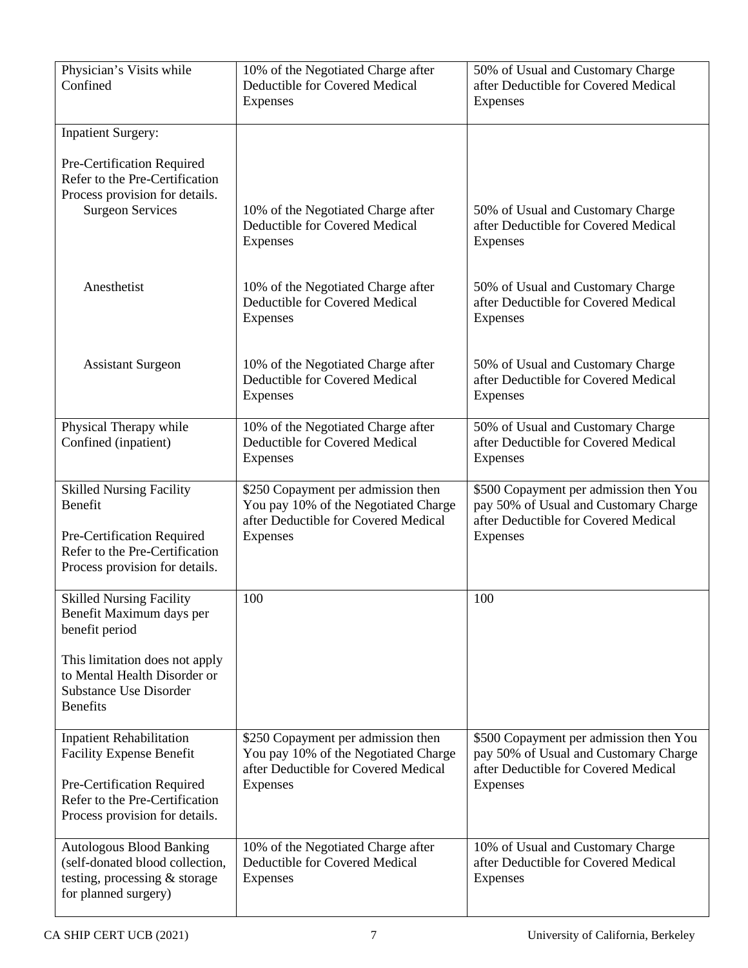| Physician's Visits while<br>Confined                                                                                                            | 10% of the Negotiated Charge after<br>Deductible for Covered Medical<br>Expenses                                               | 50% of Usual and Customary Charge<br>after Deductible for Covered Medical<br>Expenses                                               |
|-------------------------------------------------------------------------------------------------------------------------------------------------|--------------------------------------------------------------------------------------------------------------------------------|-------------------------------------------------------------------------------------------------------------------------------------|
| <b>Inpatient Surgery:</b>                                                                                                                       |                                                                                                                                |                                                                                                                                     |
| Pre-Certification Required<br>Refer to the Pre-Certification<br>Process provision for details.<br><b>Surgeon Services</b>                       | 10% of the Negotiated Charge after<br>Deductible for Covered Medical<br><b>Expenses</b>                                        | 50% of Usual and Customary Charge<br>after Deductible for Covered Medical<br>Expenses                                               |
| Anesthetist                                                                                                                                     | 10% of the Negotiated Charge after<br>Deductible for Covered Medical<br>Expenses                                               | 50% of Usual and Customary Charge<br>after Deductible for Covered Medical<br>Expenses                                               |
| <b>Assistant Surgeon</b>                                                                                                                        | 10% of the Negotiated Charge after<br>Deductible for Covered Medical<br>Expenses                                               | 50% of Usual and Customary Charge<br>after Deductible for Covered Medical<br>Expenses                                               |
| Physical Therapy while<br>Confined (inpatient)                                                                                                  | 10% of the Negotiated Charge after<br>Deductible for Covered Medical<br><b>Expenses</b>                                        | 50% of Usual and Customary Charge<br>after Deductible for Covered Medical<br>Expenses                                               |
| <b>Skilled Nursing Facility</b><br>Benefit<br>Pre-Certification Required<br>Refer to the Pre-Certification<br>Process provision for details.    | \$250 Copayment per admission then<br>You pay 10% of the Negotiated Charge<br>after Deductible for Covered Medical<br>Expenses | \$500 Copayment per admission then You<br>pay 50% of Usual and Customary Charge<br>after Deductible for Covered Medical<br>Expenses |
| <b>Skilled Nursing Facility</b><br>Benefit Maximum days per<br>benefit period<br>This limitation does not apply<br>to Mental Health Disorder or | 100                                                                                                                            | 100                                                                                                                                 |
| <b>Substance Use Disorder</b><br><b>Benefits</b>                                                                                                |                                                                                                                                |                                                                                                                                     |
| <b>Inpatient Rehabilitation</b><br><b>Facility Expense Benefit</b>                                                                              | \$250 Copayment per admission then<br>You pay 10% of the Negotiated Charge<br>after Deductible for Covered Medical             | \$500 Copayment per admission then You<br>pay 50% of Usual and Customary Charge<br>after Deductible for Covered Medical             |
| Pre-Certification Required<br>Refer to the Pre-Certification<br>Process provision for details.                                                  | Expenses                                                                                                                       | Expenses                                                                                                                            |
| <b>Autologous Blood Banking</b><br>(self-donated blood collection,<br>testing, processing & storage<br>for planned surgery)                     | 10% of the Negotiated Charge after<br>Deductible for Covered Medical<br>Expenses                                               | 10% of Usual and Customary Charge<br>after Deductible for Covered Medical<br>Expenses                                               |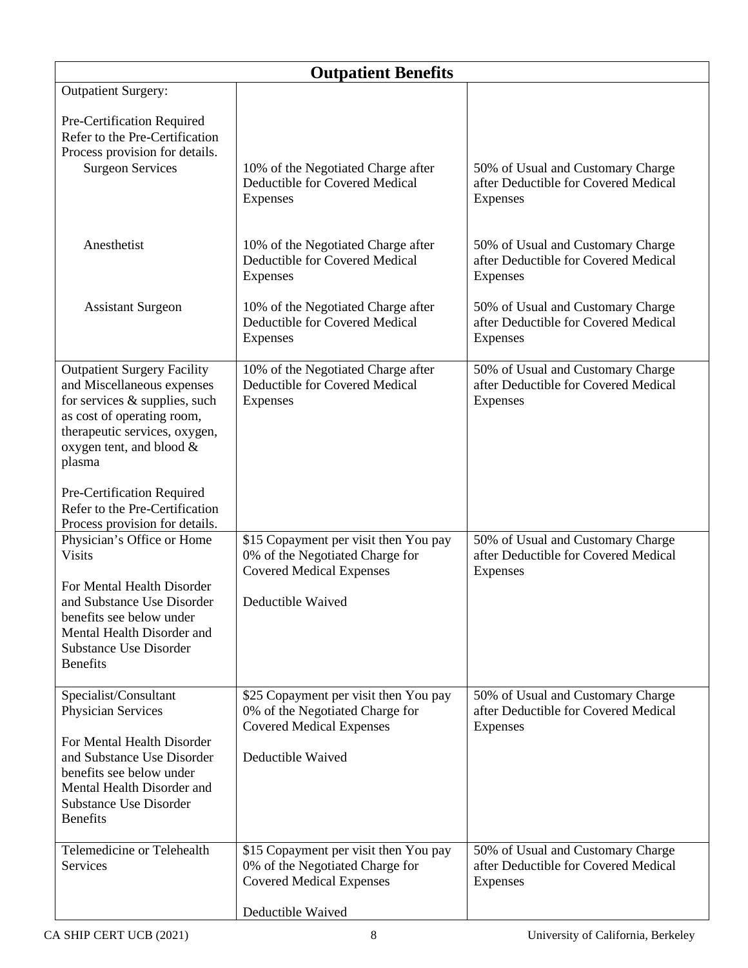| <b>Outpatient Benefits</b>                                                                                                                                                                                                           |                                                                                                                                  |                                                                                       |  |
|--------------------------------------------------------------------------------------------------------------------------------------------------------------------------------------------------------------------------------------|----------------------------------------------------------------------------------------------------------------------------------|---------------------------------------------------------------------------------------|--|
| <b>Outpatient Surgery:</b>                                                                                                                                                                                                           |                                                                                                                                  |                                                                                       |  |
| Pre-Certification Required<br>Refer to the Pre-Certification<br>Process provision for details.<br><b>Surgeon Services</b>                                                                                                            | 10% of the Negotiated Charge after<br>Deductible for Covered Medical<br>Expenses                                                 | 50% of Usual and Customary Charge<br>after Deductible for Covered Medical<br>Expenses |  |
| Anesthetist                                                                                                                                                                                                                          | 10% of the Negotiated Charge after<br>Deductible for Covered Medical<br><b>Expenses</b>                                          | 50% of Usual and Customary Charge<br>after Deductible for Covered Medical<br>Expenses |  |
| <b>Assistant Surgeon</b>                                                                                                                                                                                                             | 10% of the Negotiated Charge after<br>Deductible for Covered Medical<br>Expenses                                                 | 50% of Usual and Customary Charge<br>after Deductible for Covered Medical<br>Expenses |  |
| <b>Outpatient Surgery Facility</b><br>and Miscellaneous expenses<br>for services & supplies, such<br>as cost of operating room,<br>therapeutic services, oxygen,<br>oxygen tent, and blood &<br>plasma<br>Pre-Certification Required | 10% of the Negotiated Charge after<br>Deductible for Covered Medical<br>Expenses                                                 | 50% of Usual and Customary Charge<br>after Deductible for Covered Medical<br>Expenses |  |
| Refer to the Pre-Certification<br>Process provision for details.                                                                                                                                                                     |                                                                                                                                  |                                                                                       |  |
| Physician's Office or Home<br><b>Visits</b><br>For Mental Health Disorder<br>and Substance Use Disorder<br>benefits see below under<br>Mental Health Disorder and<br><b>Substance Use Disorder</b><br><b>Benefits</b>                | \$15 Copayment per visit then You pay<br>0% of the Negotiated Charge for<br><b>Covered Medical Expenses</b><br>Deductible Waived | 50% of Usual and Customary Charge<br>after Deductible for Covered Medical<br>Expenses |  |
| Specialist/Consultant<br>Physician Services<br>For Mental Health Disorder<br>and Substance Use Disorder<br>benefits see below under<br>Mental Health Disorder and<br><b>Substance Use Disorder</b><br><b>Benefits</b>                | \$25 Copayment per visit then You pay<br>0% of the Negotiated Charge for<br><b>Covered Medical Expenses</b><br>Deductible Waived | 50% of Usual and Customary Charge<br>after Deductible for Covered Medical<br>Expenses |  |
| Telemedicine or Telehealth<br>Services                                                                                                                                                                                               | \$15 Copayment per visit then You pay<br>0% of the Negotiated Charge for<br><b>Covered Medical Expenses</b>                      | 50% of Usual and Customary Charge<br>after Deductible for Covered Medical<br>Expenses |  |
|                                                                                                                                                                                                                                      | Deductible Waived                                                                                                                |                                                                                       |  |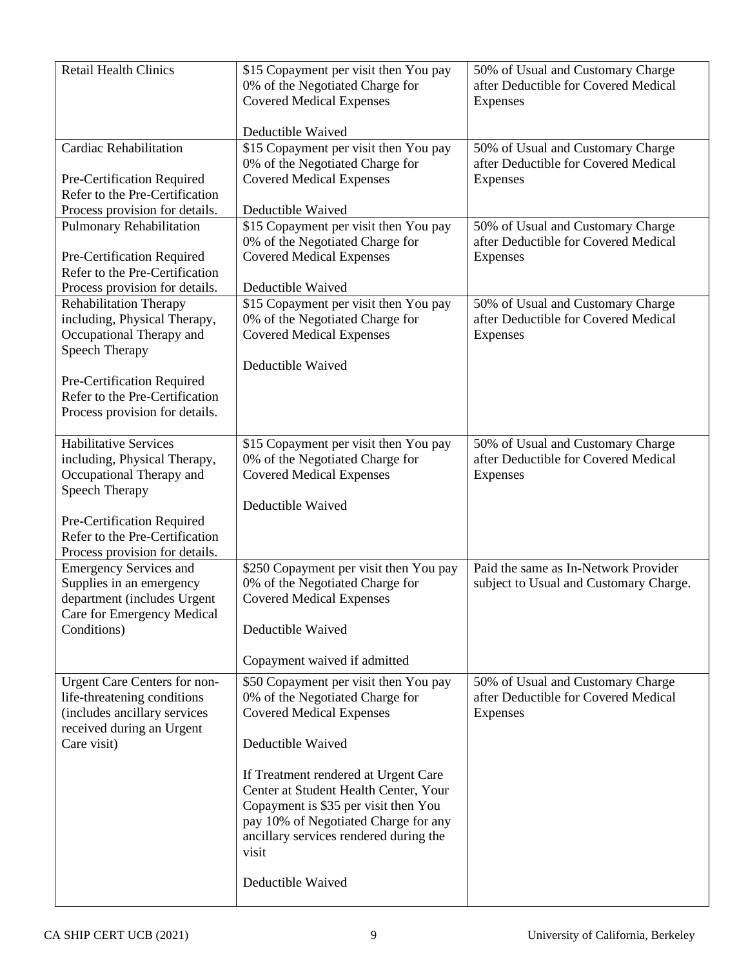| <b>Retail Health Clinics</b>                                                                                                                                            | \$15 Copayment per visit then You pay<br>0% of the Negotiated Charge for<br><b>Covered Medical Expenses</b><br>Deductible Waived                                                                                 | 50% of Usual and Customary Charge<br>after Deductible for Covered Medical<br>Expenses |
|-------------------------------------------------------------------------------------------------------------------------------------------------------------------------|------------------------------------------------------------------------------------------------------------------------------------------------------------------------------------------------------------------|---------------------------------------------------------------------------------------|
| <b>Cardiac Rehabilitation</b>                                                                                                                                           | \$15 Copayment per visit then You pay                                                                                                                                                                            | 50% of Usual and Customary Charge                                                     |
| Pre-Certification Required                                                                                                                                              | 0% of the Negotiated Charge for<br><b>Covered Medical Expenses</b>                                                                                                                                               | after Deductible for Covered Medical<br>Expenses                                      |
| Refer to the Pre-Certification<br>Process provision for details.                                                                                                        | Deductible Waived                                                                                                                                                                                                |                                                                                       |
| <b>Pulmonary Rehabilitation</b>                                                                                                                                         | \$15 Copayment per visit then You pay                                                                                                                                                                            | 50% of Usual and Customary Charge                                                     |
| Pre-Certification Required<br>Refer to the Pre-Certification                                                                                                            | 0% of the Negotiated Charge for<br><b>Covered Medical Expenses</b>                                                                                                                                               | after Deductible for Covered Medical<br>Expenses                                      |
| Process provision for details.                                                                                                                                          | Deductible Waived                                                                                                                                                                                                |                                                                                       |
| Rehabilitation Therapy<br>including, Physical Therapy,<br>Occupational Therapy and<br><b>Speech Therapy</b>                                                             | \$15 Copayment per visit then You pay<br>0% of the Negotiated Charge for<br><b>Covered Medical Expenses</b>                                                                                                      | 50% of Usual and Customary Charge<br>after Deductible for Covered Medical<br>Expenses |
| Pre-Certification Required<br>Refer to the Pre-Certification<br>Process provision for details.                                                                          | Deductible Waived                                                                                                                                                                                                |                                                                                       |
| <b>Habilitative Services</b><br>including, Physical Therapy,<br>Occupational Therapy and<br><b>Speech Therapy</b><br>Pre-Certification Required                         | \$15 Copayment per visit then You pay<br>0% of the Negotiated Charge for<br><b>Covered Medical Expenses</b><br>Deductible Waived                                                                                 | 50% of Usual and Customary Charge<br>after Deductible for Covered Medical<br>Expenses |
| Refer to the Pre-Certification                                                                                                                                          |                                                                                                                                                                                                                  |                                                                                       |
| Process provision for details.<br><b>Emergency Services and</b><br>Supplies in an emergency<br>department (includes Urgent<br>Care for Emergency Medical<br>Conditions) | \$250 Copayment per visit then You pay<br>0% of the Negotiated Charge for<br><b>Covered Medical Expenses</b><br>Deductible Waived                                                                                | Paid the same as In-Network Provider<br>subject to Usual and Customary Charge.        |
|                                                                                                                                                                         | Copayment waived if admitted                                                                                                                                                                                     |                                                                                       |
| <b>Urgent Care Centers for non-</b><br>life-threatening conditions<br>(includes ancillary services<br>received during an Urgent<br>Care visit)                          | \$50 Copayment per visit then You pay<br>0% of the Negotiated Charge for<br><b>Covered Medical Expenses</b><br>Deductible Waived                                                                                 | 50% of Usual and Customary Charge<br>after Deductible for Covered Medical<br>Expenses |
|                                                                                                                                                                         | If Treatment rendered at Urgent Care<br>Center at Student Health Center, Your<br>Copayment is \$35 per visit then You<br>pay 10% of Negotiated Charge for any<br>ancillary services rendered during the<br>visit |                                                                                       |
|                                                                                                                                                                         | Deductible Waived                                                                                                                                                                                                |                                                                                       |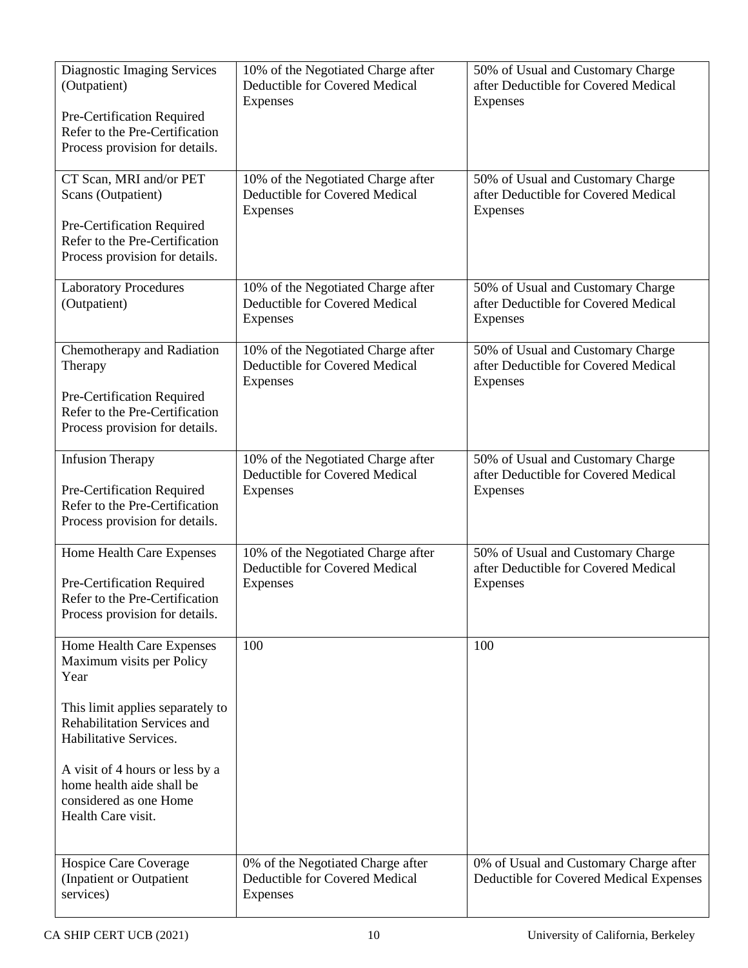| <b>Diagnostic Imaging Services</b><br>(Outpatient)<br>Pre-Certification Required<br>Refer to the Pre-Certification<br>Process provision for details. | 10% of the Negotiated Charge after<br>Deductible for Covered Medical<br>Expenses | 50% of Usual and Customary Charge<br>after Deductible for Covered Medical<br>Expenses        |
|------------------------------------------------------------------------------------------------------------------------------------------------------|----------------------------------------------------------------------------------|----------------------------------------------------------------------------------------------|
| CT Scan, MRI and/or PET<br>Scans (Outpatient)<br>Pre-Certification Required<br>Refer to the Pre-Certification<br>Process provision for details.      | 10% of the Negotiated Charge after<br>Deductible for Covered Medical<br>Expenses | 50% of Usual and Customary Charge<br>after Deductible for Covered Medical<br><b>Expenses</b> |
| <b>Laboratory Procedures</b><br>(Outpatient)                                                                                                         | 10% of the Negotiated Charge after<br>Deductible for Covered Medical<br>Expenses | 50% of Usual and Customary Charge<br>after Deductible for Covered Medical<br>Expenses        |
| Chemotherapy and Radiation<br>Therapy<br>Pre-Certification Required<br>Refer to the Pre-Certification<br>Process provision for details.              | 10% of the Negotiated Charge after<br>Deductible for Covered Medical<br>Expenses | 50% of Usual and Customary Charge<br>after Deductible for Covered Medical<br>Expenses        |
| <b>Infusion Therapy</b><br>Pre-Certification Required<br>Refer to the Pre-Certification<br>Process provision for details.                            | 10% of the Negotiated Charge after<br>Deductible for Covered Medical<br>Expenses | 50% of Usual and Customary Charge<br>after Deductible for Covered Medical<br>Expenses        |
| Home Health Care Expenses<br>Pre-Certification Required<br>Refer to the Pre-Certification<br>Process provision for details.                          | 10% of the Negotiated Charge after<br>Deductible for Covered Medical<br>Expenses | 50% of Usual and Customary Charge<br>after Deductible for Covered Medical<br>Expenses        |
| Home Health Care Expenses<br>Maximum visits per Policy<br>Year                                                                                       | 100                                                                              | 100                                                                                          |
| This limit applies separately to<br>Rehabilitation Services and<br>Habilitative Services.                                                            |                                                                                  |                                                                                              |
| A visit of 4 hours or less by a<br>home health aide shall be<br>considered as one Home<br>Health Care visit.                                         |                                                                                  |                                                                                              |
| Hospice Care Coverage<br>(Inpatient or Outpatient<br>services)                                                                                       | 0% of the Negotiated Charge after<br>Deductible for Covered Medical<br>Expenses  | 0% of Usual and Customary Charge after<br>Deductible for Covered Medical Expenses            |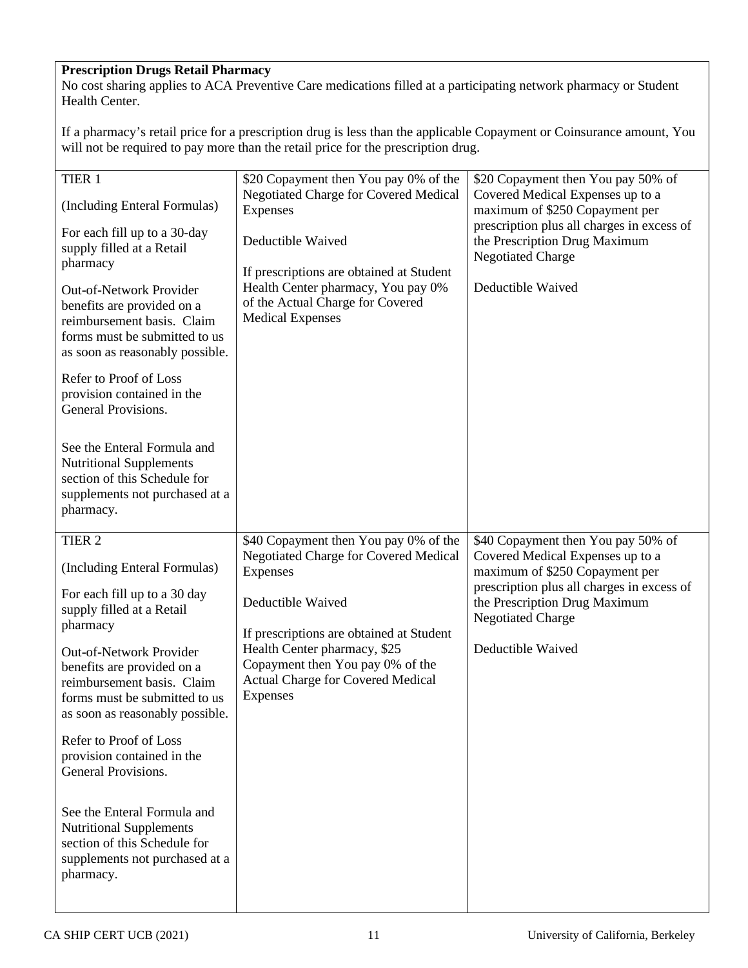# **Prescription Drugs Retail Pharmacy**

No cost sharing applies to ACA Preventive Care medications filled at a participating network pharmacy or Student Health Center.

If a pharmacy's retail price for a prescription drug is less than the applicable Copayment or Coinsurance amount, You will not be required to pay more than the retail price for the prescription drug.

| TIER 1<br>(Including Enteral Formulas)<br>For each fill up to a 30-day<br>supply filled at a Retail<br>pharmacy<br>Out-of-Network Provider<br>benefits are provided on a<br>reimbursement basis. Claim<br>forms must be submitted to us<br>as soon as reasonably possible.<br>Refer to Proof of Loss<br>provision contained in the<br>General Provisions.<br>See the Enteral Formula and<br><b>Nutritional Supplements</b><br>section of this Schedule for<br>supplements not purchased at a<br>pharmacy.            | \$20 Copayment then You pay 0% of the<br><b>Negotiated Charge for Covered Medical</b><br>Expenses<br>Deductible Waived<br>If prescriptions are obtained at Student<br>Health Center pharmacy, You pay 0%<br>of the Actual Charge for Covered<br><b>Medical Expenses</b>                 | \$20 Copayment then You pay 50% of<br>Covered Medical Expenses up to a<br>maximum of \$250 Copayment per<br>prescription plus all charges in excess of<br>the Prescription Drug Maximum<br><b>Negotiated Charge</b><br>Deductible Waived |
|----------------------------------------------------------------------------------------------------------------------------------------------------------------------------------------------------------------------------------------------------------------------------------------------------------------------------------------------------------------------------------------------------------------------------------------------------------------------------------------------------------------------|-----------------------------------------------------------------------------------------------------------------------------------------------------------------------------------------------------------------------------------------------------------------------------------------|------------------------------------------------------------------------------------------------------------------------------------------------------------------------------------------------------------------------------------------|
| TIER <sub>2</sub><br>(Including Enteral Formulas)<br>For each fill up to a 30 day<br>supply filled at a Retail<br>pharmacy<br>Out-of-Network Provider<br>benefits are provided on a<br>reimbursement basis. Claim<br>forms must be submitted to us<br>as soon as reasonably possible.<br>Refer to Proof of Loss<br>provision contained in the<br>General Provisions.<br>See the Enteral Formula and<br><b>Nutritional Supplements</b><br>section of this Schedule for<br>supplements not purchased at a<br>pharmacy. | \$40 Copayment then You pay 0% of the<br>Negotiated Charge for Covered Medical<br>Expenses<br>Deductible Waived<br>If prescriptions are obtained at Student<br>Health Center pharmacy, \$25<br>Copayment then You pay 0% of the<br><b>Actual Charge for Covered Medical</b><br>Expenses | \$40 Copayment then You pay 50% of<br>Covered Medical Expenses up to a<br>maximum of \$250 Copayment per<br>prescription plus all charges in excess of<br>the Prescription Drug Maximum<br><b>Negotiated Charge</b><br>Deductible Waived |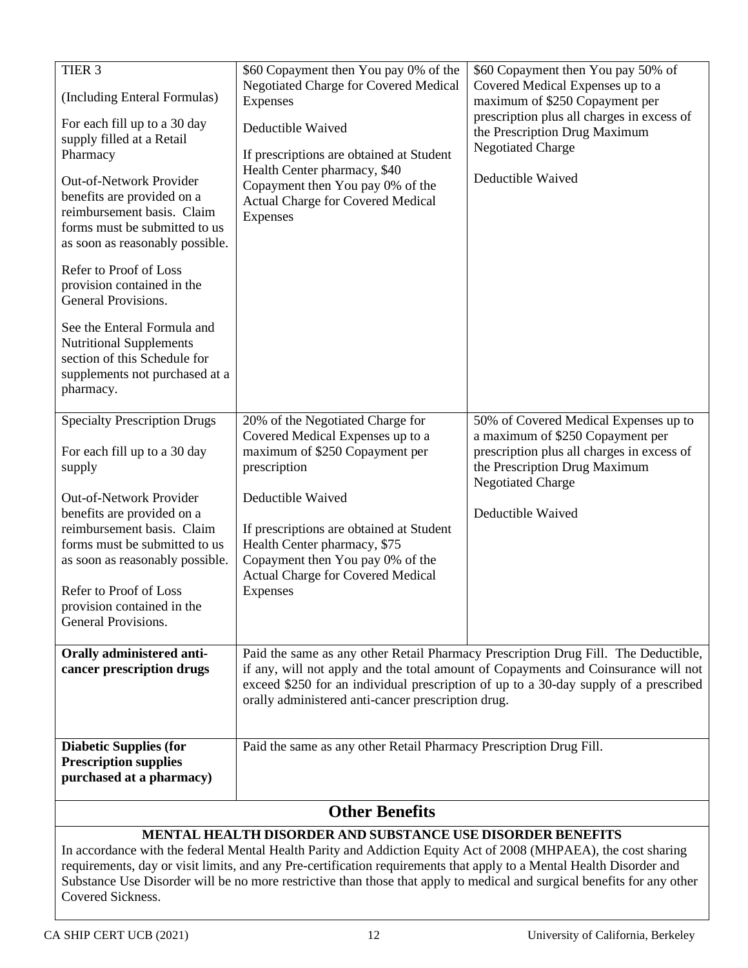# **MENTAL HEALTH DISORDER AND SUBSTANCE USE DISORDER BENEFITS**

In accordance with the federal Mental Health Parity and Addiction Equity Act of 2008 (MHPAEA), the cost sharing requirements, day or visit limits, and any Pre-certification requirements that apply to a Mental Health Disorder and Substance Use Disorder will be no more restrictive than those that apply to medical and surgical benefits for any other Covered Sickness.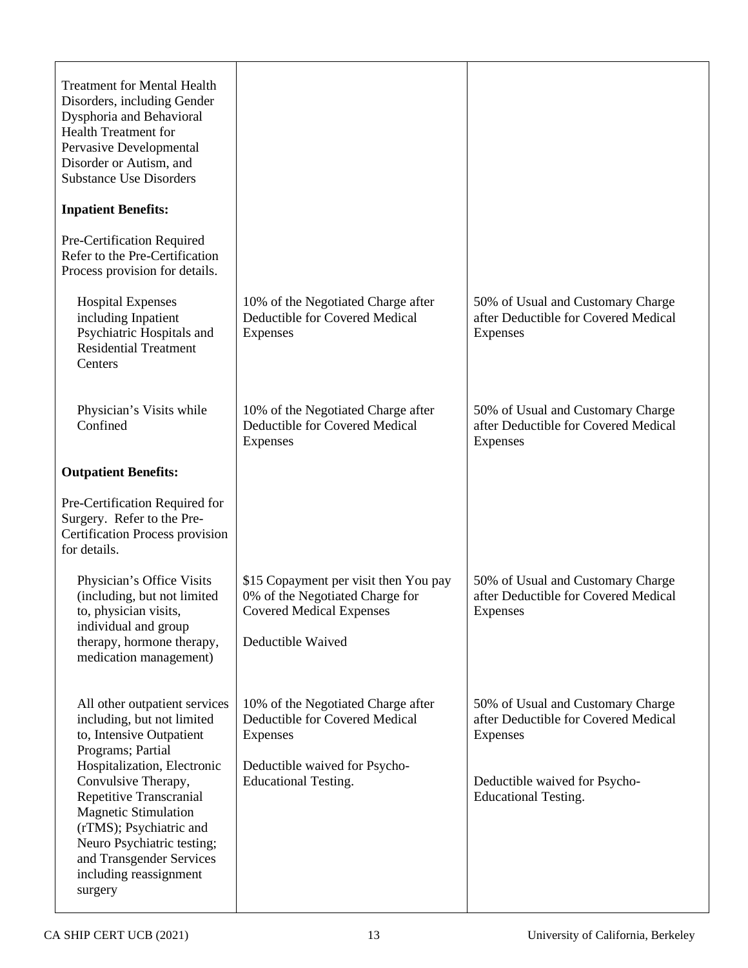| <b>Treatment for Mental Health</b><br>Disorders, including Gender<br>Dysphoria and Behavioral<br><b>Health Treatment for</b><br>Pervasive Developmental<br>Disorder or Autism, and<br><b>Substance Use Disorders</b>                                                                                                                                   |                                                                                                                                                  |                                                                                                                                                       |
|--------------------------------------------------------------------------------------------------------------------------------------------------------------------------------------------------------------------------------------------------------------------------------------------------------------------------------------------------------|--------------------------------------------------------------------------------------------------------------------------------------------------|-------------------------------------------------------------------------------------------------------------------------------------------------------|
| <b>Inpatient Benefits:</b>                                                                                                                                                                                                                                                                                                                             |                                                                                                                                                  |                                                                                                                                                       |
| Pre-Certification Required<br>Refer to the Pre-Certification<br>Process provision for details.                                                                                                                                                                                                                                                         |                                                                                                                                                  |                                                                                                                                                       |
| <b>Hospital Expenses</b><br>including Inpatient<br>Psychiatric Hospitals and<br><b>Residential Treatment</b><br>Centers                                                                                                                                                                                                                                | 10% of the Negotiated Charge after<br>Deductible for Covered Medical<br>Expenses                                                                 | 50% of Usual and Customary Charge<br>after Deductible for Covered Medical<br>Expenses                                                                 |
| Physician's Visits while<br>Confined                                                                                                                                                                                                                                                                                                                   | 10% of the Negotiated Charge after<br>Deductible for Covered Medical<br>Expenses                                                                 | 50% of Usual and Customary Charge<br>after Deductible for Covered Medical<br>Expenses                                                                 |
| <b>Outpatient Benefits:</b>                                                                                                                                                                                                                                                                                                                            |                                                                                                                                                  |                                                                                                                                                       |
| Pre-Certification Required for<br>Surgery. Refer to the Pre-<br><b>Certification Process provision</b><br>for details.                                                                                                                                                                                                                                 |                                                                                                                                                  |                                                                                                                                                       |
| Physician's Office Visits<br>(including, but not limited<br>to, physician visits,<br>individual and group<br>therapy, hormone therapy,<br>medication management)                                                                                                                                                                                       | \$15 Copayment per visit then You pay<br>0% of the Negotiated Charge for<br><b>Covered Medical Expenses</b><br>Deductible Waived                 | 50% of Usual and Customary Charge<br>after Deductible for Covered Medical<br>Expenses                                                                 |
| All other outpatient services<br>including, but not limited<br>to, Intensive Outpatient<br>Programs; Partial<br>Hospitalization, Electronic<br>Convulsive Therapy,<br>Repetitive Transcranial<br><b>Magnetic Stimulation</b><br>(rTMS); Psychiatric and<br>Neuro Psychiatric testing;<br>and Transgender Services<br>including reassignment<br>surgery | 10% of the Negotiated Charge after<br>Deductible for Covered Medical<br>Expenses<br>Deductible waived for Psycho-<br><b>Educational Testing.</b> | 50% of Usual and Customary Charge<br>after Deductible for Covered Medical<br>Expenses<br>Deductible waived for Psycho-<br><b>Educational Testing.</b> |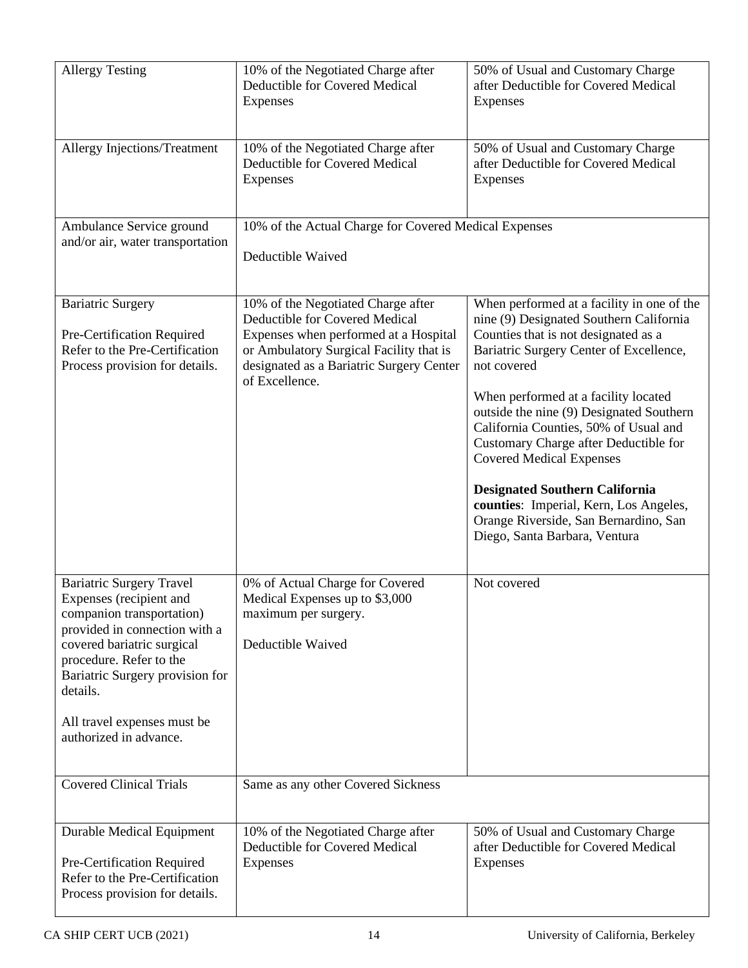| <b>Allergy Testing</b>                                                                                                                                                                                                                                                                    | 10% of the Negotiated Charge after<br>Deductible for Covered Medical<br>Expenses                                                                                                                                       | 50% of Usual and Customary Charge<br>after Deductible for Covered Medical<br>Expenses                                                                                                                                                                                                                                                                                                                                                                                                                                                                         |
|-------------------------------------------------------------------------------------------------------------------------------------------------------------------------------------------------------------------------------------------------------------------------------------------|------------------------------------------------------------------------------------------------------------------------------------------------------------------------------------------------------------------------|---------------------------------------------------------------------------------------------------------------------------------------------------------------------------------------------------------------------------------------------------------------------------------------------------------------------------------------------------------------------------------------------------------------------------------------------------------------------------------------------------------------------------------------------------------------|
| Allergy Injections/Treatment                                                                                                                                                                                                                                                              | 10% of the Negotiated Charge after<br>Deductible for Covered Medical<br>Expenses                                                                                                                                       | 50% of Usual and Customary Charge<br>after Deductible for Covered Medical<br>Expenses                                                                                                                                                                                                                                                                                                                                                                                                                                                                         |
| Ambulance Service ground<br>and/or air, water transportation                                                                                                                                                                                                                              | 10% of the Actual Charge for Covered Medical Expenses<br>Deductible Waived                                                                                                                                             |                                                                                                                                                                                                                                                                                                                                                                                                                                                                                                                                                               |
| <b>Bariatric Surgery</b><br>Pre-Certification Required<br>Refer to the Pre-Certification<br>Process provision for details.                                                                                                                                                                | 10% of the Negotiated Charge after<br>Deductible for Covered Medical<br>Expenses when performed at a Hospital<br>or Ambulatory Surgical Facility that is<br>designated as a Bariatric Surgery Center<br>of Excellence. | When performed at a facility in one of the<br>nine (9) Designated Southern California<br>Counties that is not designated as a<br>Bariatric Surgery Center of Excellence,<br>not covered<br>When performed at a facility located<br>outside the nine (9) Designated Southern<br>California Counties, 50% of Usual and<br>Customary Charge after Deductible for<br><b>Covered Medical Expenses</b><br><b>Designated Southern California</b><br>counties: Imperial, Kern, Los Angeles,<br>Orange Riverside, San Bernardino, San<br>Diego, Santa Barbara, Ventura |
| <b>Bariatric Surgery Travel</b><br>Expenses (recipient and<br>companion transportation)<br>provided in connection with a<br>covered bariatric surgical<br>procedure. Refer to the<br>Bariatric Surgery provision for<br>details.<br>All travel expenses must be<br>authorized in advance. | 0% of Actual Charge for Covered<br>Medical Expenses up to \$3,000<br>maximum per surgery.<br>Deductible Waived                                                                                                         | Not covered                                                                                                                                                                                                                                                                                                                                                                                                                                                                                                                                                   |
| <b>Covered Clinical Trials</b>                                                                                                                                                                                                                                                            | Same as any other Covered Sickness                                                                                                                                                                                     |                                                                                                                                                                                                                                                                                                                                                                                                                                                                                                                                                               |
| <b>Durable Medical Equipment</b><br>Pre-Certification Required<br>Refer to the Pre-Certification<br>Process provision for details.                                                                                                                                                        | 10% of the Negotiated Charge after<br>Deductible for Covered Medical<br>Expenses                                                                                                                                       | 50% of Usual and Customary Charge<br>after Deductible for Covered Medical<br>Expenses                                                                                                                                                                                                                                                                                                                                                                                                                                                                         |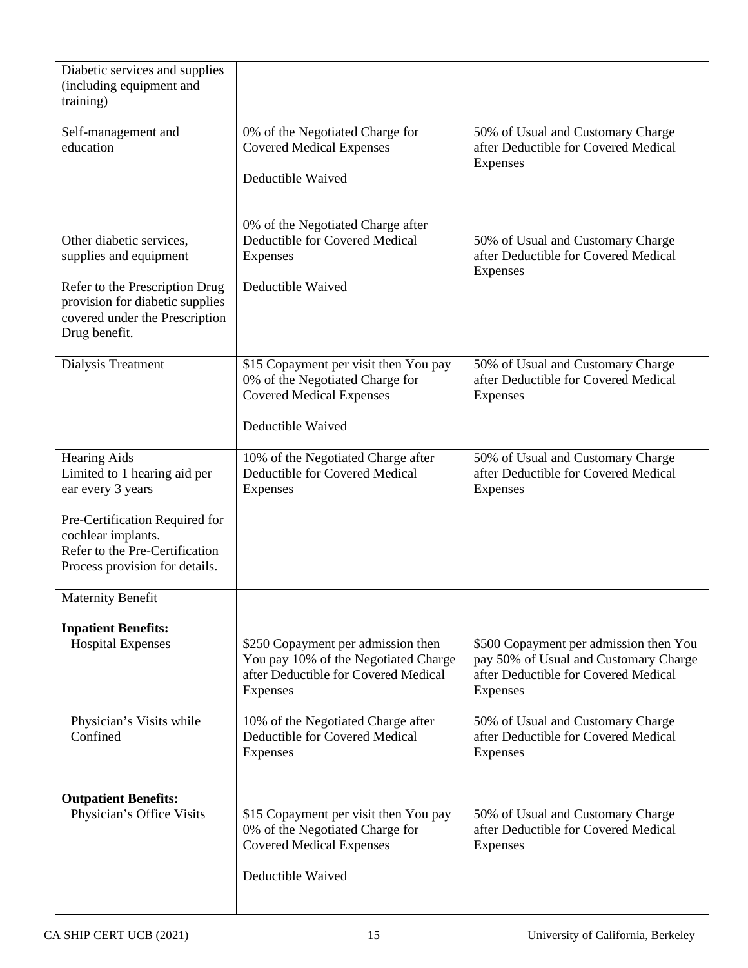| Diabetic services and supplies<br>(including equipment and<br>training)                                                  |                                                                                                                                |                                                                                                                                     |
|--------------------------------------------------------------------------------------------------------------------------|--------------------------------------------------------------------------------------------------------------------------------|-------------------------------------------------------------------------------------------------------------------------------------|
| Self-management and<br>education                                                                                         | 0% of the Negotiated Charge for<br><b>Covered Medical Expenses</b>                                                             | 50% of Usual and Customary Charge<br>after Deductible for Covered Medical<br>Expenses                                               |
|                                                                                                                          | Deductible Waived                                                                                                              |                                                                                                                                     |
| Other diabetic services,<br>supplies and equipment                                                                       | 0% of the Negotiated Charge after<br>Deductible for Covered Medical<br>Expenses                                                | 50% of Usual and Customary Charge<br>after Deductible for Covered Medical<br>Expenses                                               |
| Refer to the Prescription Drug<br>provision for diabetic supplies<br>covered under the Prescription<br>Drug benefit.     | Deductible Waived                                                                                                              |                                                                                                                                     |
| Dialysis Treatment                                                                                                       | \$15 Copayment per visit then You pay<br>0% of the Negotiated Charge for<br><b>Covered Medical Expenses</b>                    | 50% of Usual and Customary Charge<br>after Deductible for Covered Medical<br>Expenses                                               |
|                                                                                                                          | Deductible Waived                                                                                                              |                                                                                                                                     |
| <b>Hearing Aids</b><br>Limited to 1 hearing aid per<br>ear every 3 years                                                 | 10% of the Negotiated Charge after<br>Deductible for Covered Medical<br>Expenses                                               | 50% of Usual and Customary Charge<br>after Deductible for Covered Medical<br>Expenses                                               |
| Pre-Certification Required for<br>cochlear implants.<br>Refer to the Pre-Certification<br>Process provision for details. |                                                                                                                                |                                                                                                                                     |
| <b>Maternity Benefit</b>                                                                                                 |                                                                                                                                |                                                                                                                                     |
| <b>Inpatient Benefits:</b><br><b>Hospital Expenses</b>                                                                   | \$250 Copayment per admission then<br>You pay 10% of the Negotiated Charge<br>after Deductible for Covered Medical<br>Expenses | \$500 Copayment per admission then You<br>pay 50% of Usual and Customary Charge<br>after Deductible for Covered Medical<br>Expenses |
| Physician's Visits while<br>Confined                                                                                     | 10% of the Negotiated Charge after<br>Deductible for Covered Medical<br>Expenses                                               | 50% of Usual and Customary Charge<br>after Deductible for Covered Medical<br>Expenses                                               |
| <b>Outpatient Benefits:</b>                                                                                              |                                                                                                                                |                                                                                                                                     |
|                                                                                                                          | 0% of the Negotiated Charge for<br><b>Covered Medical Expenses</b>                                                             | after Deductible for Covered Medical<br>Expenses                                                                                    |
|                                                                                                                          | Deductible Waived                                                                                                              |                                                                                                                                     |
| Physician's Office Visits                                                                                                | \$15 Copayment per visit then You pay                                                                                          | 50% of Usual and Customary Charge                                                                                                   |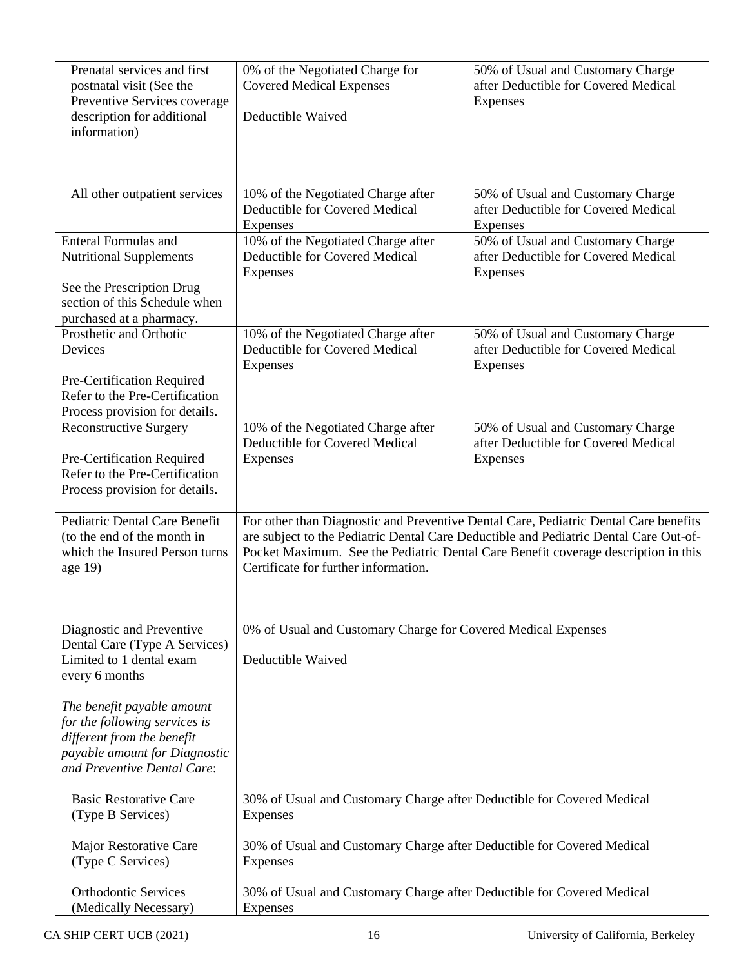| Prenatal services and first<br>postnatal visit (See the<br>Preventive Services coverage<br>description for additional<br>information)                     | 0% of the Negotiated Charge for<br><b>Covered Medical Expenses</b><br>Deductible Waived   | 50% of Usual and Customary Charge<br>after Deductible for Covered Medical<br>Expenses                                                                                                                                                                               |
|-----------------------------------------------------------------------------------------------------------------------------------------------------------|-------------------------------------------------------------------------------------------|---------------------------------------------------------------------------------------------------------------------------------------------------------------------------------------------------------------------------------------------------------------------|
| All other outpatient services                                                                                                                             | 10% of the Negotiated Charge after<br>Deductible for Covered Medical<br><b>Expenses</b>   | 50% of Usual and Customary Charge<br>after Deductible for Covered Medical<br>Expenses                                                                                                                                                                               |
| <b>Enteral Formulas and</b><br><b>Nutritional Supplements</b>                                                                                             | 10% of the Negotiated Charge after<br>Deductible for Covered Medical<br>Expenses          | 50% of Usual and Customary Charge<br>after Deductible for Covered Medical<br>Expenses                                                                                                                                                                               |
| See the Prescription Drug<br>section of this Schedule when<br>purchased at a pharmacy.                                                                    |                                                                                           |                                                                                                                                                                                                                                                                     |
| Prosthetic and Orthotic<br>Devices                                                                                                                        | 10% of the Negotiated Charge after<br>Deductible for Covered Medical<br>Expenses          | 50% of Usual and Customary Charge<br>after Deductible for Covered Medical<br>Expenses                                                                                                                                                                               |
| Pre-Certification Required<br>Refer to the Pre-Certification<br>Process provision for details.                                                            |                                                                                           |                                                                                                                                                                                                                                                                     |
| <b>Reconstructive Surgery</b>                                                                                                                             | 10% of the Negotiated Charge after<br>Deductible for Covered Medical                      | 50% of Usual and Customary Charge<br>after Deductible for Covered Medical                                                                                                                                                                                           |
| Pre-Certification Required<br>Refer to the Pre-Certification<br>Process provision for details.                                                            | Expenses                                                                                  | Expenses                                                                                                                                                                                                                                                            |
| Pediatric Dental Care Benefit<br>(to the end of the month in<br>which the Insured Person turns<br>age 19)                                                 | Certificate for further information.                                                      | For other than Diagnostic and Preventive Dental Care, Pediatric Dental Care benefits<br>are subject to the Pediatric Dental Care Deductible and Pediatric Dental Care Out-of-<br>Pocket Maximum. See the Pediatric Dental Care Benefit coverage description in this |
| Diagnostic and Preventive<br>Dental Care (Type A Services)<br>Limited to 1 dental exam<br>every 6 months                                                  | 0% of Usual and Customary Charge for Covered Medical Expenses<br>Deductible Waived        |                                                                                                                                                                                                                                                                     |
| The benefit payable amount<br>for the following services is<br>different from the benefit<br>payable amount for Diagnostic<br>and Preventive Dental Care: |                                                                                           |                                                                                                                                                                                                                                                                     |
| <b>Basic Restorative Care</b><br>(Type B Services)                                                                                                        | 30% of Usual and Customary Charge after Deductible for Covered Medical<br><b>Expenses</b> |                                                                                                                                                                                                                                                                     |
| Major Restorative Care<br>(Type C Services)                                                                                                               | 30% of Usual and Customary Charge after Deductible for Covered Medical<br>Expenses        |                                                                                                                                                                                                                                                                     |
| <b>Orthodontic Services</b><br>(Medically Necessary)                                                                                                      | 30% of Usual and Customary Charge after Deductible for Covered Medical<br>Expenses        |                                                                                                                                                                                                                                                                     |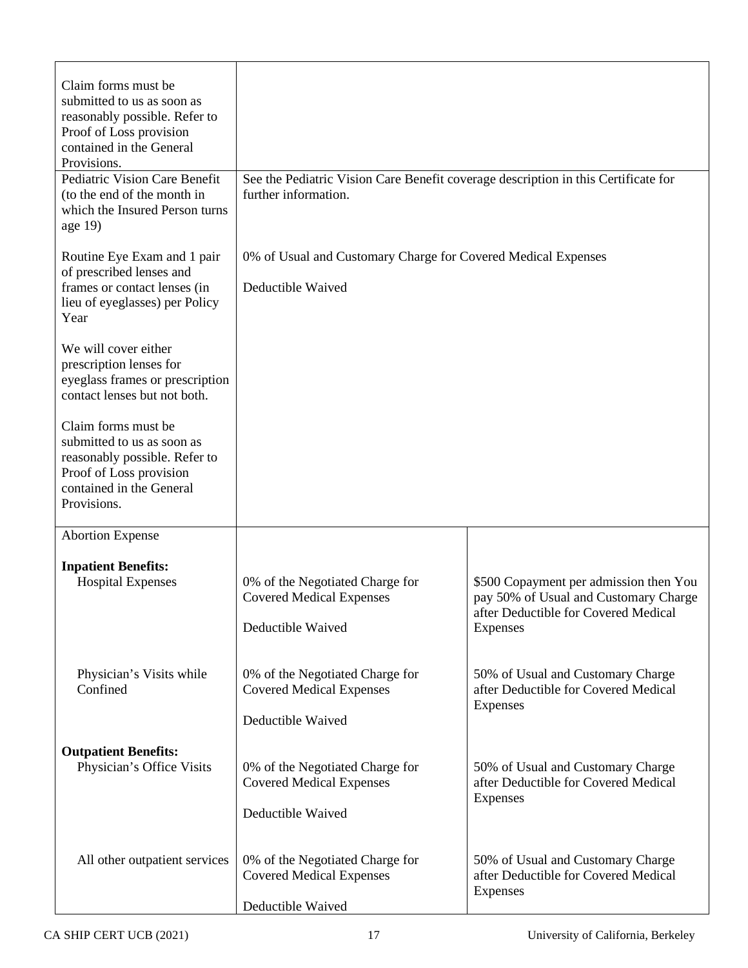| Claim forms must be<br>submitted to us as soon as<br>reasonably possible. Refer to<br>Proof of Loss provision<br>contained in the General<br>Provisions.<br>Pediatric Vision Care Benefit | See the Pediatric Vision Care Benefit coverage description in this Certificate for      |                                                                                                                         |
|-------------------------------------------------------------------------------------------------------------------------------------------------------------------------------------------|-----------------------------------------------------------------------------------------|-------------------------------------------------------------------------------------------------------------------------|
| (to the end of the month in<br>which the Insured Person turns<br>age 19)                                                                                                                  | further information.                                                                    |                                                                                                                         |
| Routine Eye Exam and 1 pair<br>of prescribed lenses and<br>frames or contact lenses (in<br>lieu of eyeglasses) per Policy<br>Year                                                         | 0% of Usual and Customary Charge for Covered Medical Expenses<br>Deductible Waived      |                                                                                                                         |
| We will cover either<br>prescription lenses for<br>eyeglass frames or prescription<br>contact lenses but not both.                                                                        |                                                                                         |                                                                                                                         |
| Claim forms must be<br>submitted to us as soon as<br>reasonably possible. Refer to<br>Proof of Loss provision<br>contained in the General<br>Provisions.                                  |                                                                                         |                                                                                                                         |
| <b>Abortion Expense</b>                                                                                                                                                                   |                                                                                         |                                                                                                                         |
| <b>Inpatient Benefits:</b><br><b>Hospital Expenses</b>                                                                                                                                    | 0% of the Negotiated Charge for<br><b>Covered Medical Expenses</b>                      | \$500 Copayment per admission then You<br>pay 50% of Usual and Customary Charge<br>after Deductible for Covered Medical |
|                                                                                                                                                                                           | Deductible Waived                                                                       | Expenses                                                                                                                |
| Physician's Visits while<br>Confined                                                                                                                                                      | 0% of the Negotiated Charge for<br><b>Covered Medical Expenses</b><br>Deductible Waived | 50% of Usual and Customary Charge<br>after Deductible for Covered Medical<br>Expenses                                   |
| <b>Outpatient Benefits:</b><br>Physician's Office Visits                                                                                                                                  | 0% of the Negotiated Charge for<br><b>Covered Medical Expenses</b><br>Deductible Waived | 50% of Usual and Customary Charge<br>after Deductible for Covered Medical<br>Expenses                                   |
| All other outpatient services                                                                                                                                                             | 0% of the Negotiated Charge for<br><b>Covered Medical Expenses</b><br>Deductible Waived | 50% of Usual and Customary Charge<br>after Deductible for Covered Medical<br>Expenses                                   |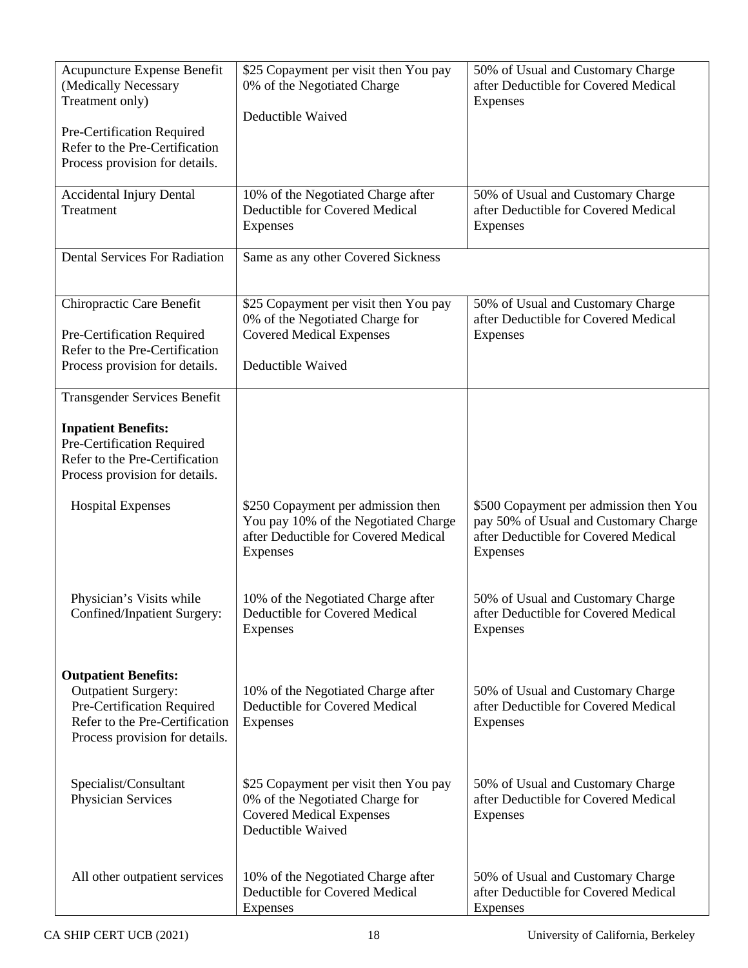| Acupuncture Expense Benefit<br>(Medically Necessary<br>Treatment only)<br>Pre-Certification Required<br>Refer to the Pre-Certification<br>Process provision for details. | \$25 Copayment per visit then You pay<br>0% of the Negotiated Charge<br>Deductible Waived                                        | 50% of Usual and Customary Charge<br>after Deductible for Covered Medical<br>Expenses                                               |
|--------------------------------------------------------------------------------------------------------------------------------------------------------------------------|----------------------------------------------------------------------------------------------------------------------------------|-------------------------------------------------------------------------------------------------------------------------------------|
| <b>Accidental Injury Dental</b><br>Treatment                                                                                                                             | 10% of the Negotiated Charge after<br>Deductible for Covered Medical<br>Expenses                                                 | 50% of Usual and Customary Charge<br>after Deductible for Covered Medical<br>Expenses                                               |
| Dental Services For Radiation                                                                                                                                            | Same as any other Covered Sickness                                                                                               |                                                                                                                                     |
| Chiropractic Care Benefit<br>Pre-Certification Required<br>Refer to the Pre-Certification<br>Process provision for details.                                              | \$25 Copayment per visit then You pay<br>0% of the Negotiated Charge for<br><b>Covered Medical Expenses</b><br>Deductible Waived | 50% of Usual and Customary Charge<br>after Deductible for Covered Medical<br>Expenses                                               |
| <b>Transgender Services Benefit</b>                                                                                                                                      |                                                                                                                                  |                                                                                                                                     |
| <b>Inpatient Benefits:</b><br>Pre-Certification Required<br>Refer to the Pre-Certification<br>Process provision for details.                                             |                                                                                                                                  |                                                                                                                                     |
| <b>Hospital Expenses</b>                                                                                                                                                 | \$250 Copayment per admission then<br>You pay 10% of the Negotiated Charge<br>after Deductible for Covered Medical<br>Expenses   | \$500 Copayment per admission then You<br>pay 50% of Usual and Customary Charge<br>after Deductible for Covered Medical<br>Expenses |
| Physician's Visits while<br>Confined/Inpatient Surgery:                                                                                                                  | 10% of the Negotiated Charge after<br>Deductible for Covered Medical<br><b>Expenses</b>                                          | 50% of Usual and Customary Charge<br>after Deductible for Covered Medical<br>Expenses                                               |
| <b>Outpatient Benefits:</b><br><b>Outpatient Surgery:</b><br>Pre-Certification Required<br>Refer to the Pre-Certification<br>Process provision for details.              | 10% of the Negotiated Charge after<br>Deductible for Covered Medical<br>Expenses                                                 | 50% of Usual and Customary Charge<br>after Deductible for Covered Medical<br><b>Expenses</b>                                        |
| Specialist/Consultant<br>Physician Services                                                                                                                              | \$25 Copayment per visit then You pay<br>0% of the Negotiated Charge for<br><b>Covered Medical Expenses</b><br>Deductible Waived | 50% of Usual and Customary Charge<br>after Deductible for Covered Medical<br>Expenses                                               |
| All other outpatient services                                                                                                                                            | 10% of the Negotiated Charge after<br>Deductible for Covered Medical<br>Expenses                                                 | 50% of Usual and Customary Charge<br>after Deductible for Covered Medical<br>Expenses                                               |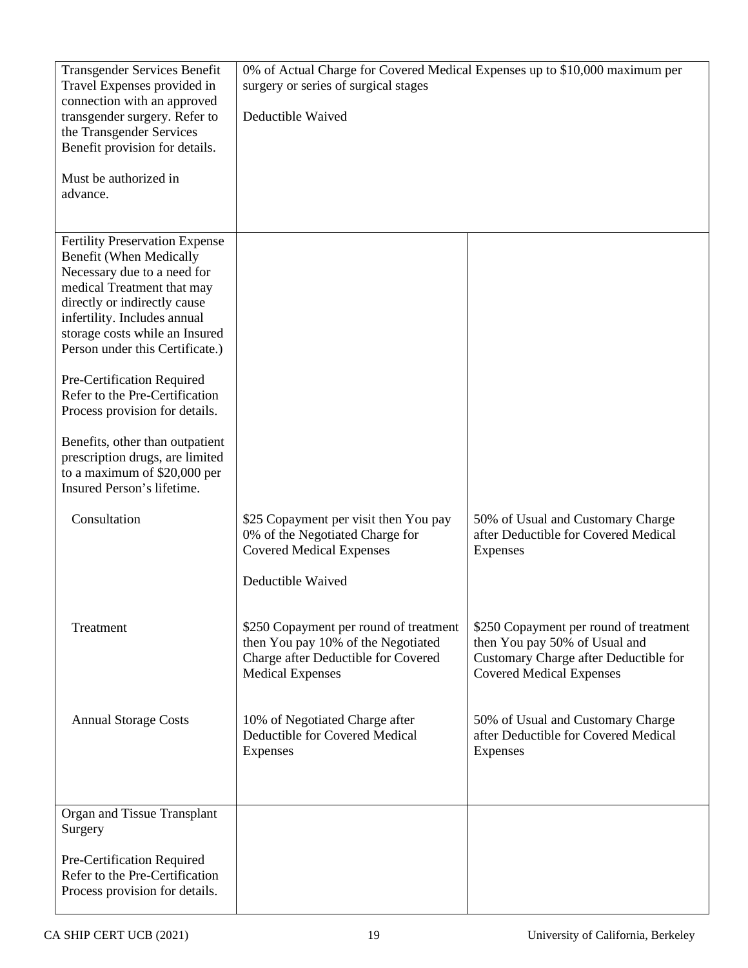| <b>Transgender Services Benefit</b>                                     | 0% of Actual Charge for Covered Medical Expenses up to \$10,000 maximum per |                                        |
|-------------------------------------------------------------------------|-----------------------------------------------------------------------------|----------------------------------------|
| Travel Expenses provided in                                             | surgery or series of surgical stages                                        |                                        |
| connection with an approved<br>transgender surgery. Refer to            | Deductible Waived                                                           |                                        |
| the Transgender Services                                                |                                                                             |                                        |
| Benefit provision for details.                                          |                                                                             |                                        |
|                                                                         |                                                                             |                                        |
| Must be authorized in                                                   |                                                                             |                                        |
| advance.                                                                |                                                                             |                                        |
|                                                                         |                                                                             |                                        |
|                                                                         |                                                                             |                                        |
| <b>Fertility Preservation Expense</b><br><b>Benefit (When Medically</b> |                                                                             |                                        |
| Necessary due to a need for                                             |                                                                             |                                        |
| medical Treatment that may                                              |                                                                             |                                        |
| directly or indirectly cause                                            |                                                                             |                                        |
| infertility. Includes annual                                            |                                                                             |                                        |
| storage costs while an Insured                                          |                                                                             |                                        |
| Person under this Certificate.)                                         |                                                                             |                                        |
| Pre-Certification Required                                              |                                                                             |                                        |
| Refer to the Pre-Certification                                          |                                                                             |                                        |
| Process provision for details.                                          |                                                                             |                                        |
|                                                                         |                                                                             |                                        |
| Benefits, other than outpatient                                         |                                                                             |                                        |
| prescription drugs, are limited                                         |                                                                             |                                        |
| to a maximum of \$20,000 per<br>Insured Person's lifetime.              |                                                                             |                                        |
|                                                                         |                                                                             |                                        |
| Consultation                                                            | \$25 Copayment per visit then You pay                                       | 50% of Usual and Customary Charge      |
|                                                                         | 0% of the Negotiated Charge for                                             | after Deductible for Covered Medical   |
|                                                                         | <b>Covered Medical Expenses</b>                                             | Expenses                               |
|                                                                         |                                                                             |                                        |
|                                                                         | Deductible Waived                                                           |                                        |
|                                                                         |                                                                             |                                        |
| Treatment                                                               | \$250 Copayment per round of treatment                                      | \$250 Copayment per round of treatment |
|                                                                         | then You pay 10% of the Negotiated                                          | then You pay 50% of Usual and          |
|                                                                         | Charge after Deductible for Covered                                         | Customary Charge after Deductible for  |
|                                                                         | <b>Medical Expenses</b>                                                     | <b>Covered Medical Expenses</b>        |
|                                                                         |                                                                             |                                        |
| <b>Annual Storage Costs</b>                                             | 10% of Negotiated Charge after                                              | 50% of Usual and Customary Charge      |
|                                                                         | Deductible for Covered Medical                                              | after Deductible for Covered Medical   |
|                                                                         | Expenses                                                                    | Expenses                               |
|                                                                         |                                                                             |                                        |
|                                                                         |                                                                             |                                        |
| Organ and Tissue Transplant                                             |                                                                             |                                        |
| Surgery                                                                 |                                                                             |                                        |
|                                                                         |                                                                             |                                        |
| Pre-Certification Required                                              |                                                                             |                                        |
| Refer to the Pre-Certification                                          |                                                                             |                                        |
| Process provision for details.                                          |                                                                             |                                        |
|                                                                         |                                                                             |                                        |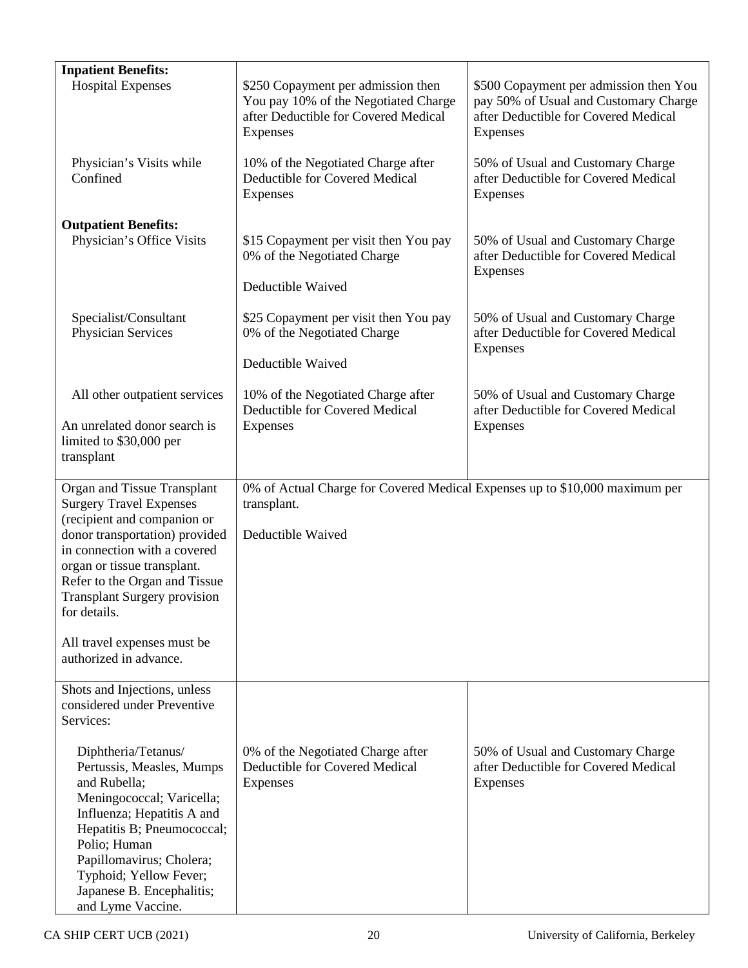| <b>Inpatient Benefits:</b>                                                                                                                                                                                                                                                                                           |                                                                                                                                |                                                                                                                                     |
|----------------------------------------------------------------------------------------------------------------------------------------------------------------------------------------------------------------------------------------------------------------------------------------------------------------------|--------------------------------------------------------------------------------------------------------------------------------|-------------------------------------------------------------------------------------------------------------------------------------|
| <b>Hospital Expenses</b>                                                                                                                                                                                                                                                                                             | \$250 Copayment per admission then<br>You pay 10% of the Negotiated Charge<br>after Deductible for Covered Medical<br>Expenses | \$500 Copayment per admission then You<br>pay 50% of Usual and Customary Charge<br>after Deductible for Covered Medical<br>Expenses |
| Physician's Visits while<br>Confined                                                                                                                                                                                                                                                                                 | 10% of the Negotiated Charge after<br>Deductible for Covered Medical<br>Expenses                                               | 50% of Usual and Customary Charge<br>after Deductible for Covered Medical<br>Expenses                                               |
| <b>Outpatient Benefits:</b><br>Physician's Office Visits                                                                                                                                                                                                                                                             | \$15 Copayment per visit then You pay<br>0% of the Negotiated Charge                                                           | 50% of Usual and Customary Charge<br>after Deductible for Covered Medical<br>Expenses                                               |
|                                                                                                                                                                                                                                                                                                                      | Deductible Waived                                                                                                              |                                                                                                                                     |
| Specialist/Consultant<br>Physician Services                                                                                                                                                                                                                                                                          | \$25 Copayment per visit then You pay<br>0% of the Negotiated Charge<br>Deductible Waived                                      | 50% of Usual and Customary Charge<br>after Deductible for Covered Medical<br>Expenses                                               |
|                                                                                                                                                                                                                                                                                                                      |                                                                                                                                |                                                                                                                                     |
| All other outpatient services                                                                                                                                                                                                                                                                                        | 10% of the Negotiated Charge after<br>Deductible for Covered Medical                                                           | 50% of Usual and Customary Charge<br>after Deductible for Covered Medical                                                           |
| An unrelated donor search is<br>limited to \$30,000 per<br>transplant                                                                                                                                                                                                                                                | Expenses                                                                                                                       | Expenses                                                                                                                            |
| Organ and Tissue Transplant<br><b>Surgery Travel Expenses</b><br>(recipient and companion or<br>donor transportation) provided<br>in connection with a covered<br>organ or tissue transplant.<br>Refer to the Organ and Tissue<br><b>Transplant Surgery provision</b><br>for details.<br>All travel expenses must be | 0% of Actual Charge for Covered Medical Expenses up to \$10,000 maximum per<br>transplant.<br>Deductible Waived                |                                                                                                                                     |
| authorized in advance.                                                                                                                                                                                                                                                                                               |                                                                                                                                |                                                                                                                                     |
| Shots and Injections, unless<br>considered under Preventive<br>Services:                                                                                                                                                                                                                                             |                                                                                                                                |                                                                                                                                     |
| Diphtheria/Tetanus/<br>Pertussis, Measles, Mumps<br>and Rubella;<br>Meningococcal; Varicella;<br>Influenza; Hepatitis A and<br>Hepatitis B; Pneumococcal;<br>Polio; Human<br>Papillomavirus; Cholera;<br>Typhoid; Yellow Fever;<br>Japanese B. Encephalitis;<br>and Lyme Vaccine.                                    | 0% of the Negotiated Charge after<br>Deductible for Covered Medical<br>Expenses                                                | 50% of Usual and Customary Charge<br>after Deductible for Covered Medical<br>Expenses                                               |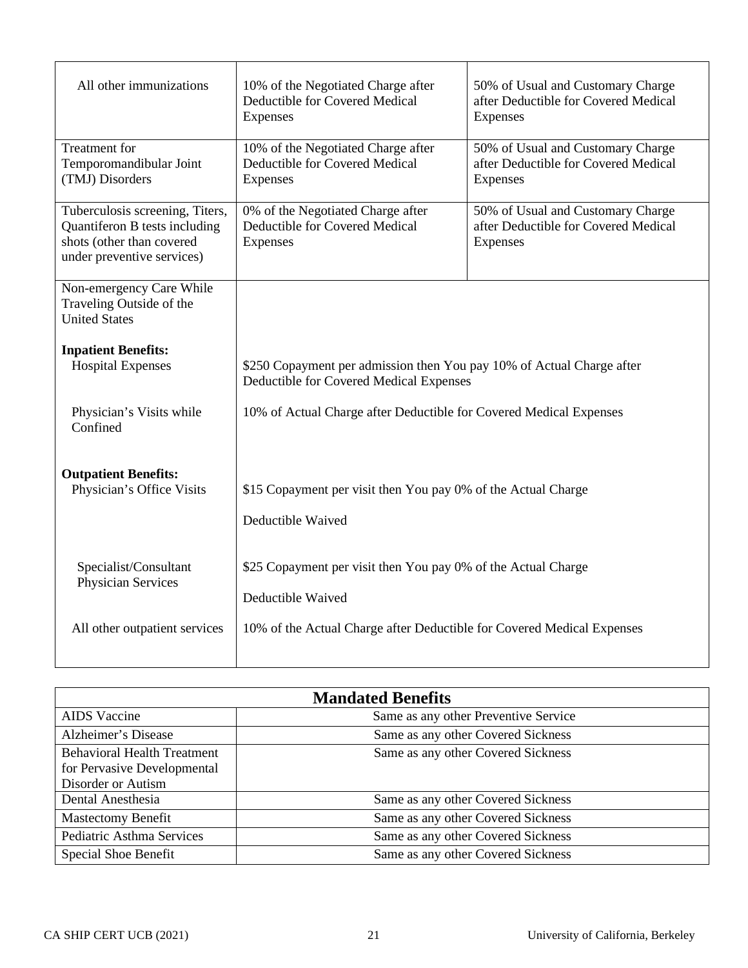| All other immunizations                                                                                                     | 10% of the Negotiated Charge after<br>50% of Usual and Customary Charge<br>Deductible for Covered Medical<br>after Deductible for Covered Medical<br>Expenses<br>Expenses |                                                                                       |
|-----------------------------------------------------------------------------------------------------------------------------|---------------------------------------------------------------------------------------------------------------------------------------------------------------------------|---------------------------------------------------------------------------------------|
| <b>Treatment</b> for<br>Temporomandibular Joint<br>(TMJ) Disorders                                                          | 10% of the Negotiated Charge after<br>Deductible for Covered Medical<br>Expenses                                                                                          | 50% of Usual and Customary Charge<br>after Deductible for Covered Medical<br>Expenses |
| Tuberculosis screening, Titers,<br>Quantiferon B tests including<br>shots (other than covered<br>under preventive services) | 0% of the Negotiated Charge after<br>Deductible for Covered Medical<br>Expenses                                                                                           | 50% of Usual and Customary Charge<br>after Deductible for Covered Medical<br>Expenses |
| Non-emergency Care While<br>Traveling Outside of the<br><b>United States</b>                                                |                                                                                                                                                                           |                                                                                       |
| <b>Inpatient Benefits:</b><br><b>Hospital Expenses</b>                                                                      | \$250 Copayment per admission then You pay 10% of Actual Charge after<br>Deductible for Covered Medical Expenses                                                          |                                                                                       |
| Physician's Visits while<br>Confined                                                                                        | 10% of Actual Charge after Deductible for Covered Medical Expenses                                                                                                        |                                                                                       |
| <b>Outpatient Benefits:</b><br>Physician's Office Visits                                                                    | \$15 Copayment per visit then You pay 0% of the Actual Charge<br>Deductible Waived                                                                                        |                                                                                       |
| Specialist/Consultant<br>Physician Services                                                                                 | \$25 Copayment per visit then You pay 0% of the Actual Charge<br>Deductible Waived                                                                                        |                                                                                       |
| All other outpatient services                                                                                               | 10% of the Actual Charge after Deductible for Covered Medical Expenses                                                                                                    |                                                                                       |

| <b>Mandated Benefits</b>                                                                |                                      |  |
|-----------------------------------------------------------------------------------------|--------------------------------------|--|
| <b>AIDS</b> Vaccine                                                                     | Same as any other Preventive Service |  |
| Alzheimer's Disease                                                                     | Same as any other Covered Sickness   |  |
| <b>Behavioral Health Treatment</b><br>for Pervasive Developmental<br>Disorder or Autism | Same as any other Covered Sickness   |  |
| Dental Anesthesia                                                                       | Same as any other Covered Sickness   |  |
| <b>Mastectomy Benefit</b>                                                               | Same as any other Covered Sickness   |  |
| Pediatric Asthma Services                                                               | Same as any other Covered Sickness   |  |
| Special Shoe Benefit                                                                    | Same as any other Covered Sickness   |  |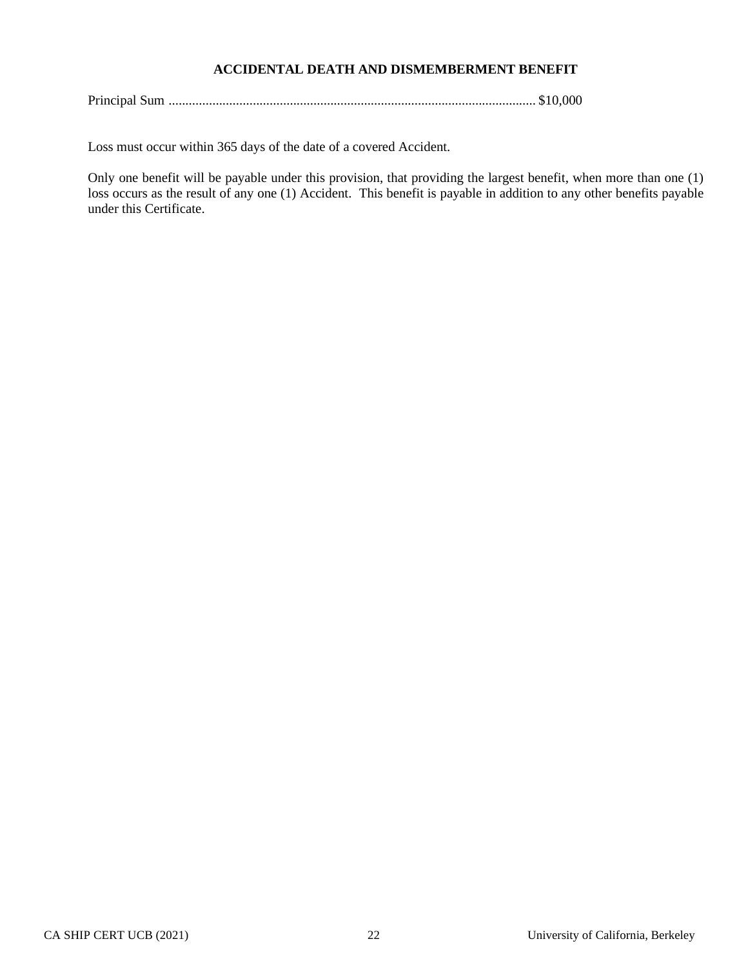# **ACCIDENTAL DEATH AND DISMEMBERMENT BENEFIT**

|--|--|--|

Loss must occur within 365 days of the date of a covered Accident.

Only one benefit will be payable under this provision, that providing the largest benefit, when more than one (1) loss occurs as the result of any one (1) Accident. This benefit is payable in addition to any other benefits payable under this Certificate.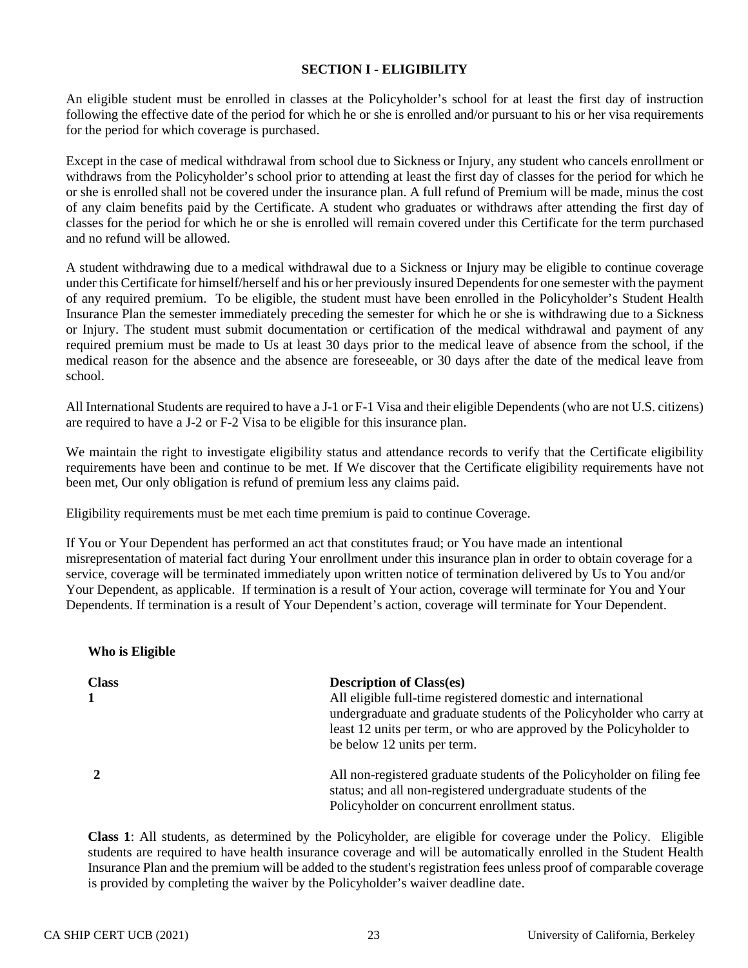### **SECTION I - ELIGIBILITY**

An eligible student must be enrolled in classes at the Policyholder's school for at least the first day of instruction following the effective date of the period for which he or she is enrolled and/or pursuant to his or her visa requirements for the period for which coverage is purchased.

Except in the case of medical withdrawal from school due to Sickness or Injury, any student who cancels enrollment or withdraws from the Policyholder's school prior to attending at least the first day of classes for the period for which he or she is enrolled shall not be covered under the insurance plan. A full refund of Premium will be made, minus the cost of any claim benefits paid by the Certificate. A student who graduates or withdraws after attending the first day of classes for the period for which he or she is enrolled will remain covered under this Certificate for the term purchased and no refund will be allowed.

A student withdrawing due to a medical withdrawal due to a Sickness or Injury may be eligible to continue coverage under this Certificate for himself/herself and his or her previously insured Dependents for one semester with the payment of any required premium. To be eligible, the student must have been enrolled in the Policyholder's Student Health Insurance Plan the semester immediately preceding the semester for which he or she is withdrawing due to a Sickness or Injury. The student must submit documentation or certification of the medical withdrawal and payment of any required premium must be made to Us at least 30 days prior to the medical leave of absence from the school, if the medical reason for the absence and the absence are foreseeable, or 30 days after the date of the medical leave from school.

All International Students are required to have a J-1 or F-1 Visa and their eligible Dependents (who are not U.S. citizens) are required to have a J-2 or F-2 Visa to be eligible for this insurance plan.

We maintain the right to investigate eligibility status and attendance records to verify that the Certificate eligibility requirements have been and continue to be met. If We discover that the Certificate eligibility requirements have not been met, Our only obligation is refund of premium less any claims paid.

Eligibility requirements must be met each time premium is paid to continue Coverage.

If You or Your Dependent has performed an act that constitutes fraud; or You have made an intentional misrepresentation of material fact during Your enrollment under this insurance plan in order to obtain coverage for a service, coverage will be terminated immediately upon written notice of termination delivered by Us to You and/or Your Dependent, as applicable. If termination is a result of Your action, coverage will terminate for You and Your Dependents. If termination is a result of Your Dependent's action, coverage will terminate for Your Dependent.

#### **Who is Eligible**

| <b>Class</b> | <b>Description of Class(es)</b>                                        |
|--------------|------------------------------------------------------------------------|
|              | All eligible full-time registered domestic and international           |
|              | undergraduate and graduate students of the Policyholder who carry at   |
|              | least 12 units per term, or who are approved by the Policyholder to    |
|              | be below 12 units per term.                                            |
|              | All non-registered graduate students of the Policyholder on filing fee |
|              | status; and all non-registered undergraduate students of the           |
|              | Policyholder on concurrent enrollment status.                          |

**Class 1**: All students, as determined by the Policyholder, are eligible for coverage under the Policy. Eligible students are required to have health insurance coverage and will be automatically enrolled in the Student Health Insurance Plan and the premium will be added to the student's registration fees unless proof of comparable coverage is provided by completing the waiver by the Policyholder's waiver deadline date.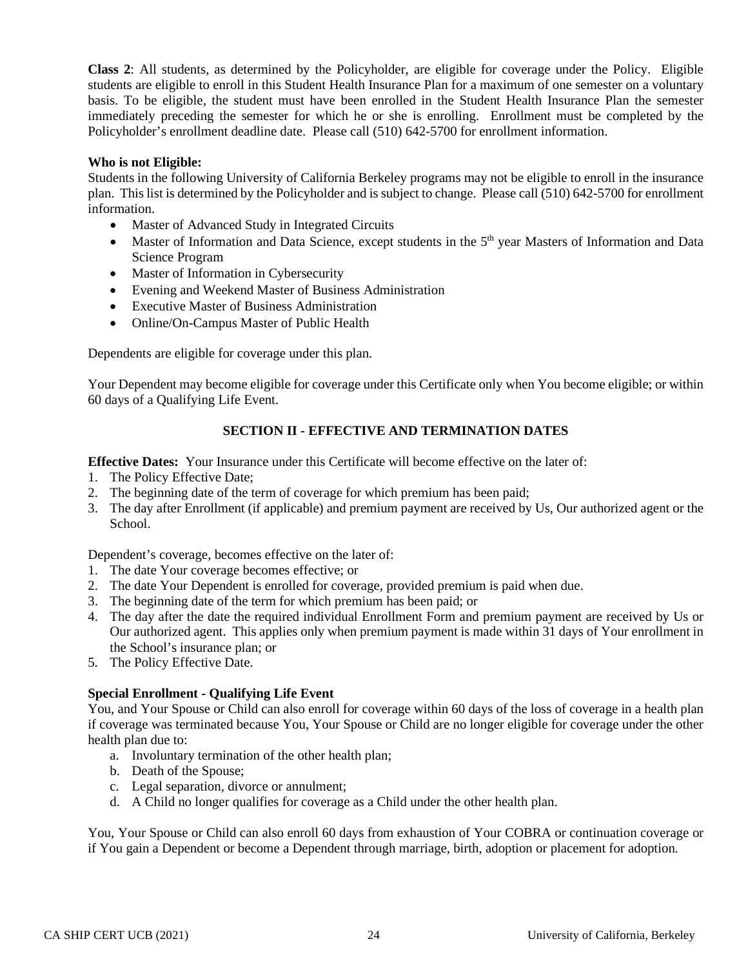**Class 2**: All students, as determined by the Policyholder, are eligible for coverage under the Policy. Eligible students are eligible to enroll in this Student Health Insurance Plan for a maximum of one semester on a voluntary basis. To be eligible, the student must have been enrolled in the Student Health Insurance Plan the semester immediately preceding the semester for which he or she is enrolling. Enrollment must be completed by the Policyholder's enrollment deadline date. Please call (510) 642-5700 for enrollment information.

### **Who is not Eligible:**

Students in the following University of California Berkeley programs may not be eligible to enroll in the insurance plan. This list is determined by the Policyholder and is subject to change. Please call (510) 642-5700 for enrollment information.

- Master of Advanced Study in Integrated Circuits
- Master of Information and Data Science, except students in the 5<sup>th</sup> year Masters of Information and Data Science Program
- Master of Information in Cybersecurity
- Evening and Weekend Master of Business Administration
- Executive Master of Business Administration
- Online/On-Campus Master of Public Health

Dependents are eligible for coverage under this plan.

Your Dependent may become eligible for coverage under this Certificate only when You become eligible; or within 60 days of a Qualifying Life Event.

# **SECTION II - EFFECTIVE AND TERMINATION DATES**

**Effective Dates:** Your Insurance under this Certificate will become effective on the later of:

- 1. The Policy Effective Date;
- 2. The beginning date of the term of coverage for which premium has been paid;
- 3. The day after Enrollment (if applicable) and premium payment are received by Us, Our authorized agent or the School.

Dependent's coverage, becomes effective on the later of:

- 1. The date Your coverage becomes effective; or
- 2. The date Your Dependent is enrolled for coverage, provided premium is paid when due.
- 3. The beginning date of the term for which premium has been paid; or
- 4. The day after the date the required individual Enrollment Form and premium payment are received by Us or Our authorized agent. This applies only when premium payment is made within 31 days of Your enrollment in the School's insurance plan; or
- 5. The Policy Effective Date.

# **Special Enrollment - Qualifying Life Event**

You, and Your Spouse or Child can also enroll for coverage within 60 days of the loss of coverage in a health plan if coverage was terminated because You, Your Spouse or Child are no longer eligible for coverage under the other health plan due to:

- a. Involuntary termination of the other health plan;
- b. Death of the Spouse;
- c. Legal separation, divorce or annulment;
- d. A Child no longer qualifies for coverage as a Child under the other health plan.

You, Your Spouse or Child can also enroll 60 days from exhaustion of Your COBRA or continuation coverage or if You gain a Dependent or become a Dependent through marriage, birth, adoption or placement for adoption.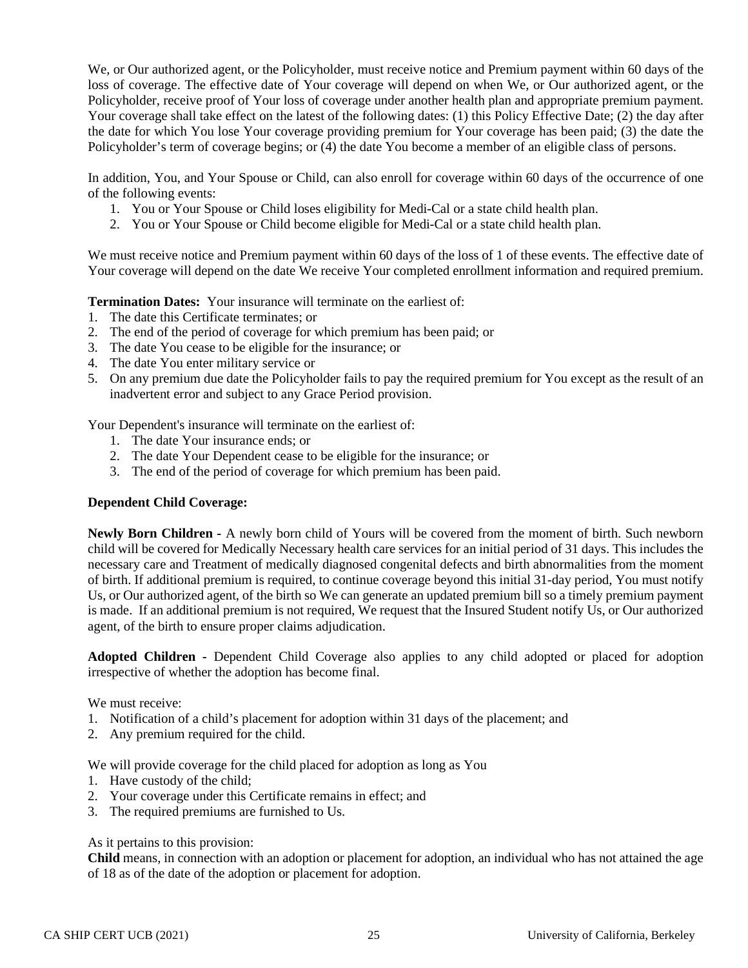We, or Our authorized agent, or the Policyholder, must receive notice and Premium payment within 60 days of the loss of coverage. The effective date of Your coverage will depend on when We, or Our authorized agent, or the Policyholder, receive proof of Your loss of coverage under another health plan and appropriate premium payment. Your coverage shall take effect on the latest of the following dates: (1) this Policy Effective Date; (2) the day after the date for which You lose Your coverage providing premium for Your coverage has been paid; (3) the date the Policyholder's term of coverage begins; or (4) the date You become a member of an eligible class of persons.

In addition, You, and Your Spouse or Child, can also enroll for coverage within 60 days of the occurrence of one of the following events:

- 1. You or Your Spouse or Child loses eligibility for Medi-Cal or a state child health plan.
- 2. You or Your Spouse or Child become eligible for Medi-Cal or a state child health plan.

We must receive notice and Premium payment within 60 days of the loss of 1 of these events. The effective date of Your coverage will depend on the date We receive Your completed enrollment information and required premium.

**Termination Dates:** Your insurance will terminate on the earliest of:

- 1. The date this Certificate terminates; or
- 2. The end of the period of coverage for which premium has been paid; or
- 3. The date You cease to be eligible for the insurance; or
- 4. The date You enter military service or
- 5. On any premium due date the Policyholder fails to pay the required premium for You except as the result of an inadvertent error and subject to any Grace Period provision.

Your Dependent's insurance will terminate on the earliest of:

- 1. The date Your insurance ends; or
- 2. The date Your Dependent cease to be eligible for the insurance; or
- 3. The end of the period of coverage for which premium has been paid.

### **Dependent Child Coverage:**

**Newly Born Children -** A newly born child of Yours will be covered from the moment of birth. Such newborn child will be covered for Medically Necessary health care services for an initial period of 31 days. This includes the necessary care and Treatment of medically diagnosed congenital defects and birth abnormalities from the moment of birth. If additional premium is required, to continue coverage beyond this initial 31-day period, You must notify Us, or Our authorized agent, of the birth so We can generate an updated premium bill so a timely premium payment is made. If an additional premium is not required, We request that the Insured Student notify Us, or Our authorized agent, of the birth to ensure proper claims adjudication.

**Adopted Children -** Dependent Child Coverage also applies to any child adopted or placed for adoption irrespective of whether the adoption has become final.

We must receive:

- 1. Notification of a child's placement for adoption within 31 days of the placement; and
- 2. Any premium required for the child.

We will provide coverage for the child placed for adoption as long as You

- 1. Have custody of the child;
- 2. Your coverage under this Certificate remains in effect; and
- 3. The required premiums are furnished to Us.

As it pertains to this provision:

**Child** means, in connection with an adoption or placement for adoption, an individual who has not attained the age of 18 as of the date of the adoption or placement for adoption.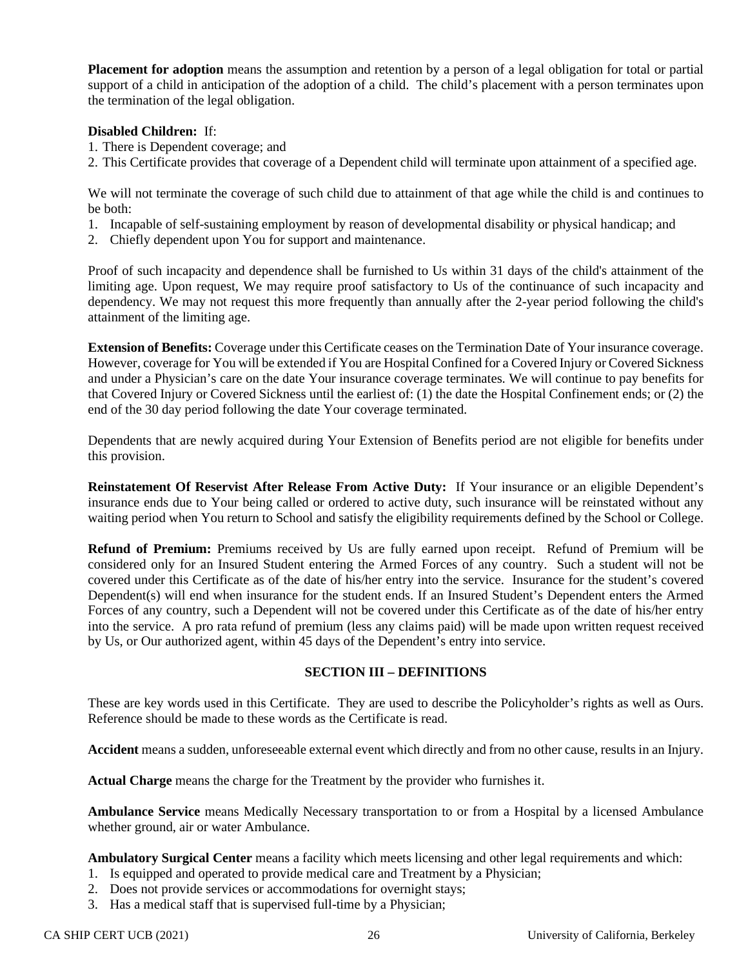**Placement for adoption** means the assumption and retention by a person of a legal obligation for total or partial support of a child in anticipation of the adoption of a child. The child's placement with a person terminates upon the termination of the legal obligation.

## **Disabled Children:** If:

- 1. There is Dependent coverage; and
- 2. This Certificate provides that coverage of a Dependent child will terminate upon attainment of a specified age.

We will not terminate the coverage of such child due to attainment of that age while the child is and continues to be both:

- 1. Incapable of self-sustaining employment by reason of developmental disability or physical handicap; and
- 2. Chiefly dependent upon You for support and maintenance.

Proof of such incapacity and dependence shall be furnished to Us within 31 days of the child's attainment of the limiting age. Upon request, We may require proof satisfactory to Us of the continuance of such incapacity and dependency. We may not request this more frequently than annually after the 2-year period following the child's attainment of the limiting age.

**Extension of Benefits:** Coverage under this Certificate ceases on the Termination Date of Your insurance coverage. However, coverage for You will be extended if You are Hospital Confined for a Covered Injury or Covered Sickness and under a Physician's care on the date Your insurance coverage terminates. We will continue to pay benefits for that Covered Injury or Covered Sickness until the earliest of: (1) the date the Hospital Confinement ends; or (2) the end of the 30 day period following the date Your coverage terminated.

Dependents that are newly acquired during Your Extension of Benefits period are not eligible for benefits under this provision.

**Reinstatement Of Reservist After Release From Active Duty:** If Your insurance or an eligible Dependent's insurance ends due to Your being called or ordered to active duty, such insurance will be reinstated without any waiting period when You return to School and satisfy the eligibility requirements defined by the School or College.

**Refund of Premium:** Premiums received by Us are fully earned upon receipt. Refund of Premium will be considered only for an Insured Student entering the Armed Forces of any country. Such a student will not be covered under this Certificate as of the date of his/her entry into the service. Insurance for the student's covered Dependent(s) will end when insurance for the student ends. If an Insured Student's Dependent enters the Armed Forces of any country, such a Dependent will not be covered under this Certificate as of the date of his/her entry into the service. A pro rata refund of premium (less any claims paid) will be made upon written request received by Us, or Our authorized agent, within 45 days of the Dependent's entry into service.

# **SECTION III – DEFINITIONS**

These are key words used in this Certificate. They are used to describe the Policyholder's rights as well as Ours. Reference should be made to these words as the Certificate is read.

**Accident** means a sudden, unforeseeable external event which directly and from no other cause, results in an Injury.

**Actual Charge** means the charge for the Treatment by the provider who furnishes it.

**Ambulance Service** means Medically Necessary transportation to or from a Hospital by a licensed Ambulance whether ground, air or water Ambulance.

**Ambulatory Surgical Center** means a facility which meets licensing and other legal requirements and which:

- 1. Is equipped and operated to provide medical care and Treatment by a Physician;
- 2. Does not provide services or accommodations for overnight stays;
- 3. Has a medical staff that is supervised full-time by a Physician;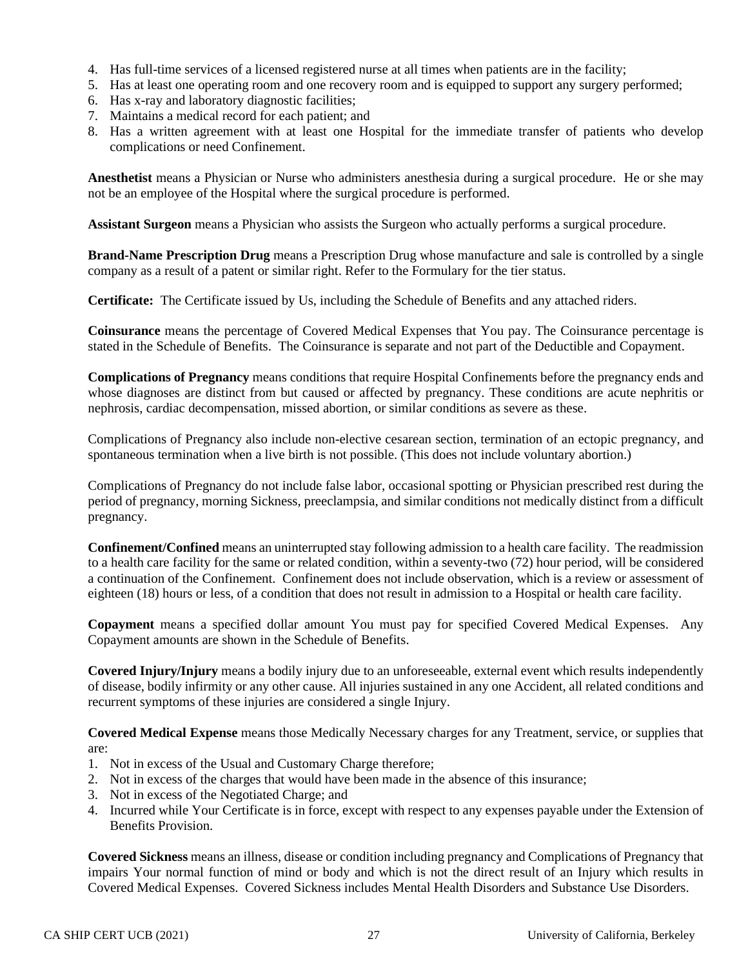- 4. Has full-time services of a licensed registered nurse at all times when patients are in the facility;
- 5. Has at least one operating room and one recovery room and is equipped to support any surgery performed;
- 6. Has x-ray and laboratory diagnostic facilities;
- 7. Maintains a medical record for each patient; and
- 8. Has a written agreement with at least one Hospital for the immediate transfer of patients who develop complications or need Confinement.

**Anesthetist** means a Physician or Nurse who administers anesthesia during a surgical procedure. He or she may not be an employee of the Hospital where the surgical procedure is performed.

**Assistant Surgeon** means a Physician who assists the Surgeon who actually performs a surgical procedure.

**Brand-Name Prescription Drug** means a Prescription Drug whose manufacture and sale is controlled by a single company as a result of a patent or similar right. Refer to the Formulary for the tier status.

**Certificate:** The Certificate issued by Us, including the Schedule of Benefits and any attached riders.

**Coinsurance** means the percentage of Covered Medical Expenses that You pay. The Coinsurance percentage is stated in the Schedule of Benefits. The Coinsurance is separate and not part of the Deductible and Copayment.

**Complications of Pregnancy** means conditions that require Hospital Confinements before the pregnancy ends and whose diagnoses are distinct from but caused or affected by pregnancy. These conditions are acute nephritis or nephrosis, cardiac decompensation, missed abortion, or similar conditions as severe as these.

Complications of Pregnancy also include non-elective cesarean section, termination of an ectopic pregnancy, and spontaneous termination when a live birth is not possible. (This does not include voluntary abortion.)

Complications of Pregnancy do not include false labor, occasional spotting or Physician prescribed rest during the period of pregnancy, morning Sickness, preeclampsia, and similar conditions not medically distinct from a difficult pregnancy.

**Confinement/Confined** means an uninterrupted stay following admission to a health care facility. The readmission to a health care facility for the same or related condition, within a seventy-two (72) hour period, will be considered a continuation of the Confinement. Confinement does not include observation, which is a review or assessment of eighteen (18) hours or less, of a condition that does not result in admission to a Hospital or health care facility.

**Copayment** means a specified dollar amount You must pay for specified Covered Medical Expenses. Any Copayment amounts are shown in the Schedule of Benefits.

**Covered Injury/Injury** means a bodily injury due to an unforeseeable, external event which results independently of disease, bodily infirmity or any other cause. All injuries sustained in any one Accident, all related conditions and recurrent symptoms of these injuries are considered a single Injury.

**Covered Medical Expense** means those Medically Necessary charges for any Treatment, service, or supplies that are:

- 1. Not in excess of the Usual and Customary Charge therefore;
- 2. Not in excess of the charges that would have been made in the absence of this insurance;
- 3. Not in excess of the Negotiated Charge; and
- 4. Incurred while Your Certificate is in force, except with respect to any expenses payable under the Extension of Benefits Provision.

**Covered Sickness** means an illness, disease or condition including pregnancy and Complications of Pregnancy that impairs Your normal function of mind or body and which is not the direct result of an Injury which results in Covered Medical Expenses. Covered Sickness includes Mental Health Disorders and Substance Use Disorders.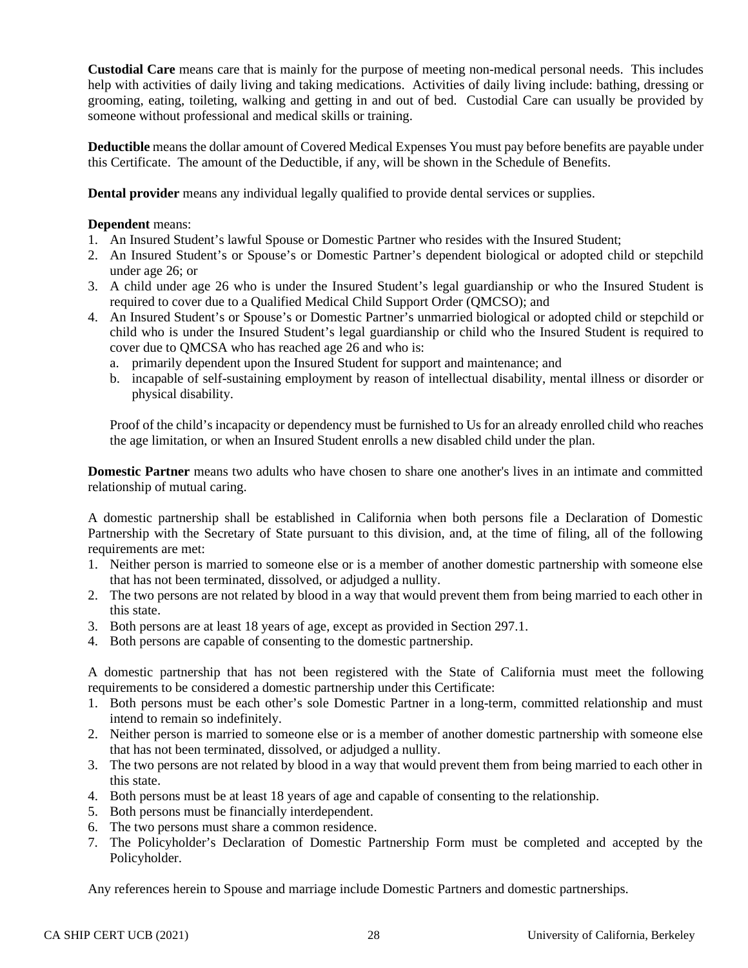**Custodial Care** means care that is mainly for the purpose of meeting non-medical personal needs. This includes help with activities of daily living and taking medications. Activities of daily living include: bathing, dressing or grooming, eating, toileting, walking and getting in and out of bed. Custodial Care can usually be provided by someone without professional and medical skills or training.

**Deductible** means the dollar amount of Covered Medical Expenses You must pay before benefits are payable under this Certificate. The amount of the Deductible, if any, will be shown in the Schedule of Benefits.

**Dental provider** means any individual legally qualified to provide dental services or supplies.

### **Dependent** means:

- 1. An Insured Student's lawful Spouse or Domestic Partner who resides with the Insured Student;
- 2. An Insured Student's or Spouse's or Domestic Partner's dependent biological or adopted child or stepchild under age 26; or
- 3. A child under age 26 who is under the Insured Student's legal guardianship or who the Insured Student is required to cover due to a Qualified Medical Child Support Order (QMCSO); and
- 4. An Insured Student's or Spouse's or Domestic Partner's unmarried biological or adopted child or stepchild or child who is under the Insured Student's legal guardianship or child who the Insured Student is required to cover due to QMCSA who has reached age 26 and who is:
	- a. primarily dependent upon the Insured Student for support and maintenance; and
	- b. incapable of self-sustaining employment by reason of intellectual disability, mental illness or disorder or physical disability.

Proof of the child's incapacity or dependency must be furnished to Us for an already enrolled child who reaches the age limitation, or when an Insured Student enrolls a new disabled child under the plan.

**Domestic Partner** means two adults who have chosen to share one another's lives in an intimate and committed relationship of mutual caring.

A domestic partnership shall be established in California when both persons file a Declaration of Domestic Partnership with the Secretary of State pursuant to this division, and, at the time of filing, all of the following requirements are met:

- 1. Neither person is married to someone else or is a member of another domestic partnership with someone else that has not been terminated, dissolved, or adjudged a nullity.
- 2. The two persons are not related by blood in a way that would prevent them from being married to each other in this state.
- 3. Both persons are at least 18 years of age, except as provided in Section 297.1.
- 4. Both persons are capable of consenting to the domestic partnership.

A domestic partnership that has not been registered with the State of California must meet the following requirements to be considered a domestic partnership under this Certificate:

- 1. Both persons must be each other's sole Domestic Partner in a long-term, committed relationship and must intend to remain so indefinitely.
- 2. Neither person is married to someone else or is a member of another domestic partnership with someone else that has not been terminated, dissolved, or adjudged a nullity.
- 3. The two persons are not related by blood in a way that would prevent them from being married to each other in this state.
- 4. Both persons must be at least 18 years of age and capable of consenting to the relationship.
- 5. Both persons must be financially interdependent.
- 6. The two persons must share a common residence.
- 7. The Policyholder's Declaration of Domestic Partnership Form must be completed and accepted by the Policyholder.

Any references herein to Spouse and marriage include Domestic Partners and domestic partnerships.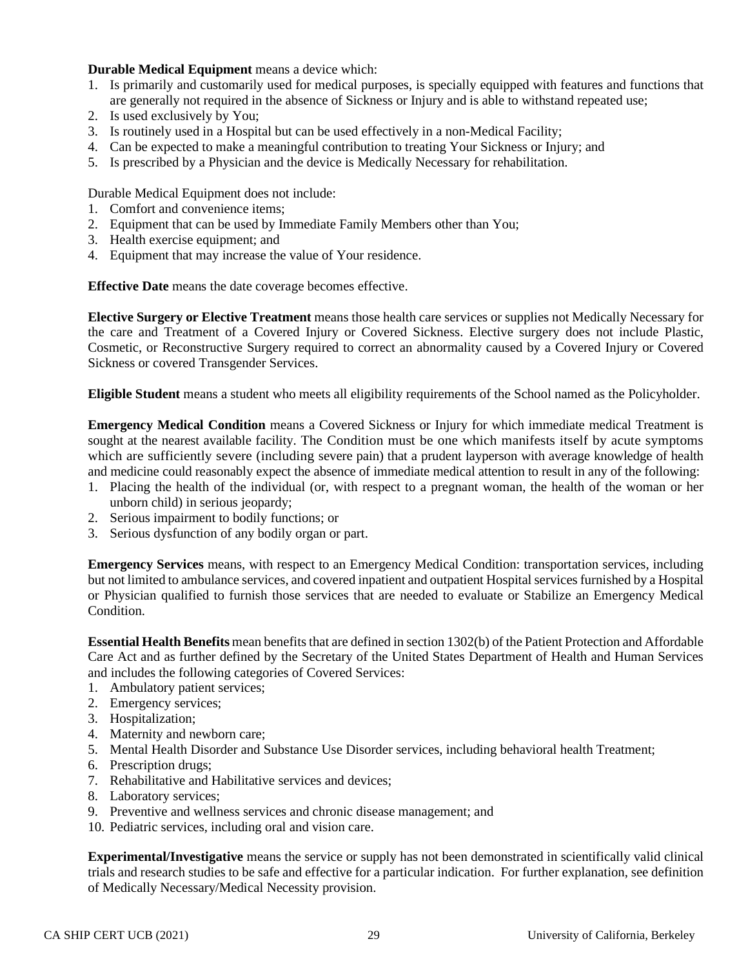## **Durable Medical Equipment** means a device which:

- 1. Is primarily and customarily used for medical purposes, is specially equipped with features and functions that are generally not required in the absence of Sickness or Injury and is able to withstand repeated use;
- 2. Is used exclusively by You;
- 3. Is routinely used in a Hospital but can be used effectively in a non-Medical Facility;
- 4. Can be expected to make a meaningful contribution to treating Your Sickness or Injury; and
- 5. Is prescribed by a Physician and the device is Medically Necessary for rehabilitation.

Durable Medical Equipment does not include:

- 1. Comfort and convenience items;
- 2. Equipment that can be used by Immediate Family Members other than You;
- 3. Health exercise equipment; and
- 4. Equipment that may increase the value of Your residence.

**Effective Date** means the date coverage becomes effective.

**Elective Surgery or Elective Treatment** means those health care services or supplies not Medically Necessary for the care and Treatment of a Covered Injury or Covered Sickness. Elective surgery does not include Plastic, Cosmetic, or Reconstructive Surgery required to correct an abnormality caused by a Covered Injury or Covered Sickness or covered Transgender Services.

**Eligible Student** means a student who meets all eligibility requirements of the School named as the Policyholder.

**Emergency Medical Condition** means a Covered Sickness or Injury for which immediate medical Treatment is sought at the nearest available facility. The Condition must be one which manifests itself by acute symptoms which are sufficiently severe (including severe pain) that a prudent layperson with average knowledge of health and medicine could reasonably expect the absence of immediate medical attention to result in any of the following:

- 1. Placing the health of the individual (or, with respect to a pregnant woman, the health of the woman or her unborn child) in serious jeopardy;
- 2. Serious impairment to bodily functions; or
- 3. Serious dysfunction of any bodily organ or part.

**Emergency Services** means, with respect to an Emergency Medical Condition: transportation services, including but not limited to ambulance services, and covered inpatient and outpatient Hospital services furnished by a Hospital or Physician qualified to furnish those services that are needed to evaluate or Stabilize an Emergency Medical Condition.

**Essential Health Benefits** mean benefits that are defined in section 1302(b) of the Patient Protection and Affordable Care Act and as further defined by the Secretary of the United States Department of Health and Human Services and includes the following categories of Covered Services:

- 1. Ambulatory patient services;
- 2. Emergency services;
- 3. Hospitalization;
- 4. Maternity and newborn care;
- 5. Mental Health Disorder and Substance Use Disorder services, including behavioral health Treatment;
- 6. Prescription drugs;
- 7. Rehabilitative and Habilitative services and devices;
- 8. Laboratory services;
- 9. Preventive and wellness services and chronic disease management; and
- 10. Pediatric services, including oral and vision care.

**Experimental/Investigative** means the service or supply has not been demonstrated in scientifically valid clinical trials and research studies to be safe and effective for a particular indication. For further explanation, see definition of Medically Necessary/Medical Necessity provision.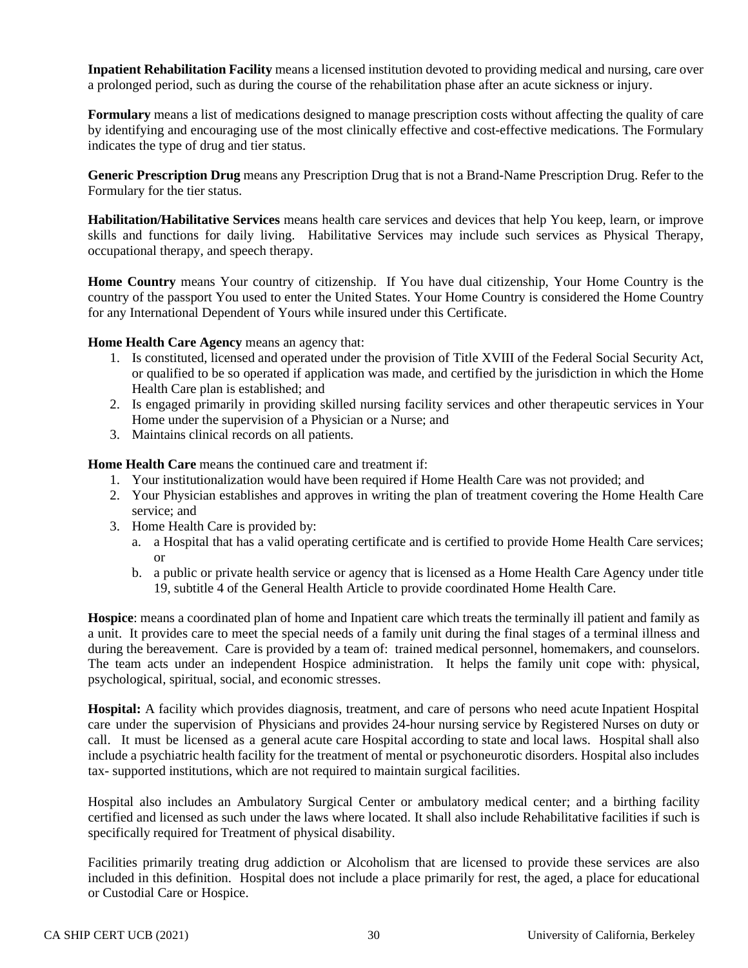**Inpatient Rehabilitation Facility** means a licensed institution devoted to providing medical and nursing, care over a prolonged period, such as during the course of the rehabilitation phase after an acute sickness or injury.

**Formulary** means a list of medications designed to manage prescription costs without affecting the quality of care by identifying and encouraging use of the most clinically effective and cost-effective medications. The Formulary indicates the type of drug and tier status.

**Generic Prescription Drug** means any Prescription Drug that is not a Brand-Name Prescription Drug. Refer to the Formulary for the tier status.

**Habilitation/Habilitative Services** means health care services and devices that help You keep, learn, or improve skills and functions for daily living. Habilitative Services may include such services as Physical Therapy, occupational therapy, and speech therapy.

**Home Country** means Your country of citizenship. If You have dual citizenship, Your Home Country is the country of the passport You used to enter the United States. Your Home Country is considered the Home Country for any International Dependent of Yours while insured under this Certificate.

**Home Health Care Agency** means an agency that:

- 1. Is constituted, licensed and operated under the provision of Title XVIII of the Federal Social Security Act, or qualified to be so operated if application was made, and certified by the jurisdiction in which the Home Health Care plan is established; and
- 2. Is engaged primarily in providing skilled nursing facility services and other therapeutic services in Your Home under the supervision of a Physician or a Nurse; and
- 3. Maintains clinical records on all patients.

**Home Health Care** means the continued care and treatment if:

- 1. Your institutionalization would have been required if Home Health Care was not provided; and
- 2. Your Physician establishes and approves in writing the plan of treatment covering the Home Health Care service; and
- 3. Home Health Care is provided by:
	- a. a Hospital that has a valid operating certificate and is certified to provide Home Health Care services; or
	- b. a public or private health service or agency that is licensed as a Home Health Care Agency under title 19, subtitle 4 of the General Health Article to provide coordinated Home Health Care.

**Hospice**: means a coordinated plan of home and Inpatient care which treats the terminally ill patient and family as a unit. It provides care to meet the special needs of a family unit during the final stages of a terminal illness and during the bereavement. Care is provided by a team of: trained medical personnel, homemakers, and counselors. The team acts under an independent Hospice administration. It helps the family unit cope with: physical, psychological, spiritual, social, and economic stresses.

**Hospital:** A facility which provides diagnosis, treatment, and care of persons who need acute Inpatient Hospital care under the supervision of Physicians and provides 24-hour nursing service by Registered Nurses on duty or call. It must be licensed as a general acute care Hospital according to state and local laws. Hospital shall also include a psychiatric health facility for the treatment of mental or psychoneurotic disorders. Hospital also includes tax- supported institutions, which are not required to maintain surgical facilities.

Hospital also includes an Ambulatory Surgical Center or ambulatory medical center; and a birthing facility certified and licensed as such under the laws where located. It shall also include Rehabilitative facilities if such is specifically required for Treatment of physical disability.

Facilities primarily treating drug addiction or Alcoholism that are licensed to provide these services are also included in this definition. Hospital does not include a place primarily for rest, the aged, a place for educational or Custodial Care or Hospice.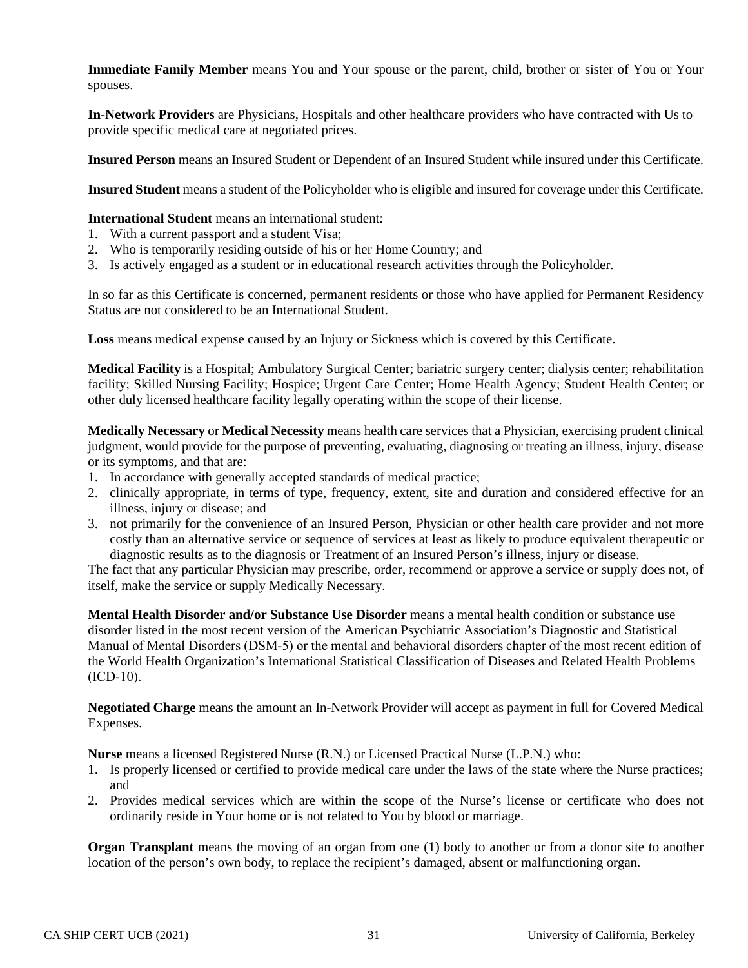**Immediate Family Member** means You and Your spouse or the parent, child, brother or sister of You or Your spouses.

**In-Network Providers** are Physicians, Hospitals and other healthcare providers who have contracted with Us to provide specific medical care at negotiated prices.

**Insured Person** means an Insured Student or Dependent of an Insured Student while insured under this Certificate.

**Insured Student** means a student of the Policyholder who is eligible and insured for coverage under this Certificate.

**International Student** means an international student:

- 1. With a current passport and a student Visa;
- 2. Who is temporarily residing outside of his or her Home Country; and
- 3. Is actively engaged as a student or in educational research activities through the Policyholder.

In so far as this Certificate is concerned, permanent residents or those who have applied for Permanent Residency Status are not considered to be an International Student.

**Loss** means medical expense caused by an Injury or Sickness which is covered by this Certificate.

**Medical Facility** is a Hospital; Ambulatory Surgical Center; bariatric surgery center; dialysis center; rehabilitation facility; Skilled Nursing Facility; Hospice; Urgent Care Center; Home Health Agency; Student Health Center; or other duly licensed healthcare facility legally operating within the scope of their license.

**Medically Necessary** or **Medical Necessity** means health care services that a Physician, exercising prudent clinical judgment, would provide for the purpose of preventing, evaluating, diagnosing or treating an illness, injury, disease or its symptoms, and that are:

- 1. In accordance with generally accepted standards of medical practice;
- 2. clinically appropriate, in terms of type, frequency, extent, site and duration and considered effective for an illness, injury or disease; and
- 3. not primarily for the convenience of an Insured Person, Physician or other health care provider and not more costly than an alternative service or sequence of services at least as likely to produce equivalent therapeutic or diagnostic results as to the diagnosis or Treatment of an Insured Person's illness, injury or disease.

The fact that any particular Physician may prescribe, order, recommend or approve a service or supply does not, of itself, make the service or supply Medically Necessary.

**Mental Health Disorder and/or Substance Use Disorder** means a mental health condition or substance use disorder listed in the most recent version of the American Psychiatric Association's Diagnostic and Statistical Manual of Mental Disorders (DSM‐5) or the mental and behavioral disorders chapter of the most recent edition of the World Health Organization's International Statistical Classification of Diseases and Related Health Problems  $(ICD-10).$ 

**Negotiated Charge** means the amount an In-Network Provider will accept as payment in full for Covered Medical Expenses.

**Nurse** means a licensed Registered Nurse (R.N.) or Licensed Practical Nurse (L.P.N.) who:

- 1. Is properly licensed or certified to provide medical care under the laws of the state where the Nurse practices; and
- 2. Provides medical services which are within the scope of the Nurse's license or certificate who does not ordinarily reside in Your home or is not related to You by blood or marriage.

**Organ Transplant** means the moving of an organ from one (1) body to another or from a donor site to another location of the person's own body, to replace the recipient's damaged, absent or malfunctioning organ.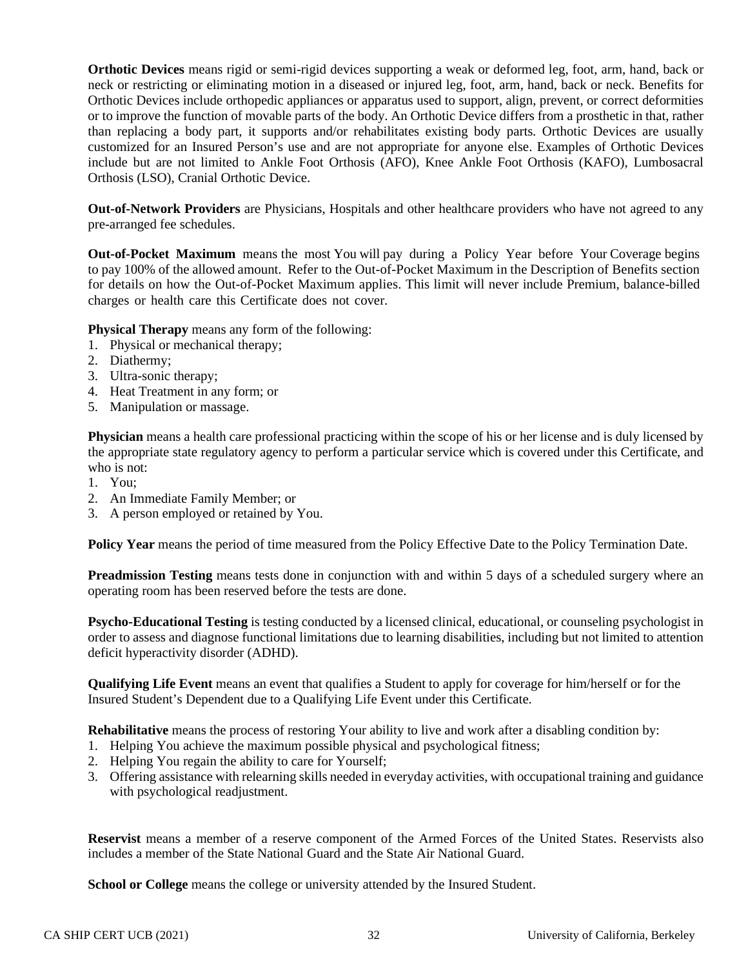**Orthotic Devices** means rigid or semi-rigid devices supporting a weak or deformed leg, foot, arm, hand, back or neck or restricting or eliminating motion in a diseased or injured leg, foot, arm, hand, back or neck. Benefits for Orthotic Devices include orthopedic appliances or apparatus used to support, align, prevent, or correct deformities or to improve the function of movable parts of the body. An Orthotic Device differs from a prosthetic in that, rather than replacing a body part, it supports and/or rehabilitates existing body parts. Orthotic Devices are usually customized for an Insured Person's use and are not appropriate for anyone else. Examples of Orthotic Devices include but are not limited to Ankle Foot Orthosis (AFO), Knee Ankle Foot Orthosis (KAFO), Lumbosacral Orthosis (LSO), Cranial Orthotic Device.

**Out-of-Network Providers** are Physicians, Hospitals and other healthcare providers who have not agreed to any pre-arranged fee schedules.

**Out-of-Pocket Maximum** means the most You will pay during a Policy Year before Your Coverage begins to pay 100% of the allowed amount. Refer to the Out-of-Pocket Maximum in the Description of Benefits section for details on how the Out-of-Pocket Maximum applies. This limit will never include Premium, balance-billed charges or health care this Certificate does not cover.

**Physical Therapy** means any form of the following:

- 1. Physical or mechanical therapy;
- 2. Diathermy;
- 3. Ultra-sonic therapy;
- 4. Heat Treatment in any form; or
- 5. Manipulation or massage.

**Physician** means a health care professional practicing within the scope of his or her license and is duly licensed by the appropriate state regulatory agency to perform a particular service which is covered under this Certificate, and who is not:

- 1. You;
- 2. An Immediate Family Member; or
- 3. A person employed or retained by You.

Policy Year means the period of time measured from the Policy Effective Date to the Policy Termination Date.

**Preadmission Testing** means tests done in conjunction with and within 5 days of a scheduled surgery where an operating room has been reserved before the tests are done.

**Psycho-Educational Testing** is testing conducted by a licensed clinical, educational, or counseling psychologist in order to assess and diagnose functional limitations due to learning disabilities, including but not limited to attention deficit hyperactivity disorder (ADHD).

**Qualifying Life Event** means an event that qualifies a Student to apply for coverage for him/herself or for the Insured Student's Dependent due to a Qualifying Life Event under this Certificate.

**Rehabilitative** means the process of restoring Your ability to live and work after a disabling condition by:

- 1. Helping You achieve the maximum possible physical and psychological fitness;
- 2. Helping You regain the ability to care for Yourself;
- 3. Offering assistance with relearning skills needed in everyday activities, with occupational training and guidance with psychological readjustment.

**Reservist** means a member of a reserve component of the Armed Forces of the United States. Reservists also includes a member of the State National Guard and the State Air National Guard.

**School or College** means the college or university attended by the Insured Student.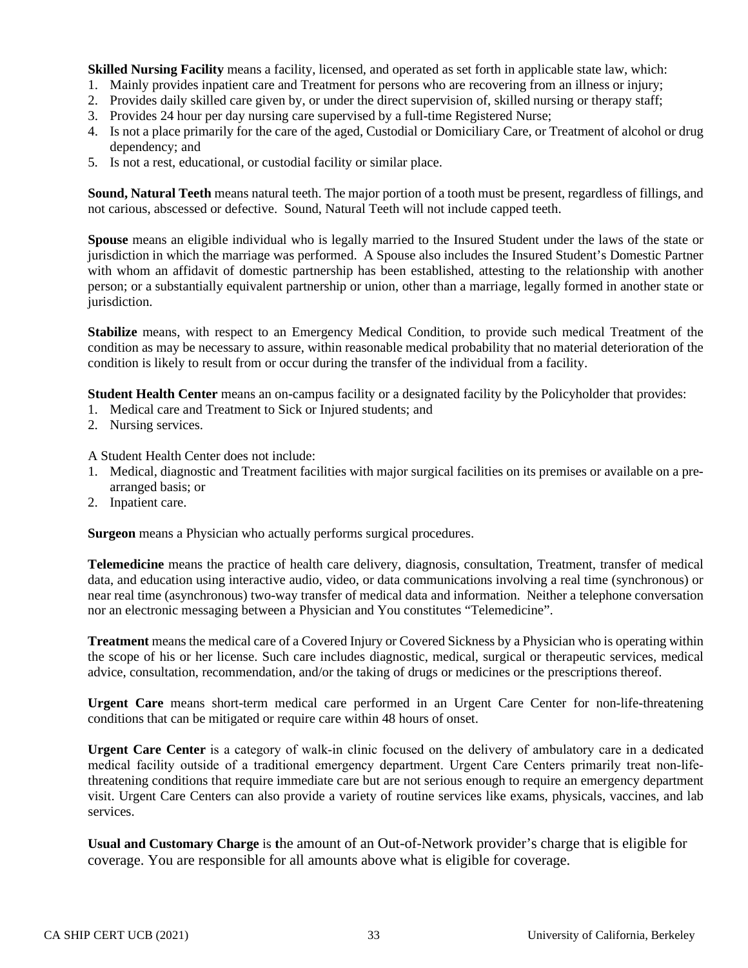**Skilled Nursing Facility** means a facility, licensed, and operated as set forth in applicable state law, which:

- 1. Mainly provides inpatient care and Treatment for persons who are recovering from an illness or injury;
- 2. Provides daily skilled care given by, or under the direct supervision of, skilled nursing or therapy staff;
- 3. Provides 24 hour per day nursing care supervised by a full-time Registered Nurse;
- 4. Is not a place primarily for the care of the aged, Custodial or Domiciliary Care, or Treatment of alcohol or drug dependency; and
- 5. Is not a rest, educational, or custodial facility or similar place.

**Sound, Natural Teeth** means natural teeth. The major portion of a tooth must be present, regardless of fillings, and not carious, abscessed or defective. Sound, Natural Teeth will not include capped teeth.

**Spouse** means an eligible individual who is legally married to the Insured Student under the laws of the state or jurisdiction in which the marriage was performed. A Spouse also includes the Insured Student's Domestic Partner with whom an affidavit of domestic partnership has been established, attesting to the relationship with another person; or a substantially equivalent partnership or union, other than a marriage, legally formed in another state or jurisdiction.

**Stabilize** means, with respect to an Emergency Medical Condition, to provide such medical Treatment of the condition as may be necessary to assure, within reasonable medical probability that no material deterioration of the condition is likely to result from or occur during the transfer of the individual from a facility.

**Student Health Center** means an on-campus facility or a designated facility by the Policyholder that provides:

- 1. Medical care and Treatment to Sick or Injured students; and
- 2. Nursing services.

A Student Health Center does not include:

- 1. Medical, diagnostic and Treatment facilities with major surgical facilities on its premises or available on a prearranged basis; or
- 2. Inpatient care.

**Surgeon** means a Physician who actually performs surgical procedures.

**Telemedicine** means the practice of health care delivery, diagnosis, consultation, Treatment, transfer of medical data, and education using interactive audio, video, or data communications involving a real time (synchronous) or near real time (asynchronous) two-way transfer of medical data and information. Neither a telephone conversation nor an electronic messaging between a Physician and You constitutes "Telemedicine".

**Treatment** means the medical care of a Covered Injury or Covered Sickness by a Physician who is operating within the scope of his or her license. Such care includes diagnostic, medical, surgical or therapeutic services, medical advice, consultation, recommendation, and/or the taking of drugs or medicines or the prescriptions thereof.

**Urgent Care** means short-term medical care performed in an Urgent Care Center for non-life-threatening conditions that can be mitigated or require care within 48 hours of onset.

**Urgent Care Center** is a category of walk-in clinic focused on the delivery of ambulatory care in a dedicated medical facility outside of a traditional emergency department. Urgent Care Centers primarily treat non-lifethreatening conditions that require immediate care but are not serious enough to require an emergency department visit. Urgent Care Centers can also provide a variety of routine services like exams, physicals, vaccines, and lab services.

**Usual and Customary Charge** is **t**he amount of an Out-of-Network provider's charge that is eligible for coverage. You are responsible for all amounts above what is eligible for coverage.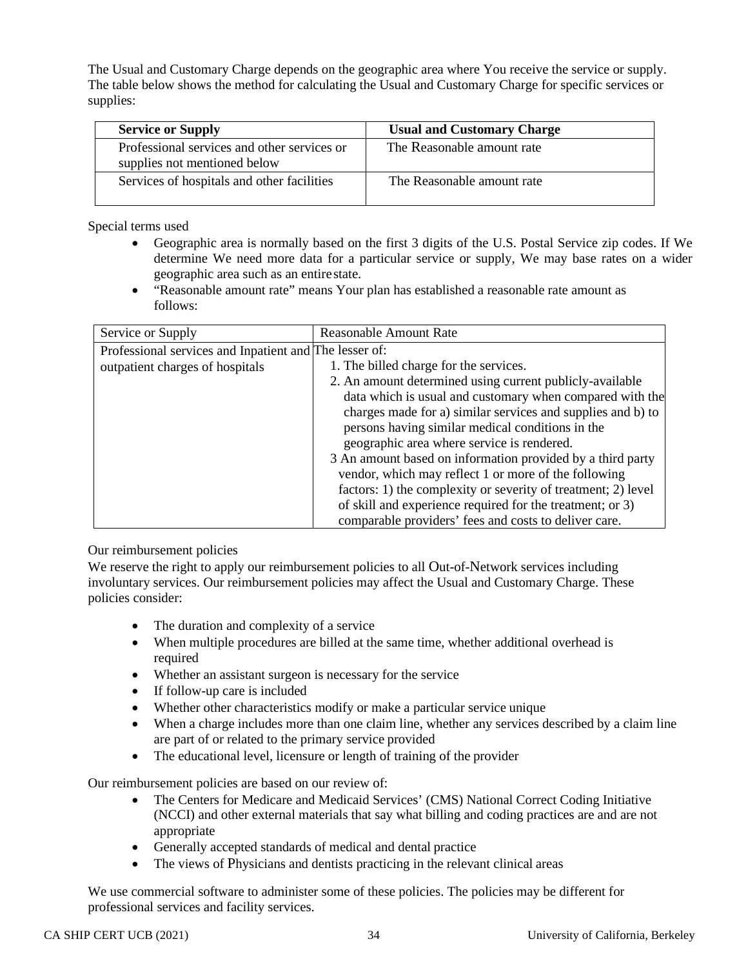The Usual and Customary Charge depends on the geographic area where You receive the service or supply. The table below shows the method for calculating the Usual and Customary Charge for specific services or supplies:

| <b>Service or Supply</b>                                                    | <b>Usual and Customary Charge</b> |
|-----------------------------------------------------------------------------|-----------------------------------|
| Professional services and other services or<br>supplies not mentioned below | The Reasonable amount rate        |
| Services of hospitals and other facilities                                  | The Reasonable amount rate        |

Special terms used

- Geographic area is normally based on the first 3 digits of the U.S. Postal Service zip codes. If We determine We need more data for a particular service or supply, We may base rates on a wider geographic area such as an entirestate.
- "Reasonable amount rate" means Your plan has established a reasonable rate amount as follows:

| Service or Supply                                      | <b>Reasonable Amount Rate</b>                                 |
|--------------------------------------------------------|---------------------------------------------------------------|
| Professional services and Inpatient and The lesser of: |                                                               |
| outpatient charges of hospitals                        | 1. The billed charge for the services.                        |
|                                                        | 2. An amount determined using current publicly-available      |
|                                                        | data which is usual and customary when compared with the      |
|                                                        | charges made for a) similar services and supplies and b) to   |
|                                                        | persons having similar medical conditions in the              |
|                                                        | geographic area where service is rendered.                    |
|                                                        | 3 An amount based on information provided by a third party    |
|                                                        | vendor, which may reflect 1 or more of the following          |
|                                                        | factors: 1) the complexity or severity of treatment; 2) level |
|                                                        | of skill and experience required for the treatment; or 3)     |
|                                                        | comparable providers' fees and costs to deliver care.         |

# Our reimbursement policies

We reserve the right to apply our reimbursement policies to all Out-of-Network services including involuntary services. Our reimbursement policies may affect the Usual and Customary Charge. These policies consider:

- The duration and complexity of a service
- When multiple procedures are billed at the same time, whether additional overhead is required
- Whether an assistant surgeon is necessary for the service
- If follow-up care is included
- Whether other characteristics modify or make a particular service unique
- When a charge includes more than one claim line, whether any services described by a claim line are part of or related to the primary service provided
- The educational level, licensure or length of training of the provider

Our reimbursement policies are based on our review of:

- The Centers for Medicare and Medicaid Services' (CMS) National Correct Coding Initiative (NCCI) and other external materials that say what billing and coding practices are and are not appropriate
- Generally accepted standards of medical and dental practice
- The views of Physicians and dentists practicing in the relevant clinical areas

We use commercial software to administer some of these policies. The policies may be different for professional services and facility services.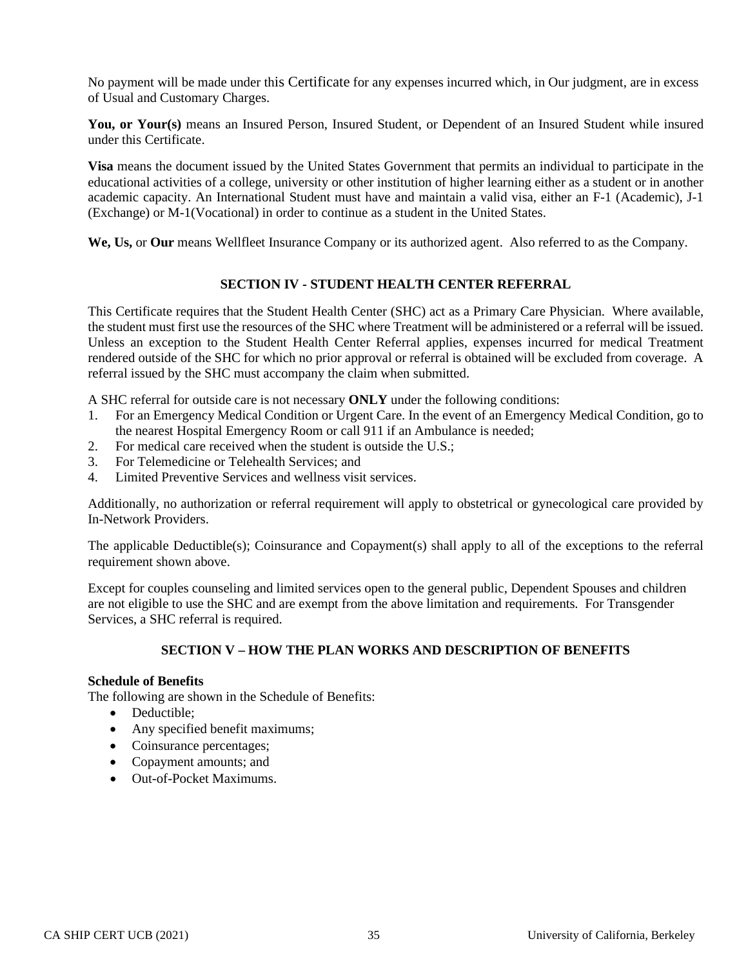No payment will be made under this Certificate for any expenses incurred which, in Our judgment, are in excess of Usual and Customary Charges.

**You, or Your(s)** means an Insured Person, Insured Student, or Dependent of an Insured Student while insured under this Certificate.

**Visa** means the document issued by the United States Government that permits an individual to participate in the educational activities of a college, university or other institution of higher learning either as a student or in another academic capacity. An International Student must have and maintain a valid visa, either an F-1 (Academic), J-1 (Exchange) or M-1(Vocational) in order to continue as a student in the United States.

We, Us, or Our means Wellfleet Insurance Company or its authorized agent. Also referred to as the Company.

### **SECTION IV - STUDENT HEALTH CENTER REFERRAL**

This Certificate requires that the Student Health Center (SHC) act as a Primary Care Physician. Where available, the student must first use the resources of the SHC where Treatment will be administered or a referral will be issued. Unless an exception to the Student Health Center Referral applies, expenses incurred for medical Treatment rendered outside of the SHC for which no prior approval or referral is obtained will be excluded from coverage. A referral issued by the SHC must accompany the claim when submitted.

A SHC referral for outside care is not necessary **ONLY** under the following conditions:

- 1. For an Emergency Medical Condition or Urgent Care. In the event of an Emergency Medical Condition, go to the nearest Hospital Emergency Room or call 911 if an Ambulance is needed;
- 2. For medical care received when the student is outside the U.S.;
- 3. For Telemedicine or Telehealth Services; and
- 4. Limited Preventive Services and wellness visit services.

Additionally, no authorization or referral requirement will apply to obstetrical or gynecological care provided by In-Network Providers.

The applicable Deductible(s); Coinsurance and Copayment(s) shall apply to all of the exceptions to the referral requirement shown above.

Except for couples counseling and limited services open to the general public, Dependent Spouses and children are not eligible to use the SHC and are exempt from the above limitation and requirements*.* For Transgender Services, a SHC referral is required.

### **SECTION V – HOW THE PLAN WORKS AND DESCRIPTION OF BENEFITS**

#### **Schedule of Benefits**

The following are shown in the Schedule of Benefits:

- Deductible;
- Any specified benefit maximums;
- Coinsurance percentages;
- Copayment amounts; and
- Out-of-Pocket Maximums.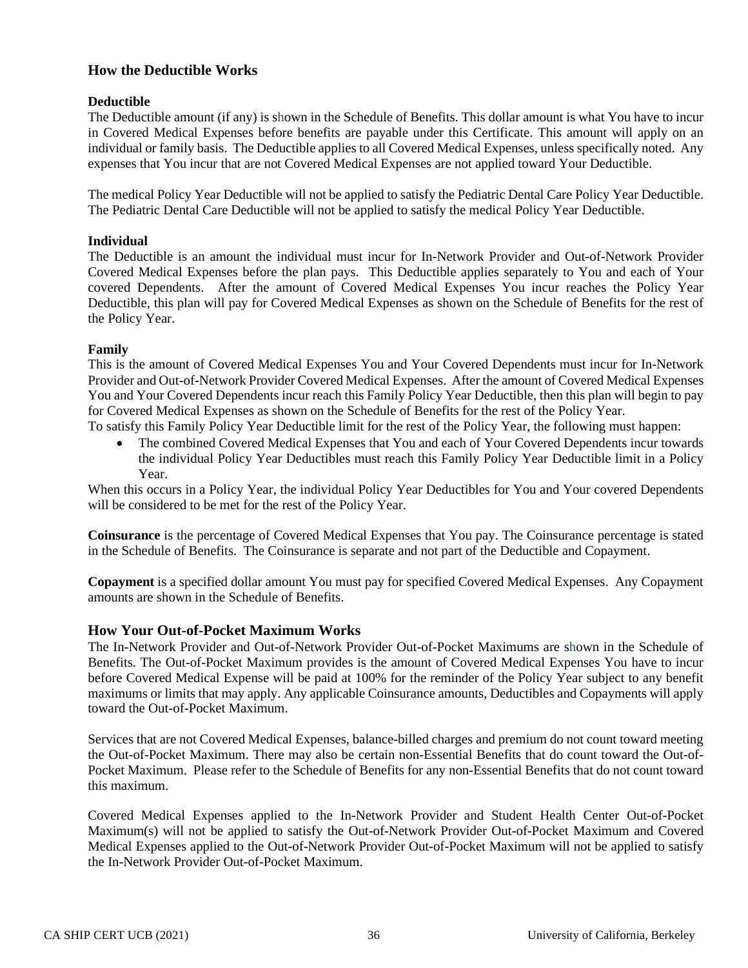# **How the Deductible Works**

# **Deductible**

The Deductible amount (if any) is shown in the Schedule of Benefits. This dollar amount is what You have to incur in Covered Medical Expenses before benefits are payable under this Certificate. This amount will apply on an individual or family basis. The Deductible applies to all Covered Medical Expenses, unless specifically noted. Any expenses that You incur that are not Covered Medical Expenses are not applied toward Your Deductible.

The medical Policy Year Deductible will not be applied to satisfy the Pediatric Dental Care Policy Year Deductible. The Pediatric Dental Care Deductible will not be applied to satisfy the medical Policy Year Deductible.

# **Individual**

The Deductible is an amount the individual must incur for In-Network Provider and Out-of-Network Provider Covered Medical Expenses before the plan pays. This Deductible applies separately to You and each of Your covered Dependents. After the amount of Covered Medical Expenses You incur reaches the Policy Year Deductible, this plan will pay for Covered Medical Expenses as shown on the Schedule of Benefits for the rest of the Policy Year.

# **Family**

This is the amount of Covered Medical Expenses You and Your Covered Dependents must incur for In-Network Provider and Out-of-Network Provider Covered Medical Expenses. After the amount of Covered Medical Expenses You and Your Covered Dependents incur reach this Family Policy Year Deductible, then this plan will begin to pay for Covered Medical Expenses as shown on the Schedule of Benefits for the rest of the Policy Year.

To satisfy this Family Policy Year Deductible limit for the rest of the Policy Year, the following must happen:

• The combined Covered Medical Expenses that You and each of Your Covered Dependents incur towards the individual Policy Year Deductibles must reach this Family Policy Year Deductible limit in a Policy Year.

When this occurs in a Policy Year, the individual Policy Year Deductibles for You and Your covered Dependents will be considered to be met for the rest of the Policy Year.

**Coinsurance** is the percentage of Covered Medical Expenses that You pay. The Coinsurance percentage is stated in the Schedule of Benefits. The Coinsurance is separate and not part of the Deductible and Copayment.

**Copayment** is a specified dollar amount You must pay for specified Covered Medical Expenses. Any Copayment amounts are shown in the Schedule of Benefits.

# **How Your Out-of-Pocket Maximum Works**

The In-Network Provider and Out-of-Network Provider Out-of-Pocket Maximums are shown in the Schedule of Benefits. The Out-of-Pocket Maximum provides is the amount of Covered Medical Expenses You have to incur before Covered Medical Expense will be paid at 100% for the reminder of the Policy Year subject to any benefit maximums or limits that may apply. Any applicable Coinsurance amounts, Deductibles and Copayments will apply toward the Out-of-Pocket Maximum.

Services that are not Covered Medical Expenses, balance-billed charges and premium do not count toward meeting the Out-of-Pocket Maximum. There may also be certain non-Essential Benefits that do count toward the Out-of-Pocket Maximum. Please refer to the Schedule of Benefits for any non-Essential Benefits that do not count toward this maximum.

Covered Medical Expenses applied to the In-Network Provider and Student Health Center Out-of-Pocket Maximum(s) will not be applied to satisfy the Out-of-Network Provider Out-of-Pocket Maximum and Covered Medical Expenses applied to the Out-of-Network Provider Out-of-Pocket Maximum will not be applied to satisfy the In-Network Provider Out-of-Pocket Maximum.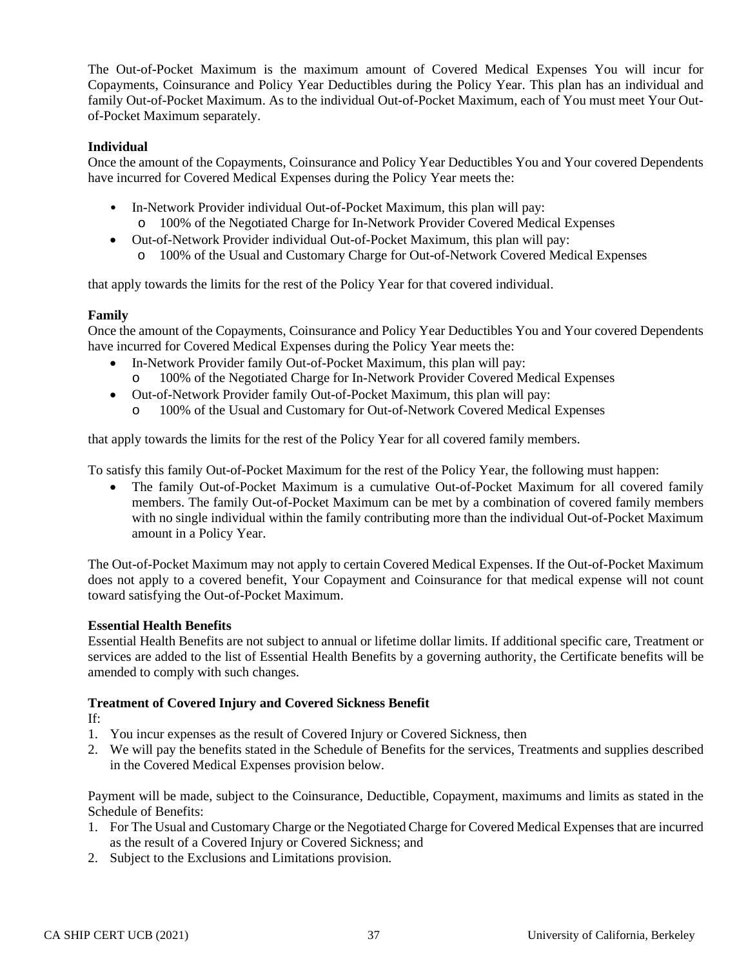The Out-of-Pocket Maximum is the maximum amount of Covered Medical Expenses You will incur for Copayments, Coinsurance and Policy Year Deductibles during the Policy Year. This plan has an individual and family Out-of-Pocket Maximum. As to the individual Out-of-Pocket Maximum, each of You must meet Your Outof-Pocket Maximum separately.

## **Individual**

Once the amount of the Copayments, Coinsurance and Policy Year Deductibles You and Your covered Dependents have incurred for Covered Medical Expenses during the Policy Year meets the:

- In-Network Provider individual Out-of-Pocket Maximum, this plan will pay:
	- o 100% of the Negotiated Charge for In-Network Provider Covered Medical Expenses
- Out-of-Network Provider individual Out-of-Pocket Maximum, this plan will pay: o 100% of the Usual and Customary Charge for Out-of-Network Covered Medical Expenses

that apply towards the limits for the rest of the Policy Year for that covered individual.

## **Family**

Once the amount of the Copayments, Coinsurance and Policy Year Deductibles You and Your covered Dependents have incurred for Covered Medical Expenses during the Policy Year meets the:

- In-Network Provider family Out-of-Pocket Maximum, this plan will pay: o 100% of the Negotiated Charge for In-Network Provider Covered Medical Expenses
- 
- Out-of-Network Provider family Out-of-Pocket Maximum, this plan will pay:
	- o 100% of the Usual and Customary for Out-of-Network Covered Medical Expenses

that apply towards the limits for the rest of the Policy Year for all covered family members.

To satisfy this family Out-of-Pocket Maximum for the rest of the Policy Year, the following must happen:

• The family Out-of-Pocket Maximum is a cumulative Out-of-Pocket Maximum for all covered family members. The family Out-of-Pocket Maximum can be met by a combination of covered family members with no single individual within the family contributing more than the individual Out-of-Pocket Maximum amount in a Policy Year.

The Out-of-Pocket Maximum may not apply to certain Covered Medical Expenses. If the Out-of-Pocket Maximum does not apply to a covered benefit, Your Copayment and Coinsurance for that medical expense will not count toward satisfying the Out-of-Pocket Maximum.

### **Essential Health Benefits**

Essential Health Benefits are not subject to annual or lifetime dollar limits. If additional specific care, Treatment or services are added to the list of Essential Health Benefits by a governing authority, the Certificate benefits will be amended to comply with such changes.

# **Treatment of Covered Injury and Covered Sickness Benefit**

If:

- 1. You incur expenses as the result of Covered Injury or Covered Sickness, then
- 2. We will pay the benefits stated in the Schedule of Benefits for the services, Treatments and supplies described in the Covered Medical Expenses provision below.

Payment will be made, subject to the Coinsurance, Deductible, Copayment, maximums and limits as stated in the Schedule of Benefits:

- 1. For The Usual and Customary Charge or the Negotiated Charge for Covered Medical Expenses that are incurred as the result of a Covered Injury or Covered Sickness; and
- 2. Subject to the Exclusions and Limitations provision.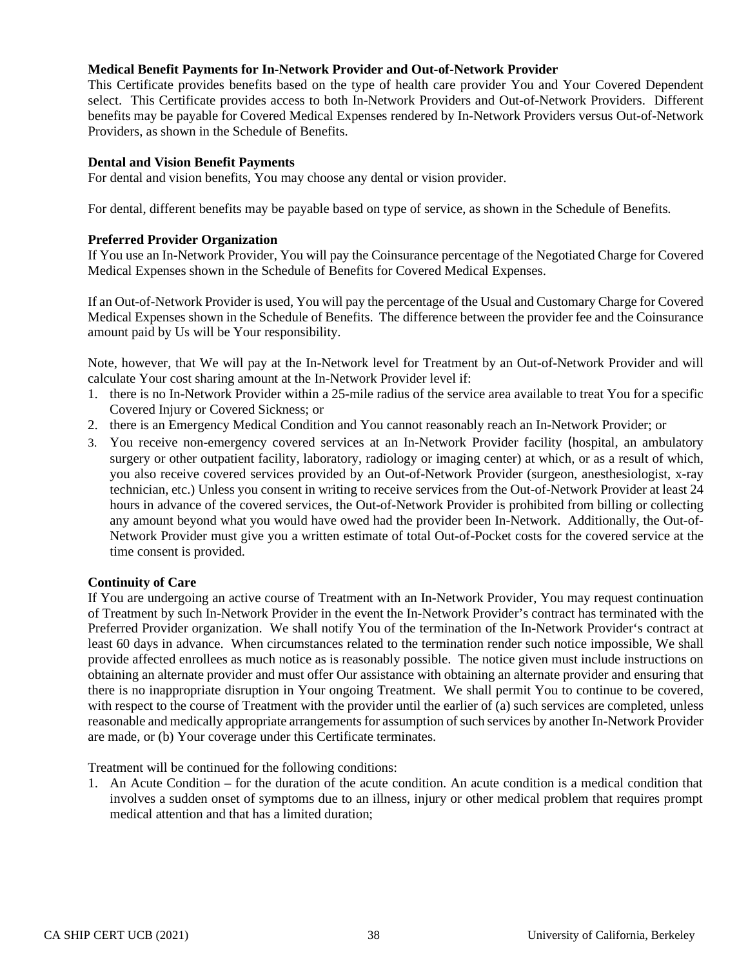### **Medical Benefit Payments for In-Network Provider and Out-of-Network Provider**

This Certificate provides benefits based on the type of health care provider You and Your Covered Dependent select. This Certificate provides access to both In-Network Providers and Out-of-Network Providers. Different benefits may be payable for Covered Medical Expenses rendered by In-Network Providers versus Out-of-Network Providers, as shown in the Schedule of Benefits.

#### **Dental and Vision Benefit Payments**

For dental and vision benefits, You may choose any dental or vision provider.

For dental, different benefits may be payable based on type of service, as shown in the Schedule of Benefits.

#### **Preferred Provider Organization**

If You use an In-Network Provider, You will pay the Coinsurance percentage of the Negotiated Charge for Covered Medical Expenses shown in the Schedule of Benefits for Covered Medical Expenses.

If an Out-of-Network Provider is used, You will pay the percentage of the Usual and Customary Charge for Covered Medical Expenses shown in the Schedule of Benefits. The difference between the provider fee and the Coinsurance amount paid by Us will be Your responsibility.

Note, however, that We will pay at the In-Network level for Treatment by an Out-of-Network Provider and will calculate Your cost sharing amount at the In-Network Provider level if:

- 1. there is no In-Network Provider within a 25-mile radius of the service area available to treat You for a specific Covered Injury or Covered Sickness; or
- 2. there is an Emergency Medical Condition and You cannot reasonably reach an In-Network Provider; or
- 3. You receive non-emergency covered services at an In-Network Provider facility (hospital, an ambulatory surgery or other outpatient facility, laboratory, radiology or imaging center) at which, or as a result of which, you also receive covered services provided by an Out-of-Network Provider (surgeon, anesthesiologist, x-ray technician, etc.) Unless you consent in writing to receive services from the Out-of-Network Provider at least 24 hours in advance of the covered services, the Out-of-Network Provider is prohibited from billing or collecting any amount beyond what you would have owed had the provider been In-Network. Additionally, the Out-of-Network Provider must give you a written estimate of total Out-of-Pocket costs for the covered service at the time consent is provided.

### **Continuity of Care**

If You are undergoing an active course of Treatment with an In-Network Provider, You may request continuation of Treatment by such In-Network Provider in the event the In-Network Provider's contract has terminated with the Preferred Provider organization. We shall notify You of the termination of the In-Network Provider's contract at least 60 days in advance. When circumstances related to the termination render such notice impossible, We shall provide affected enrollees as much notice as is reasonably possible. The notice given must include instructions on obtaining an alternate provider and must offer Our assistance with obtaining an alternate provider and ensuring that there is no inappropriate disruption in Your ongoing Treatment. We shall permit You to continue to be covered, with respect to the course of Treatment with the provider until the earlier of (a) such services are completed, unless reasonable and medically appropriate arrangements for assumption of such services by another In-Network Provider are made, or (b) Your coverage under this Certificate terminates.

Treatment will be continued for the following conditions:

1. An Acute Condition – for the duration of the acute condition. An acute condition is a medical condition that involves a sudden onset of symptoms due to an illness, injury or other medical problem that requires prompt medical attention and that has a limited duration;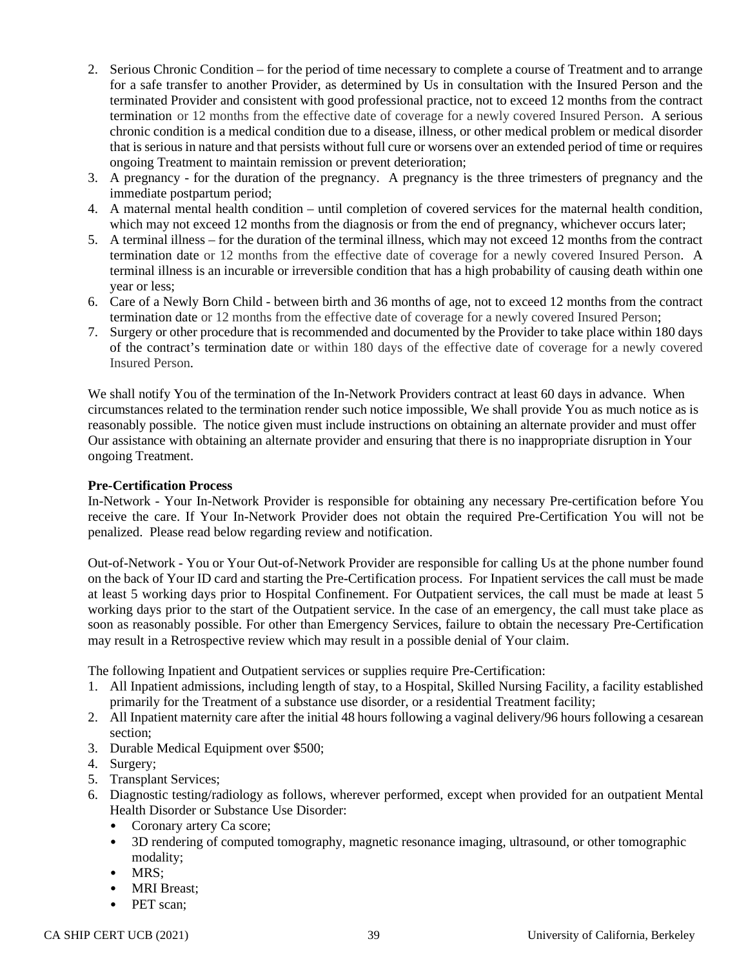- 2. Serious Chronic Condition for the period of time necessary to complete a course of Treatment and to arrange for a safe transfer to another Provider, as determined by Us in consultation with the Insured Person and the terminated Provider and consistent with good professional practice, not to exceed 12 months from the contract termination or 12 months from the effective date of coverage for a newly covered Insured Person. A serious chronic condition is a medical condition due to a disease, illness, or other medical problem or medical disorder that is serious in nature and that persists without full cure or worsens over an extended period of time or requires ongoing Treatment to maintain remission or prevent deterioration;
- 3. A pregnancy for the duration of the pregnancy. A pregnancy is the three trimesters of pregnancy and the immediate postpartum period;
- 4. A maternal mental health condition until completion of covered services for the maternal health condition, which may not exceed 12 months from the diagnosis or from the end of pregnancy, whichever occurs later;
- 5. A terminal illness for the duration of the terminal illness, which may not exceed 12 months from the contract termination date or 12 months from the effective date of coverage for a newly covered Insured Person. A terminal illness is an incurable or irreversible condition that has a high probability of causing death within one year or less;
- 6. Care of a Newly Born Child between birth and 36 months of age, not to exceed 12 months from the contract termination date or 12 months from the effective date of coverage for a newly covered Insured Person;
- 7. Surgery or other procedure that is recommended and documented by the Provider to take place within 180 days of the contract's termination date or within 180 days of the effective date of coverage for a newly covered Insured Person.

We shall notify You of the termination of the In-Network Providers contract at least 60 days in advance. When circumstances related to the termination render such notice impossible, We shall provide You as much notice as is reasonably possible. The notice given must include instructions on obtaining an alternate provider and must offer Our assistance with obtaining an alternate provider and ensuring that there is no inappropriate disruption in Your ongoing Treatment.

#### **Pre-Certification Process**

In-Network - Your In-Network Provider is responsible for obtaining any necessary Pre-certification before You receive the care. If Your In-Network Provider does not obtain the required Pre-Certification You will not be penalized. Please read below regarding review and notification.

Out-of-Network - You or Your Out-of-Network Provider are responsible for calling Us at the phone number found on the back of Your ID card and starting the Pre-Certification process. For Inpatient services the call must be made at least 5 working days prior to Hospital Confinement. For Outpatient services, the call must be made at least 5 working days prior to the start of the Outpatient service. In the case of an emergency, the call must take place as soon as reasonably possible. For other than Emergency Services, failure to obtain the necessary Pre-Certification may result in a Retrospective review which may result in a possible denial of Your claim.

The following Inpatient and Outpatient services or supplies require Pre-Certification:

- 1. All Inpatient admissions, including length of stay, to a Hospital, Skilled Nursing Facility, a facility established primarily for the Treatment of a substance use disorder, or a residential Treatment facility;
- 2. All Inpatient maternity care after the initial 48 hours following a vaginal delivery/96 hours following a cesarean section;
- 3. Durable Medical Equipment over \$500;
- 4. Surgery;
- 5. Transplant Services;
- 6. Diagnostic testing/radiology as follows, wherever performed, except when provided for an outpatient Mental Health Disorder or Substance Use Disorder:
	- Coronary artery Ca score;
	- 3D rendering of computed tomography, magnetic resonance imaging, ultrasound, or other tomographic modality;
	- MRS;
	- MRI Breast;
	- PET scan: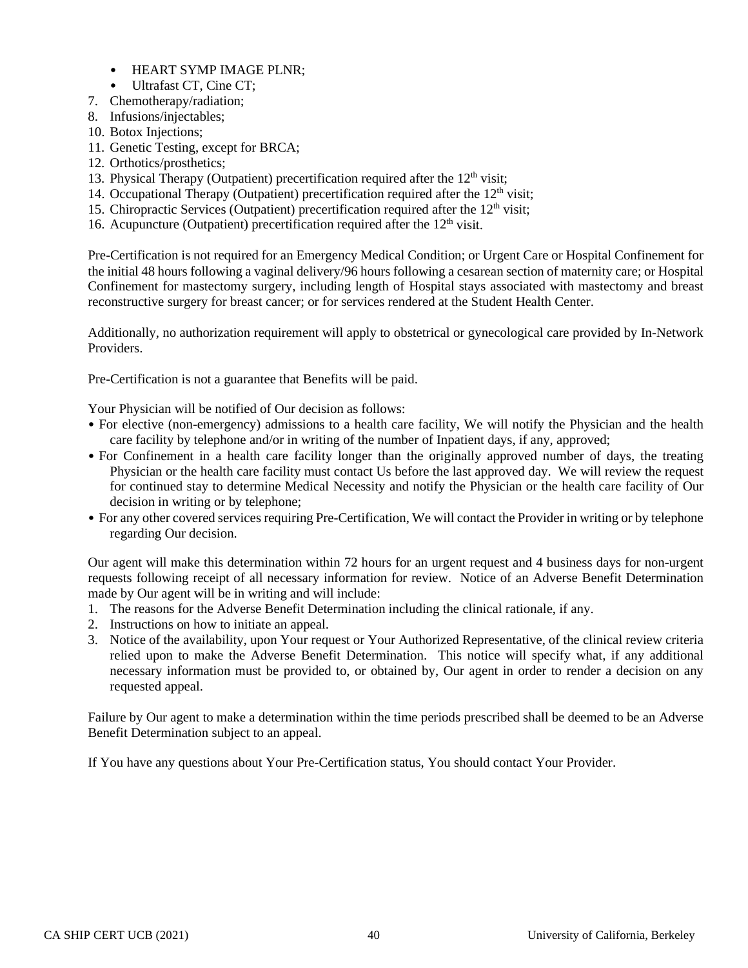- HEART SYMP IMAGE PLNR;
- Ultrafast CT, Cine CT;
- 7. Chemotherapy/radiation;
- 8. Infusions/injectables;
- 10. Botox Injections;
- 11. Genetic Testing, except for BRCA;
- 12. Orthotics/prosthetics;
- 13. Physical Therapy (Outpatient) precertification required after the  $12<sup>th</sup>$  visit;
- 14. Occupational Therapy (Outpatient) precertification required after the  $12<sup>th</sup>$  visit;
- 15. Chiropractic Services (Outpatient) precertification required after the 12<sup>th</sup> visit;
- 16. Acupuncture (Outpatient) precertification required after the  $12<sup>th</sup>$  visit.

Pre-Certification is not required for an Emergency Medical Condition; or Urgent Care or Hospital Confinement for the initial 48 hours following a vaginal delivery/96 hours following a cesarean section of maternity care; or Hospital Confinement for mastectomy surgery, including length of Hospital stays associated with mastectomy and breast reconstructive surgery for breast cancer; or for services rendered at the Student Health Center.

Additionally, no authorization requirement will apply to obstetrical or gynecological care provided by In-Network Providers.

Pre-Certification is not a guarantee that Benefits will be paid.

Your Physician will be notified of Our decision as follows:

- For elective (non-emergency) admissions to a health care facility, We will notify the Physician and the health care facility by telephone and/or in writing of the number of Inpatient days, if any, approved;
- For Confinement in a health care facility longer than the originally approved number of days, the treating Physician or the health care facility must contact Us before the last approved day. We will review the request for continued stay to determine Medical Necessity and notify the Physician or the health care facility of Our decision in writing or by telephone;
- For any other covered services requiring Pre-Certification, We will contact the Provider in writing or by telephone regarding Our decision.

Our agent will make this determination within 72 hours for an urgent request and 4 business days for non-urgent requests following receipt of all necessary information for review. Notice of an Adverse Benefit Determination made by Our agent will be in writing and will include:

- 1. The reasons for the Adverse Benefit Determination including the clinical rationale, if any.
- 2. Instructions on how to initiate an appeal.
- 3. Notice of the availability, upon Your request or Your Authorized Representative, of the clinical review criteria relied upon to make the Adverse Benefit Determination. This notice will specify what, if any additional necessary information must be provided to, or obtained by, Our agent in order to render a decision on any requested appeal.

Failure by Our agent to make a determination within the time periods prescribed shall be deemed to be an Adverse Benefit Determination subject to an appeal.

If You have any questions about Your Pre-Certification status, You should contact Your Provider.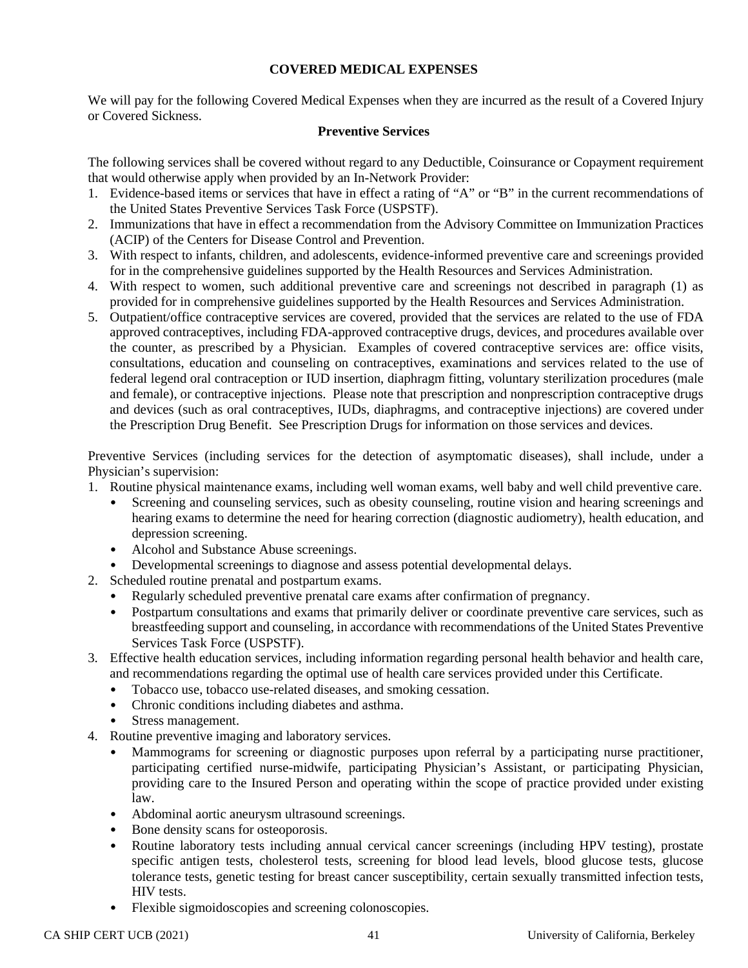## **COVERED MEDICAL EXPENSES**

We will pay for the following Covered Medical Expenses when they are incurred as the result of a Covered Injury or Covered Sickness.

### **Preventive Services**

The following services shall be covered without regard to any Deductible, Coinsurance or Copayment requirement that would otherwise apply when provided by an In-Network Provider:

- 1. Evidence-based items or services that have in effect a rating of "A" or "B" in the current recommendations of the United States Preventive Services Task Force (USPSTF).
- 2. Immunizations that have in effect a recommendation from the Advisory Committee on Immunization Practices (ACIP) of the Centers for Disease Control and Prevention.
- 3. With respect to infants, children, and adolescents, evidence-informed preventive care and screenings provided for in the comprehensive guidelines supported by the Health Resources and Services Administration.
- 4. With respect to women, such additional preventive care and screenings not described in paragraph (1) as provided for in comprehensive guidelines supported by the Health Resources and Services Administration.
- 5. Outpatient/office contraceptive services are covered, provided that the services are related to the use of FDA approved contraceptives, including FDA-approved contraceptive drugs, devices, and procedures available over the counter, as prescribed by a Physician. Examples of covered contraceptive services are: office visits, consultations, education and counseling on contraceptives, examinations and services related to the use of federal legend oral contraception or IUD insertion, diaphragm fitting, voluntary sterilization procedures (male and female), or contraceptive injections. Please note that prescription and nonprescription contraceptive drugs and devices (such as oral contraceptives, IUDs, diaphragms, and contraceptive injections) are covered under the Prescription Drug Benefit. See Prescription Drugs for information on those services and devices.

Preventive Services (including services for the detection of asymptomatic diseases), shall include, under a Physician's supervision:

- 1. Routine physical maintenance exams, including well woman exams, well baby and well child preventive care.
	- Screening and counseling services, such as obesity counseling, routine vision and hearing screenings and hearing exams to determine the need for hearing correction (diagnostic audiometry), health education, and depression screening.
	- Alcohol and Substance Abuse screenings.
	- Developmental screenings to diagnose and assess potential developmental delays.
- 2. Scheduled routine prenatal and postpartum exams.
	- Regularly scheduled preventive prenatal care exams after confirmation of pregnancy.
	- Postpartum consultations and exams that primarily deliver or coordinate preventive care services, such as breastfeeding support and counseling, in accordance with recommendations of the United States Preventive Services Task Force (USPSTF).
- 3. Effective health education services, including information regarding personal health behavior and health care, and recommendations regarding the optimal use of health care services provided under this Certificate.
	- Tobacco use, tobacco use-related diseases, and smoking cessation.
	- Chronic conditions including diabetes and asthma.
	- Stress management.
- 4. Routine preventive imaging and laboratory services.
	- Mammograms for screening or diagnostic purposes upon referral by a participating nurse practitioner, participating certified nurse-midwife, participating Physician's Assistant, or participating Physician, providing care to the Insured Person and operating within the scope of practice provided under existing law.
	- Abdominal aortic aneurysm ultrasound screenings.
	- Bone density scans for osteoporosis.
	- Routine laboratory tests including annual cervical cancer screenings (including HPV testing), prostate specific antigen tests, cholesterol tests, screening for blood lead levels, blood glucose tests, glucose tolerance tests, genetic testing for breast cancer susceptibility, certain sexually transmitted infection tests, HIV tests.
	- Flexible sigmoidoscopies and screening colonoscopies.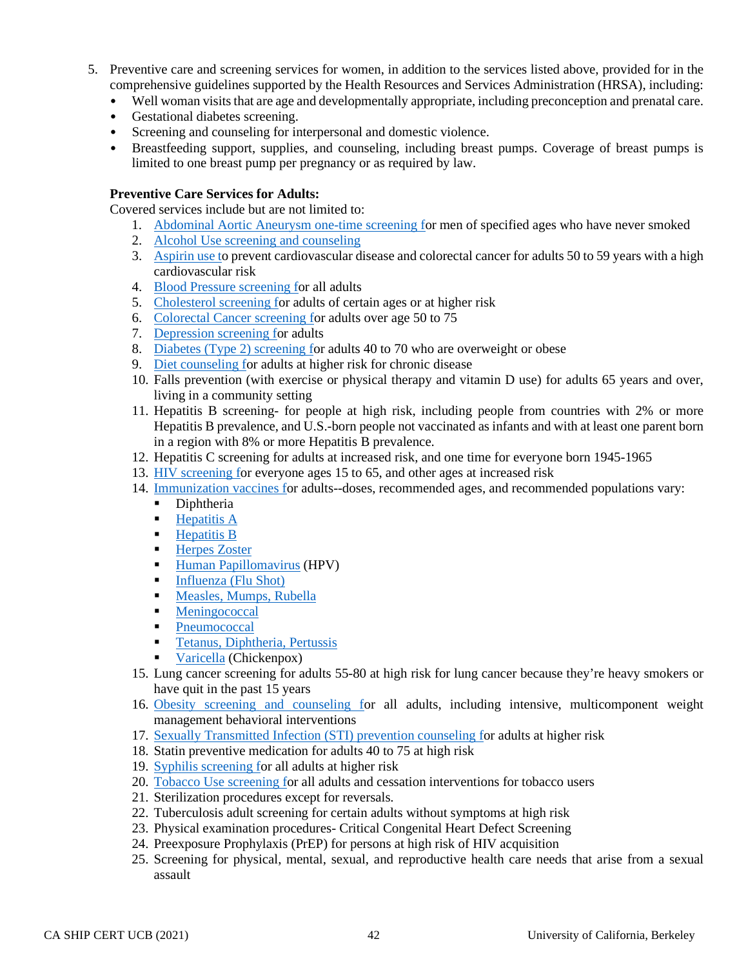- 5. Preventive care and screening services for women, in addition to the services listed above, provided for in the comprehensive guidelines supported by the Health Resources and Services Administration (HRSA), including:
	- Well woman visits that are age and developmentally appropriate, including preconception and prenatal care.
	- Gestational diabetes screening.
	- Screening and counseling for interpersonal and domestic violence.
	- Breastfeeding support, supplies, and counseling, including breast pumps. Coverage of breast pumps is limited to one breast pump per pregnancy or as required by law.

### **Preventive Care Services for Adults:**

Covered services include but are not limited to:

- 1. [Abdominal Aortic Aneurysm one-time screening fo](http://healthfinder.gov/HealthTopics/Category/doctor-visits/screening-tests/talk-to-your-doctor-about-abdominal-aortic-aneurysm)r men of specified ages who have never smoked
- 2. [Alcohol Use screening and counseling](http://healthfinder.gov/HealthTopics/Category/health-conditions-and-diseases/heart-health/drink-alcohol-only-in-moderation)
- 3. [Aspirin use to](http://healthfinder.gov/HealthTopics/Category/health-conditions-and-diseases/heart-health/talk-with-your-doctor-about-taking-aspirin-every-day) prevent cardiovascular disease and colorectal cancer for adults 50 to 59 years with a high cardiovascular risk
- 4. [Blood Pressure screening fo](http://healthfinder.gov/HealthTopics/Category/doctor-visits/screening-tests/get-your-blood-pressure-checked)r all adults
- 5. [Cholesterol screening fo](http://healthfinder.gov/HealthTopics/Category/doctor-visits/screening-tests/get-your-cholesterol-checked)r adults of certain ages or at higher risk
- 6. [Colorectal Cancer screening fo](http://healthfinder.gov/HealthTopics/Category/doctor-visits/screening-tests/get-tested-for-colorectal-cancer)r adults over age 50 to 75
- 7. [Depression screening fo](http://healthfinder.gov/HealthTopics/Category/doctor-visits/screening-tests/talk-with-your-doctor-about-depression)r adults
- 8. [Diabetes \(Type 2\) screening fo](http://healthfinder.gov/HealthTopics/Category/health-conditions-and-diseases/diabetes/take-steps-to-prevent-type-2-diabetes)r adults 40 to 70 who are overweight or obese
- 9. [Diet counseling fo](http://healthfinder.gov/HealthTopics/Category/health-conditions-and-diseases/diabetes/eat-healthy)r adults at higher risk for chronic disease
- 10. Falls prevention (with exercise or physical therapy and vitamin D use) for adults 65 years and over, living in a community setting
- 11. Hepatitis B screening- for people at high risk, including people from countries with 2% or more Hepatitis B prevalence, and U.S.-born people not vaccinated as infants and with at least one parent born in a region with 8% or more Hepatitis B prevalence.
- 12. Hepatitis C screening for adults at increased risk, and one time for everyone born 1945-1965
- 13. [HIV screening fo](http://healthfinder.gov/HealthTopics/Category/health-conditions-and-diseases/hiv-and-other-stds/get-tested-for-hiv)r everyone ages 15 to 65, and other ages at increased risk
- 14. [Immunization vaccines fo](http://healthfinder.gov/HealthTopics/Category/doctor-visits/shotsvaccines/get-important-shots)r adults--doses, recommended ages, and recommended populations vary:
	- Diphtheria
	- $\blacksquare$  [Hepatitis A](http://www.vaccines.gov/diseases/hepatitis_a/index.html)
	- [Hepatitis B](http://www.vaccines.gov/diseases/hepatitis_b/index.html)<br>Herpes Zost
	- [Herpes Zoster](http://www.vaccines.gov/diseases/shingles/index.html)
	- **[Human Papillomavirus](http://www.vaccines.gov/diseases/hpv/index.html) (HPV)**
	- [Influenza \(Flu Shot\)](http://www.vaccines.gov/diseases/flu/index.html)
	- **[Measles,](http://www.vaccines.gov/diseases/measles/index.html) [Mumps,](http://www.vaccines.gov/diseases/mumps/index.html) [Rubella](http://www.vaccines.gov/diseases/rubella/index.html)**
	- **[Meningococcal](http://www.vaccines.gov/diseases/meningitis/index.html)**
	- [Pneumococcal](http://www.vaccines.gov/diseases/pneumonia/index.html)
	- **[Tetanus,](http://www.vaccines.gov/diseases/tetanus/index.html) [Diphtheria,](http://www.vaccines.gov/diseases/diphtheria/index.html) [Pertussis](http://www.vaccines.gov/diseases/pertussis/index.html)**
	- [Varicella](http://www.vaccines.gov/diseases/chickenpox/index.html) (Chickenpox)
- 15. Lung cancer screening for adults 55-80 at high risk for lung cancer because they're heavy smokers or have quit in the past 15 years
- 16. [Obesity screening and counseling fo](http://healthfinder.gov/HealthTopics/Category/health-conditions-and-diseases/diabetes/watch-your-weight)r all adults, including intensive, multicomponent weight management behavioral interventions
- 17. [Sexually Transmitted Infection \(STI\) prevention counseling fo](http://healthfinder.gov/HealthTopics/Category/health-conditions-and-diseases/hiv-and-other-stds/get-tested-for-chlamydia-gonorrhea-and-syphilis)r adults at higher risk
- 18. Statin preventive medication for adults 40 to 75 at high risk
- 19. [Syphilis screening fo](http://healthfinder.gov/HealthTopics/Category/health-conditions-and-diseases/hiv-and-other-stds/get-tested-for-chlamydia-gonorrhea-and-syphilis)r all adults at higher risk
- 20. [Tobacco Use screening fo](http://healthfinder.gov/HealthTopics/Category/health-conditions-and-diseases/diabetes/quit-smoking)r all adults and cessation interventions for tobacco users
- 21. Sterilization procedures except for reversals.
- 22. Tuberculosis adult screening for certain adults without symptoms at high risk
- 23. Physical examination procedures- Critical Congenital Heart Defect Screening
- 24. Preexposure Prophylaxis (PrEP) for persons at high risk of HIV acquisition
- 25. Screening for physical, mental, sexual, and reproductive health care needs that arise from a sexual assault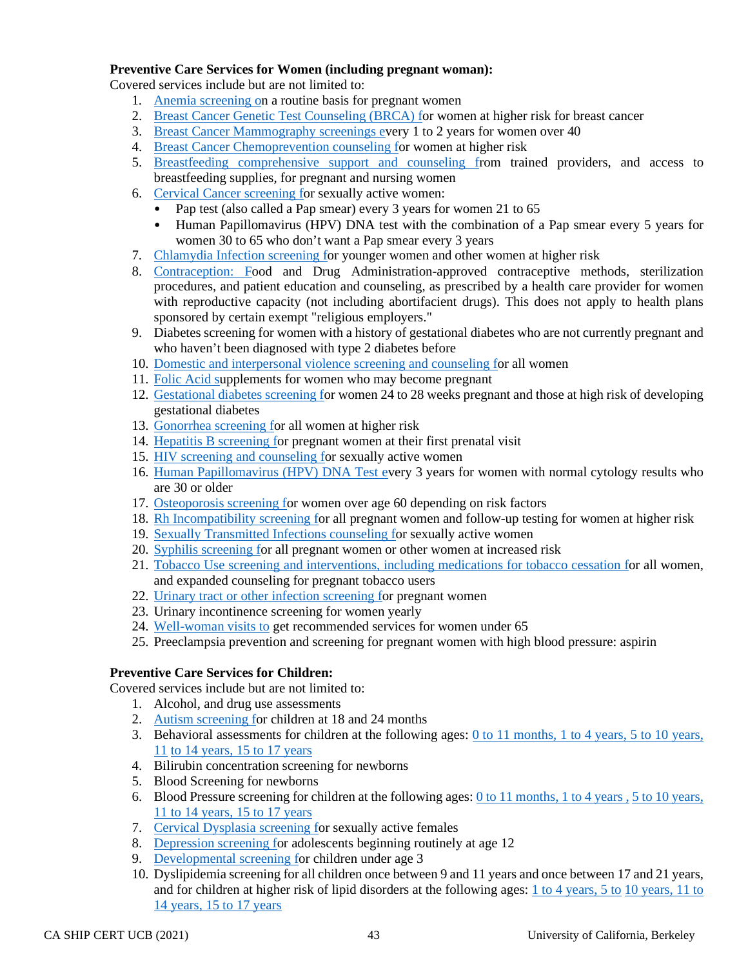## **Preventive Care Services for Women (including pregnant woman):**

Covered services include but are not limited to:

- 1. [Anemia screening on](http://healthfinder.gov/HealthTopics/Category/pregnancy/doctor-and-midwife-visits/have-a-healthy-pregnancy) a routine basis for pregnant women
- 2. [Breast Cancer Genetic Test Counseling \(BRCA\) fo](http://healthfinder.gov/HealthTopics/Category/health-conditions-and-diseases/cancer/talk-with-a-doctor-if-breast-or-ovarian-cancer-runs-in-your-family)r women at higher risk for breast cancer
- 3. [Breast Cancer Mammography screenings ev](http://healthfinder.gov/HealthTopics/Category/doctor-visits/screening-tests/get-tested-for-breast-cancer)ery 1 to 2 years for women over 40
- 4. [Breast Cancer Chemoprevention counseling fo](http://healthfinder.gov/HealthTopics/Category/health-conditions-and-diseases/cancer/talk-with-a-doctor-if-breast-or-ovarian-cancer-runs-in-your-family)r women at higher risk
- 5. [Breastfeeding comprehensive support and counseling fr](http://healthfinder.gov/HealthTopics/Category/pregnancy/getting-ready-for-your-baby/breastfeed-your-baby)om trained providers, and access to breastfeeding supplies, for pregnant and nursing women
- 6. [Cervical Cancer](http://healthfinder.gov/HealthTopics/Category/doctor-visits/screening-tests/get-tested-for-cervical-cancer) screening for sexually active women:
	- Pap test (also called a Pap smear) every 3 years for women 21 to 65
	- Human Papillomavirus (HPV) DNA test with the combination of a Pap smear every 5 years for women 30 to 65 who don't want a Pap smear every 3 years
- 7. [Chlamydia Infection screening fo](http://healthfinder.gov/HealthTopics/Category/health-conditions-and-diseases/hiv-and-other-stds/get-tested-for-chlamydia-gonorrhea-and-syphilis)r younger women and other women at higher risk
- 8. [Contraception: Fo](http://healthfinder.gov/HealthTopics/Category/health-conditions-and-diseases/hiv-and-other-stds/choose-the-right-birth-control)od and Drug Administration-approved contraceptive methods, sterilization procedures, and patient education and counseling, as prescribed by a health care provider for women with reproductive capacity (not including abortifacient drugs). This does not apply to health plans sponsored by certain exempt "religious employers."
- 9. Diabetes screening for women with a history of gestational diabetes who are not currently pregnant and who haven't been diagnosed with type 2 diabetes before
- 10. [Domestic and interpersonal violence screening and counseling fo](http://healthfinder.gov/HealthTopics/Category/everyday-healthy-living/mental-health-and-relationship/take-steps-to-protect-yourself-from-relationship-violence)r all women
- 11. [Folic Acid su](http://healthfinder.gov/HealthTopics/Category/nutrition-and-physical-activity/nutrition/get-enough-folic-acid)pplements for women who may become pregnant
- 12. [Gestational diabetes screening fo](http://healthfinder.gov/HealthTopics/Category/doctor-visits/talking-with-the-doctor/gestational-diabetes-screening-questions-for-the-doctor)r women 24 to 28 weeks pregnant and those at high risk of developing gestational diabetes
- 13. [Gonorrhea screening fo](http://healthfinder.gov/HealthTopics/Category/health-conditions-and-diseases/hiv-and-other-stds/get-tested-for-chlamydia-gonorrhea-and-syphilis)r all women at higher risk
- 14. [Hepatitis B screening fo](http://healthfinder.gov/HealthTopics/Category/pregnancy/doctor-and-midwife-visits/have-a-healthy-pregnancy)r pregnant women at their first prenatal visit
- 15. [HIV screening and counseling fo](http://healthfinder.gov/HealthTopics/Category/health-conditions-and-diseases/hiv-and-other-stds/get-tested-for-hiv)r sexually active women
- 16. [Human Papillomavirus \(HPV\) DNA Test ev](http://healthfinder.gov/HealthTopics/Category/doctor-visits/screening-tests/get-tested-for-cervical-cancer)ery 3 years for women with normal cytology results who are 30 or older
- 17. [Osteoporosis screening fo](http://healthfinder.gov/HealthTopics/Category/doctor-visits/screening-tests/get-a-bone-density-test)r women over age 60 depending on risk factors
- 18. [Rh Incompatibility screening fo](http://healthfinder.gov/HealthTopics/Category/pregnancy/doctor-and-midwife-visits/have-a-healthy-pregnancy)r all pregnant women and follow-up testing for women at higher risk
- 19. [Sexually Transmitted Infections counseling fo](http://healthfinder.gov/HealthTopics/Category/health-conditions-and-diseases/hiv-and-other-stds/get-tested-for-chlamydia-gonorrhea-and-syphilis)r sexually active women
- 20. [Syphilis screening fo](http://healthfinder.gov/HealthTopics/Category/health-conditions-and-diseases/hiv-and-other-stds/get-tested-for-chlamydia-gonorrhea-and-syphilis)r all pregnant women or other women at increased risk
- 21. [Tobacco Use screening and interventions, including medications for tobacco cessation fo](http://healthfinder.gov/HealthTopics/Category/health-conditions-and-diseases/diabetes/quit-smoking)r all women, and expanded counseling for pregnant tobacco users
- 22. [Urinary tract or other infection screening fo](http://healthfinder.gov/HealthTopics/Category/pregnancy/doctor-and-midwife-visits/have-a-healthy-pregnancy)r pregnant women
- 23. Urinary incontinence screening for women yearly
- 24. [Well-woman visits to](http://healthfinder.gov/HealthTopics/Category/everyday-healthy-living/sexual-health/get-your-well-woman-visit-every-year) get recommended services for women under 65
- 25. Preeclampsia prevention and screening for pregnant women with high blood pressure: aspirin

# **Preventive Care Services for Children:**

Covered services include but are not limited to:

- 1. Alcohol, and drug use assessments
- 2. [Autism screening fo](http://healthfinder.gov/HealthTopics/Category/parenting/doctor-visits/make-the-most-of-your-childs-visit-to-the-doctor-ages-1-to-4)r children at 18 and 24 months
- 3. Behavioral assessments for children at the following ages:  $\overline{0}$  to 11 months, [1 to 4 years,](http://healthfinder.gov/HealthTopics/Category/parenting/doctor-visits/make-the-most-of-your-childs-visit-to-the-doctor-ages-1-to-4) 5 to 10 years, [11](http://healthfinder.gov/HealthTopics/Category/parenting/doctor-visits/make-the-most-of-your-childs-visit-to-the-doctor-ages-11-to-14) [to 14 years,](http://healthfinder.gov/HealthTopics/Category/parenting/doctor-visits/make-the-most-of-your-childs-visit-to-the-doctor-ages-11-to-14) [15 to 17 years](http://healthfinder.gov/HealthTopics/Category/parenting/doctor-visits/make-the-most-of-your-teens-visit-to-the-doctor-ages-15-to-17)
- 4. Bilirubin concentration screening for newborns
- 5. Blood Screening for newborns
- 6. Blood Pressure screening for children at the following ages: [0 to 11 months,](http://healthfinder.gov/HealthTopics/Category/parenting/doctor-visits/make-the-most-of-your-babys-visit-to-the-doctor-ages-0-to-11-months) [1 to 4 years ,](http://healthfinder.gov/HealthTopics/Category/parenting/doctor-visits/make-the-most-of-your-childs-visit-to-the-doctor-ages-1-to-4) [5 to 10 years,](http://healthfinder.gov/HealthTopics/Category/parenting/doctor-visits/make-the-most-of-your-childs-visit-to-the-doctor-ages-5-to-10) [11 to 14 years,](http://healthfinder.gov/HealthTopics/Category/parenting/doctor-visits/make-the-most-of-your-childs-visit-to-the-doctor-ages-11-to-14) [15 to 17 years](http://healthfinder.gov/HealthTopics/Category/parenting/doctor-visits/make-the-most-of-your-teens-visit-to-the-doctor-ages-15-to-17)
- 7. [Cervical Dysplasia screening fo](http://healthfinder.gov/HealthTopics/Category/doctor-visits/screening-tests/get-tested-for-cervical-cancer)r sexually active females
- 8. [Depression screening fo](http://healthfinder.gov/HealthTopics/Category/doctor-visits/screening-tests/get-your-teen-screened-for-depression)r adolescents beginning routinely at age 12
- 9. [Developmental screening fo](http://healthfinder.gov/HealthTopics/Category/parenting/doctor-visits/watch-for-signs-of-speech-or-language-delay)r children under age 3
- 10. Dyslipidemia screening for all children once between 9 and 11 years and once between 17 and 21 years, and for children at higher risk of lipid disorders at the following ages: [1 to 4 years,](http://healthfinder.gov/HealthTopics/Category/parenting/doctor-visits/make-the-most-of-your-childs-visit-to-the-doctor-ages-1-to-4) [5 to](http://healthfinder.gov/HealthTopics/Category/parenting/doctor-visits/make-the-most-of-your-childs-visit-to-the-doctor-ages-5-to-10) [10 years,](http://healthfinder.gov/HealthTopics/Category/parenting/doctor-visits/make-the-most-of-your-childs-visit-to-the-doctor-ages-5-to-10) [11 to](http://healthfinder.gov/HealthTopics/Category/parenting/doctor-visits/make-the-most-of-your-childs-visit-to-the-doctor-ages-11-to-14)  [14 years,](http://healthfinder.gov/HealthTopics/Category/parenting/doctor-visits/make-the-most-of-your-childs-visit-to-the-doctor-ages-11-to-14) [15 to 17 years](http://healthfinder.gov/HealthTopics/Category/parenting/doctor-visits/make-the-most-of-your-teens-visit-to-the-doctor-ages-15-to-17)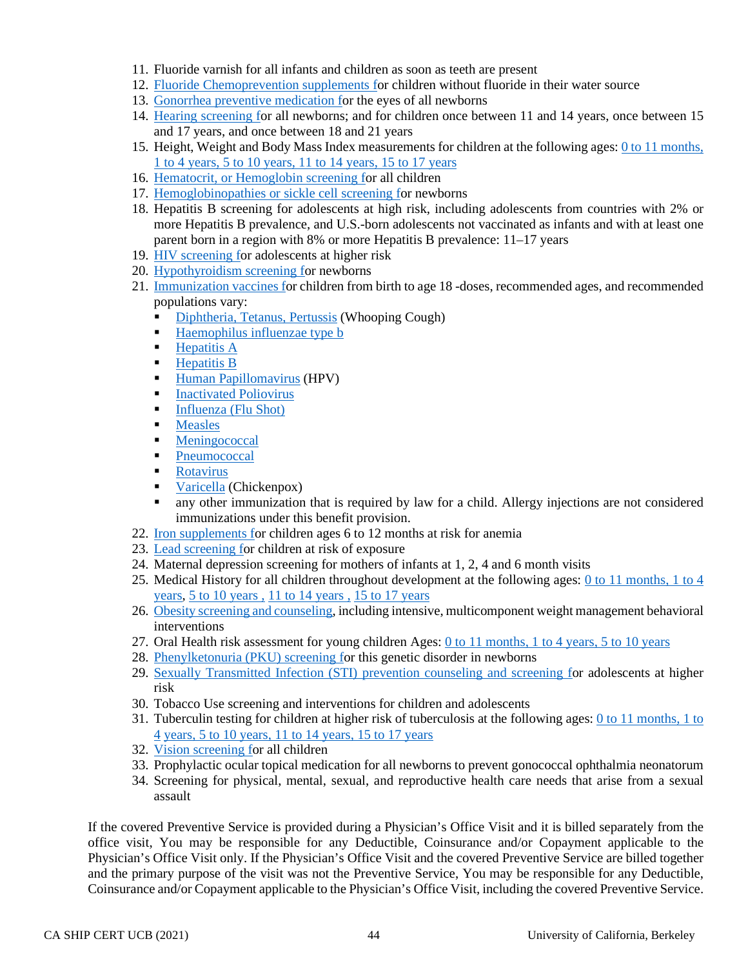- 11. Fluoride varnish for all infants and children as soon as teeth are present
- 12. [Fluoride Chemoprevention supplements fo](http://healthfinder.gov/HealthTopics/Category/parenting/doctor-visits/take-care-of-your-childs-teeth)r children without fluoride in their water source
- 13. [Gonorrhea preventive medication fo](http://healthfinder.gov/HealthTopics/Category/pregnancy/doctor-and-midwife-visits/talk-with-your-doctor-about-newborn-screening)r the eyes of all newborns
- 14. [Hearing screening fo](http://healthfinder.gov/HealthTopics/Category/pregnancy/doctor-and-midwife-visits/talk-with-your-doctor-about-newborn-screening)r all newborns; and for children once between 11 and 14 years, once between 15 and 17 years, and once between 18 and 21 years
- 15. Height, Weight and Body Mass Index measurements for children at the following ages[: 0 to 11 months,](http://healthfinder.gov/HealthTopics/Category/parenting/doctor-visits/make-the-most-of-your-babys-visit-to-the-doctor-ages-0-to-11-months) [1 to 4 years,](http://healthfinder.gov/HealthTopics/Category/parenting/doctor-visits/make-the-most-of-your-childs-visit-to-the-doctor-ages-1-to-4) [5 to 10 years,](http://healthfinder.gov/HealthTopics/Category/parenting/doctor-visits/make-the-most-of-your-childs-visit-to-the-doctor-ages-5-to-10) [11 to 14 years,](http://healthfinder.gov/HealthTopics/Category/parenting/doctor-visits/make-the-most-of-your-childs-visit-to-the-doctor-ages-11-to-14) [15 to 17 years](http://healthfinder.gov/HealthTopics/Category/parenting/doctor-visits/make-the-most-of-your-teens-visit-to-the-doctor-ages-15-to-17)
- 16. [Hematocrit, or Hemoglobin screening fo](http://healthfinder.gov/HealthTopics/Category/parenting/doctor-visits/make-the-most-of-your-childs-visit-to-the-doctor-ages-1-to-4)r all children
- 17. [Hemoglobinopathies or sickle cell screening fo](http://healthfinder.gov/HealthTopics/Category/pregnancy/doctor-and-midwife-visits/talk-with-your-doctor-about-newborn-screening)r newborns
- 18. Hepatitis B screening for adolescents at high risk, including adolescents from countries with 2% or more Hepatitis B prevalence, and U.S.-born adolescents not vaccinated as infants and with at least one parent born in a region with 8% or more Hepatitis B prevalence: 11–17 years
- 19. [HIV screening fo](http://healthfinder.gov/HealthTopics/Category/health-conditions-and-diseases/hiv-and-other-stds/get-tested-for-hiv)r adolescents at higher risk
- 20. [Hypothyroidism screening fo](http://healthfinder.gov/HealthTopics/Category/pregnancy/doctor-and-midwife-visits/talk-with-your-doctor-about-newborn-screening)r newborns
- 21. [Immunization vaccines fo](http://healthfinder.gov/HealthTopics/Category/doctor-visits/shotsvaccines/get-your-childs-shots-on-schedule)r children from birth to age 18 -doses, recommended ages, and recommended populations vary:
	- [Diphtheria,](http://www.vaccines.gov/diseases/diphtheria/index.html) [Tetanus,](http://www.vaccines.gov/diseases/tetanus/index.html) [Pertussis](http://www.vaccines.gov/diseases/pertussis/index.html) (Whooping Cough)
	- Haemophilus influenzae type **b**
	- $\blacksquare$  [Hepatitis A](http://www.vaccines.gov/diseases/hepatitis_a/index.html)
	- $Hepatitis B$
	- [Human Papillomavirus](http://www.vaccines.gov/diseases/hpv/index.html) (HPV)
	- **[Inactivated Poliovirus](http://www.vaccines.gov/diseases/polio/index.html)**
	- [Influenza \(Flu Shot\)](http://www.vaccines.gov/diseases/flu/index.html)
	- **Measles**
	- **[Meningococcal](http://www.vaccines.gov/diseases/meningitis/index.html)**
	- **[Pneumococcal](http://www.vaccines.gov/diseases/pneumonia/index.html)**
	- [Rotavirus](http://www.vaccines.gov/diseases/rotavirus/index.html)
	- **[Varicella](http://www.vaccines.gov/diseases/chickenpox/index.html) (Chickenpox)**
	- any other immunization that is required by law for a child. Allergy injections are not considered immunizations under this benefit provision.
- 22. [Iron supplements fo](http://healthfinder.gov/HealthTopics/Category/parenting/doctor-visits/make-the-most-of-your-babys-visit-to-the-doctor-ages-0-to-11-months)r children ages 6 to 12 months at risk for anemia
- 23. [Lead screening fo](http://healthfinder.gov/HealthTopics/Category/pregnancy/getting-ready-for-your-baby/protect-your-family-from-lead-poisoning)r children at risk of exposure
- 24. Maternal depression screening for mothers of infants at 1, 2, 4 and 6 month visits
- 25. Medical History for all children throughout development at the following ages: [0 to 11 months,](http://healthfinder.gov/HealthTopics/Category/parenting/doctor-visits/make-the-most-of-your-babys-visit-to-the-doctor-ages-0-to-11-months) [1 to 4](http://healthfinder.gov/HealthTopics/Category/parenting/doctor-visits/make-the-most-of-your-childs-visit-to-the-doctor-ages-1-to-4)  [years,](http://healthfinder.gov/HealthTopics/Category/parenting/doctor-visits/make-the-most-of-your-childs-visit-to-the-doctor-ages-1-to-4) [5 to 10 years ,](http://healthfinder.gov/HealthTopics/Category/parenting/doctor-visits/make-the-most-of-your-childs-visit-to-the-doctor-ages-5-to-10) [11 to 14 years ,](http://healthfinder.gov/HealthTopics/Category/parenting/doctor-visits/make-the-most-of-your-childs-visit-to-the-doctor-ages-11-to-14) [15 to 17 years](http://healthfinder.gov/HealthTopics/Category/parenting/doctor-visits/make-the-most-of-your-teens-visit-to-the-doctor-ages-15-to-17)
- 26. [Obesity screening and counseling,](http://healthfinder.gov/HealthTopics/Category/parenting/nutrition-and-physical-activity/help-your-child-stay-at-a-healthy-weight) including intensive, multicomponent weight management behavioral interventions
- 27. Oral Health risk assessment for young children Ages: [0 to 11 months,](http://healthfinder.gov/HealthTopics/Category/parenting/doctor-visits/make-the-most-of-your-babys-visit-to-the-doctor-ages-0-to-11-months) [1 to 4 years,](http://healthfinder.gov/HealthTopics/Category/parenting/doctor-visits/make-the-most-of-your-childs-visit-to-the-doctor-ages-1-to-4) [5 to 10 years](http://healthfinder.gov/HealthTopics/Category/parenting/doctor-visits/make-the-most-of-your-childs-visit-to-the-doctor-ages-5-to-10)
- 28. [Phenylketonuria \(PKU\) screening fo](http://healthfinder.gov/HealthTopics/Category/pregnancy/doctor-and-midwife-visits/talk-with-your-doctor-about-newborn-screening)r this genetic disorder in newborns
- 29. [Sexually Transmitted Infection \(STI\) prevention counseling and screening fo](http://healthfinder.gov/HealthTopics/Category/health-conditions-and-diseases/hiv-and-other-stds/get-tested-for-chlamydia-gonorrhea-and-syphilis)r adolescents at higher risk
- 30. Tobacco Use screening and interventions for children and adolescents
- 31. Tuberculin testing for children at higher risk of tuberculosis at the following ages: [0 to 11 months,](http://healthfinder.gov/HealthTopics/Category/parenting/doctor-visits/make-the-most-of-your-babys-visit-to-the-doctor-ages-0-to-11-months) [1 to](http://healthfinder.gov/HealthTopics/Category/parenting/doctor-visits/make-the-most-of-your-childs-visit-to-the-doctor-ages-1-to-4)  [4](http://healthfinder.gov/HealthTopics/Category/parenting/doctor-visits/make-the-most-of-your-childs-visit-to-the-doctor-ages-1-to-4) [years,](http://healthfinder.gov/HealthTopics/Category/parenting/doctor-visits/make-the-most-of-your-childs-visit-to-the-doctor-ages-1-to-4) [5 to 10 years,](http://healthfinder.gov/HealthTopics/Category/parenting/doctor-visits/make-the-most-of-your-childs-visit-to-the-doctor-ages-5-to-10) [11 to 14 years,](http://healthfinder.gov/HealthTopics/Category/parenting/doctor-visits/make-the-most-of-your-childs-visit-to-the-doctor-ages-11-to-14) [15 to 17 years](http://healthfinder.gov/HealthTopics/Category/parenting/doctor-visits/make-the-most-of-your-teens-visit-to-the-doctor-ages-15-to-17)
- 32. [Vision screening fo](http://healthfinder.gov/HealthTopics/Category/doctor-visits/screening-tests/get-your-childs-vision-checked)r all children
- 33. Prophylactic ocular topical medication for all newborns to prevent gonococcal ophthalmia neonatorum
- 34. Screening for physical, mental, sexual, and reproductive health care needs that arise from a sexual assault

If the covered Preventive Service is provided during a Physician's Office Visit and it is billed separately from the office visit, You may be responsible for any Deductible, Coinsurance and/or Copayment applicable to the Physician's Office Visit only. If the Physician's Office Visit and the covered Preventive Service are billed together and the primary purpose of the visit was not the Preventive Service, You may be responsible for any Deductible, Coinsurance and/or Copayment applicable to the Physician's Office Visit, including the covered Preventive Service.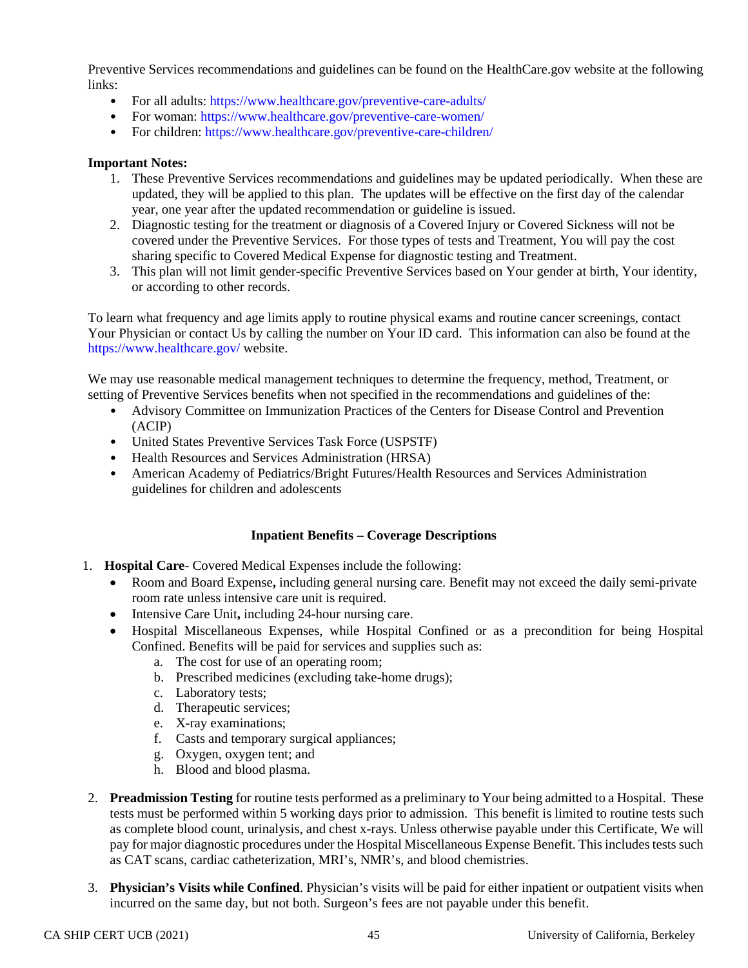Preventive Services recommendations and guidelines can be found on the HealthCare.gov website at the following links:

- For all adults:<https://www.healthcare.gov/preventive-care-adults/>
- For woman:<https://www.healthcare.gov/preventive-care-women/>
- For children:<https://www.healthcare.gov/preventive-care-children/>

#### **Important Notes:**

- 1. These Preventive Services recommendations and guidelines may be updated periodically. When these are updated, they will be applied to this plan. The updates will be effective on the first day of the calendar year, one year after the updated recommendation or guideline is issued.
- 2. Diagnostic testing for the treatment or diagnosis of a Covered Injury or Covered Sickness will not be covered under the Preventive Services. For those types of tests and Treatment, You will pay the cost sharing specific to Covered Medical Expense for diagnostic testing and Treatment.
- 3. This plan will not limit gender-specific Preventive Services based on Your gender at birth, Your identity, or according to other records.

To learn what frequency and age limits apply to routine physical exams and routine cancer screenings, contact Your Physician or contact Us by calling the number on Your ID card. This information can also be found at the <https://www.healthcare.gov/> website.

We may use reasonable medical management techniques to determine the frequency, method, Treatment, or setting of Preventive Services benefits when not specified in the recommendations and guidelines of the:

- Advisory Committee on Immunization Practices of the Centers for Disease Control and Prevention (ACIP)
- United States Preventive Services Task Force (USPSTF)
- Health Resources and Services Administration (HRSA)
- American Academy of Pediatrics/Bright Futures/Health Resources and Services Administration guidelines for children and adolescents

### **Inpatient Benefits – Coverage Descriptions**

- 1. **Hospital Care** Covered Medical Expenses include the following:
	- Room and Board Expense**,** including general nursing care. Benefit may not exceed the daily semi-private room rate unless intensive care unit is required.
	- Intensive Care Unit, including 24-hour nursing care.
	- Hospital Miscellaneous Expenses, while Hospital Confined or as a precondition for being Hospital Confined. Benefits will be paid for services and supplies such as:
		- a. The cost for use of an operating room;
		- b. Prescribed medicines (excluding take-home drugs);
		- c. Laboratory tests;
		- d. Therapeutic services;
		- e. X-ray examinations;
		- f. Casts and temporary surgical appliances;
		- g. Oxygen, oxygen tent; and
		- h. Blood and blood plasma.
- 2. **Preadmission Testing** for routine tests performed as a preliminary to Your being admitted to a Hospital. These tests must be performed within 5 working days prior to admission. This benefit is limited to routine tests such as complete blood count, urinalysis, and chest x-rays. Unless otherwise payable under this Certificate, We will pay for major diagnostic procedures under the Hospital Miscellaneous Expense Benefit. This includes tests such as CAT scans, cardiac catheterization, MRI's, NMR's, and blood chemistries.
- 3. **Physician's Visits while Confined**. Physician's visits will be paid for either inpatient or outpatient visits when incurred on the same day, but not both. Surgeon's fees are not payable under this benefit.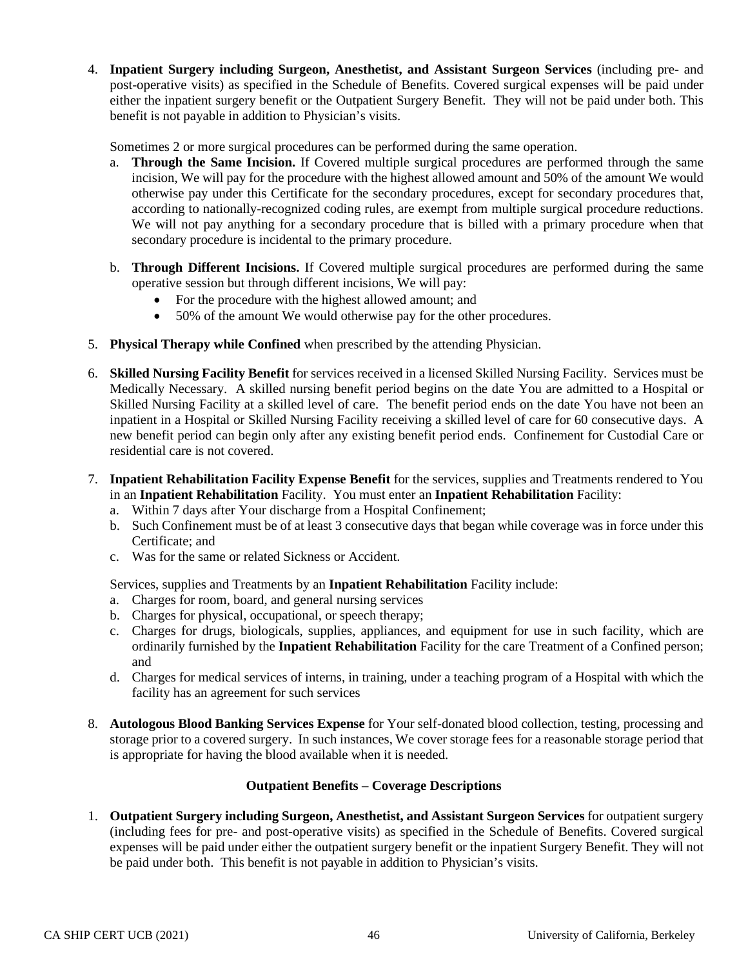4. **Inpatient Surgery including Surgeon, Anesthetist, and Assistant Surgeon Services** (including pre- and post-operative visits) as specified in the Schedule of Benefits. Covered surgical expenses will be paid under either the inpatient surgery benefit or the Outpatient Surgery Benefit. They will not be paid under both. This benefit is not payable in addition to Physician's visits.

Sometimes 2 or more surgical procedures can be performed during the same operation.

- a. **Through the Same Incision.** If Covered multiple surgical procedures are performed through the same incision, We will pay for the procedure with the highest allowed amount and 50% of the amount We would otherwise pay under this Certificate for the secondary procedures, except for secondary procedures that, according to nationally-recognized coding rules, are exempt from multiple surgical procedure reductions. We will not pay anything for a secondary procedure that is billed with a primary procedure when that secondary procedure is incidental to the primary procedure.
- b. **Through Different Incisions.** If Covered multiple surgical procedures are performed during the same operative session but through different incisions, We will pay:
	- For the procedure with the highest allowed amount; and
	- 50% of the amount We would otherwise pay for the other procedures.
- 5. **Physical Therapy while Confined** when prescribed by the attending Physician.
- 6. **Skilled Nursing Facility Benefit** for services received in a licensed Skilled Nursing Facility. Services must be Medically Necessary. A skilled nursing benefit period begins on the date You are admitted to a Hospital or Skilled Nursing Facility at a skilled level of care. The benefit period ends on the date You have not been an inpatient in a Hospital or Skilled Nursing Facility receiving a skilled level of care for 60 consecutive days. A new benefit period can begin only after any existing benefit period ends. Confinement for Custodial Care or residential care is not covered.
- 7. **Inpatient Rehabilitation Facility Expense Benefit** for the services, supplies and Treatments rendered to You in an **Inpatient Rehabilitation** Facility. You must enter an **Inpatient Rehabilitation** Facility:
	- a. Within 7 days after Your discharge from a Hospital Confinement;
	- b. Such Confinement must be of at least 3 consecutive days that began while coverage was in force under this Certificate; and
	- c. Was for the same or related Sickness or Accident.

Services, supplies and Treatments by an **Inpatient Rehabilitation** Facility include:

- a. Charges for room, board, and general nursing services
- b. Charges for physical, occupational, or speech therapy;
- c. Charges for drugs, biologicals, supplies, appliances, and equipment for use in such facility, which are ordinarily furnished by the **Inpatient Rehabilitation** Facility for the care Treatment of a Confined person; and
- d. Charges for medical services of interns, in training, under a teaching program of a Hospital with which the facility has an agreement for such services
- 8. **Autologous Blood Banking Services Expense** for Your self-donated blood collection, testing, processing and storage prior to a covered surgery. In such instances, We cover storage fees for a reasonable storage period that is appropriate for having the blood available when it is needed.

### **Outpatient Benefits – Coverage Descriptions**

1. **Outpatient Surgery including Surgeon, Anesthetist, and Assistant Surgeon Services** for outpatient surgery (including fees for pre- and post-operative visits) as specified in the Schedule of Benefits. Covered surgical expenses will be paid under either the outpatient surgery benefit or the inpatient Surgery Benefit. They will not be paid under both. This benefit is not payable in addition to Physician's visits.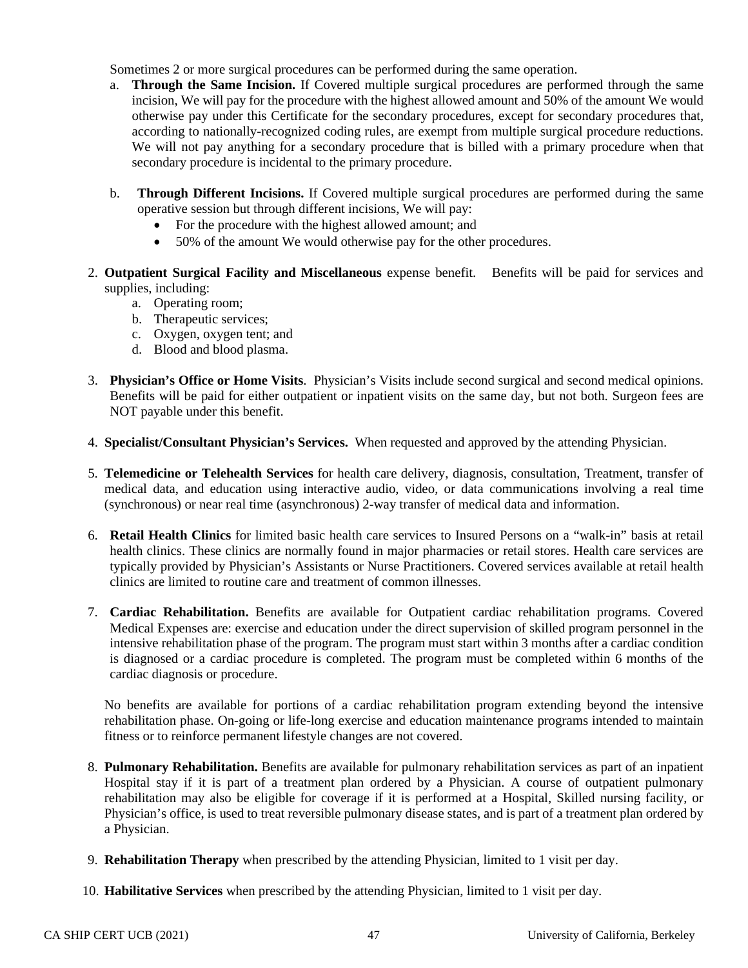Sometimes 2 or more surgical procedures can be performed during the same operation.

- a. **Through the Same Incision.** If Covered multiple surgical procedures are performed through the same incision, We will pay for the procedure with the highest allowed amount and 50% of the amount We would otherwise pay under this Certificate for the secondary procedures, except for secondary procedures that, according to nationally-recognized coding rules, are exempt from multiple surgical procedure reductions. We will not pay anything for a secondary procedure that is billed with a primary procedure when that secondary procedure is incidental to the primary procedure.
- b. **Through Different Incisions.** If Covered multiple surgical procedures are performed during the same operative session but through different incisions, We will pay:
	- For the procedure with the highest allowed amount; and
	- 50% of the amount We would otherwise pay for the other procedures.
- 2. **Outpatient Surgical Facility and Miscellaneous** expense benefit. Benefits will be paid for services and supplies, including:
	- a. Operating room;
	- b. Therapeutic services;
	- c. Oxygen, oxygen tent; and
	- d. Blood and blood plasma.
- 3. **Physician's Office or Home Visits**. Physician's Visits include second surgical and second medical opinions. Benefits will be paid for either outpatient or inpatient visits on the same day, but not both. Surgeon fees are NOT payable under this benefit.
- 4. **Specialist/Consultant Physician's Services.** When requested and approved by the attending Physician.
- 5. **Telemedicine or Telehealth Services** for health care delivery, diagnosis, consultation, Treatment, transfer of medical data, and education using interactive audio, video, or data communications involving a real time (synchronous) or near real time (asynchronous) 2-way transfer of medical data and information.
- 6. **Retail Health Clinics** for limited basic health care services to Insured Persons on a "walk-in" basis at retail health clinics. These clinics are normally found in major pharmacies or retail stores. Health care services are typically provided by Physician's Assistants or Nurse Practitioners. Covered services available at retail health clinics are limited to routine care and treatment of common illnesses.
- 7. **Cardiac Rehabilitation.** Benefits are available for Outpatient cardiac rehabilitation programs. Covered Medical Expenses are: exercise and education under the direct supervision of skilled program personnel in the intensive rehabilitation phase of the program. The program must start within 3 months after a cardiac condition is diagnosed or a cardiac procedure is completed. The program must be completed within 6 months of the cardiac diagnosis or procedure.

No benefits are available for portions of a cardiac rehabilitation program extending beyond the intensive rehabilitation phase. On-going or life-long exercise and education maintenance programs intended to maintain fitness or to reinforce permanent lifestyle changes are not covered.

- 8. **Pulmonary Rehabilitation.** Benefits are available for pulmonary rehabilitation services as part of an inpatient Hospital stay if it is part of a treatment plan ordered by a Physician. A course of outpatient pulmonary rehabilitation may also be eligible for coverage if it is performed at a Hospital, Skilled nursing facility, or Physician's office, is used to treat reversible pulmonary disease states, and is part of a treatment plan ordered by a Physician.
- 9. **Rehabilitation Therapy** when prescribed by the attending Physician, limited to 1 visit per day.
- 10. **Habilitative Services** when prescribed by the attending Physician, limited to 1 visit per day.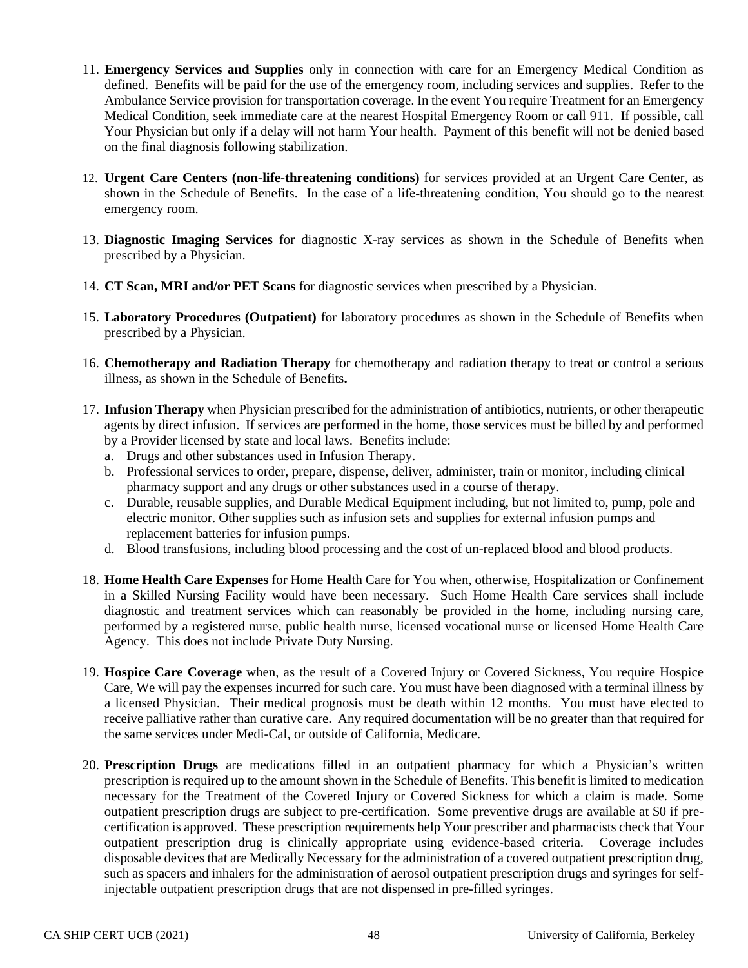- 11. **Emergency Services and Supplies** only in connection with care for an Emergency Medical Condition as defined. Benefits will be paid for the use of the emergency room, including services and supplies. Refer to the Ambulance Service provision for transportation coverage. In the event You require Treatment for an Emergency Medical Condition, seek immediate care at the nearest Hospital Emergency Room or call 911. If possible, call Your Physician but only if a delay will not harm Your health. Payment of this benefit will not be denied based on the final diagnosis following stabilization.
- 12. **Urgent Care Centers (non-life-threatening conditions)** for services provided at an Urgent Care Center, as shown in the Schedule of Benefits. In the case of a life-threatening condition, You should go to the nearest emergency room.
- 13. **Diagnostic Imaging Services** for diagnostic X-ray services as shown in the Schedule of Benefits when prescribed by a Physician.
- 14. **CT Scan, MRI and/or PET Scans** for diagnostic services when prescribed by a Physician.
- 15. **Laboratory Procedures (Outpatient)** for laboratory procedures as shown in the Schedule of Benefits when prescribed by a Physician.
- 16. **Chemotherapy and Radiation Therapy** for chemotherapy and radiation therapy to treat or control a serious illness, as shown in the Schedule of Benefits**.**
- 17. **Infusion Therapy** when Physician prescribed for the administration of antibiotics, nutrients, or other therapeutic agents by direct infusion. If services are performed in the home, those services must be billed by and performed by a Provider licensed by state and local laws. Benefits include:
	- a. Drugs and other substances used in Infusion Therapy.
	- b. Professional services to order, prepare, dispense, deliver, administer, train or monitor, including clinical pharmacy support and any drugs or other substances used in a course of therapy.
	- c. Durable, reusable supplies, and Durable Medical Equipment including, but not limited to, pump, pole and electric monitor. Other supplies such as infusion sets and supplies for external infusion pumps and replacement batteries for infusion pumps.
	- d. Blood transfusions, including blood processing and the cost of un-replaced blood and blood products.
- 18. **Home Health Care Expenses** for Home Health Care for You when, otherwise, Hospitalization or Confinement in a Skilled Nursing Facility would have been necessary. Such Home Health Care services shall include diagnostic and treatment services which can reasonably be provided in the home, including nursing care, performed by a registered nurse, public health nurse, licensed vocational nurse or licensed Home Health Care Agency. This does not include Private Duty Nursing.
- 19. **Hospice Care Coverage** when, as the result of a Covered Injury or Covered Sickness, You require Hospice Care, We will pay the expenses incurred for such care. You must have been diagnosed with a terminal illness by a licensed Physician. Their medical prognosis must be death within 12 months. You must have elected to receive palliative rather than curative care. Any required documentation will be no greater than that required for the same services under Medi-Cal, or outside of California, Medicare.
- 20. **Prescription Drugs** are medications filled in an outpatient pharmacy for which a Physician's written prescription is required up to the amount shown in the Schedule of Benefits. This benefit is limited to medication necessary for the Treatment of the Covered Injury or Covered Sickness for which a claim is made. Some outpatient prescription drugs are subject to pre-certification. Some preventive drugs are available at \$0 if precertification is approved. These prescription requirements help Your prescriber and pharmacists check that Your outpatient prescription drug is clinically appropriate using evidence-based criteria. Coverage includes disposable devices that are Medically Necessary for the administration of a covered outpatient prescription drug, such as spacers and inhalers for the administration of aerosol outpatient prescription drugs and syringes for selfinjectable outpatient prescription drugs that are not dispensed in pre-filled syringes.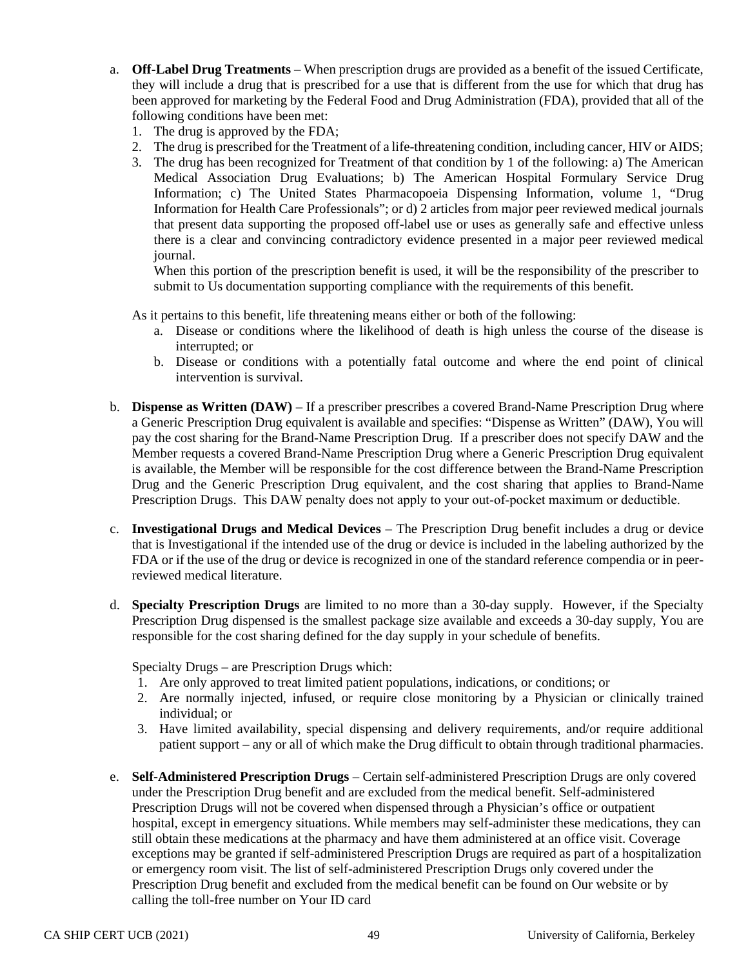- a. **Off-Label Drug Treatments** When prescription drugs are provided as a benefit of the issued Certificate, they will include a drug that is prescribed for a use that is different from the use for which that drug has been approved for marketing by the Federal Food and Drug Administration (FDA), provided that all of the following conditions have been met:
	- 1. The drug is approved by the FDA;
	- 2. The drug is prescribed for the Treatment of a life-threatening condition, including cancer, HIV or AIDS;
	- 3. The drug has been recognized for Treatment of that condition by 1 of the following: a) The American Medical Association Drug Evaluations; b) The American Hospital Formulary Service Drug Information; c) The United States Pharmacopoeia Dispensing Information, volume 1, "Drug Information for Health Care Professionals"; or d) 2 articles from major peer reviewed medical journals that present data supporting the proposed off-label use or uses as generally safe and effective unless there is a clear and convincing contradictory evidence presented in a major peer reviewed medical journal.

When this portion of the prescription benefit is used, it will be the responsibility of the prescriber to submit to Us documentation supporting compliance with the requirements of this benefit.

As it pertains to this benefit, life threatening means either or both of the following:

- a. Disease or conditions where the likelihood of death is high unless the course of the disease is interrupted; or
- b. Disease or conditions with a potentially fatal outcome and where the end point of clinical intervention is survival.
- b. **Dispense as Written (DAW)** If a prescriber prescribes a covered Brand-Name Prescription Drug where a Generic Prescription Drug equivalent is available and specifies: "Dispense as Written" (DAW), You will pay the cost sharing for the Brand-Name Prescription Drug. If a prescriber does not specify DAW and the Member requests a covered Brand-Name Prescription Drug where a Generic Prescription Drug equivalent is available, the Member will be responsible for the cost difference between the Brand-Name Prescription Drug and the Generic Prescription Drug equivalent, and the cost sharing that applies to Brand-Name Prescription Drugs. This DAW penalty does not apply to your out-of-pocket maximum or deductible.
- c. **Investigational Drugs and Medical Devices** The Prescription Drug benefit includes a drug or device that is Investigational if the intended use of the drug or device is included in the labeling authorized by the FDA or if the use of the drug or device is recognized in one of the standard reference compendia or in peerreviewed medical literature.
- d. **Specialty Prescription Drugs** are limited to no more than a 30-day supply. However, if the Specialty Prescription Drug dispensed is the smallest package size available and exceeds a 30-day supply, You are responsible for the cost sharing defined for the day supply in your schedule of benefits.

Specialty Drugs – are Prescription Drugs which:

- 1. Are only approved to treat limited patient populations, indications, or conditions; or
- 2. Are normally injected, infused, or require close monitoring by a Physician or clinically trained individual; or
- 3. Have limited availability, special dispensing and delivery requirements, and/or require additional patient support – any or all of which make the Drug difficult to obtain through traditional pharmacies.
- e. **Self-Administered Prescription Drugs** Certain self-administered Prescription Drugs are only covered under the Prescription Drug benefit and are excluded from the medical benefit. Self-administered Prescription Drugs will not be covered when dispensed through a Physician's office or outpatient hospital, except in emergency situations. While members may self-administer these medications, they can still obtain these medications at the pharmacy and have them administered at an office visit. Coverage exceptions may be granted if self-administered Prescription Drugs are required as part of a hospitalization or emergency room visit. The list of self-administered Prescription Drugs only covered under the Prescription Drug benefit and excluded from the medical benefit can be found on Our website or by calling the toll-free number on Your ID card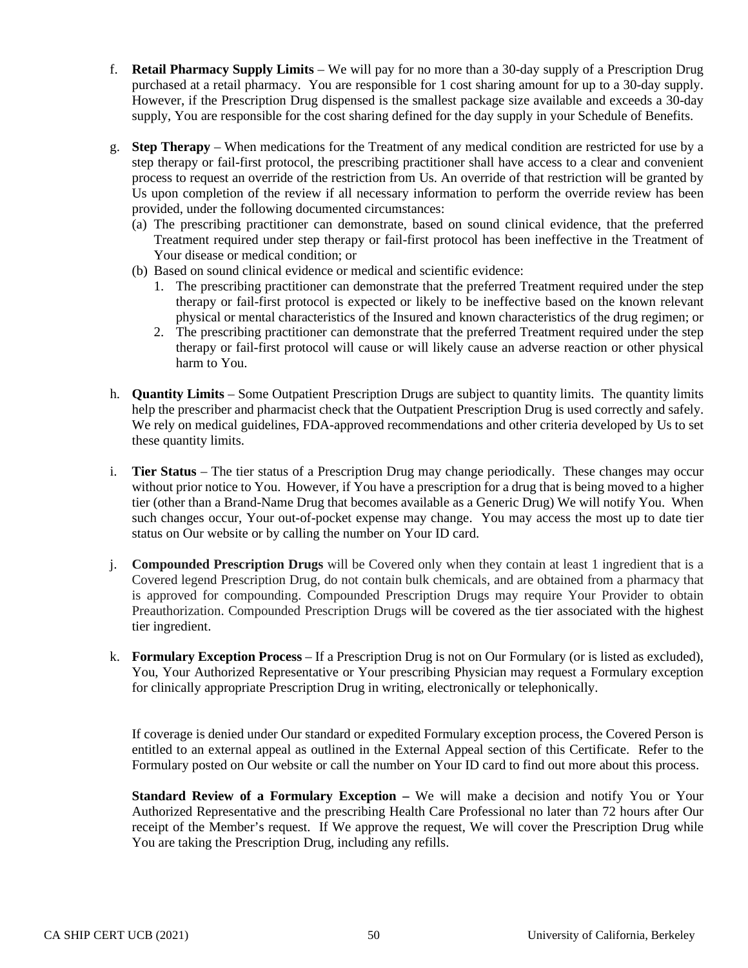- f. **Retail Pharmacy Supply Limits** We will pay for no more than a 30-day supply of a Prescription Drug purchased at a retail pharmacy. You are responsible for 1 cost sharing amount for up to a 30-day supply. However, if the Prescription Drug dispensed is the smallest package size available and exceeds a 30-day supply, You are responsible for the cost sharing defined for the day supply in your Schedule of Benefits.
- g. **Step Therapy** When medications for the Treatment of any medical condition are restricted for use by a step therapy or fail-first protocol, the prescribing practitioner shall have access to a clear and convenient process to request an override of the restriction from Us. An override of that restriction will be granted by Us upon completion of the review if all necessary information to perform the override review has been provided, under the following documented circumstances:
	- (a) The prescribing practitioner can demonstrate, based on sound clinical evidence, that the preferred Treatment required under step therapy or fail-first protocol has been ineffective in the Treatment of Your disease or medical condition; or
	- (b) Based on sound clinical evidence or medical and scientific evidence:
		- 1. The prescribing practitioner can demonstrate that the preferred Treatment required under the step therapy or fail-first protocol is expected or likely to be ineffective based on the known relevant physical or mental characteristics of the Insured and known characteristics of the drug regimen; or
		- 2. The prescribing practitioner can demonstrate that the preferred Treatment required under the step therapy or fail-first protocol will cause or will likely cause an adverse reaction or other physical harm to You.
- h. **Quantity Limits** Some Outpatient Prescription Drugs are subject to quantity limits. The quantity limits help the prescriber and pharmacist check that the Outpatient Prescription Drug is used correctly and safely. We rely on medical guidelines, FDA-approved recommendations and other criteria developed by Us to set these quantity limits.
- i. **Tier Status** The tier status of a Prescription Drug may change periodically. These changes may occur without prior notice to You. However, if You have a prescription for a drug that is being moved to a higher tier (other than a Brand-Name Drug that becomes available as a Generic Drug) We will notify You. When such changes occur, Your out-of-pocket expense may change. You may access the most up to date tier status on Our website or by calling the number on Your ID card.
- j. **Compounded Prescription Drugs** will be Covered only when they contain at least 1 ingredient that is a Covered legend Prescription Drug, do not contain bulk chemicals, and are obtained from a pharmacy that is approved for compounding. Compounded Prescription Drugs may require Your Provider to obtain Preauthorization. Compounded Prescription Drugs will be covered as the tier associated with the highest tier ingredient.
- k. **Formulary Exception Process** If a Prescription Drug is not on Our Formulary (or is listed as excluded), You, Your Authorized Representative or Your prescribing Physician may request a Formulary exception for clinically appropriate Prescription Drug in writing, electronically or telephonically.

If coverage is denied under Our standard or expedited Formulary exception process, the Covered Person is entitled to an external appeal as outlined in the External Appeal section of this Certificate. Refer to the Formulary posted on Our website or call the number on Your ID card to find out more about this process.

**Standard Review of a Formulary Exception –** We will make a decision and notify You or Your Authorized Representative and the prescribing Health Care Professional no later than 72 hours after Our receipt of the Member's request. If We approve the request, We will cover the Prescription Drug while You are taking the Prescription Drug, including any refills.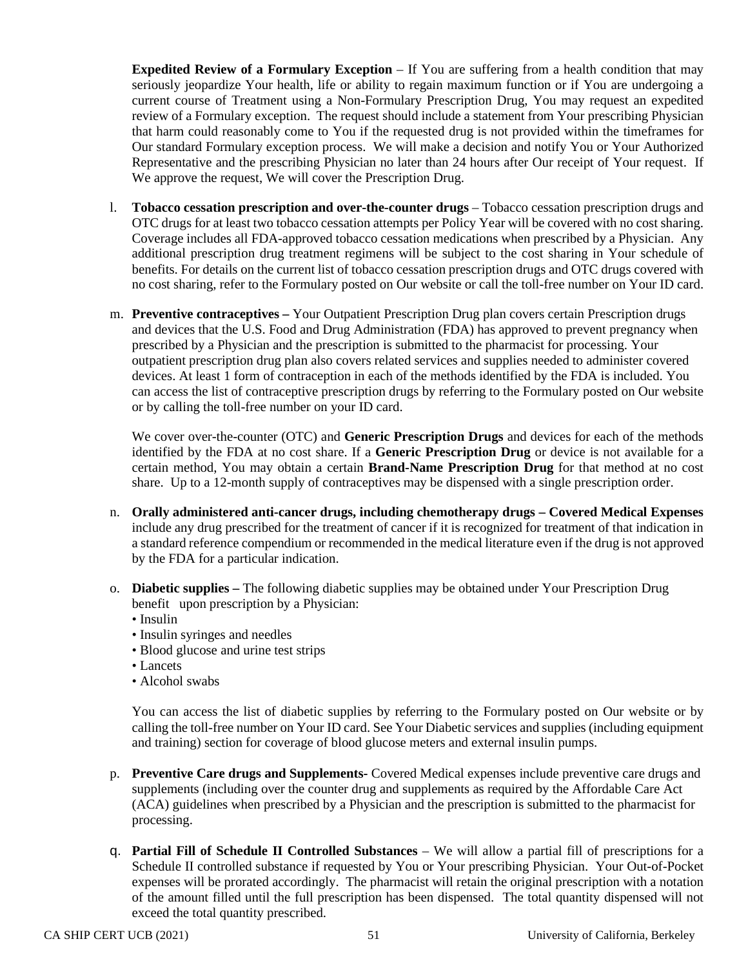**Expedited Review of a Formulary Exception** – If You are suffering from a health condition that may seriously jeopardize Your health, life or ability to regain maximum function or if You are undergoing a current course of Treatment using a Non-Formulary Prescription Drug, You may request an expedited review of a Formulary exception. The request should include a statement from Your prescribing Physician that harm could reasonably come to You if the requested drug is not provided within the timeframes for Our standard Formulary exception process. We will make a decision and notify You or Your Authorized Representative and the prescribing Physician no later than 24 hours after Our receipt of Your request. If We approve the request, We will cover the Prescription Drug.

- l. **Tobacco cessation prescription and over-the-counter drugs** Tobacco cessation prescription drugs and OTC drugs for at least two tobacco cessation attempts per Policy Year will be covered with no cost sharing. Coverage includes all FDA-approved tobacco cessation medications when prescribed by a Physician. Any additional prescription drug treatment regimens will be subject to the cost sharing in Your schedule of benefits. For details on the current list of tobacco cessation prescription drugs and OTC drugs covered with no cost sharing, refer to the Formulary posted on Our website or call the toll-free number on Your ID card.
- m. **Preventive contraceptives –** Your Outpatient Prescription Drug plan covers certain Prescription drugs and devices that the U.S. Food and Drug Administration (FDA) has approved to prevent pregnancy when prescribed by a Physician and the prescription is submitted to the pharmacist for processing. Your outpatient prescription drug plan also covers related services and supplies needed to administer covered devices. At least 1 form of contraception in each of the methods identified by the FDA is included. You can access the list of contraceptive prescription drugs by referring to the Formulary posted on Our website or by calling the toll-free number on your ID card.

We cover over-the-counter (OTC) and **Generic Prescription Drugs** and devices for each of the methods identified by the FDA at no cost share. If a **Generic Prescription Drug** or device is not available for a certain method, You may obtain a certain **Brand-Name Prescription Drug** for that method at no cost share. Up to a 12-month supply of contraceptives may be dispensed with a single prescription order.

- n. **Orally administered anti-cancer drugs, including chemotherapy drugs – Covered Medical Expenses**  include any drug prescribed for the treatment of cancer if it is recognized for treatment of that indication in a standard reference compendium or recommended in the medical literature even if the drug is not approved by the FDA for a particular indication.
- o. **Diabetic supplies –** The following diabetic supplies may be obtained under Your Prescription Drug benefit upon prescription by a Physician:
	- Insulin
	- Insulin syringes and needles
	- Blood glucose and urine test strips
	- Lancets
	- Alcohol swabs

You can access the list of diabetic supplies by referring to the Formulary posted on Our website or by calling the toll-free number on Your ID card. See Your Diabetic services and supplies (including equipment and training) section for coverage of blood glucose meters and external insulin pumps.

- p. **Preventive Care drugs and Supplements-** Covered Medical expenses include preventive care drugs and supplements (including over the counter drug and supplements as required by the Affordable Care Act (ACA) guidelines when prescribed by a Physician and the prescription is submitted to the pharmacist for processing.
- q. **Partial Fill of Schedule II Controlled Substances** We will allow a partial fill of prescriptions for a Schedule II controlled substance if requested by You or Your prescribing Physician. Your Out-of-Pocket expenses will be prorated accordingly. The pharmacist will retain the original prescription with a notation of the amount filled until the full prescription has been dispensed. The total quantity dispensed will not exceed the total quantity prescribed.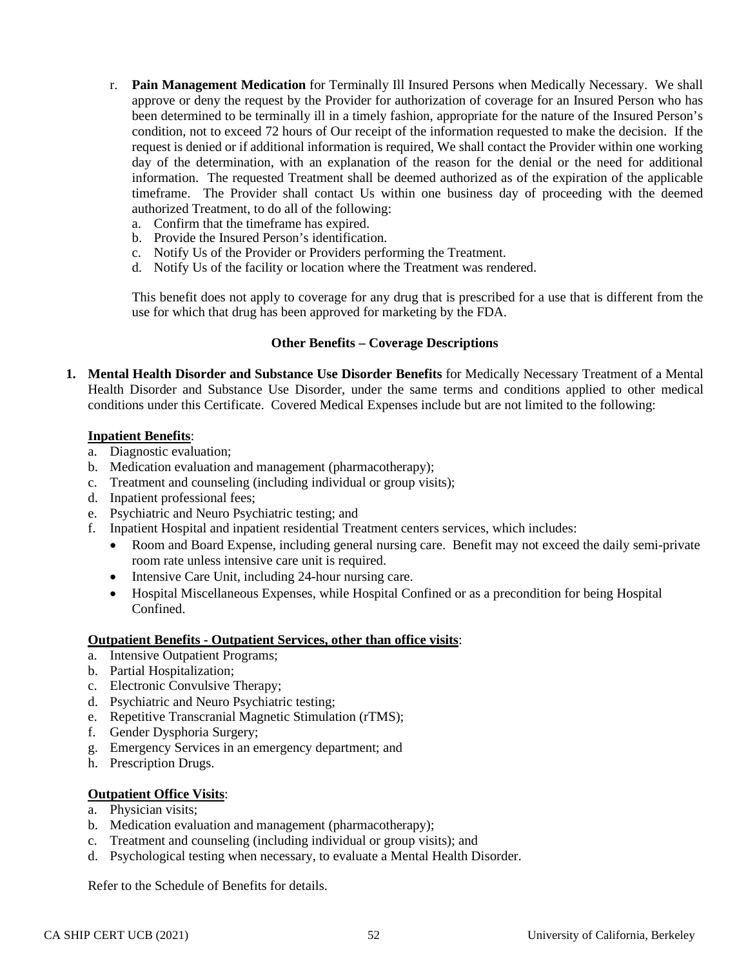- r. **Pain Management Medication** for Terminally Ill Insured Persons when Medically Necessary. We shall approve or deny the request by the Provider for authorization of coverage for an Insured Person who has been determined to be terminally ill in a timely fashion, appropriate for the nature of the Insured Person's condition, not to exceed 72 hours of Our receipt of the information requested to make the decision. If the request is denied or if additional information is required, We shall contact the Provider within one working day of the determination, with an explanation of the reason for the denial or the need for additional information. The requested Treatment shall be deemed authorized as of the expiration of the applicable timeframe. The Provider shall contact Us within one business day of proceeding with the deemed authorized Treatment, to do all of the following:
	- a. Confirm that the timeframe has expired.
	- b. Provide the Insured Person's identification.
	- c. Notify Us of the Provider or Providers performing the Treatment.
	- d. Notify Us of the facility or location where the Treatment was rendered.

This benefit does not apply to coverage for any drug that is prescribed for a use that is different from the use for which that drug has been approved for marketing by the FDA.

#### **Other Benefits – Coverage Descriptions**

**1. Mental Health Disorder and Substance Use Disorder Benefits** for Medically Necessary Treatment of a Mental Health Disorder and Substance Use Disorder, under the same terms and conditions applied to other medical conditions under this Certificate. Covered Medical Expenses include but are not limited to the following:

#### **Inpatient Benefits**:

- a. Diagnostic evaluation;
- b. Medication evaluation and management (pharmacotherapy);
- c. Treatment and counseling (including individual or group visits);
- d. Inpatient professional fees;
- e. Psychiatric and Neuro Psychiatric testing; and
- f. Inpatient Hospital and inpatient residential Treatment centers services, which includes:
	- Room and Board Expense, including general nursing care. Benefit may not exceed the daily semi-private room rate unless intensive care unit is required.
	- Intensive Care Unit, including 24-hour nursing care.
	- Hospital Miscellaneous Expenses, while Hospital Confined or as a precondition for being Hospital Confined.

#### **Outpatient Benefits - Outpatient Services, other than office visits**:

- a. Intensive Outpatient Programs;
- b. Partial Hospitalization;
- c. Electronic Convulsive Therapy;
- d. Psychiatric and Neuro Psychiatric testing;
- e. Repetitive Transcranial Magnetic Stimulation (rTMS);
- f. Gender Dysphoria Surgery;
- g. Emergency Services in an emergency department; and
- h. Prescription Drugs.

### **Outpatient Office Visits**:

- a. Physician visits;
- b. Medication evaluation and management (pharmacotherapy);
- c. Treatment and counseling (including individual or group visits); and
- d. Psychological testing when necessary, to evaluate a Mental Health Disorder.

Refer to the Schedule of Benefits for details.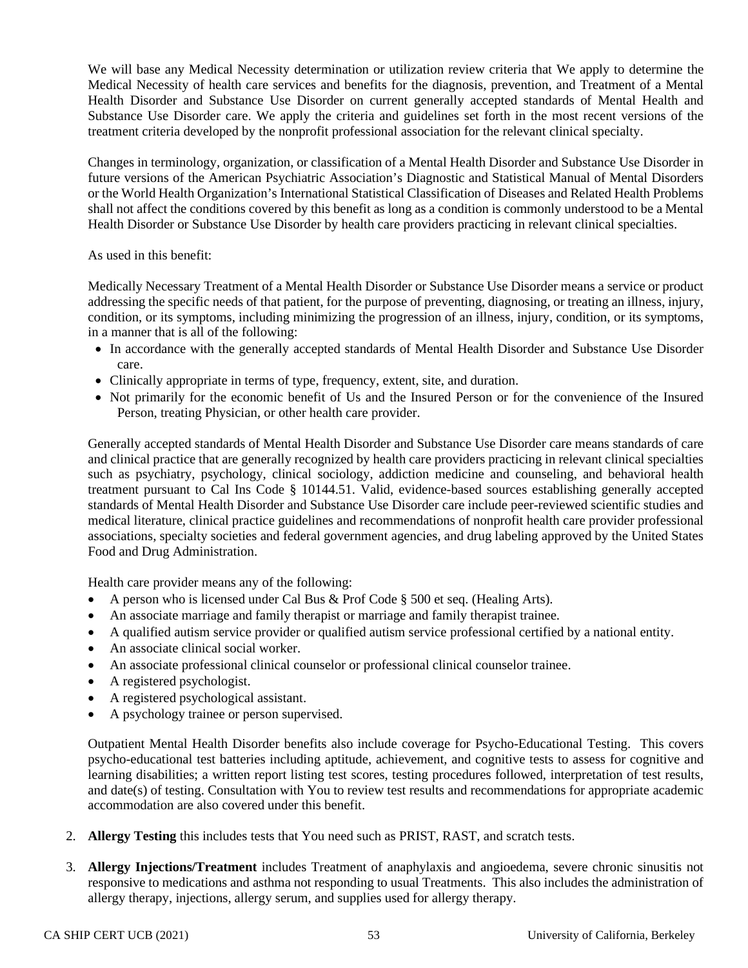We will base any Medical Necessity determination or utilization review criteria that We apply to determine the Medical Necessity of health care services and benefits for the diagnosis, prevention, and Treatment of a Mental Health Disorder and Substance Use Disorder on current generally accepted standards of Mental Health and Substance Use Disorder care. We apply the criteria and guidelines set forth in the most recent versions of the treatment criteria developed by the nonprofit professional association for the relevant clinical specialty.

Changes in terminology, organization, or classification of a Mental Health Disorder and Substance Use Disorder in future versions of the American Psychiatric Association's Diagnostic and Statistical Manual of Mental Disorders or the World Health Organization's International Statistical Classification of Diseases and Related Health Problems shall not affect the conditions covered by this benefit as long as a condition is commonly understood to be a Mental Health Disorder or Substance Use Disorder by health care providers practicing in relevant clinical specialties.

As used in this benefit:

Medically Necessary Treatment of a Mental Health Disorder or Substance Use Disorder means a service or product addressing the specific needs of that patient, for the purpose of preventing, diagnosing, or treating an illness, injury, condition, or its symptoms, including minimizing the progression of an illness, injury, condition, or its symptoms, in a manner that is all of the following:

- In accordance with the generally accepted standards of Mental Health Disorder and Substance Use Disorder care.
- Clinically appropriate in terms of type, frequency, extent, site, and duration.
- Not primarily for the economic benefit of Us and the Insured Person or for the convenience of the Insured Person, treating Physician, or other health care provider.

Generally accepted standards of Mental Health Disorder and Substance Use Disorder care means standards of care and clinical practice that are generally recognized by health care providers practicing in relevant clinical specialties such as psychiatry, psychology, clinical sociology, addiction medicine and counseling, and behavioral health treatment pursuant to Cal Ins Code § 10144.51. Valid, evidence-based sources establishing generally accepted standards of Mental Health Disorder and Substance Use Disorder care include peer-reviewed scientific studies and medical literature, clinical practice guidelines and recommendations of nonprofit health care provider professional associations, specialty societies and federal government agencies, and drug labeling approved by the United States Food and Drug Administration.

Health care provider means any of the following:

- A person who is licensed under Cal Bus & Prof Code § 500 et seq. (Healing Arts).
- An associate marriage and family therapist or marriage and family therapist trainee.
- A qualified autism service provider or qualified autism service professional certified by a national entity.
- An associate clinical social worker.
- An associate professional clinical counselor or professional clinical counselor trainee.
- A registered psychologist.
- A registered psychological assistant.
- A psychology trainee or person supervised.

Outpatient Mental Health Disorder benefits also include coverage for Psycho-Educational Testing. This covers psycho-educational test batteries including aptitude, achievement, and cognitive tests to assess for cognitive and learning disabilities; a written report listing test scores, testing procedures followed, interpretation of test results, and date(s) of testing. Consultation with You to review test results and recommendations for appropriate academic accommodation are also covered under this benefit.

- 2. **Allergy Testing** this includes tests that You need such as PRIST, RAST, and scratch tests.
- 3. **Allergy Injections/Treatment** includes Treatment of anaphylaxis and angioedema, severe chronic sinusitis not responsive to medications and asthma not responding to usual Treatments. This also includes the administration of allergy therapy, injections, allergy serum, and supplies used for allergy therapy.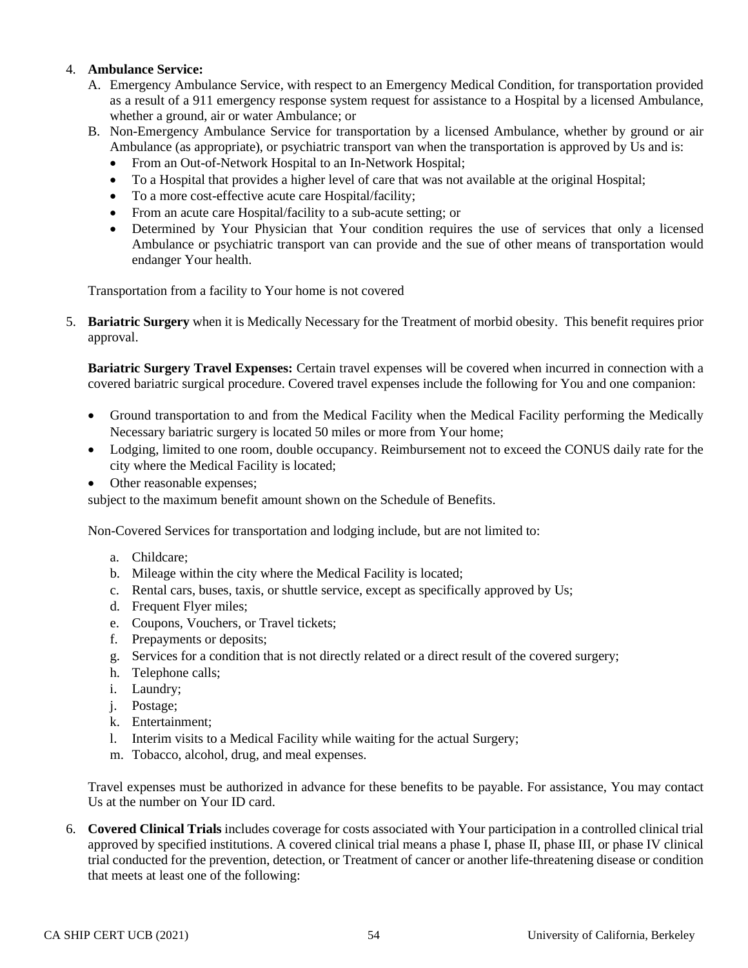## 4. **Ambulance Service:**

- A. Emergency Ambulance Service, with respect to an Emergency Medical Condition, for transportation provided as a result of a 911 emergency response system request for assistance to a Hospital by a licensed Ambulance, whether a ground, air or water Ambulance; or
- B. Non-Emergency Ambulance Service for transportation by a licensed Ambulance, whether by ground or air Ambulance (as appropriate), or psychiatric transport van when the transportation is approved by Us and is:
	- From an Out-of-Network Hospital to an In-Network Hospital;
	- To a Hospital that provides a higher level of care that was not available at the original Hospital;
	- To a more cost-effective acute care Hospital/facility;
	- From an acute care Hospital/facility to a sub-acute setting; or
	- Determined by Your Physician that Your condition requires the use of services that only a licensed Ambulance or psychiatric transport van can provide and the sue of other means of transportation would endanger Your health.

Transportation from a facility to Your home is not covered

5. **Bariatric Surgery** when it is Medically Necessary for the Treatment of morbid obesity. This benefit requires prior approval.

**Bariatric Surgery Travel Expenses:** Certain travel expenses will be covered when incurred in connection with a covered bariatric surgical procedure. Covered travel expenses include the following for You and one companion:

- Ground transportation to and from the Medical Facility when the Medical Facility performing the Medically Necessary bariatric surgery is located 50 miles or more from Your home;
- Lodging, limited to one room, double occupancy. Reimbursement not to exceed the CONUS daily rate for the city where the Medical Facility is located;
- Other reasonable expenses;

subject to the maximum benefit amount shown on the Schedule of Benefits.

Non-Covered Services for transportation and lodging include, but are not limited to:

- a. Childcare;
- b. Mileage within the city where the Medical Facility is located;
- c. Rental cars, buses, taxis, or shuttle service, except as specifically approved by Us;
- d. Frequent Flyer miles;
- e. Coupons, Vouchers, or Travel tickets;
- f. Prepayments or deposits;
- g. Services for a condition that is not directly related or a direct result of the covered surgery;
- h. Telephone calls;
- i. Laundry;
- j. Postage;
- k. Entertainment;
- l. Interim visits to a Medical Facility while waiting for the actual Surgery;
- m. Tobacco, alcohol, drug, and meal expenses.

Travel expenses must be authorized in advance for these benefits to be payable. For assistance, You may contact Us at the number on Your ID card.

6. **Covered Clinical Trials** includes coverage for costs associated with Your participation in a controlled clinical trial approved by specified institutions. A covered clinical trial means a phase I, phase II, phase III, or phase IV clinical trial conducted for the prevention, detection, or Treatment of cancer or another life-threatening disease or condition that meets at least one of the following: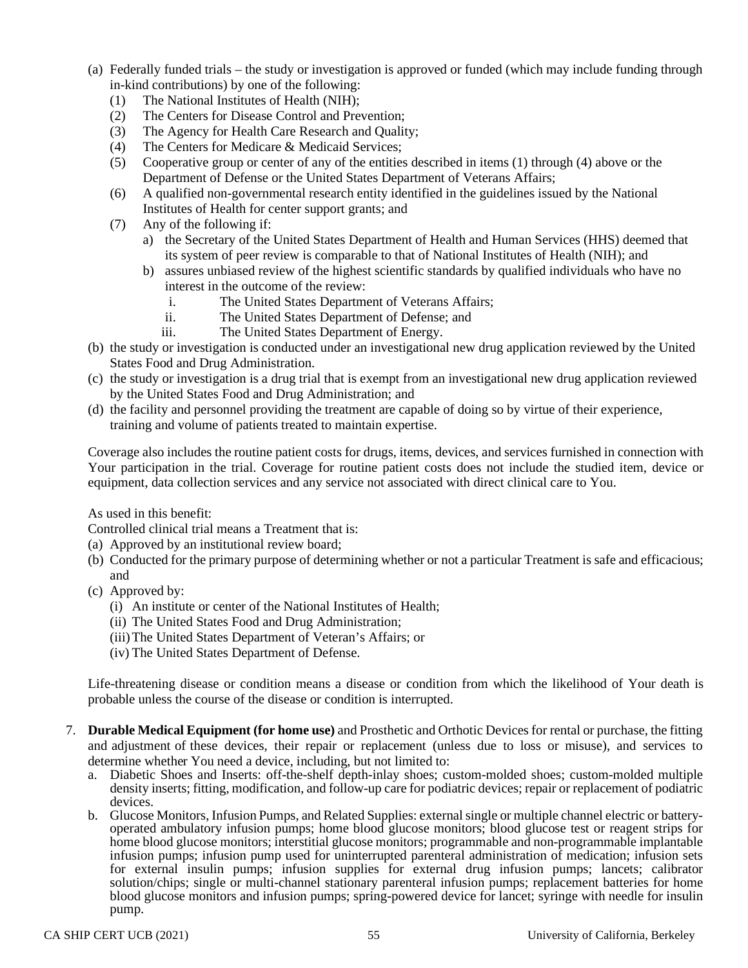- (a) Federally funded trials the study or investigation is approved or funded (which may include funding through in-kind contributions) by one of the following:
	- (1) The National Institutes of Health (NIH);
	- (2) The Centers for Disease Control and Prevention;
	- (3) The Agency for Health Care Research and Quality;
	- (4) The Centers for Medicare & Medicaid Services;
	- (5) Cooperative group or center of any of the entities described in items (1) through (4) above or the Department of Defense or the United States Department of Veterans Affairs;
	- (6) A qualified non-governmental research entity identified in the guidelines issued by the National Institutes of Health for center support grants; and
	- (7) Any of the following if:
		- a) the Secretary of the United States Department of Health and Human Services (HHS) deemed that its system of peer review is comparable to that of National Institutes of Health (NIH); and
		- b) assures unbiased review of the highest scientific standards by qualified individuals who have no interest in the outcome of the review:
			- i. The United States Department of Veterans Affairs;
			- ii. The United States Department of Defense; and
			- iii. The United States Department of Energy.
- (b) the study or investigation is conducted under an investigational new drug application reviewed by the United States Food and Drug Administration.
- (c) the study or investigation is a drug trial that is exempt from an investigational new drug application reviewed by the United States Food and Drug Administration; and
- (d) the facility and personnel providing the treatment are capable of doing so by virtue of their experience, training and volume of patients treated to maintain expertise.

Coverage also includes the routine patient costs for drugs, items, devices, and services furnished in connection with Your participation in the trial. Coverage for routine patient costs does not include the studied item, device or equipment, data collection services and any service not associated with direct clinical care to You.

As used in this benefit:

Controlled clinical trial means a Treatment that is:

- (a) Approved by an institutional review board;
- (b) Conducted for the primary purpose of determining whether or not a particular Treatment is safe and efficacious; and
- (c) Approved by:
	- (i) An institute or center of the National Institutes of Health;
	- (ii) The United States Food and Drug Administration;
	- (iii)The United States Department of Veteran's Affairs; or
	- (iv) The United States Department of Defense.

Life-threatening disease or condition means a disease or condition from which the likelihood of Your death is probable unless the course of the disease or condition is interrupted.

- 7. **Durable Medical Equipment (for home use)** and Prosthetic and Orthotic Devices for rental or purchase, the fitting and adjustment of these devices, their repair or replacement (unless due to loss or misuse), and services to determine whether You need a device, including, but not limited to:
	- a. Diabetic Shoes and Inserts: off-the-shelf depth-inlay shoes; custom-molded shoes; custom-molded multiple density inserts; fitting, modification, and follow-up care for podiatric devices; repair or replacement of podiatric devices.<br>b. Glucose Monitors, Infusion Pumps, and Related Supplies: external single or multiple channel electric or battery-
	- operated ambulatory infusion pumps; home blood glucose monitors; blood glucose test or reagent strips for home blood glucose monitors; interstitial glucose monitors; programmable and non-programmable implantable infusion pumps; infusion pump used for uninterrupted parenteral administration of medication; infusion sets for external insulin pumps; infusion supplies for external drug infusion pumps; lancets; calibrator solution/chips; single or multi-channel stationary parenteral infusion pumps; replacement batteries for home blood glucose monitors and infusion pumps; spring-powered device for lancet; syringe with needle for insulin pump.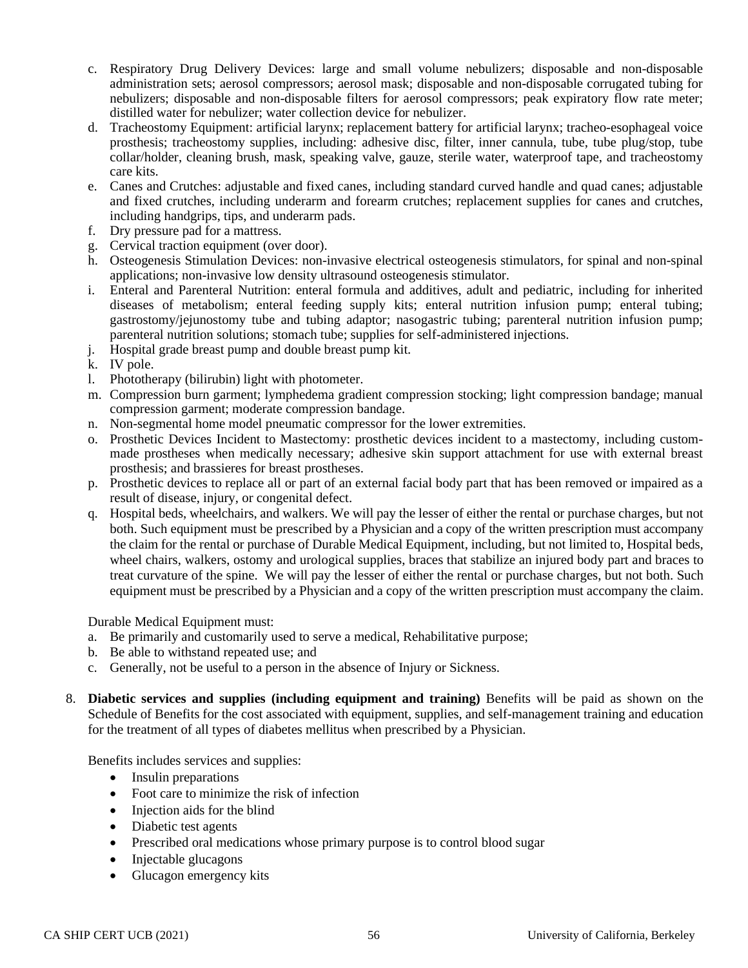- c. Respiratory Drug Delivery Devices: large and small volume nebulizers; disposable and non-disposable administration sets; aerosol compressors; aerosol mask; disposable and non-disposable corrugated tubing for nebulizers; disposable and non-disposable filters for aerosol compressors; peak expiratory flow rate meter; distilled water for nebulizer; water collection device for nebulizer.
- d. Tracheostomy Equipment: artificial larynx; replacement battery for artificial larynx; tracheo-esophageal voice prosthesis; tracheostomy supplies, including: adhesive disc, filter, inner cannula, tube, tube plug/stop, tube collar/holder, cleaning brush, mask, speaking valve, gauze, sterile water, waterproof tape, and tracheostomy care kits.
- e. Canes and Crutches: adjustable and fixed canes, including standard curved handle and quad canes; adjustable and fixed crutches, including underarm and forearm crutches; replacement supplies for canes and crutches, including handgrips, tips, and underarm pads.
- f. Dry pressure pad for a mattress.
- g. Cervical traction equipment (over door).
- h. Osteogenesis Stimulation Devices: non-invasive electrical osteogenesis stimulators, for spinal and non-spinal applications; non-invasive low density ultrasound osteogenesis stimulator.
- i. Enteral and Parenteral Nutrition: enteral formula and additives, adult and pediatric, including for inherited diseases of metabolism; enteral feeding supply kits; enteral nutrition infusion pump; enteral tubing; gastrostomy/jejunostomy tube and tubing adaptor; nasogastric tubing; parenteral nutrition infusion pump; parenteral nutrition solutions; stomach tube; supplies for self-administered injections.
- j. Hospital grade breast pump and double breast pump kit.
- k. IV pole.
- l. Phototherapy (bilirubin) light with photometer.
- m. Compression burn garment; lymphedema gradient compression stocking; light compression bandage; manual compression garment; moderate compression bandage.
- n. Non-segmental home model pneumatic compressor for the lower extremities.
- o. Prosthetic Devices Incident to Mastectomy: prosthetic devices incident to a mastectomy, including custommade prostheses when medically necessary; adhesive skin support attachment for use with external breast prosthesis; and brassieres for breast prostheses.
- p. Prosthetic devices to replace all or part of an external facial body part that has been removed or impaired as a result of disease, injury, or congenital defect.
- q. Hospital beds, wheelchairs, and walkers. We will pay the lesser of either the rental or purchase charges, but not both. Such equipment must be prescribed by a Physician and a copy of the written prescription must accompany the claim for the rental or purchase of Durable Medical Equipment, including, but not limited to, Hospital beds, wheel chairs, walkers, ostomy and urological supplies, braces that stabilize an injured body part and braces to treat curvature of the spine. We will pay the lesser of either the rental or purchase charges, but not both. Such equipment must be prescribed by a Physician and a copy of the written prescription must accompany the claim.

Durable Medical Equipment must:

- a. Be primarily and customarily used to serve a medical, Rehabilitative purpose;
- b. Be able to withstand repeated use; and
- c. Generally, not be useful to a person in the absence of Injury or Sickness.
- 8. **Diabetic services and supplies (including equipment and training)** Benefits will be paid as shown on the Schedule of Benefits for the cost associated with equipment, supplies, and self-management training and education for the treatment of all types of diabetes mellitus when prescribed by a Physician.

Benefits includes services and supplies:

- Insulin preparations
- Foot care to minimize the risk of infection
- Injection aids for the blind
- Diabetic test agents
- Prescribed oral medications whose primary purpose is to control blood sugar
- Injectable glucagons
- Glucagon emergency kits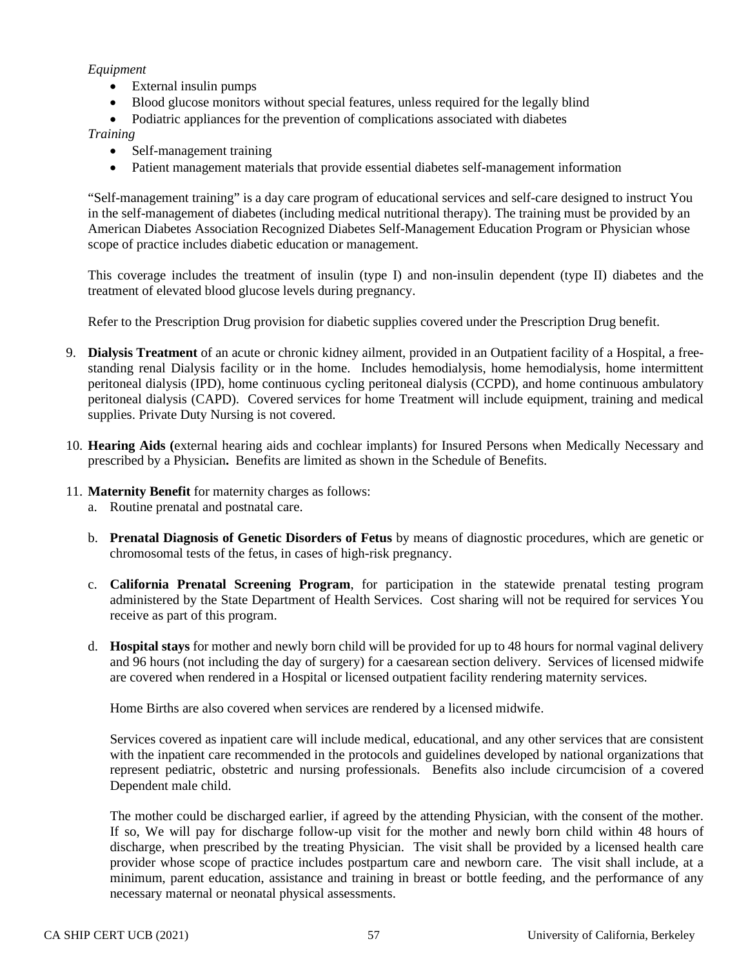## *Equipment*

- External insulin pumps
- Blood glucose monitors without special features, unless required for the legally blind
- Podiatric appliances for the prevention of complications associated with diabetes

### *Training*

- Self-management training
- Patient management materials that provide essential diabetes self-management information

"Self-management training" is a day care program of educational services and self-care designed to instruct You in the self-management of diabetes (including medical nutritional therapy). The training must be provided by an American Diabetes Association Recognized Diabetes Self-Management Education Program or Physician whose scope of practice includes diabetic education or management.

This coverage includes the treatment of insulin (type I) and non-insulin dependent (type II) diabetes and the treatment of elevated blood glucose levels during pregnancy.

Refer to the Prescription Drug provision for diabetic supplies covered under the Prescription Drug benefit.

- 9. **Dialysis Treatment** of an acute or chronic kidney ailment, provided in an Outpatient facility of a Hospital, a freestanding renal Dialysis facility or in the home. Includes hemodialysis, home hemodialysis, home intermittent peritoneal dialysis (IPD), home continuous cycling peritoneal dialysis (CCPD), and home continuous ambulatory peritoneal dialysis (CAPD). Covered services for home Treatment will include equipment, training and medical supplies. Private Duty Nursing is not covered.
- 10. **Hearing Aids (**external hearing aids and cochlear implants) for Insured Persons when Medically Necessary and prescribed by a Physician**.** Benefits are limited as shown in the Schedule of Benefits.
- 11. **Maternity Benefit** for maternity charges as follows:
	- a. Routine prenatal and postnatal care.
	- b. **Prenatal Diagnosis of Genetic Disorders of Fetus** by means of diagnostic procedures, which are genetic or chromosomal tests of the fetus, in cases of high-risk pregnancy.
	- c. **California Prenatal Screening Program**, for participation in the statewide prenatal testing program administered by the State Department of Health Services. Cost sharing will not be required for services You receive as part of this program.
	- d. **Hospital stays** for mother and newly born child will be provided for up to 48 hours for normal vaginal delivery and 96 hours (not including the day of surgery) for a caesarean section delivery. Services of licensed midwife are covered when rendered in a Hospital or licensed outpatient facility rendering maternity services.

Home Births are also covered when services are rendered by a licensed midwife.

Services covered as inpatient care will include medical, educational, and any other services that are consistent with the inpatient care recommended in the protocols and guidelines developed by national organizations that represent pediatric, obstetric and nursing professionals. Benefits also include circumcision of a covered Dependent male child.

The mother could be discharged earlier, if agreed by the attending Physician, with the consent of the mother. If so, We will pay for discharge follow-up visit for the mother and newly born child within 48 hours of discharge, when prescribed by the treating Physician. The visit shall be provided by a licensed health care provider whose scope of practice includes postpartum care and newborn care. The visit shall include, at a minimum, parent education, assistance and training in breast or bottle feeding, and the performance of any necessary maternal or neonatal physical assessments.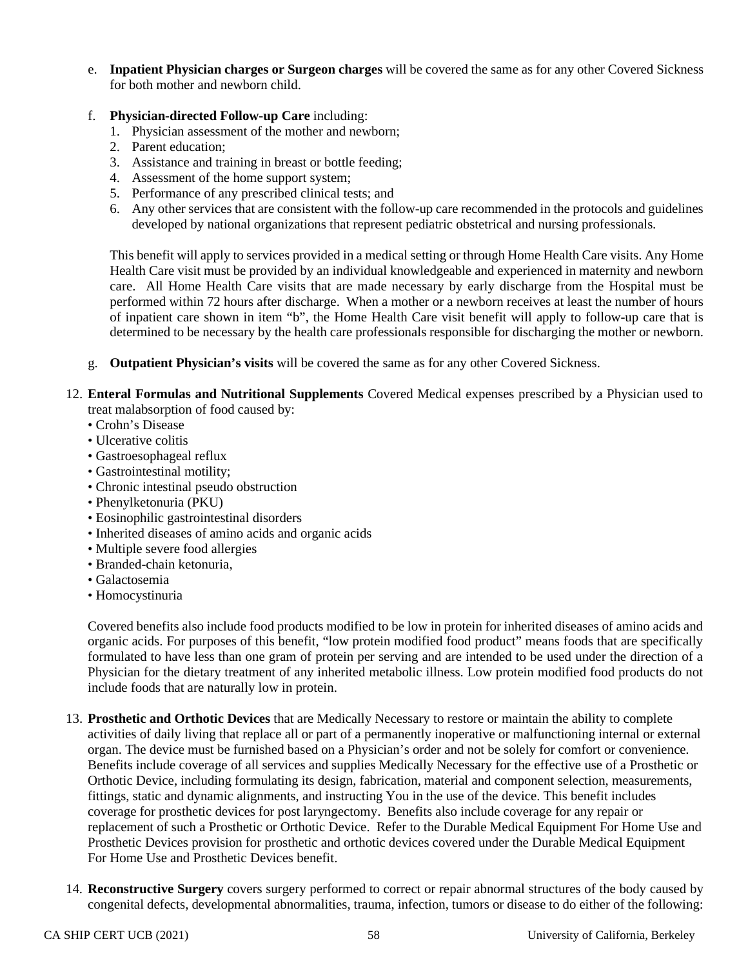- e. **Inpatient Physician charges or Surgeon charges** will be covered the same as for any other Covered Sickness for both mother and newborn child.
- f. **Physician-directed Follow-up Care** including:
	- 1. Physician assessment of the mother and newborn;
	- 2. Parent education;
	- 3. Assistance and training in breast or bottle feeding;
	- 4. Assessment of the home support system;
	- 5. Performance of any prescribed clinical tests; and
	- 6. Any other services that are consistent with the follow-up care recommended in the protocols and guidelines developed by national organizations that represent pediatric obstetrical and nursing professionals.

This benefit will apply to services provided in a medical setting or through Home Health Care visits. Any Home Health Care visit must be provided by an individual knowledgeable and experienced in maternity and newborn care. All Home Health Care visits that are made necessary by early discharge from the Hospital must be performed within 72 hours after discharge. When a mother or a newborn receives at least the number of hours of inpatient care shown in item "b", the Home Health Care visit benefit will apply to follow-up care that is determined to be necessary by the health care professionals responsible for discharging the mother or newborn.

- g. **Outpatient Physician's visits** will be covered the same as for any other Covered Sickness.
- 12. **Enteral Formulas and Nutritional Supplements** Covered Medical expenses prescribed by a Physician used to treat malabsorption of food caused by:
	- Crohn's Disease
	- Ulcerative colitis
	- Gastroesophageal reflux
	- Gastrointestinal motility;
	- Chronic intestinal pseudo obstruction
	- Phenylketonuria (PKU)
	- Eosinophilic gastrointestinal disorders
	- Inherited diseases of amino acids and organic acids
	- Multiple severe food allergies
	- Branded-chain ketonuria,
	- Galactosemia
	- Homocystinuria

Covered benefits also include food products modified to be low in protein for inherited diseases of amino acids and organic acids. For purposes of this benefit, "low protein modified food product" means foods that are specifically formulated to have less than one gram of protein per serving and are intended to be used under the direction of a Physician for the dietary treatment of any inherited metabolic illness. Low protein modified food products do not include foods that are naturally low in protein.

- 13. **Prosthetic and Orthotic Devices** that are Medically Necessary to restore or maintain the ability to complete activities of daily living that replace all or part of a permanently inoperative or malfunctioning internal or external organ. The device must be furnished based on a Physician's order and not be solely for comfort or convenience. Benefits include coverage of all services and supplies Medically Necessary for the effective use of a Prosthetic or Orthotic Device, including formulating its design, fabrication, material and component selection, measurements, fittings, static and dynamic alignments, and instructing You in the use of the device. This benefit includes coverage for prosthetic devices for post laryngectomy. Benefits also include coverage for any repair or replacement of such a Prosthetic or Orthotic Device. Refer to the Durable Medical Equipment For Home Use and Prosthetic Devices provision for prosthetic and orthotic devices covered under the Durable Medical Equipment For Home Use and Prosthetic Devices benefit.
- 14. **Reconstructive Surgery** covers surgery performed to correct or repair abnormal structures of the body caused by congenital defects, developmental abnormalities, trauma, infection, tumors or disease to do either of the following: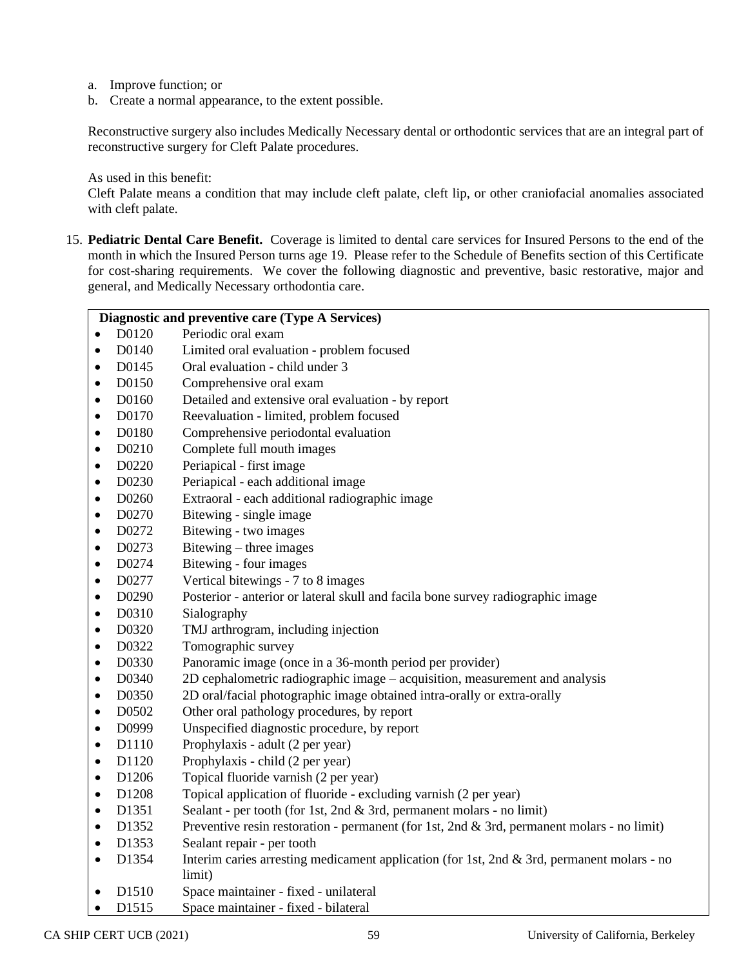- a. Improve function; or
- b. Create a normal appearance, to the extent possible.

Reconstructive surgery also includes Medically Necessary dental or orthodontic services that are an integral part of reconstructive surgery for Cleft Palate procedures.

As used in this benefit:

Cleft Palate means a condition that may include cleft palate, cleft lip, or other craniofacial anomalies associated with cleft palate.

15. **Pediatric Dental Care Benefit.** Coverage is limited to dental care services for Insured Persons to the end of the month in which the Insured Person turns age 19. Please refer to the Schedule of Benefits section of this Certificate for cost-sharing requirements. We cover the following diagnostic and preventive, basic restorative, major and general, and Medically Necessary orthodontia care.

|           | Diagnostic and preventive care (Type A Services) |                                                                                                      |  |
|-----------|--------------------------------------------------|------------------------------------------------------------------------------------------------------|--|
| $\bullet$ | D0120                                            | Periodic oral exam                                                                                   |  |
| $\bullet$ | D0140                                            | Limited oral evaluation - problem focused                                                            |  |
| $\bullet$ | D0145                                            | Oral evaluation - child under 3                                                                      |  |
| $\bullet$ | D0150                                            | Comprehensive oral exam                                                                              |  |
| $\bullet$ | D0160                                            | Detailed and extensive oral evaluation - by report                                                   |  |
| $\bullet$ | D0170                                            | Reevaluation - limited, problem focused                                                              |  |
| $\bullet$ | D0180                                            | Comprehensive periodontal evaluation                                                                 |  |
| $\bullet$ | D0210                                            | Complete full mouth images                                                                           |  |
| $\bullet$ | D0220                                            | Periapical - first image                                                                             |  |
| $\bullet$ | D0230                                            | Periapical - each additional image                                                                   |  |
| $\bullet$ | D0260                                            | Extraoral - each additional radiographic image                                                       |  |
| $\bullet$ | D0270                                            | Bitewing - single image                                                                              |  |
| $\bullet$ | D0272                                            | Bitewing - two images                                                                                |  |
| $\bullet$ | D0273                                            | Bitewing – three images                                                                              |  |
| $\bullet$ | D0274                                            | Bitewing - four images                                                                               |  |
| $\bullet$ | D0277                                            | Vertical bitewings - 7 to 8 images                                                                   |  |
| $\bullet$ | D0290                                            | Posterior - anterior or lateral skull and facila bone survey radiographic image                      |  |
| $\bullet$ | D0310                                            | Sialography                                                                                          |  |
| $\bullet$ | D0320                                            | TMJ arthrogram, including injection                                                                  |  |
| $\bullet$ | D0322                                            | Tomographic survey                                                                                   |  |
| $\bullet$ | D0330                                            | Panoramic image (once in a 36-month period per provider)                                             |  |
| $\bullet$ | D0340                                            | 2D cephalometric radiographic image – acquisition, measurement and analysis                          |  |
| $\bullet$ | D0350                                            | 2D oral/facial photographic image obtained intra-orally or extra-orally                              |  |
| $\bullet$ | D0502                                            | Other oral pathology procedures, by report                                                           |  |
| $\bullet$ | D0999                                            | Unspecified diagnostic procedure, by report                                                          |  |
| $\bullet$ | D1110                                            | Prophylaxis - adult (2 per year)                                                                     |  |
| $\bullet$ | D1120                                            | Prophylaxis - child (2 per year)                                                                     |  |
| $\bullet$ | D1206                                            | Topical fluoride varnish (2 per year)                                                                |  |
| $\bullet$ | D1208                                            | Topical application of fluoride - excluding varnish (2 per year)                                     |  |
| $\bullet$ | D1351                                            | Sealant - per tooth (for 1st, 2nd & 3rd, permanent molars - no limit)                                |  |
| $\bullet$ | D1352                                            | Preventive resin restoration - permanent (for 1st, 2nd & 3rd, permanent molars - no limit)           |  |
| $\bullet$ | D1353                                            | Sealant repair - per tooth                                                                           |  |
| $\bullet$ | D1354                                            | Interim caries arresting medicament application (for 1st, 2nd & 3rd, permanent molars - no<br>limit) |  |
| $\bullet$ | D1510                                            | Space maintainer - fixed - unilateral                                                                |  |
| $\bullet$ | D1515                                            | Space maintainer - fixed - bilateral                                                                 |  |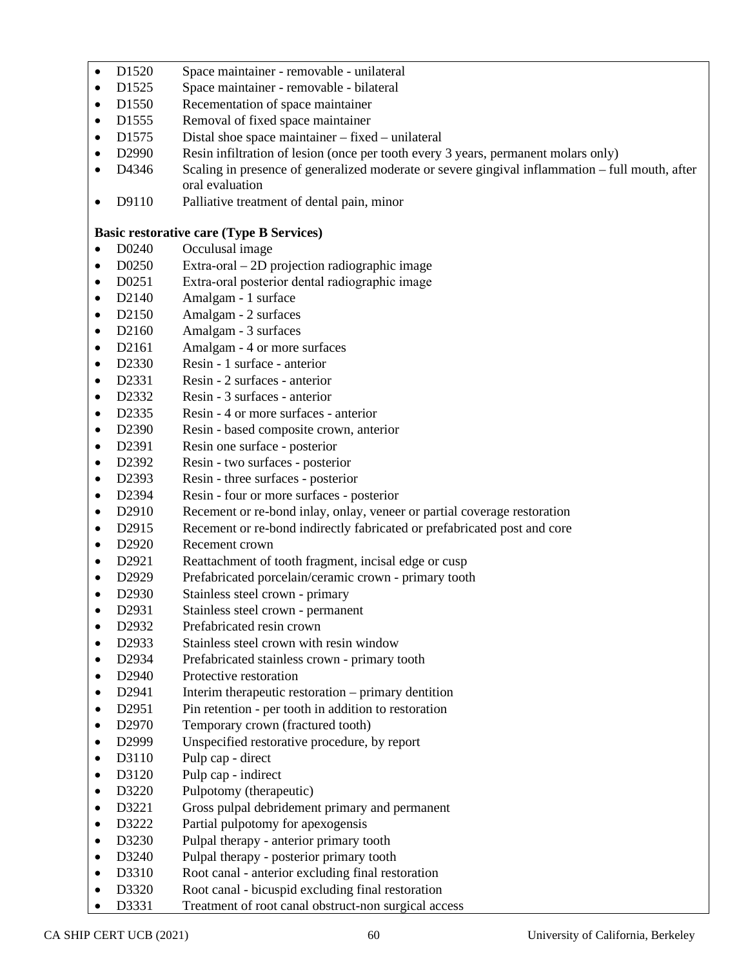- D1520 Space maintainer removable unilateral
- D1525 Space maintainer removable bilateral
- D1550 Recementation of space maintainer
- D1555 Removal of fixed space maintainer
- D1575 Distal shoe space maintainer fixed unilateral
- D2990 Resin infiltration of lesion (once per tooth every 3 years, permanent molars only)
- D4346 Scaling in presence of generalized moderate or severe gingival inflammation full mouth, after oral evaluation
- D9110 Palliative treatment of dental pain, minor

## **Basic restorative care (Type B Services)**

- D0240 Occulusal image
- D0250 Extra-oral 2D projection radiographic image
- D0251 Extra-oral posterior dental radiographic image
- D2140 Amalgam 1 surface
- D2150 Amalgam 2 surfaces
- D2160 Amalgam 3 surfaces
- D2161 Amalgam 4 or more surfaces
- D2330 Resin 1 surface anterior
- D2331 Resin 2 surfaces anterior
- D2332 Resin 3 surfaces anterior
- D2335 Resin 4 or more surfaces anterior
- D2390 Resin based composite crown, anterior
- D2391 Resin one surface posterior
- D2392 Resin two surfaces posterior
- D2393 Resin three surfaces posterior
- D2394 Resin four or more surfaces posterior
- D2910 Recement or re-bond inlay, onlay, veneer or partial coverage restoration
- D2915 Recement or re-bond indirectly fabricated or prefabricated post and core
- D2920 Recement crown
- D2921 Reattachment of tooth fragment, incisal edge or cusp
- D2929 Prefabricated porcelain/ceramic crown primary tooth
- D2930 Stainless steel crown primary
- D2931 Stainless steel crown permanent
- D2932 Prefabricated resin crown
- D2933 Stainless steel crown with resin window
- D2934 Prefabricated stainless crown primary tooth
- D2940 Protective restoration
- D2941 Interim therapeutic restoration primary dentition
- D2951 Pin retention per tooth in addition to restoration
- D2970 Temporary crown (fractured tooth)
- D2999 Unspecified restorative procedure, by report
- D3110 Pulp cap direct
- D3120 Pulp cap indirect
- D3220 Pulpotomy (therapeutic)
- D3221 Gross pulpal debridement primary and permanent
- D3222 Partial pulpotomy for apexogensis
- D3230 Pulpal therapy anterior primary tooth
- D3240 Pulpal therapy posterior primary tooth
- D3310 Root canal anterior excluding final restoration
- D3320 Root canal bicuspid excluding final restoration
- D3331 Treatment of root canal obstruct-non surgical access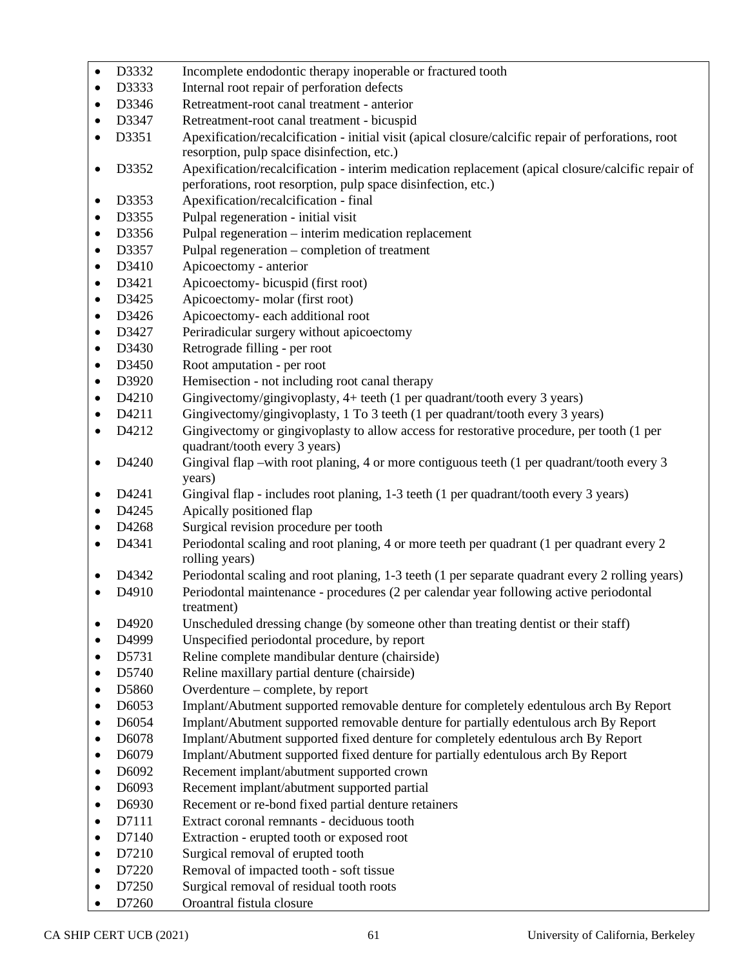- D3332 Incomplete endodontic therapy inoperable or fractured tooth
- D3333 Internal root repair of perforation defects
- D3346 Retreatment-root canal treatment anterior
- D3347 Retreatment-root canal treatment bicuspid
- D3351 Apexification/recalcification initial visit (apical closure/calcific repair of perforations, root resorption, pulp space disinfection, etc.)
- D3352 Apexification/recalcification interim medication replacement (apical closure/calcific repair of perforations, root resorption, pulp space disinfection, etc.)
- D3353 Apexification/recalcification final
- D3355 Pulpal regeneration initial visit
- D3356 Pulpal regeneration interim medication replacement
- D3357 Pulpal regeneration completion of treatment
- D3410 Apicoectomy anterior
- D3421 Apicoectomy- bicuspid (first root)
- D3425 Apicoectomy- molar (first root)
- D3426 Apicoectomy- each additional root
- D3427 Periradicular surgery without apicoectomy<br>• D3430 Retrograde filling per root
- D3430 Retrograde filling per root
- D3450 Root amputation per root
- D3920 Hemisection not including root canal therapy
- D4210 Gingivectomy/gingivoplasty, 4+ teeth (1 per quadrant/tooth every 3 years)
- D4211 Gingivectomy/gingivoplasty, 1 To 3 teeth (1 per quadrant/tooth every 3 years)
- D4212 Gingivectomy or gingivoplasty to allow access for restorative procedure, per tooth (1 per quadrant/tooth every 3 years)
- D4240 Gingival flap –with root planing, 4 or more contiguous teeth (1 per quadrant/tooth every 3 years)
- D4241 Gingival flap includes root planing, 1-3 teeth (1 per quadrant/tooth every 3 years)
- D4245 Apically positioned flap
- D4268 Surgical revision procedure per tooth
- D4341 Periodontal scaling and root planing, 4 or more teeth per quadrant (1 per quadrant every 2 rolling years)
- D4342 Periodontal scaling and root planing, 1-3 teeth (1 per separate quadrant every 2 rolling years)
- D4910 Periodontal maintenance procedures (2 per calendar year following active periodontal treatment)
- D4920 Unscheduled dressing change (by someone other than treating dentist or their staff)
- D4999 Unspecified periodontal procedure, by report
- D5731 Reline complete mandibular denture (chairside)
- D5740 Reline maxillary partial denture (chairside)
- D5860 Overdenture complete, by report
- D6053 Implant/Abutment supported removable denture for completely edentulous arch By Report
- D6054 Implant/Abutment supported removable denture for partially edentulous arch By Report
- D6078 Implant/Abutment supported fixed denture for completely edentulous arch By Report
- D6079 Implant/Abutment supported fixed denture for partially edentulous arch By Report
- D6092 Recement implant/abutment supported crown
- D6093 Recement implant/abutment supported partial
- D6930 Recement or re-bond fixed partial denture retainers
- D7111 Extract coronal remnants deciduous tooth
- D7140 Extraction erupted tooth or exposed root
- D7210 Surgical removal of erupted tooth
- D7220 Removal of impacted tooth soft tissue
- D7250 Surgical removal of residual tooth roots
- D7260 Oroantral fistula closure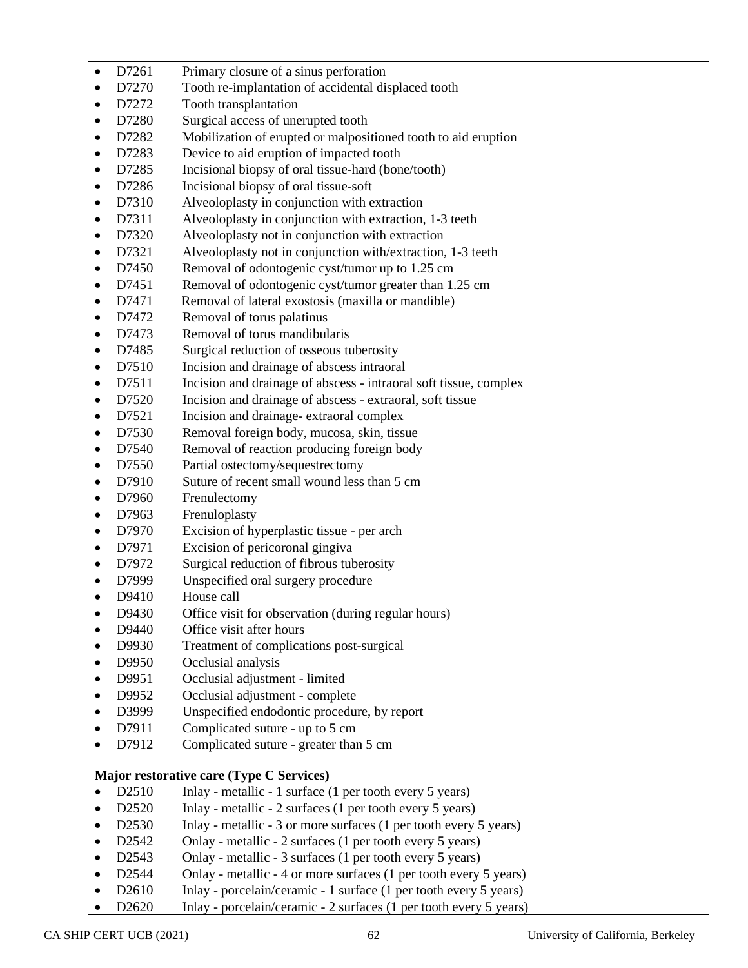| $\bullet$ | D7261             | Primary closure of a sinus perforation                            |
|-----------|-------------------|-------------------------------------------------------------------|
| $\bullet$ | D7270             | Tooth re-implantation of accidental displaced tooth               |
| $\bullet$ | D7272             | Tooth transplantation                                             |
| $\bullet$ | D7280             | Surgical access of unerupted tooth                                |
| $\bullet$ | D7282             | Mobilization of erupted or malpositioned tooth to aid eruption    |
| $\bullet$ | D7283             | Device to aid eruption of impacted tooth                          |
| $\bullet$ | D7285             | Incisional biopsy of oral tissue-hard (bone/tooth)                |
| $\bullet$ | D7286             | Incisional biopsy of oral tissue-soft                             |
| $\bullet$ | D7310             | Alveoloplasty in conjunction with extraction                      |
| $\bullet$ | D7311             | Alveoloplasty in conjunction with extraction, 1-3 teeth           |
| $\bullet$ | D7320             | Alveoloplasty not in conjunction with extraction                  |
| $\bullet$ | D7321             | Alveoloplasty not in conjunction with/extraction, 1-3 teeth       |
| $\bullet$ | D7450             | Removal of odontogenic cyst/tumor up to 1.25 cm                   |
| $\bullet$ | D7451             | Removal of odontogenic cyst/tumor greater than 1.25 cm            |
| $\bullet$ | D7471             | Removal of lateral exostosis (maxilla or mandible)                |
| $\bullet$ | D7472             | Removal of torus palatinus                                        |
|           | D7473             | Removal of torus mandibularis                                     |
| $\bullet$ | D7485             | Surgical reduction of osseous tuberosity                          |
| $\bullet$ | D7510             | Incision and drainage of abscess intraoral                        |
| $\bullet$ | D7511             | Incision and drainage of abscess - intraoral soft tissue, complex |
| $\bullet$ | D7520             | Incision and drainage of abscess - extraoral, soft tissue         |
| $\bullet$ | D7521             | Incision and drainage-extraoral complex                           |
| $\bullet$ | D7530             | Removal foreign body, mucosa, skin, tissue                        |
| $\bullet$ | D7540             | Removal of reaction producing foreign body                        |
| $\bullet$ | D7550             | Partial ostectomy/sequestrectomy                                  |
| $\bullet$ | D7910             | Suture of recent small wound less than 5 cm                       |
| $\bullet$ | D7960             | Frenulectomy                                                      |
| $\bullet$ | D7963             | Frenuloplasty                                                     |
| $\bullet$ | D7970             | Excision of hyperplastic tissue - per arch                        |
| $\bullet$ | D7971             | Excision of pericoronal gingiva                                   |
| $\bullet$ | D7972             | Surgical reduction of fibrous tuberosity                          |
| $\bullet$ | D7999             | Unspecified oral surgery procedure                                |
| $\bullet$ | D9410             | House call                                                        |
| $\bullet$ | D9430             | Office visit for observation (during regular hours)               |
|           | D9440             | Office visit after hours                                          |
| $\bullet$ | D9930             | Treatment of complications post-surgical                          |
|           | D9950             | Occlusial analysis                                                |
| $\bullet$ | D9951             | Occlusial adjustment - limited                                    |
| $\bullet$ | D9952             | Occlusial adjustment - complete                                   |
| $\bullet$ | D3999             | Unspecified endodontic procedure, by report                       |
| $\bullet$ | D7911             | Complicated suture - up to 5 cm                                   |
|           | D7912             | Complicated suture - greater than 5 cm                            |
|           |                   | Major restorative care (Type C Services)                          |
| $\bullet$ | D2510             | Inlay - metallic - 1 surface (1 per tooth every 5 years)          |
| $\bullet$ | D2520             | Inlay - metallic - 2 surfaces (1 per tooth every 5 years)         |
| $\bullet$ | D2530             | Inlay - metallic - 3 or more surfaces (1 per tooth every 5 years) |
| $\bullet$ | D2542             | Onlay - metallic - 2 surfaces (1 per tooth every 5 years)         |
| $\bullet$ | D <sub>2543</sub> | Onlay - metallic - 3 surfaces (1 per tooth every 5 years)         |
| $\bullet$ | D <sub>2544</sub> | Onlay - metallic - 4 or more surfaces (1 per tooth every 5 years) |
|           | D2610             | Inlay - porcelain/ceramic - 1 surface (1 per tooth every 5 years) |

• D2620 Inlay - porcelain/ceramic - 2 surfaces (1 per tooth every 5 years)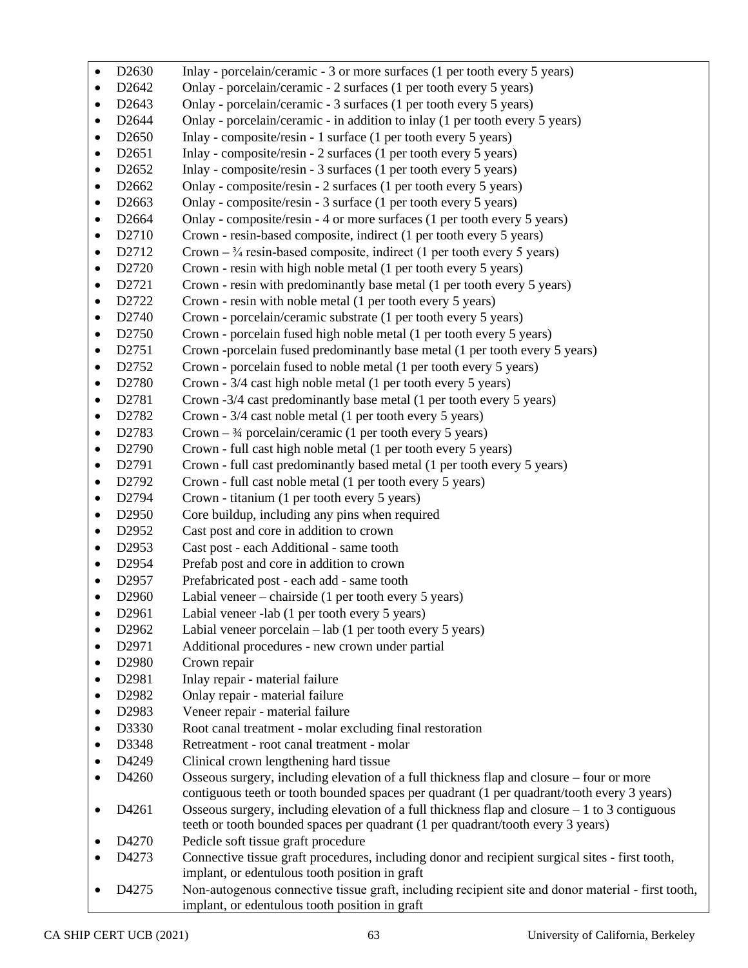| $\bullet$ | D <sub>2630</sub> | Inlay - porcelain/ceramic - 3 or more surfaces (1 per tooth every 5 years)                                                                                                             |
|-----------|-------------------|----------------------------------------------------------------------------------------------------------------------------------------------------------------------------------------|
| $\bullet$ | D2642             | Onlay - porcelain/ceramic - 2 surfaces (1 per tooth every 5 years)                                                                                                                     |
| $\bullet$ | D <sub>2643</sub> | Onlay - porcelain/ceramic - 3 surfaces (1 per tooth every 5 years)                                                                                                                     |
| $\bullet$ | D <sub>2644</sub> | Onlay - porcelain/ceramic - in addition to inlay (1 per tooth every 5 years)                                                                                                           |
| ٠         | D <sub>2650</sub> | Inlay - composite/resin - 1 surface (1 per tooth every 5 years)                                                                                                                        |
| ٠         | D <sub>2651</sub> | Inlay - composite/resin - 2 surfaces (1 per tooth every 5 years)                                                                                                                       |
| $\bullet$ | D <sub>2652</sub> | Inlay - composite/resin - 3 surfaces (1 per tooth every 5 years)                                                                                                                       |
| ٠         | D <sub>2662</sub> | Onlay - composite/resin - 2 surfaces (1 per tooth every 5 years)                                                                                                                       |
| ٠         | D <sub>2663</sub> | Onlay - composite/resin - 3 surface (1 per tooth every 5 years)                                                                                                                        |
| $\bullet$ | D2664             | Onlay - composite/resin - 4 or more surfaces (1 per tooth every 5 years)                                                                                                               |
| $\bullet$ | D2710             | Crown - resin-based composite, indirect (1 per tooth every 5 years)                                                                                                                    |
| ٠         | D2712             | Crown $-3/4$ resin-based composite, indirect (1 per tooth every 5 years)                                                                                                               |
| $\bullet$ | D2720             | Crown - resin with high noble metal (1 per tooth every 5 years)                                                                                                                        |
| ٠         | D2721             | Crown - resin with predominantly base metal (1 per tooth every 5 years)                                                                                                                |
| $\bullet$ | D2722             | Crown - resin with noble metal (1 per tooth every 5 years)                                                                                                                             |
| $\bullet$ | D2740             | Crown - porcelain/ceramic substrate (1 per tooth every 5 years)                                                                                                                        |
| ٠         | D2750             | Crown - porcelain fused high noble metal (1 per tooth every 5 years)                                                                                                                   |
| ٠         | D2751             | Crown -porcelain fused predominantly base metal (1 per tooth every 5 years)                                                                                                            |
| $\bullet$ | D2752             | Crown - porcelain fused to noble metal (1 per tooth every 5 years)                                                                                                                     |
| $\bullet$ | D2780             | Crown - 3/4 cast high noble metal (1 per tooth every 5 years)                                                                                                                          |
| $\bullet$ | D2781             | Crown -3/4 cast predominantly base metal (1 per tooth every 5 years)                                                                                                                   |
| ٠         | D2782             | Crown - 3/4 cast noble metal (1 per tooth every 5 years)                                                                                                                               |
| $\bullet$ | D2783             | Crown $-3/4$ porcelain/ceramic (1 per tooth every 5 years)                                                                                                                             |
| $\bullet$ | D <sub>2790</sub> | Crown - full cast high noble metal (1 per tooth every 5 years)                                                                                                                         |
| $\bullet$ | D2791             | Crown - full cast predominantly based metal (1 per tooth every 5 years)                                                                                                                |
| $\bullet$ | D2792             | Crown - full cast noble metal (1 per tooth every 5 years)                                                                                                                              |
| $\bullet$ | D2794             | Crown - titanium (1 per tooth every 5 years)                                                                                                                                           |
| $\bullet$ | D <sub>2950</sub> | Core buildup, including any pins when required                                                                                                                                         |
| ٠         | D <sub>2952</sub> | Cast post and core in addition to crown                                                                                                                                                |
| ٠         | D <sub>2953</sub> | Cast post - each Additional - same tooth                                                                                                                                               |
| ٠         | D <sub>2954</sub> | Prefab post and core in addition to crown                                                                                                                                              |
| $\bullet$ | D2957             | Prefabricated post - each add - same tooth                                                                                                                                             |
| $\bullet$ | D2960             | Labial veneer – chairside (1 per tooth every 5 years)                                                                                                                                  |
|           | D2961             | Labial veneer -lab (1 per tooth every 5 years)                                                                                                                                         |
| ٠         | D2962             | Labial veneer porcelain $-$ lab (1 per tooth every 5 years)                                                                                                                            |
| $\bullet$ | D2971             | Additional procedures - new crown under partial                                                                                                                                        |
| ٠         | D2980             | Crown repair                                                                                                                                                                           |
| $\bullet$ | D2981             | Inlay repair - material failure                                                                                                                                                        |
| ٠         | D2982             | Onlay repair - material failure                                                                                                                                                        |
| $\bullet$ | D2983             | Veneer repair - material failure                                                                                                                                                       |
| $\bullet$ | D3330<br>D3348    | Root canal treatment - molar excluding final restoration<br>Retreatment - root canal treatment - molar                                                                                 |
| $\bullet$ | D4249             |                                                                                                                                                                                        |
|           | D4260             | Clinical crown lengthening hard tissue                                                                                                                                                 |
| $\bullet$ |                   | Osseous surgery, including elevation of a full thickness flap and closure – four or more<br>contiguous teeth or tooth bounded spaces per quadrant (1 per quadrant/tooth every 3 years) |
| ٠         | D4261             | Osseous surgery, including elevation of a full thickness flap and closure - 1 to 3 contiguous                                                                                          |
| ٠         | D4270             | teeth or tooth bounded spaces per quadrant (1 per quadrant/tooth every 3 years)<br>Pedicle soft tissue graft procedure                                                                 |
|           | D4273             | Connective tissue graft procedures, including donor and recipient surgical sites - first tooth,                                                                                        |
|           |                   | implant, or edentulous tooth position in graft                                                                                                                                         |
|           | D4275             | Non-autogenous connective tissue graft, including recipient site and donor material - first tooth,<br>implant, or edentulous tooth position in graft                                   |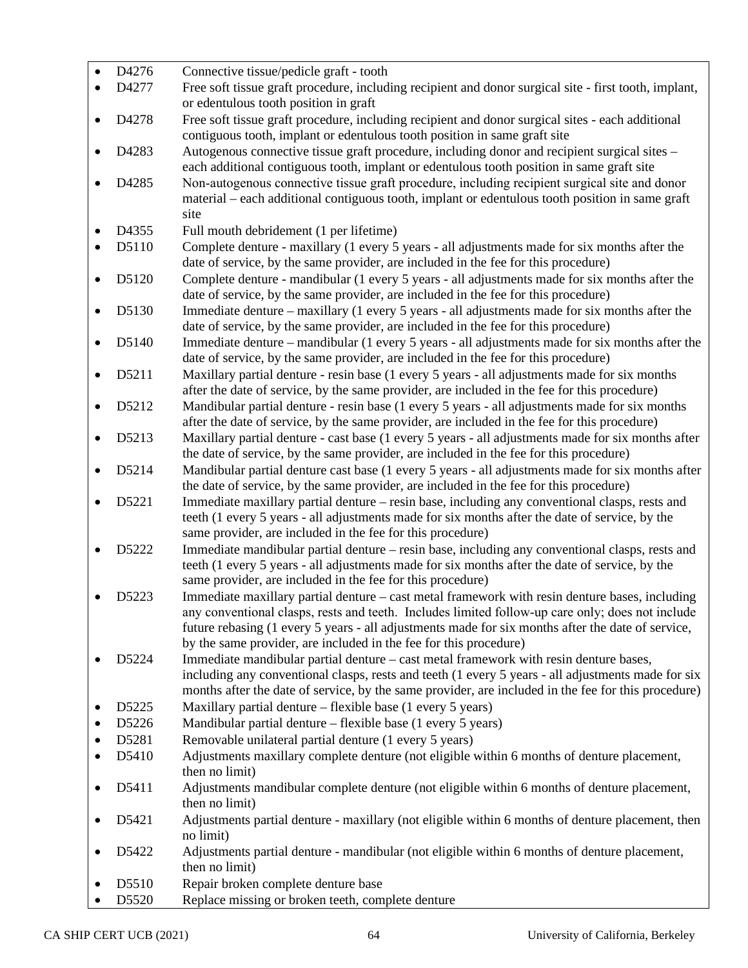| $\bullet$ | D4276 | Connective tissue/pedicle graft - tooth                                                                                                                                              |
|-----------|-------|--------------------------------------------------------------------------------------------------------------------------------------------------------------------------------------|
| $\bullet$ | D4277 | Free soft tissue graft procedure, including recipient and donor surgical site - first tooth, implant,                                                                                |
|           |       | or edentulous tooth position in graft                                                                                                                                                |
|           | D4278 | Free soft tissue graft procedure, including recipient and donor surgical sites - each additional<br>contiguous tooth, implant or edentulous tooth position in same graft site        |
|           | D4283 | Autogenous connective tissue graft procedure, including donor and recipient surgical sites –                                                                                         |
|           |       | each additional contiguous tooth, implant or edentulous tooth position in same graft site                                                                                            |
|           | D4285 | Non-autogenous connective tissue graft procedure, including recipient surgical site and donor                                                                                        |
|           |       | material – each additional contiguous tooth, implant or edentulous tooth position in same graft                                                                                      |
|           |       | site                                                                                                                                                                                 |
| $\bullet$ | D4355 | Full mouth debridement (1 per lifetime)                                                                                                                                              |
|           | D5110 | Complete denture - maxillary (1 every 5 years - all adjustments made for six months after the<br>date of service, by the same provider, are included in the fee for this procedure)  |
| $\bullet$ | D5120 | Complete denture - mandibular (1 every 5 years - all adjustments made for six months after the<br>date of service, by the same provider, are included in the fee for this procedure) |
|           | D5130 | Immediate denture – maxillary (1 every 5 years - all adjustments made for six months after the                                                                                       |
|           |       | date of service, by the same provider, are included in the fee for this procedure)                                                                                                   |
| $\bullet$ | D5140 | Immediate denture – mandibular (1 every 5 years - all adjustments made for six months after the                                                                                      |
|           |       | date of service, by the same provider, are included in the fee for this procedure)                                                                                                   |
| $\bullet$ | D5211 | Maxillary partial denture - resin base (1 every 5 years - all adjustments made for six months                                                                                        |
|           |       | after the date of service, by the same provider, are included in the fee for this procedure)                                                                                         |
|           | D5212 | Mandibular partial denture - resin base (1 every 5 years - all adjustments made for six months                                                                                       |
|           |       | after the date of service, by the same provider, are included in the fee for this procedure)                                                                                         |
|           | D5213 | Maxillary partial denture - cast base (1 every 5 years - all adjustments made for six months after                                                                                   |
|           |       | the date of service, by the same provider, are included in the fee for this procedure)                                                                                               |
|           | D5214 | Mandibular partial denture cast base (1 every 5 years - all adjustments made for six months after                                                                                    |
|           |       | the date of service, by the same provider, are included in the fee for this procedure)                                                                                               |
|           | D5221 | Immediate maxillary partial denture – resin base, including any conventional clasps, rests and                                                                                       |
|           |       | teeth (1 every 5 years - all adjustments made for six months after the date of service, by the                                                                                       |
|           |       | same provider, are included in the fee for this procedure)                                                                                                                           |
|           | D5222 | Immediate mandibular partial denture – resin base, including any conventional clasps, rests and                                                                                      |
|           |       | teeth (1 every 5 years - all adjustments made for six months after the date of service, by the                                                                                       |
|           | D5223 | same provider, are included in the fee for this procedure)<br>Immediate maxillary partial denture - cast metal framework with resin denture bases, including                         |
|           |       | any conventional clasps, rests and teeth. Includes limited follow-up care only; does not include                                                                                     |
|           |       | future rebasing (1 every 5 years - all adjustments made for six months after the date of service,                                                                                    |
|           |       | by the same provider, are included in the fee for this procedure)                                                                                                                    |
|           | D5224 | Immediate mandibular partial denture – cast metal framework with resin denture bases,                                                                                                |
|           |       | including any conventional clasps, rests and teeth (1 every 5 years - all adjustments made for six                                                                                   |
|           |       | months after the date of service, by the same provider, are included in the fee for this procedure)                                                                                  |
| ٠         | D5225 | Maxillary partial denture - flexible base (1 every 5 years)                                                                                                                          |
|           | D5226 | Mandibular partial denture – flexible base (1 every 5 years)                                                                                                                         |
|           | D5281 | Removable unilateral partial denture (1 every 5 years)                                                                                                                               |
|           | D5410 | Adjustments maxillary complete denture (not eligible within 6 months of denture placement,                                                                                           |
|           |       | then no limit)                                                                                                                                                                       |
|           | D5411 | Adjustments mandibular complete denture (not eligible within 6 months of denture placement,<br>then no limit)                                                                        |
|           | D5421 | Adjustments partial denture - maxillary (not eligible within 6 months of denture placement, then<br>no limit)                                                                        |
|           | D5422 | Adjustments partial denture - mandibular (not eligible within 6 months of denture placement,<br>then no limit)                                                                       |
|           | D5510 | Repair broken complete denture base                                                                                                                                                  |
|           | D5520 | Replace missing or broken teeth, complete denture                                                                                                                                    |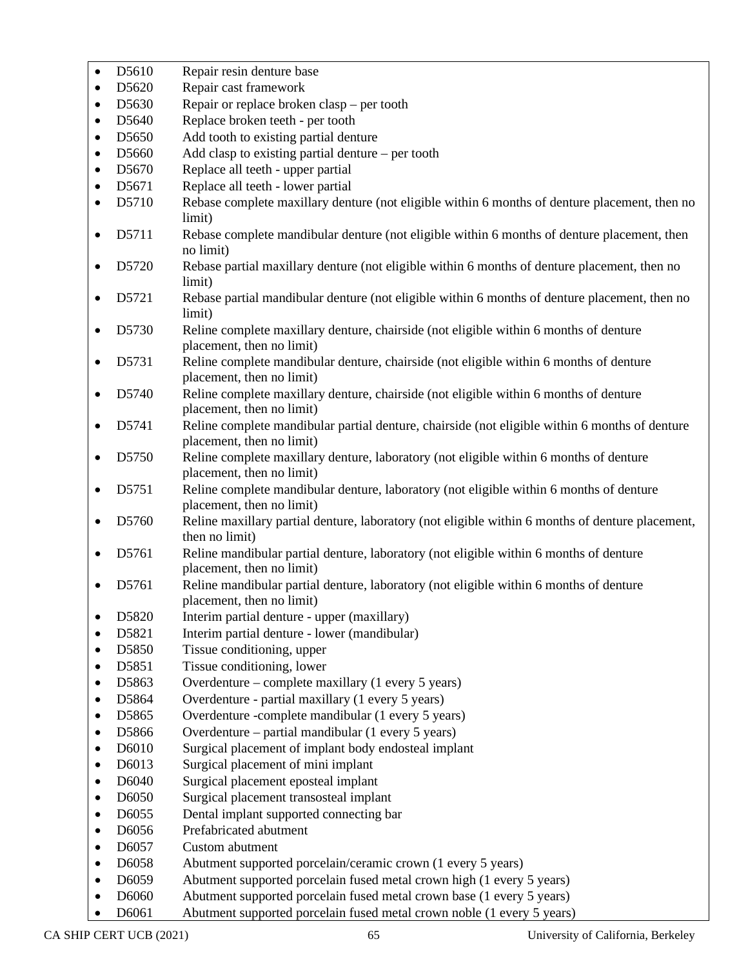| $\bullet$ | D5610              | Repair resin denture base                                                                                                   |
|-----------|--------------------|-----------------------------------------------------------------------------------------------------------------------------|
| $\bullet$ | D5620              | Repair cast framework                                                                                                       |
| $\bullet$ | D5630              | Repair or replace broken clasp - per tooth                                                                                  |
| $\bullet$ | D5640              | Replace broken teeth - per tooth                                                                                            |
| $\bullet$ | D5650              | Add tooth to existing partial denture                                                                                       |
| $\bullet$ | D5660              | Add clasp to existing partial denture $-$ per tooth                                                                         |
| $\bullet$ | D5670              | Replace all teeth - upper partial                                                                                           |
| $\bullet$ | D5671              | Replace all teeth - lower partial                                                                                           |
| $\bullet$ | D5710              | Rebase complete maxillary denture (not eligible within 6 months of denture placement, then no                               |
|           |                    | limit)                                                                                                                      |
| $\bullet$ | D5711              | Rebase complete mandibular denture (not eligible within 6 months of denture placement, then<br>no limit)                    |
|           | D5720              | Rebase partial maxillary denture (not eligible within 6 months of denture placement, then no<br>limit)                      |
|           | D5721              | Rebase partial mandibular denture (not eligible within 6 months of denture placement, then no<br>limit)                     |
| $\bullet$ | D5730              | Reline complete maxillary denture, chairside (not eligible within 6 months of denture                                       |
|           |                    | placement, then no limit)                                                                                                   |
| $\bullet$ | D5731              | Reline complete mandibular denture, chairside (not eligible within 6 months of denture<br>placement, then no limit)         |
| $\bullet$ | D5740              | Reline complete maxillary denture, chairside (not eligible within 6 months of denture                                       |
|           |                    | placement, then no limit)                                                                                                   |
|           | D5741              | Reline complete mandibular partial denture, chairside (not eligible within 6 months of denture<br>placement, then no limit) |
|           | D5750              | Reline complete maxillary denture, laboratory (not eligible within 6 months of denture<br>placement, then no limit)         |
| $\bullet$ | D5751              | Reline complete mandibular denture, laboratory (not eligible within 6 months of denture<br>placement, then no limit)        |
| $\bullet$ | D5760              | Reline maxillary partial denture, laboratory (not eligible within 6 months of denture placement,<br>then no limit)          |
|           | D5761              | Reline mandibular partial denture, laboratory (not eligible within 6 months of denture<br>placement, then no limit)         |
|           | D5761              | Reline mandibular partial denture, laboratory (not eligible within 6 months of denture<br>placement, then no limit)         |
| $\bullet$ | D5820              | Interim partial denture - upper (maxillary)                                                                                 |
|           | D5821              | Interim partial denture - lower (mandibular)                                                                                |
|           | D5850              | Tissue conditioning, upper                                                                                                  |
| ٠         | D5851              | Tissue conditioning, lower                                                                                                  |
| ٠         | D5863              | Overdenture – complete maxillary (1 every 5 years)                                                                          |
| ٠         | D5864              | Overdenture - partial maxillary (1 every 5 years)                                                                           |
| ٠         | D5865              | Overdenture -complete mandibular (1 every 5 years)                                                                          |
| ٠         | D5866              | Overdenture – partial mandibular (1 every 5 years)                                                                          |
| $\bullet$ | D6010              | Surgical placement of implant body endosteal implant                                                                        |
| ٠         | D6013              | Surgical placement of mini implant                                                                                          |
| ٠         | D6040              | Surgical placement eposteal implant                                                                                         |
| $\bullet$ | D6050              | Surgical placement transosteal implant                                                                                      |
| ٠         | D6055              | Dental implant supported connecting bar                                                                                     |
| ٠         | D6056              | Prefabricated abutment                                                                                                      |
| $\bullet$ | D6057              | Custom abutment                                                                                                             |
| ٠         | D6058              | Abutment supported porcelain/ceramic crown (1 every 5 years)                                                                |
| $\bullet$ | D <sub>6</sub> 059 | Abutment supported porcelain fused metal crown high (1 every 5 years)                                                       |
| ٠         | D6060              | Abutment supported porcelain fused metal crown base (1 every 5 years)                                                       |
| $\bullet$ | D6061              | Abutment supported porcelain fused metal crown noble (1 every 5 years)                                                      |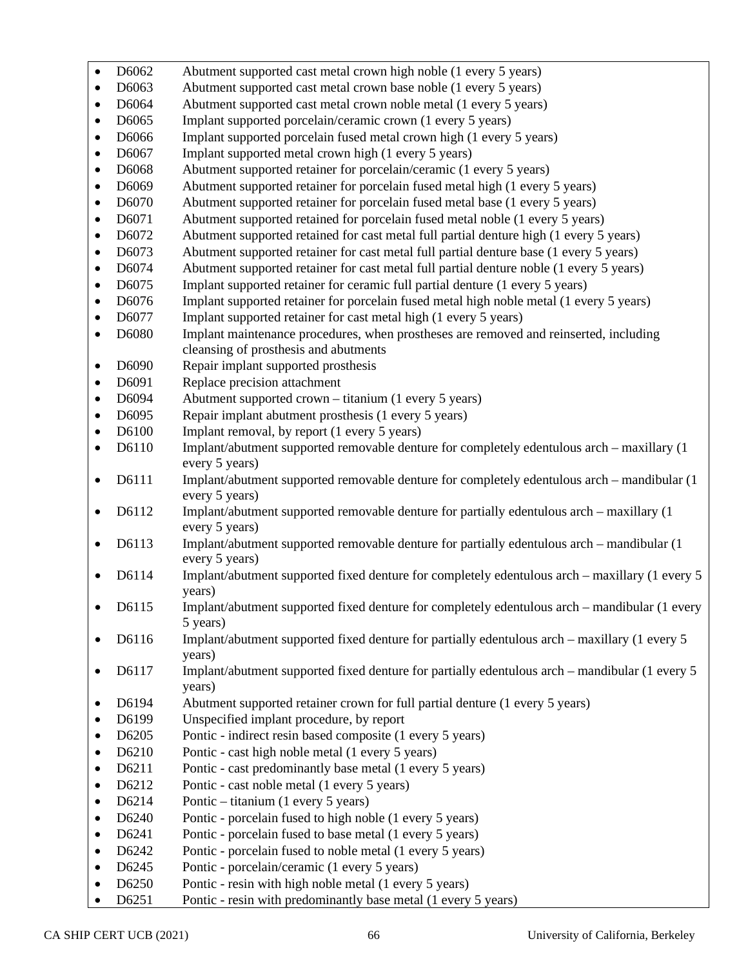| $\bullet$ | D6062 | Abutment supported cast metal crown high noble (1 every 5 years)                                               |
|-----------|-------|----------------------------------------------------------------------------------------------------------------|
| $\bullet$ | D6063 | Abutment supported cast metal crown base noble (1 every 5 years)                                               |
| $\bullet$ | D6064 | Abutment supported cast metal crown noble metal (1 every 5 years)                                              |
| $\bullet$ | D6065 | Implant supported porcelain/ceramic crown (1 every 5 years)                                                    |
| $\bullet$ | D6066 | Implant supported porcelain fused metal crown high (1 every 5 years)                                           |
| $\bullet$ | D6067 | Implant supported metal crown high (1 every 5 years)                                                           |
| $\bullet$ | D6068 | Abutment supported retainer for porcelain/ceramic (1 every 5 years)                                            |
| $\bullet$ | D6069 | Abutment supported retainer for porcelain fused metal high (1 every 5 years)                                   |
| $\bullet$ | D6070 | Abutment supported retainer for porcelain fused metal base (1 every 5 years)                                   |
| $\bullet$ | D6071 | Abutment supported retained for porcelain fused metal noble (1 every 5 years)                                  |
| $\bullet$ | D6072 | Abutment supported retained for cast metal full partial denture high (1 every 5 years)                         |
| $\bullet$ | D6073 | Abutment supported retainer for cast metal full partial denture base (1 every 5 years)                         |
| $\bullet$ | D6074 | Abutment supported retainer for cast metal full partial denture noble (1 every 5 years)                        |
| $\bullet$ | D6075 | Implant supported retainer for ceramic full partial denture (1 every 5 years)                                  |
| $\bullet$ | D6076 | Implant supported retainer for porcelain fused metal high noble metal (1 every 5 years)                        |
| $\bullet$ | D6077 | Implant supported retainer for cast metal high (1 every 5 years)                                               |
| $\bullet$ | D6080 | Implant maintenance procedures, when prostheses are removed and reinserted, including                          |
|           |       | cleansing of prosthesis and abutments                                                                          |
| $\bullet$ | D6090 | Repair implant supported prosthesis                                                                            |
| $\bullet$ | D6091 | Replace precision attachment                                                                                   |
| $\bullet$ | D6094 | Abutment supported crown - titanium (1 every 5 years)                                                          |
| $\bullet$ | D6095 | Repair implant abutment prosthesis (1 every 5 years)                                                           |
| $\bullet$ | D6100 | Implant removal, by report (1 every 5 years)                                                                   |
| $\bullet$ | D6110 | Implant/abutment supported removable denture for completely edentulous arch - maxillary (1)                    |
|           | D6111 | every 5 years)                                                                                                 |
| $\bullet$ |       | Implant/abutment supported removable denture for completely edentulous arch – mandibular (1)<br>every 5 years) |
| $\bullet$ | D6112 | Implant/abutment supported removable denture for partially edentulous arch – maxillary (1)                     |
|           |       | every 5 years)                                                                                                 |
| $\bullet$ | D6113 | Implant/abutment supported removable denture for partially edentulous arch - mandibular (1)                    |
|           |       | every 5 years)                                                                                                 |
| $\bullet$ | D6114 | Implant/abutment supported fixed denture for completely edentulous arch - maxillary (1 every 5                 |
|           |       | years)                                                                                                         |
|           | D6115 | Implant/abutment supported fixed denture for completely edentulous arch – mandibular (1 every                  |
|           |       | 5 years)                                                                                                       |
|           | D6116 | Implant/abutment supported fixed denture for partially edentulous arch - maxillary (1 every 5                  |
|           |       | years)                                                                                                         |
|           | D6117 | Implant/abutment supported fixed denture for partially edentulous arch – mandibular (1 every 5                 |
| ٠         | D6194 | years)<br>Abutment supported retainer crown for full partial denture (1 every 5 years)                         |
| $\bullet$ | D6199 | Unspecified implant procedure, by report                                                                       |
| $\bullet$ | D6205 | Pontic - indirect resin based composite (1 every 5 years)                                                      |
| $\bullet$ | D6210 | Pontic - cast high noble metal (1 every 5 years)                                                               |
| $\bullet$ | D6211 | Pontic - cast predominantly base metal (1 every 5 years)                                                       |
| $\bullet$ | D6212 | Pontic - cast noble metal (1 every 5 years)                                                                    |
| ٠         | D6214 | Pontic – titanium (1 every 5 years)                                                                            |
| $\bullet$ | D6240 | Pontic - porcelain fused to high noble (1 every 5 years)                                                       |
| ٠         | D6241 | Pontic - porcelain fused to base metal (1 every 5 years)                                                       |
| $\bullet$ | D6242 | Pontic - porcelain fused to noble metal (1 every 5 years)                                                      |
| ٠         | D6245 | Pontic - porcelain/ceramic (1 every 5 years)                                                                   |
|           | D6250 | Pontic - resin with high noble metal (1 every 5 years)                                                         |
|           | D6251 | Pontic - resin with predominantly base metal (1 every 5 years)                                                 |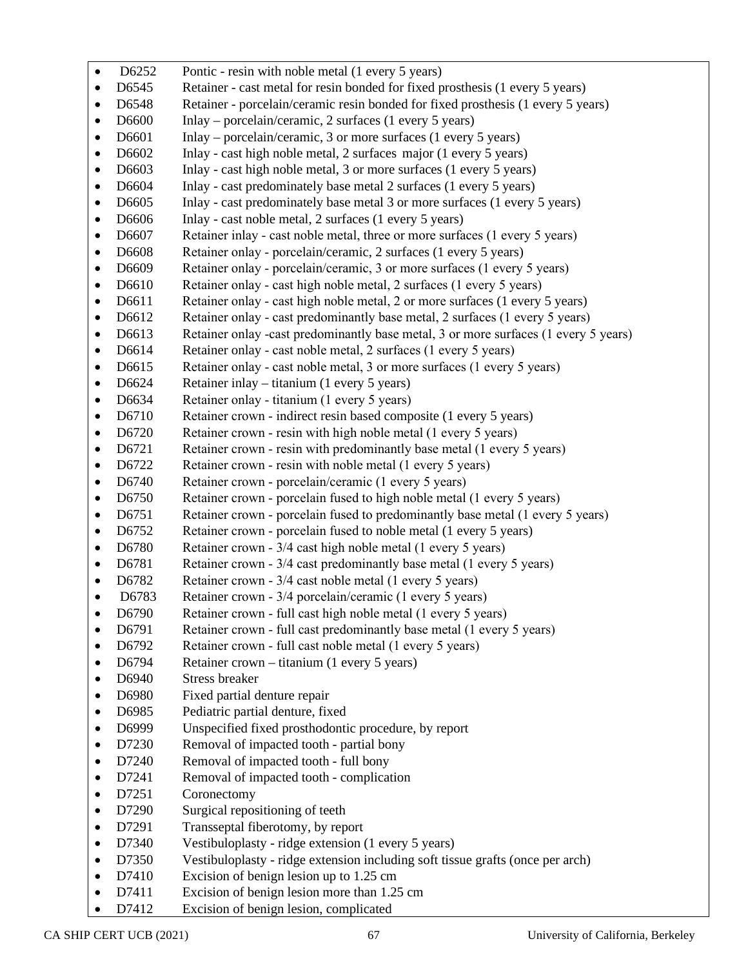| $\bullet$              | D6252          | Pontic - resin with noble metal (1 every 5 years)                                                       |
|------------------------|----------------|---------------------------------------------------------------------------------------------------------|
| $\bullet$              | D6545          | Retainer - cast metal for resin bonded for fixed prosthesis (1 every 5 years)                           |
| $\bullet$              | D6548          | Retainer - porcelain/ceramic resin bonded for fixed prosthesis (1 every 5 years)                        |
| $\bullet$              | D6600          | Inlay – porcelain/ceramic, 2 surfaces (1 every 5 years)                                                 |
| $\bullet$              | D6601          | Inlay – porcelain/ceramic, 3 or more surfaces (1 every 5 years)                                         |
| $\bullet$              | D6602          | Inlay - cast high noble metal, 2 surfaces major (1 every 5 years)                                       |
| $\bullet$              | D6603          | Inlay - cast high noble metal, 3 or more surfaces (1 every 5 years)                                     |
| $\bullet$              | D6604          | Inlay - cast predominately base metal 2 surfaces (1 every 5 years)                                      |
| $\bullet$              | D6605          | Inlay - cast predominately base metal 3 or more surfaces (1 every 5 years)                              |
| $\bullet$              | D6606          | Inlay - cast noble metal, 2 surfaces (1 every 5 years)                                                  |
| $\bullet$              | D6607          | Retainer inlay - cast noble metal, three or more surfaces (1 every 5 years)                             |
| $\bullet$              | D6608          | Retainer onlay - porcelain/ceramic, 2 surfaces (1 every 5 years)                                        |
| $\bullet$              | D6609          | Retainer onlay - porcelain/ceramic, 3 or more surfaces (1 every 5 years)                                |
| $\bullet$              | D6610          | Retainer onlay - cast high noble metal, 2 surfaces (1 every 5 years)                                    |
| $\bullet$              | D6611          | Retainer onlay - cast high noble metal, 2 or more surfaces (1 every 5 years)                            |
| $\bullet$              | D6612          | Retainer onlay - cast predominantly base metal, 2 surfaces (1 every 5 years)                            |
| $\bullet$              | D6613          | Retainer onlay -cast predominantly base metal, 3 or more surfaces (1 every 5 years)                     |
| $\bullet$              | D6614          | Retainer onlay - cast noble metal, 2 surfaces (1 every 5 years)                                         |
| $\bullet$              | D6615          | Retainer onlay - cast noble metal, 3 or more surfaces (1 every 5 years)                                 |
| $\bullet$              | D6624          | Retainer inlay – titanium (1 every 5 years)                                                             |
| $\bullet$              | D6634          | Retainer onlay - titanium (1 every 5 years)                                                             |
| $\bullet$              | D6710          | Retainer crown - indirect resin based composite (1 every 5 years)                                       |
| $\bullet$              | D6720          | Retainer crown - resin with high noble metal (1 every 5 years)                                          |
| $\bullet$              | D6721          | Retainer crown - resin with predominantly base metal (1 every 5 years)                                  |
| $\bullet$              | D6722          | Retainer crown - resin with noble metal (1 every 5 years)                                               |
| $\bullet$              | D6740          | Retainer crown - porcelain/ceramic (1 every 5 years)                                                    |
| $\bullet$              | D6750          | Retainer crown - porcelain fused to high noble metal (1 every 5 years)                                  |
| $\bullet$              | D6751          | Retainer crown - porcelain fused to predominantly base metal (1 every 5 years)                          |
| $\bullet$              | D6752          | Retainer crown - porcelain fused to noble metal (1 every 5 years)                                       |
| $\bullet$              | D6780          | Retainer crown - 3/4 cast high noble metal (1 every 5 years)                                            |
| $\bullet$              | D6781          | Retainer crown - 3/4 cast predominantly base metal (1 every 5 years)                                    |
| $\bullet$              | D6782          | Retainer crown - 3/4 cast noble metal (1 every 5 years)                                                 |
| $\bullet$              | D6783          | Retainer crown - 3/4 porcelain/ceramic (1 every 5 years)                                                |
|                        | D6790          | Retainer crown - full cast high noble metal (1 every 5 years)                                           |
| ٠                      | D6791          | Retainer crown - full cast predominantly base metal (1 every 5 years)                                   |
| $\bullet$              | D6792          | Retainer crown - full cast noble metal (1 every 5 years)<br>Retainer crown – titanium (1 every 5 years) |
| $\bullet$              | D6794<br>D6940 | <b>Stress breaker</b>                                                                                   |
| $\bullet$<br>$\bullet$ | D6980          | Fixed partial denture repair                                                                            |
| ٠                      | D6985          | Pediatric partial denture, fixed                                                                        |
| ٠                      | D6999          | Unspecified fixed prosthodontic procedure, by report                                                    |
| ٠                      | D7230          | Removal of impacted tooth - partial bony                                                                |
| ٠                      | D7240          | Removal of impacted tooth - full bony                                                                   |
| $\bullet$              | D7241          | Removal of impacted tooth - complication                                                                |
| $\bullet$              | D7251          | Coronectomy                                                                                             |
| $\bullet$              | D7290          | Surgical repositioning of teeth                                                                         |
|                        | D7291          | Transseptal fiberotomy, by report                                                                       |
| $\bullet$              | D7340          | Vestibuloplasty - ridge extension (1 every 5 years)                                                     |
| $\bullet$              | D7350          | Vestibuloplasty - ridge extension including soft tissue grafts (once per arch)                          |
| $\bullet$              | D7410          | Excision of benign lesion up to 1.25 cm                                                                 |
| $\bullet$              | D7411          | Excision of benign lesion more than 1.25 cm                                                             |
| $\bullet$              | D7412          | Excision of benign lesion, complicated                                                                  |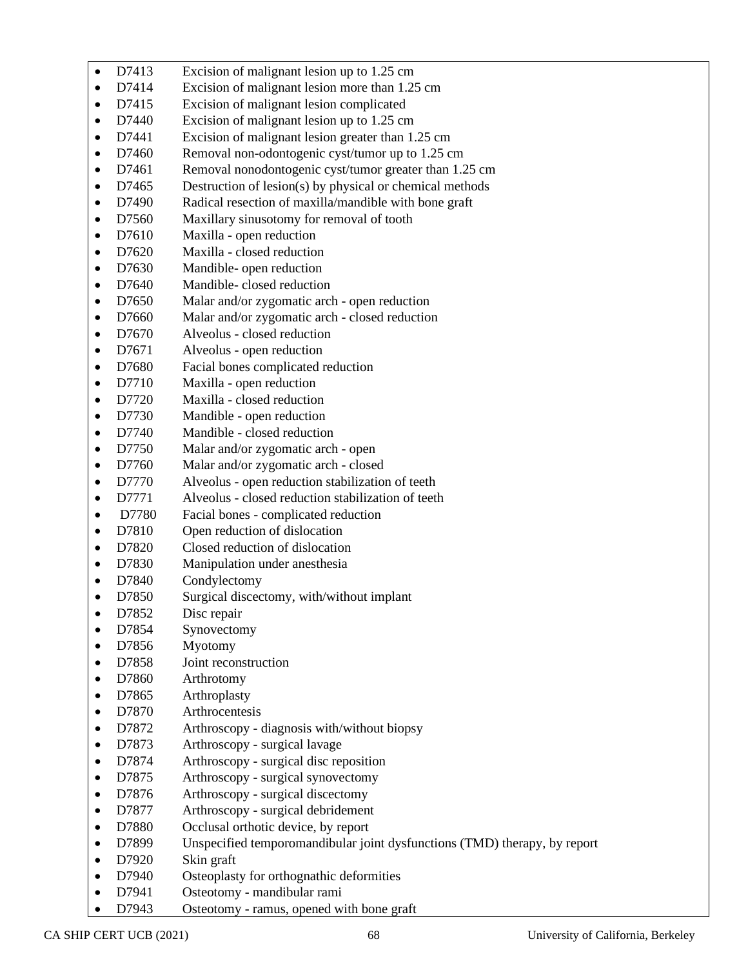| $\bullet$ | D7413          | Excision of malignant lesion up to 1.25 cm                                                                       |
|-----------|----------------|------------------------------------------------------------------------------------------------------------------|
| $\bullet$ | D7414          | Excision of malignant lesion more than 1.25 cm                                                                   |
| ٠         | D7415          | Excision of malignant lesion complicated                                                                         |
| $\bullet$ | D7440          | Excision of malignant lesion up to 1.25 cm                                                                       |
| ٠         | D7441          | Excision of malignant lesion greater than 1.25 cm                                                                |
| ٠         | D7460          | Removal non-odontogenic cyst/tumor up to 1.25 cm                                                                 |
| ٠         | D7461          | Removal nonodontogenic cyst/tumor greater than 1.25 cm                                                           |
| $\bullet$ | D7465          | Destruction of lesion(s) by physical or chemical methods                                                         |
| ٠         | D7490          | Radical resection of maxilla/mandible with bone graft                                                            |
| ٠         | D7560          | Maxillary sinusotomy for removal of tooth                                                                        |
| ٠         | D7610          | Maxilla - open reduction                                                                                         |
| $\bullet$ | D7620          | Maxilla - closed reduction                                                                                       |
| ٠         | D7630          | Mandible- open reduction                                                                                         |
| $\bullet$ | D7640          | Mandible-closed reduction                                                                                        |
| ٠         | D7650          | Malar and/or zygomatic arch - open reduction                                                                     |
| $\bullet$ | D7660          | Malar and/or zygomatic arch - closed reduction                                                                   |
| ٠         | D7670          | Alveolus - closed reduction                                                                                      |
| ٠         | D7671          | Alveolus - open reduction                                                                                        |
| ٠         | D7680          | Facial bones complicated reduction                                                                               |
| $\bullet$ | D7710          | Maxilla - open reduction                                                                                         |
| ٠         | D7720          | Maxilla - closed reduction                                                                                       |
| $\bullet$ | D7730          | Mandible - open reduction                                                                                        |
| $\bullet$ | D7740          | Mandible - closed reduction                                                                                      |
| ٠         | D7750          | Malar and/or zygomatic arch - open                                                                               |
|           | D7760          | Malar and/or zygomatic arch - closed                                                                             |
| $\bullet$ | D7770          | Alveolus - open reduction stabilization of teeth                                                                 |
| ٠         | D7771          | Alveolus - closed reduction stabilization of teeth                                                               |
| ٠         | D7780          | Facial bones - complicated reduction                                                                             |
| ٠         | D7810          | Open reduction of dislocation                                                                                    |
| $\bullet$ | D7820          | Closed reduction of dislocation                                                                                  |
| $\bullet$ | D7830          | Manipulation under anesthesia                                                                                    |
| $\bullet$ | D7840          | Condylectomy                                                                                                     |
|           | D7850          | Surgical discectomy, with/without implant                                                                        |
|           | D7852          | Disc repair                                                                                                      |
| $\bullet$ | D7854          | Synovectomy                                                                                                      |
| ٠         | D7856          | Myotomy                                                                                                          |
| $\bullet$ | D7858          | Joint reconstruction                                                                                             |
|           | D7860          | Arthrotomy                                                                                                       |
| ٠         | D7865          | Arthroplasty                                                                                                     |
|           | D7870          | Arthrocentesis                                                                                                   |
| $\bullet$ | D7872          | Arthroscopy - diagnosis with/without biopsy                                                                      |
| ٠         | D7873          | Arthroscopy - surgical lavage                                                                                    |
| $\bullet$ | D7874          | Arthroscopy - surgical disc reposition                                                                           |
| $\bullet$ | D7875<br>D7876 | Arthroscopy - surgical synovectomy                                                                               |
| $\bullet$ | D7877          | Arthroscopy - surgical discectomy<br>Arthroscopy - surgical debridement                                          |
| ٠         | D7880          |                                                                                                                  |
| $\bullet$ | D7899          | Occlusal orthotic device, by report<br>Unspecified temporomandibular joint dysfunctions (TMD) therapy, by report |
| ٠         | D7920          | Skin graft                                                                                                       |
|           | D7940          | Osteoplasty for orthognathic deformities                                                                         |
|           | D7941          | Osteotomy - mandibular rami                                                                                      |
|           |                |                                                                                                                  |

• D7943 Osteotomy - ramus, opened with bone graft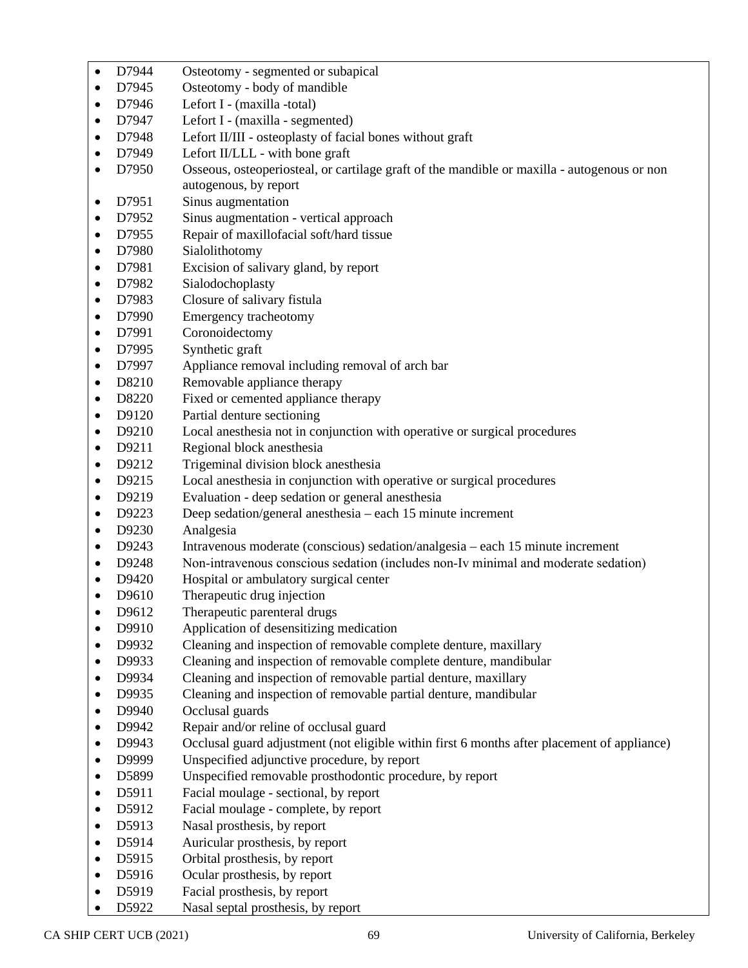| $\bullet$              | D7944          | Osteotomy - segmented or subapical                                                          |
|------------------------|----------------|---------------------------------------------------------------------------------------------|
| $\bullet$              | D7945          | Osteotomy - body of mandible                                                                |
| $\bullet$              | D7946          | Lefort I - (maxilla -total)                                                                 |
| $\bullet$              | D7947          | Lefort I - (maxilla - segmented)                                                            |
| ٠                      | D7948          | Lefort II/III - osteoplasty of facial bones without graft                                   |
| $\bullet$              | D7949          | Lefort II/LLL - with bone graft                                                             |
| $\bullet$              | D7950          | Osseous, osteoperiosteal, or cartilage graft of the mandible or maxilla - autogenous or non |
|                        |                | autogenous, by report                                                                       |
| $\bullet$              | D7951          | Sinus augmentation                                                                          |
| ٠                      | D7952          | Sinus augmentation - vertical approach                                                      |
| $\bullet$              | D7955          | Repair of maxillofacial soft/hard tissue                                                    |
| $\bullet$              | D7980          | Sialolithotomy                                                                              |
| ٠                      | D7981          | Excision of salivary gland, by report                                                       |
| ٠                      | D7982          | Sialodochoplasty                                                                            |
| $\bullet$              | D7983          | Closure of salivary fistula                                                                 |
| $\bullet$              | D7990          | Emergency tracheotomy                                                                       |
| $\bullet$              | D7991          | Coronoidectomy                                                                              |
| $\bullet$              | D7995          | Synthetic graft                                                                             |
| $\bullet$              | D7997          | Appliance removal including removal of arch bar                                             |
| $\bullet$              | D8210          | Removable appliance therapy                                                                 |
| ٠                      | D8220          | Fixed or cemented appliance therapy                                                         |
| $\bullet$              | D9120          | Partial denture sectioning                                                                  |
| $\bullet$              | D9210          | Local anesthesia not in conjunction with operative or surgical procedures                   |
| $\bullet$              | D9211          | Regional block anesthesia                                                                   |
| $\bullet$              | D9212          | Trigeminal division block anesthesia                                                        |
| $\bullet$              | D9215          | Local anesthesia in conjunction with operative or surgical procedures                       |
| $\bullet$              | D9219          | Evaluation - deep sedation or general anesthesia                                            |
| $\bullet$              | D9223          | Deep sedation/general anesthesia – each 15 minute increment                                 |
| $\bullet$              | D9230          | Analgesia                                                                                   |
| ٠                      | D9243          | Intravenous moderate (conscious) sedation/analgesia – each 15 minute increment              |
| $\bullet$              | D9248          | Non-intravenous conscious sedation (includes non-Iv minimal and moderate sedation)          |
| $\bullet$<br>$\bullet$ | D9420<br>D9610 | Hospital or ambulatory surgical center<br>Therapeutic drug injection                        |
|                        | D9612          | Therapeutic parenteral drugs                                                                |
| ٠                      | D9910          | Application of desensitizing medication                                                     |
| $\bullet$              | D9932          | Cleaning and inspection of removable complete denture, maxillary                            |
| ٠                      | D9933          | Cleaning and inspection of removable complete denture, mandibular                           |
| ٠                      | D9934          | Cleaning and inspection of removable partial denture, maxillary                             |
|                        | D9935          | Cleaning and inspection of removable partial denture, mandibular                            |
| $\bullet$              | D9940          | Occlusal guards                                                                             |
| ٠                      | D9942          | Repair and/or reline of occlusal guard                                                      |
| $\bullet$              | D9943          | Occlusal guard adjustment (not eligible within first 6 months after placement of appliance) |
| ٠                      | D9999          | Unspecified adjunctive procedure, by report                                                 |
| $\bullet$              | D5899          | Unspecified removable prosthodontic procedure, by report                                    |
| $\bullet$              | D5911          | Facial moulage - sectional, by report                                                       |
| ٠                      | D5912          | Facial moulage - complete, by report                                                        |
| $\bullet$              | D5913          | Nasal prosthesis, by report                                                                 |
| $\bullet$              | D5914          | Auricular prosthesis, by report                                                             |
| $\bullet$              | D5915          | Orbital prosthesis, by report                                                               |
| ٠                      | D5916          | Ocular prosthesis, by report                                                                |
| $\bullet$              | D5919          | Facial prosthesis, by report                                                                |
|                        | D5922          | Nasal septal prosthesis, by report                                                          |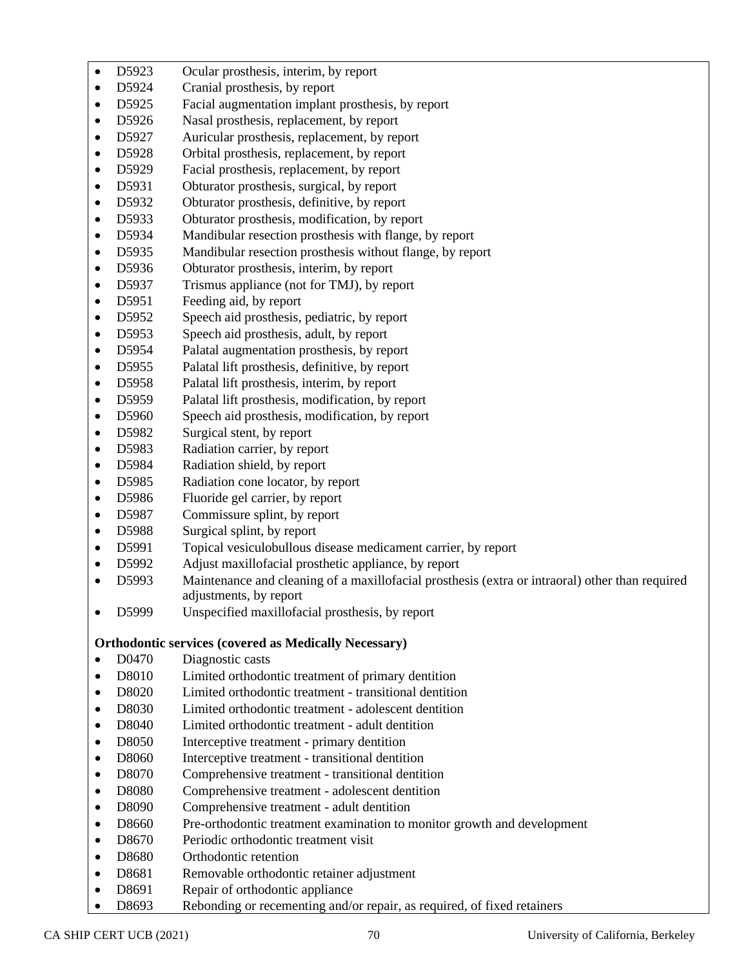- D5923 Ocular prosthesis, interim, by report
- D5924 Cranial prosthesis, by report
- D5925 Facial augmentation implant prosthesis, by report
- D5926 Nasal prosthesis, replacement, by report
- D5927 Auricular prosthesis, replacement, by report
- D5928 Orbital prosthesis, replacement, by report
- D5929 Facial prosthesis, replacement, by report
- D5931 Obturator prosthesis, surgical, by report
- D5932 Obturator prosthesis, definitive, by report
- D5933 Obturator prosthesis, modification, by report
- D5934 Mandibular resection prosthesis with flange, by report
- D5935 Mandibular resection prosthesis without flange, by report
- D5936 Obturator prosthesis, interim, by report
- D5937 Trismus appliance (not for TMJ), by report
- D5951 Feeding aid, by report
- D5952 Speech aid prosthesis, pediatric, by report
- D5953 Speech aid prosthesis, adult, by report
- D5954 Palatal augmentation prosthesis, by report
- D5955 Palatal lift prosthesis, definitive, by report
- D5958 Palatal lift prosthesis, interim, by report
- D5959 Palatal lift prosthesis, modification, by report
- D5960 Speech aid prosthesis, modification, by report
- D5982 Surgical stent, by report
- D5983 Radiation carrier, by report
- D5984 Radiation shield, by report
- D5985 Radiation cone locator, by report
- D5986 Fluoride gel carrier, by report
- D5987 Commissure splint, by report
- D5988 Surgical splint, by report
- D5991 Topical vesiculobullous disease medicament carrier, by report
- D5992 Adjust maxillofacial prosthetic appliance, by report
- D5993 Maintenance and cleaning of a maxillofacial prosthesis (extra or intraoral) other than required adjustments, by report
- D5999 Unspecified maxillofacial prosthesis, by report

# **Orthodontic services (covered as Medically Necessary)**

- D0470 Diagnostic casts
- D8010 Limited orthodontic treatment of primary dentition
- D8020 Limited orthodontic treatment transitional dentition
- D8030 Limited orthodontic treatment adolescent dentition
- D8040 Limited orthodontic treatment adult dentition
- D8050 Interceptive treatment primary dentition
- D8060 Interceptive treatment transitional dentition
- D8070 Comprehensive treatment transitional dentition
- D8080 Comprehensive treatment adolescent dentition
- D8090 Comprehensive treatment adult dentition
- D8660 Pre-orthodontic treatment examination to monitor growth and development
- D8670 Periodic orthodontic treatment visit
- D8680 Orthodontic retention
- D8681 Removable orthodontic retainer adjustment
- D8691 Repair of orthodontic appliance
- D8693 Rebonding or recementing and/or repair, as required, of fixed retainers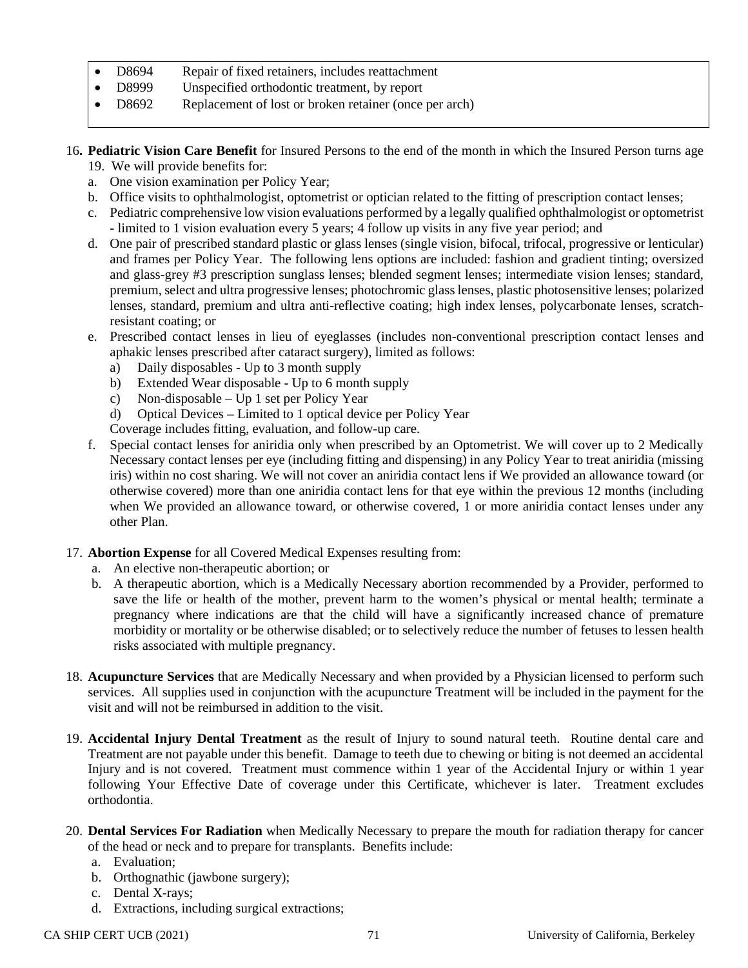- D8694 Repair of fixed retainers, includes reattachment
- D8999 Unspecified orthodontic treatment, by report
- D8692 Replacement of lost or broken retainer (once per arch)
- 16**. Pediatric Vision Care Benefit** for Insured Persons to the end of the month in which the Insured Person turns age
	- 19. We will provide benefits for:
	- a. One vision examination per Policy Year;
	- b. Office visits to ophthalmologist, optometrist or optician related to the fitting of prescription contact lenses;
	- c. Pediatric comprehensive low vision evaluations performed by a legally qualified ophthalmologist or optometrist - limited to 1 vision evaluation every 5 years; 4 follow up visits in any five year period; and
	- d. One pair of prescribed standard plastic or glass lenses (single vision, bifocal, trifocal, progressive or lenticular) and frames per Policy Year. The following lens options are included: fashion and gradient tinting; oversized and glass-grey #3 prescription sunglass lenses; blended segment lenses; intermediate vision lenses; standard, premium, select and ultra progressive lenses; photochromic glass lenses, plastic photosensitive lenses; polarized lenses, standard, premium and ultra anti-reflective coating; high index lenses, polycarbonate lenses, scratchresistant coating; or
	- e. Prescribed contact lenses in lieu of eyeglasses (includes non-conventional prescription contact lenses and aphakic lenses prescribed after cataract surgery), limited as follows:
		- a) Daily disposables Up to 3 month supply
		- b) Extended Wear disposable Up to 6 month supply
		- c) Non-disposable Up 1 set per Policy Year
		- d) Optical Devices Limited to 1 optical device per Policy Year

Coverage includes fitting, evaluation, and follow-up care.

- f. Special contact lenses for aniridia only when prescribed by an Optometrist. We will cover up to 2 Medically Necessary contact lenses per eye (including fitting and dispensing) in any Policy Year to treat aniridia (missing iris) within no cost sharing. We will not cover an aniridia contact lens if We provided an allowance toward (or otherwise covered) more than one aniridia contact lens for that eye within the previous 12 months (including when We provided an allowance toward, or otherwise covered, 1 or more aniridia contact lenses under any other Plan.
- 17. **Abortion Expense** for all Covered Medical Expenses resulting from:
	- a. An elective non-therapeutic abortion; or
	- b. A therapeutic abortion, which is a Medically Necessary abortion recommended by a Provider, performed to save the life or health of the mother, prevent harm to the women's physical or mental health; terminate a pregnancy where indications are that the child will have a significantly increased chance of premature morbidity or mortality or be otherwise disabled; or to selectively reduce the number of fetuses to lessen health risks associated with multiple pregnancy.
- 18. **Acupuncture Services** that are Medically Necessary and when provided by a Physician licensed to perform such services. All supplies used in conjunction with the acupuncture Treatment will be included in the payment for the visit and will not be reimbursed in addition to the visit.
- 19. **Accidental Injury Dental Treatment** as the result of Injury to sound natural teeth. Routine dental care and Treatment are not payable under this benefit. Damage to teeth due to chewing or biting is not deemed an accidental Injury and is not covered. Treatment must commence within 1 year of the Accidental Injury or within 1 year following Your Effective Date of coverage under this Certificate, whichever is later. Treatment excludes orthodontia.
- 20. **Dental Services For Radiation** when Medically Necessary to prepare the mouth for radiation therapy for cancer of the head or neck and to prepare for transplants. Benefits include:
	- a. Evaluation;
	- b. Orthognathic (jawbone surgery);
	- c. Dental X-rays;
	- d. Extractions, including surgical extractions;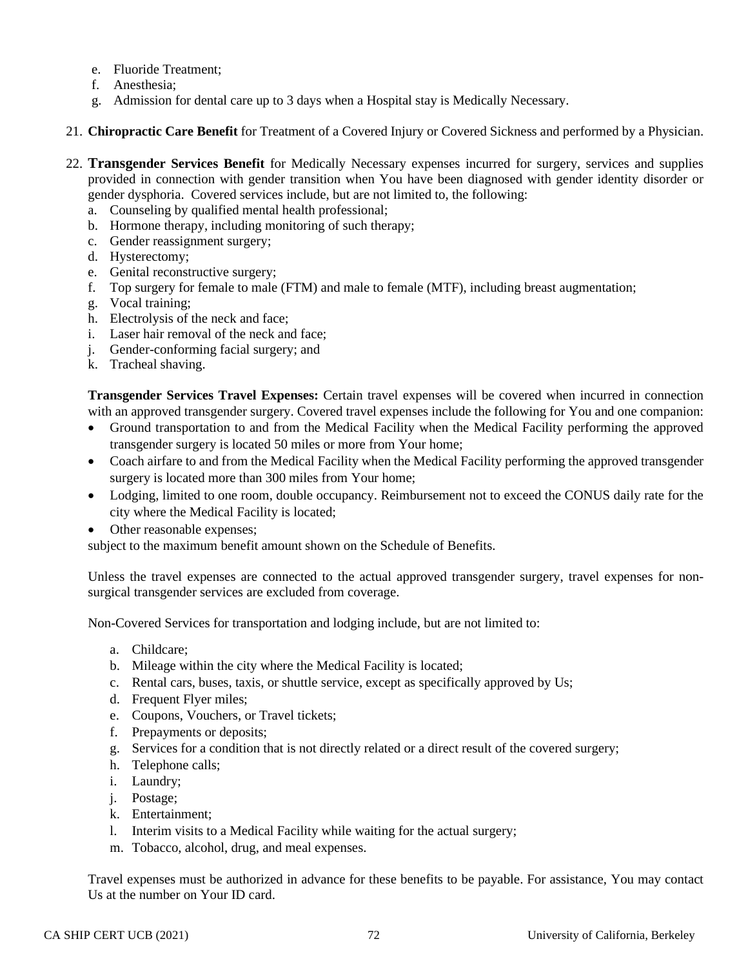- e. Fluoride Treatment;
- f. Anesthesia;
- g. Admission for dental care up to 3 days when a Hospital stay is Medically Necessary.
- 21. **Chiropractic Care Benefit** for Treatment of a Covered Injury or Covered Sickness and performed by a Physician.
- 22. **Transgender Services Benefit** for Medically Necessary expenses incurred for surgery, services and supplies provided in connection with gender transition when You have been diagnosed with gender identity disorder or gender dysphoria. Covered services include, but are not limited to, the following:
	- a. Counseling by qualified mental health professional;
	- b. Hormone therapy, including monitoring of such therapy;
	- c. Gender reassignment surgery;
	- d. Hysterectomy;
	- e. Genital reconstructive surgery;
	- f. Top surgery for female to male (FTM) and male to female (MTF), including breast augmentation;
	- g. Vocal training;
	- h. Electrolysis of the neck and face;
	- i. Laser hair removal of the neck and face;
	- j. Gender-conforming facial surgery; and
	- k. Tracheal shaving.

**Transgender Services Travel Expenses:** Certain travel expenses will be covered when incurred in connection with an approved transgender surgery. Covered travel expenses include the following for You and one companion:

- Ground transportation to and from the Medical Facility when the Medical Facility performing the approved transgender surgery is located 50 miles or more from Your home;
- Coach airfare to and from the Medical Facility when the Medical Facility performing the approved transgender surgery is located more than 300 miles from Your home;
- Lodging, limited to one room, double occupancy. Reimbursement not to exceed the CONUS daily rate for the city where the Medical Facility is located;
- Other reasonable expenses;

subject to the maximum benefit amount shown on the Schedule of Benefits.

Unless the travel expenses are connected to the actual approved transgender surgery, travel expenses for nonsurgical transgender services are excluded from coverage.

Non-Covered Services for transportation and lodging include, but are not limited to:

- a. Childcare;
- b. Mileage within the city where the Medical Facility is located;
- c. Rental cars, buses, taxis, or shuttle service, except as specifically approved by Us;
- d. Frequent Flyer miles;
- e. Coupons, Vouchers, or Travel tickets;
- f. Prepayments or deposits;
- g. Services for a condition that is not directly related or a direct result of the covered surgery;
- h. Telephone calls;
- i. Laundry;
- j. Postage;
- k. Entertainment;
- l. Interim visits to a Medical Facility while waiting for the actual surgery;
- m. Tobacco, alcohol, drug, and meal expenses.

Travel expenses must be authorized in advance for these benefits to be payable. For assistance, You may contact Us at the number on Your ID card.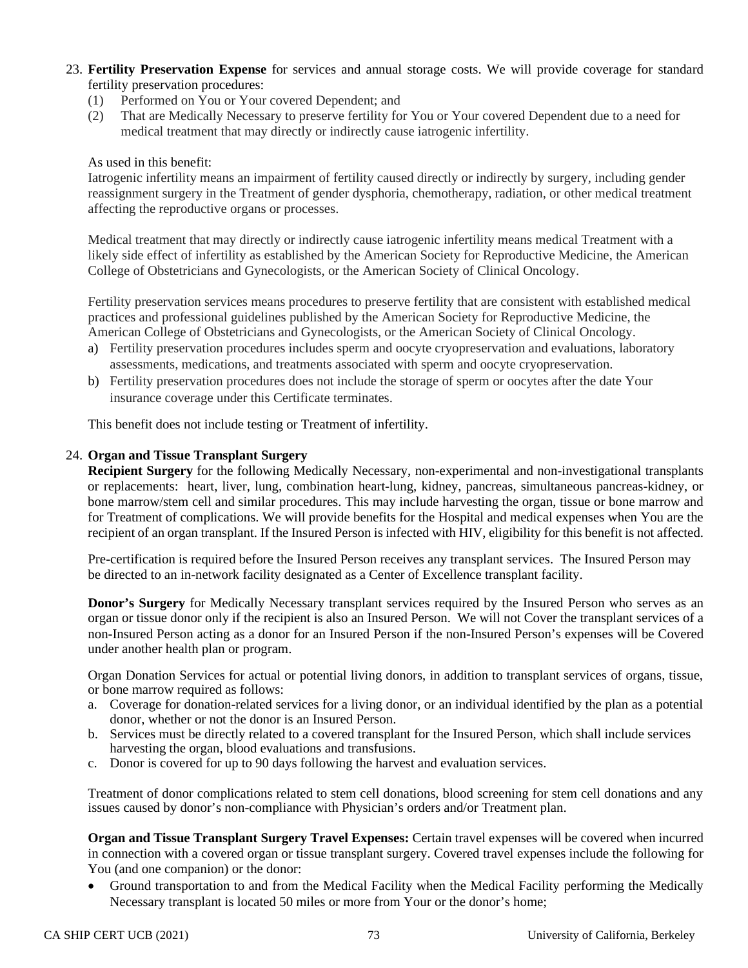- 23. **Fertility Preservation Expense** for services and annual storage costs. We will provide coverage for standard fertility preservation procedures:
	- (1) Performed on You or Your covered Dependent; and
	- (2) That are Medically Necessary to preserve fertility for You or Your covered Dependent due to a need for medical treatment that may directly or indirectly cause iatrogenic infertility.

#### As used in this benefit:

Iatrogenic infertility means an impairment of fertility caused directly or indirectly by surgery, including gender reassignment surgery in the Treatment of gender dysphoria, chemotherapy, radiation, or other medical treatment affecting the reproductive organs or processes.

Medical treatment that may directly or indirectly cause iatrogenic infertility means medical Treatment with a likely side effect of infertility as established by the American Society for Reproductive Medicine, the American College of Obstetricians and Gynecologists, or the American Society of Clinical Oncology.

Fertility preservation services means procedures to preserve fertility that are consistent with established medical practices and professional guidelines published by the American Society for Reproductive Medicine, the American College of Obstetricians and Gynecologists, or the American Society of Clinical Oncology.

- a) Fertility preservation procedures includes sperm and oocyte cryopreservation and evaluations, laboratory assessments, medications, and treatments associated with sperm and oocyte cryopreservation.
- b) Fertility preservation procedures does not include the storage of sperm or oocytes after the date Your insurance coverage under this Certificate terminates.

This benefit does not include testing or Treatment of infertility.

#### 24. **Organ and Tissue Transplant Surgery**

**Recipient Surgery** for the following Medically Necessary, non-experimental and non-investigational transplants or replacements: heart, liver, lung, combination heart-lung, kidney, pancreas, simultaneous pancreas-kidney, or bone marrow/stem cell and similar procedures. This may include harvesting the organ, tissue or bone marrow and for Treatment of complications. We will provide benefits for the Hospital and medical expenses when You are the recipient of an organ transplant. If the Insured Person is infected with HIV, eligibility for this benefit is not affected.

Pre-certification is required before the Insured Person receives any transplant services. The Insured Person may be directed to an in-network facility designated as a Center of Excellence transplant facility.

**Donor's Surgery** for Medically Necessary transplant services required by the Insured Person who serves as an organ or tissue donor only if the recipient is also an Insured Person. We will not Cover the transplant services of a non-Insured Person acting as a donor for an Insured Person if the non-Insured Person's expenses will be Covered under another health plan or program.

Organ Donation Services for actual or potential living donors, in addition to transplant services of organs, tissue, or bone marrow required as follows:

- a. Coverage for donation-related services for a living donor, or an individual identified by the plan as a potential donor, whether or not the donor is an Insured Person.
- b. Services must be directly related to a covered transplant for the Insured Person, which shall include services harvesting the organ, blood evaluations and transfusions.
- c. Donor is covered for up to 90 days following the harvest and evaluation services.

Treatment of donor complications related to stem cell donations, blood screening for stem cell donations and any issues caused by donor's non-compliance with Physician's orders and/or Treatment plan.

**Organ and Tissue Transplant Surgery Travel Expenses:** Certain travel expenses will be covered when incurred in connection with a covered organ or tissue transplant surgery. Covered travel expenses include the following for You (and one companion) or the donor:

• Ground transportation to and from the Medical Facility when the Medical Facility performing the Medically Necessary transplant is located 50 miles or more from Your or the donor's home;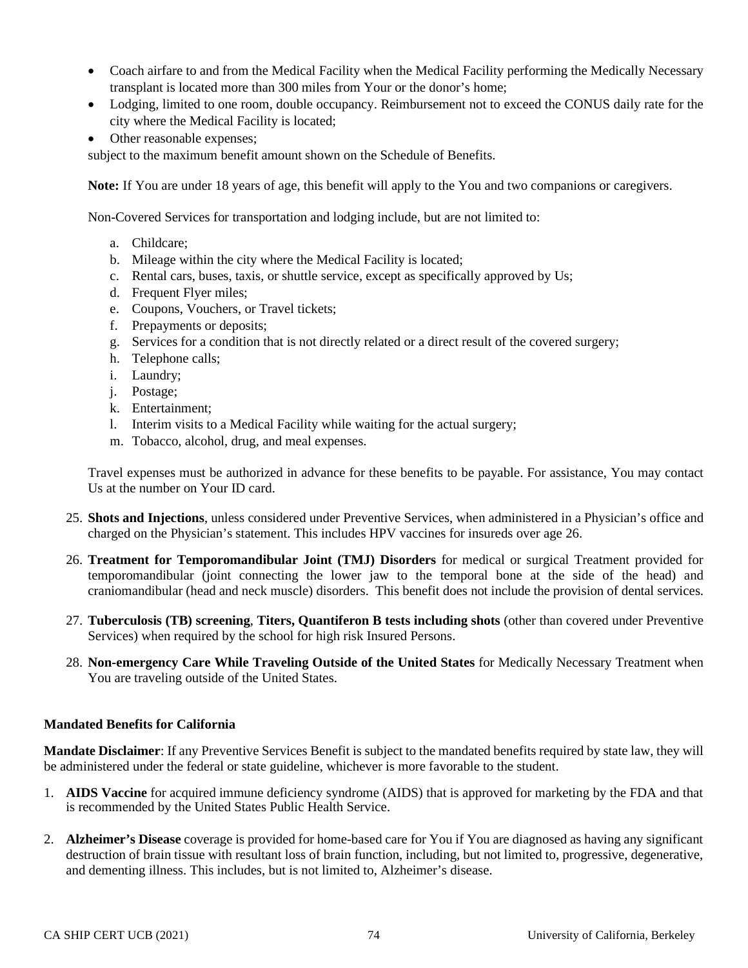- Coach airfare to and from the Medical Facility when the Medical Facility performing the Medically Necessary transplant is located more than 300 miles from Your or the donor's home;
- Lodging, limited to one room, double occupancy. Reimbursement not to exceed the CONUS daily rate for the city where the Medical Facility is located;
- Other reasonable expenses;

subject to the maximum benefit amount shown on the Schedule of Benefits.

**Note:** If You are under 18 years of age, this benefit will apply to the You and two companions or caregivers.

Non-Covered Services for transportation and lodging include, but are not limited to:

- a. Childcare;
- b. Mileage within the city where the Medical Facility is located;
- c. Rental cars, buses, taxis, or shuttle service, except as specifically approved by Us;
- d. Frequent Flyer miles;
- e. Coupons, Vouchers, or Travel tickets;
- f. Prepayments or deposits;
- g. Services for a condition that is not directly related or a direct result of the covered surgery;
- h. Telephone calls;
- i. Laundry;
- j. Postage;
- k. Entertainment;
- l. Interim visits to a Medical Facility while waiting for the actual surgery;
- m. Tobacco, alcohol, drug, and meal expenses.

Travel expenses must be authorized in advance for these benefits to be payable. For assistance, You may contact Us at the number on Your ID card.

- 25. **Shots and Injections**, unless considered under Preventive Services, when administered in a Physician's office and charged on the Physician's statement. This includes HPV vaccines for insureds over age 26.
- 26. **Treatment for Temporomandibular Joint (TMJ) Disorders** for medical or surgical Treatment provided for temporomandibular (joint connecting the lower jaw to the temporal bone at the side of the head) and craniomandibular (head and neck muscle) disorders. This benefit does not include the provision of dental services.
- 27. **Tuberculosis (TB) screening**, **Titers, Quantiferon B tests including shots** (other than covered under Preventive Services) when required by the school for high risk Insured Persons.
- 28. **Non-emergency Care While Traveling Outside of the United States** for Medically Necessary Treatment when You are traveling outside of the United States.

#### **Mandated Benefits for California**

**Mandate Disclaimer**: If any Preventive Services Benefit is subject to the mandated benefits required by state law, they will be administered under the federal or state guideline, whichever is more favorable to the student.

- 1. **AIDS Vaccine** for acquired immune deficiency syndrome (AIDS) that is approved for marketing by the FDA and that is recommended by the United States Public Health Service.
- 2. **Alzheimer's Disease** coverage is provided for home-based care for You if You are diagnosed as having any significant destruction of brain tissue with resultant loss of brain function, including, but not limited to, progressive, degenerative, and dementing illness. This includes, but is not limited to, Alzheimer's disease.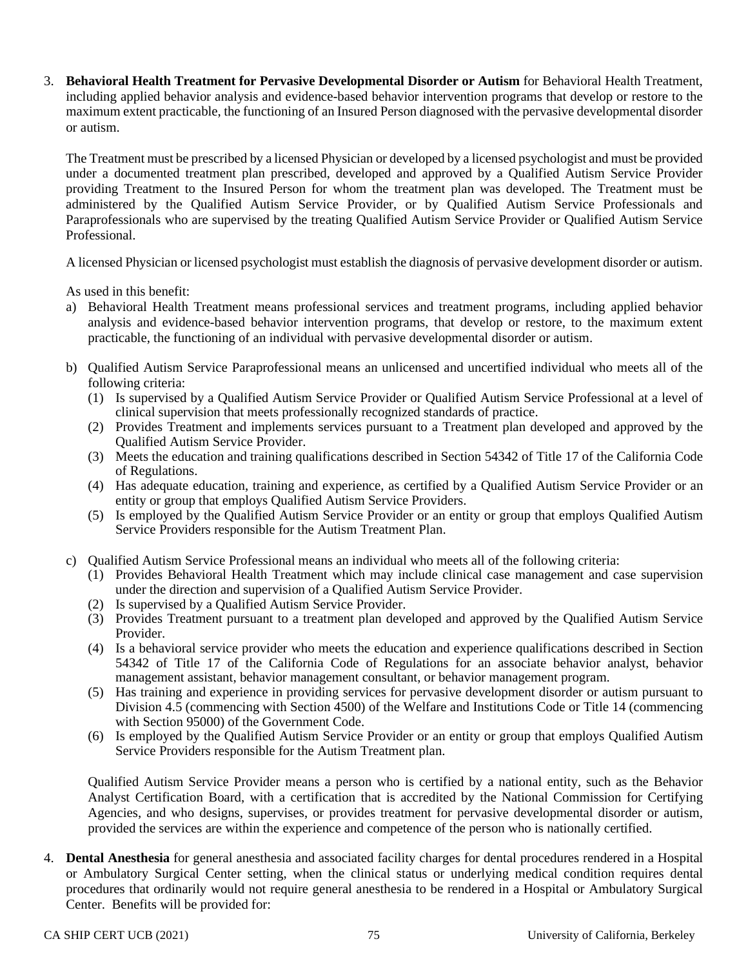3. **Behavioral Health Treatment for Pervasive Developmental Disorder or Autism** for Behavioral Health Treatment, including applied behavior analysis and evidence-based behavior intervention programs that develop or restore to the maximum extent practicable, the functioning of an Insured Person diagnosed with the pervasive developmental disorder or autism.

The Treatment must be prescribed by a licensed Physician or developed by a licensed psychologist and must be provided under a documented treatment plan prescribed, developed and approved by a Qualified Autism Service Provider providing Treatment to the Insured Person for whom the treatment plan was developed. The Treatment must be administered by the Qualified Autism Service Provider, or by Qualified Autism Service Professionals and Paraprofessionals who are supervised by the treating Qualified Autism Service Provider or Qualified Autism Service Professional.

A licensed Physician or licensed psychologist must establish the diagnosis of pervasive development disorder or autism.

As used in this benefit:

- a) Behavioral Health Treatment means professional services and treatment programs, including applied behavior analysis and evidence-based behavior intervention programs, that develop or restore, to the maximum extent practicable, the functioning of an individual with pervasive developmental disorder or autism.
- b) Qualified Autism Service Paraprofessional means an unlicensed and uncertified individual who meets all of the following criteria:
	- (1) Is supervised by a Qualified Autism Service Provider or Qualified Autism Service Professional at a level of clinical supervision that meets professionally recognized standards of practice.
	- (2) Provides Treatment and implements services pursuant to a Treatment plan developed and approved by the Qualified Autism Service Provider.
	- (3) Meets the education and training qualifications described in Section 54342 of Title 17 of the California Code of Regulations.
	- (4) Has adequate education, training and experience, as certified by a Qualified Autism Service Provider or an entity or group that employs Qualified Autism Service Providers.
	- (5) Is employed by the Qualified Autism Service Provider or an entity or group that employs Qualified Autism Service Providers responsible for the Autism Treatment Plan.
- c) Qualified Autism Service Professional means an individual who meets all of the following criteria:
	- (1) Provides Behavioral Health Treatment which may include clinical case management and case supervision under the direction and supervision of a Qualified Autism Service Provider.
	- (2) Is supervised by a Qualified Autism Service Provider.
	- (3) Provides Treatment pursuant to a treatment plan developed and approved by the Qualified Autism Service Provider.
	- (4) Is a behavioral service provider who meets the education and experience qualifications described in Section 54342 of Title 17 of the California Code of Regulations for an associate behavior analyst, behavior management assistant, behavior management consultant, or behavior management program.
	- (5) Has training and experience in providing services for pervasive development disorder or autism pursuant to Division 4.5 (commencing with Section 4500) of the Welfare and Institutions Code or Title 14 (commencing with Section 95000) of the Government Code.
	- (6) Is employed by the Qualified Autism Service Provider or an entity or group that employs Qualified Autism Service Providers responsible for the Autism Treatment plan.

Qualified Autism Service Provider means a person who is certified by a national entity, such as the Behavior Analyst Certification Board, with a certification that is accredited by the National Commission for Certifying Agencies, and who designs, supervises, or provides treatment for pervasive developmental disorder or autism, provided the services are within the experience and competence of the person who is nationally certified.

4. **Dental Anesthesia** for general anesthesia and associated facility charges for dental procedures rendered in a Hospital or Ambulatory Surgical Center setting, when the clinical status or underlying medical condition requires dental procedures that ordinarily would not require general anesthesia to be rendered in a Hospital or Ambulatory Surgical Center. Benefits will be provided for: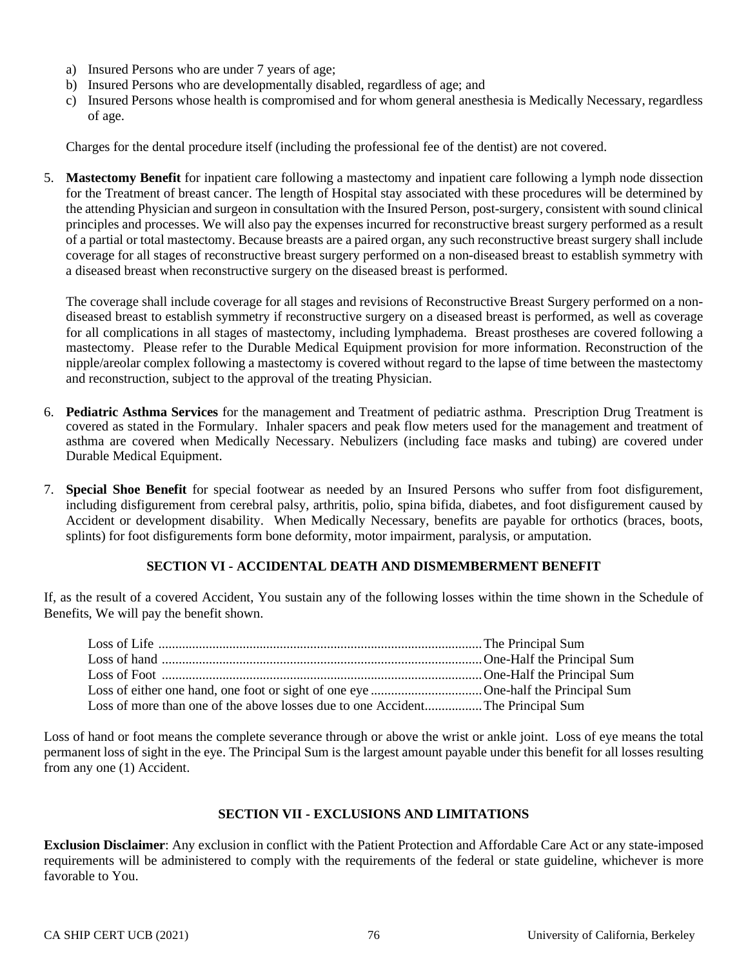- a) Insured Persons who are under 7 years of age;
- b) Insured Persons who are developmentally disabled, regardless of age; and
- c) Insured Persons whose health is compromised and for whom general anesthesia is Medically Necessary, regardless of age.

Charges for the dental procedure itself (including the professional fee of the dentist) are not covered.

5. **Mastectomy Benefit** for inpatient care following a mastectomy and inpatient care following a lymph node dissection for the Treatment of breast cancer. The length of Hospital stay associated with these procedures will be determined by the attending Physician and surgeon in consultation with the Insured Person, post-surgery, consistent with sound clinical principles and processes. We will also pay the expenses incurred for reconstructive breast surgery performed as a result of a partial or total mastectomy. Because breasts are a paired organ, any such reconstructive breast surgery shall include coverage for all stages of reconstructive breast surgery performed on a non-diseased breast to establish symmetry with a diseased breast when reconstructive surgery on the diseased breast is performed.

The coverage shall include coverage for all stages and revisions of Reconstructive Breast Surgery performed on a nondiseased breast to establish symmetry if reconstructive surgery on a diseased breast is performed, as well as coverage for all complications in all stages of mastectomy, including lymphadema. Breast prostheses are covered following a mastectomy. Please refer to the Durable Medical Equipment provision for more information. Reconstruction of the nipple/areolar complex following a mastectomy is covered without regard to the lapse of time between the mastectomy and reconstruction, subject to the approval of the treating Physician.

- 6. **Pediatric Asthma Services** for the management and Treatment of pediatric asthma. Prescription Drug Treatment is covered as stated in the Formulary. Inhaler spacers and peak flow meters used for the management and treatment of asthma are covered when Medically Necessary. Nebulizers (including face masks and tubing) are covered under Durable Medical Equipment.
- 7. **Special Shoe Benefit** for special footwear as needed by an Insured Persons who suffer from foot disfigurement, including disfigurement from cerebral palsy, arthritis, polio, spina bifida, diabetes, and foot disfigurement caused by Accident or development disability. When Medically Necessary, benefits are payable for orthotics (braces, boots, splints) for foot disfigurements form bone deformity, motor impairment, paralysis, or amputation.

#### **SECTION VI - ACCIDENTAL DEATH AND DISMEMBERMENT BENEFIT**

If, as the result of a covered Accident, You sustain any of the following losses within the time shown in the Schedule of Benefits, We will pay the benefit shown.

| Loss of more than one of the above losses due to one Accident The Principal Sum |  |
|---------------------------------------------------------------------------------|--|

Loss of hand or foot means the complete severance through or above the wrist or ankle joint. Loss of eye means the total permanent loss of sight in the eye. The Principal Sum is the largest amount payable under this benefit for all losses resulting from any one (1) Accident.

#### **SECTION VII - EXCLUSIONS AND LIMITATIONS**

**Exclusion Disclaimer**: Any exclusion in conflict with the Patient Protection and Affordable Care Act or any state-imposed requirements will be administered to comply with the requirements of the federal or state guideline, whichever is more favorable to You.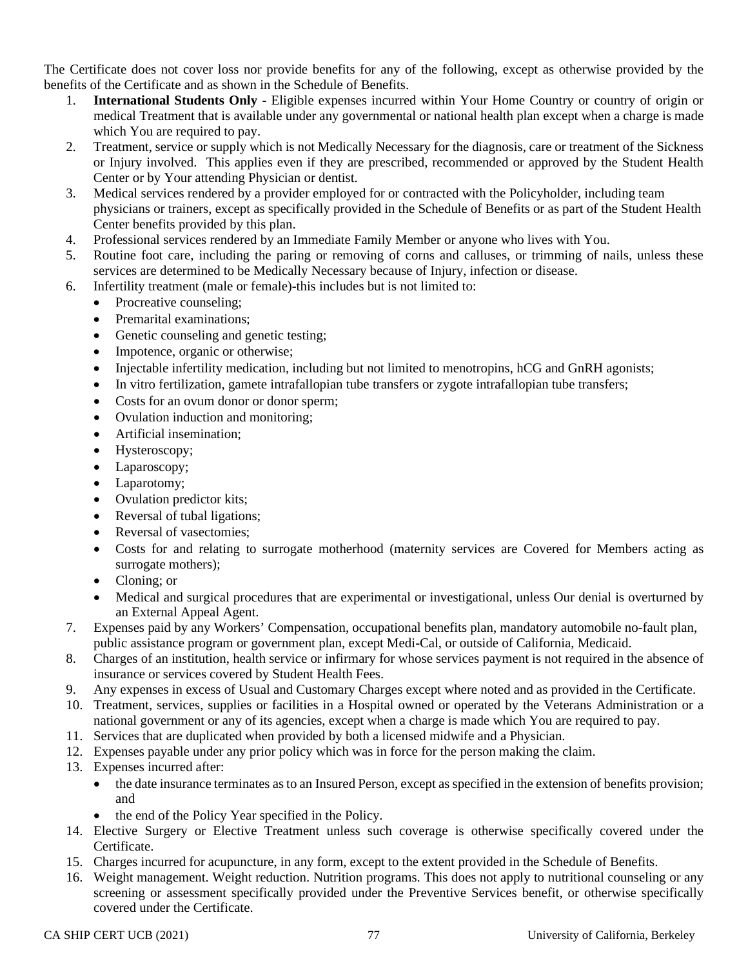The Certificate does not cover loss nor provide benefits for any of the following, except as otherwise provided by the benefits of the Certificate and as shown in the Schedule of Benefits.

- 1. **International Students Only -** Eligible expenses incurred within Your Home Country or country of origin or medical Treatment that is available under any governmental or national health plan except when a charge is made which You are required to pay.
- 2. Treatment, service or supply which is not Medically Necessary for the diagnosis, care or treatment of the Sickness or Injury involved. This applies even if they are prescribed, recommended or approved by the Student Health Center or by Your attending Physician or dentist.
- 3. Medical services rendered by a provider employed for or contracted with the Policyholder, including team physicians or trainers, except as specifically provided in the Schedule of Benefits or as part of the Student Health Center benefits provided by this plan.
- 4. Professional services rendered by an Immediate Family Member or anyone who lives with You.
- 5. Routine foot care, including the paring or removing of corns and calluses, or trimming of nails, unless these services are determined to be Medically Necessary because of Injury, infection or disease.
- 6. Infertility treatment (male or female)-this includes but is not limited to:
	- Procreative counseling;
	- Premarital examinations;
	- Genetic counseling and genetic testing;
	- Impotence, organic or otherwise;
	- Injectable infertility medication, including but not limited to menotropins, hCG and GnRH agonists;
	- In vitro fertilization, gamete intrafallopian tube transfers or zygote intrafallopian tube transfers;
	- Costs for an ovum donor or donor sperm;
	- Ovulation induction and monitoring;
	- Artificial insemination;
	- Hysteroscopy;
	- Laparoscopy;
	- Laparotomy;
	- Ovulation predictor kits;
	- Reversal of tubal ligations;
	- Reversal of vasectomies;
	- Costs for and relating to surrogate motherhood (maternity services are Covered for Members acting as surrogate mothers);
	- Cloning: or
	- Medical and surgical procedures that are experimental or investigational, unless Our denial is overturned by an External Appeal Agent.
- 7. Expenses paid by any Workers' Compensation, occupational benefits plan, mandatory automobile no-fault plan, public assistance program or government plan, except Medi-Cal, or outside of California, Medicaid.
- 8. Charges of an institution, health service or infirmary for whose services payment is not required in the absence of insurance or services covered by Student Health Fees.
- 9. Any expenses in excess of Usual and Customary Charges except where noted and as provided in the Certificate.
- 10. Treatment, services, supplies or facilities in a Hospital owned or operated by the Veterans Administration or a national government or any of its agencies, except when a charge is made which You are required to pay.
- 11. Services that are duplicated when provided by both a licensed midwife and a Physician.
- 12. Expenses payable under any prior policy which was in force for the person making the claim.
- 13. Expenses incurred after:
	- the date insurance terminates as to an Insured Person, except as specified in the extension of benefits provision; and
	- the end of the Policy Year specified in the Policy.
- 14. Elective Surgery or Elective Treatment unless such coverage is otherwise specifically covered under the Certificate.
- 15. Charges incurred for acupuncture, in any form, except to the extent provided in the Schedule of Benefits.
- 16. Weight management. Weight reduction. Nutrition programs. This does not apply to nutritional counseling or any screening or assessment specifically provided under the Preventive Services benefit, or otherwise specifically covered under the Certificate.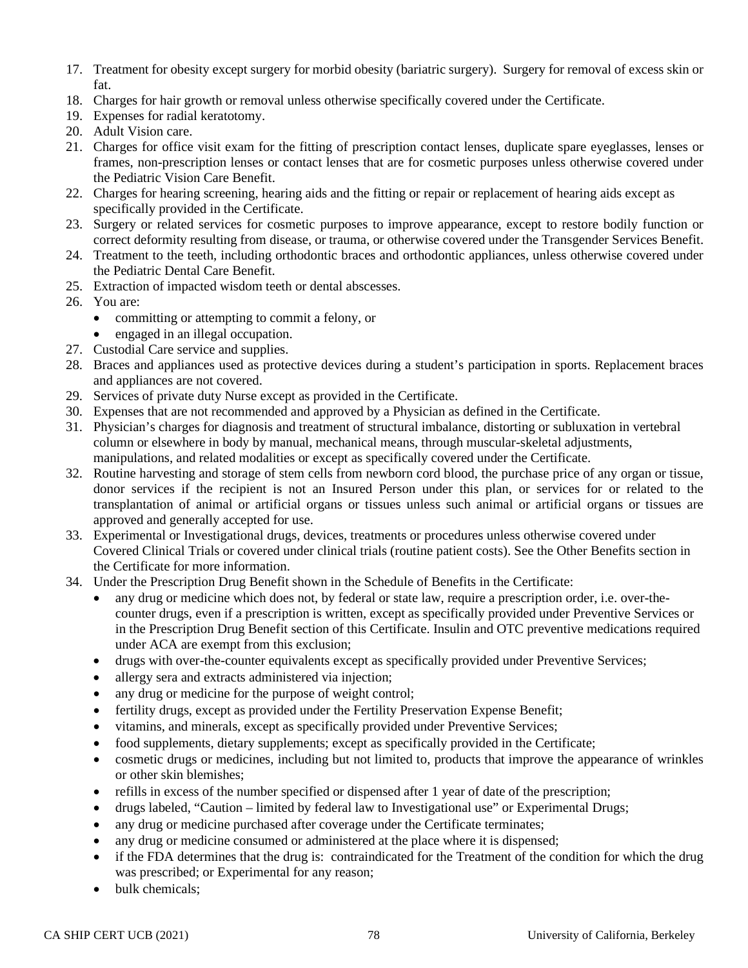- 17. Treatment for obesity except surgery for morbid obesity (bariatric surgery). Surgery for removal of excess skin or fat.
- 18. Charges for hair growth or removal unless otherwise specifically covered under the Certificate.
- 19. Expenses for radial keratotomy.
- 20. Adult Vision care.
- 21. Charges for office visit exam for the fitting of prescription contact lenses, duplicate spare eyeglasses, lenses or frames, non-prescription lenses or contact lenses that are for cosmetic purposes unless otherwise covered under the Pediatric Vision Care Benefit.
- 22. Charges for hearing screening, hearing aids and the fitting or repair or replacement of hearing aids except as specifically provided in the Certificate.
- 23. Surgery or related services for cosmetic purposes to improve appearance, except to restore bodily function or correct deformity resulting from disease, or trauma, or otherwise covered under the Transgender Services Benefit.
- 24. Treatment to the teeth, including orthodontic braces and orthodontic appliances, unless otherwise covered under the Pediatric Dental Care Benefit.
- 25. Extraction of impacted wisdom teeth or dental abscesses.
- 26. You are:
	- committing or attempting to commit a felony, or
	- engaged in an illegal occupation.
- 27. Custodial Care service and supplies.
- 28. Braces and appliances used as protective devices during a student's participation in sports. Replacement braces and appliances are not covered.
- 29. Services of private duty Nurse except as provided in the Certificate.
- 30. Expenses that are not recommended and approved by a Physician as defined in the Certificate.
- 31. Physician's charges for diagnosis and treatment of structural imbalance, distorting or subluxation in vertebral column or elsewhere in body by manual, mechanical means, through muscular-skeletal adjustments, manipulations, and related modalities or except as specifically covered under the Certificate.
- 32. Routine harvesting and storage of stem cells from newborn cord blood, the purchase price of any organ or tissue, donor services if the recipient is not an Insured Person under this plan, or services for or related to the transplantation of animal or artificial organs or tissues unless such animal or artificial organs or tissues are approved and generally accepted for use.
- 33. Experimental or Investigational drugs, devices, treatments or procedures unless otherwise covered under Covered Clinical Trials or covered under clinical trials (routine patient costs). See the Other Benefits section in the Certificate for more information.
- 34. Under the Prescription Drug Benefit shown in the Schedule of Benefits in the Certificate:
	- any drug or medicine which does not, by federal or state law, require a prescription order, i.e. over-thecounter drugs, even if a prescription is written, except as specifically provided under Preventive Services or in the Prescription Drug Benefit section of this Certificate. Insulin and OTC preventive medications required under ACA are exempt from this exclusion;
	- drugs with over-the-counter equivalents except as specifically provided under Preventive Services;
	- allergy sera and extracts administered via injection;
	- any drug or medicine for the purpose of weight control;
	- fertility drugs, except as provided under the Fertility Preservation Expense Benefit;
	- vitamins, and minerals, except as specifically provided under Preventive Services;
	- food supplements, dietary supplements; except as specifically provided in the Certificate;
	- cosmetic drugs or medicines, including but not limited to, products that improve the appearance of wrinkles or other skin blemishes;
	- refills in excess of the number specified or dispensed after 1 year of date of the prescription;
	- drugs labeled, "Caution limited by federal law to Investigational use" or Experimental Drugs;
	- any drug or medicine purchased after coverage under the Certificate terminates;
	- any drug or medicine consumed or administered at the place where it is dispensed;
	- if the FDA determines that the drug is: contraindicated for the Treatment of the condition for which the drug was prescribed; or Experimental for any reason;
	- bulk chemicals;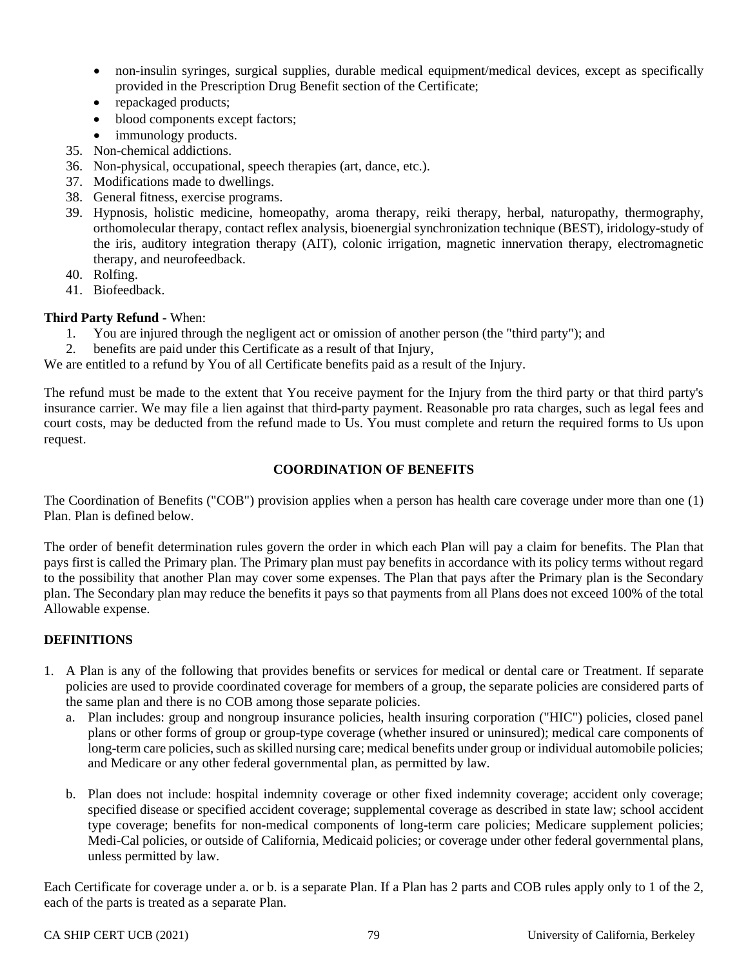- non-insulin syringes, surgical supplies, durable medical equipment/medical devices, except as specifically provided in the Prescription Drug Benefit section of the Certificate;
- repackaged products;
- blood components except factors;
- immunology products.
- 35. Non-chemical addictions.
- 36. Non-physical, occupational, speech therapies (art, dance, etc.).
- 37. Modifications made to dwellings.
- 38. General fitness, exercise programs.
- 39. Hypnosis, holistic medicine, homeopathy, aroma therapy, reiki therapy, herbal, naturopathy, thermography, orthomolecular therapy, contact reflex analysis, bioenergial synchronization technique (BEST), iridology-study of the iris, auditory integration therapy (AIT), colonic irrigation, magnetic innervation therapy, electromagnetic therapy, and neurofeedback.
- 40. Rolfing.
- 41. Biofeedback.

## **Third Party Refund -** When:

- 1. You are injured through the negligent act or omission of another person (the "third party"); and
- 2. benefits are paid under this Certificate as a result of that Injury,

We are entitled to a refund by You of all Certificate benefits paid as a result of the Injury.

The refund must be made to the extent that You receive payment for the Injury from the third party or that third party's insurance carrier. We may file a lien against that third-party payment. Reasonable pro rata charges, such as legal fees and court costs, may be deducted from the refund made to Us. You must complete and return the required forms to Us upon request.

#### **COORDINATION OF BENEFITS**

The Coordination of Benefits ("COB") provision applies when a person has health care coverage under more than one (1) Plan. Plan is defined below.

The order of benefit determination rules govern the order in which each Plan will pay a claim for benefits. The Plan that pays first is called the Primary plan. The Primary plan must pay benefits in accordance with its policy terms without regard to the possibility that another Plan may cover some expenses. The Plan that pays after the Primary plan is the Secondary plan. The Secondary plan may reduce the benefits it pays so that payments from all Plans does not exceed 100% of the total Allowable expense.

## **DEFINITIONS**

- 1. A Plan is any of the following that provides benefits or services for medical or dental care or Treatment. If separate policies are used to provide coordinated coverage for members of a group, the separate policies are considered parts of the same plan and there is no COB among those separate policies.
	- a. Plan includes: group and nongroup insurance policies, health insuring corporation ("HIC") policies, closed panel plans or other forms of group or group-type coverage (whether insured or uninsured); medical care components of long-term care policies, such as skilled nursing care; medical benefits under group or individual automobile policies; and Medicare or any other federal governmental plan, as permitted by law.
	- b. Plan does not include: hospital indemnity coverage or other fixed indemnity coverage; accident only coverage; specified disease or specified accident coverage; supplemental coverage as described in state law; school accident type coverage; benefits for non-medical components of long-term care policies; Medicare supplement policies; Medi-Cal policies, or outside of California, Medicaid policies; or coverage under other federal governmental plans, unless permitted by law.

Each Certificate for coverage under a. or b. is a separate Plan. If a Plan has 2 parts and COB rules apply only to 1 of the 2, each of the parts is treated as a separate Plan.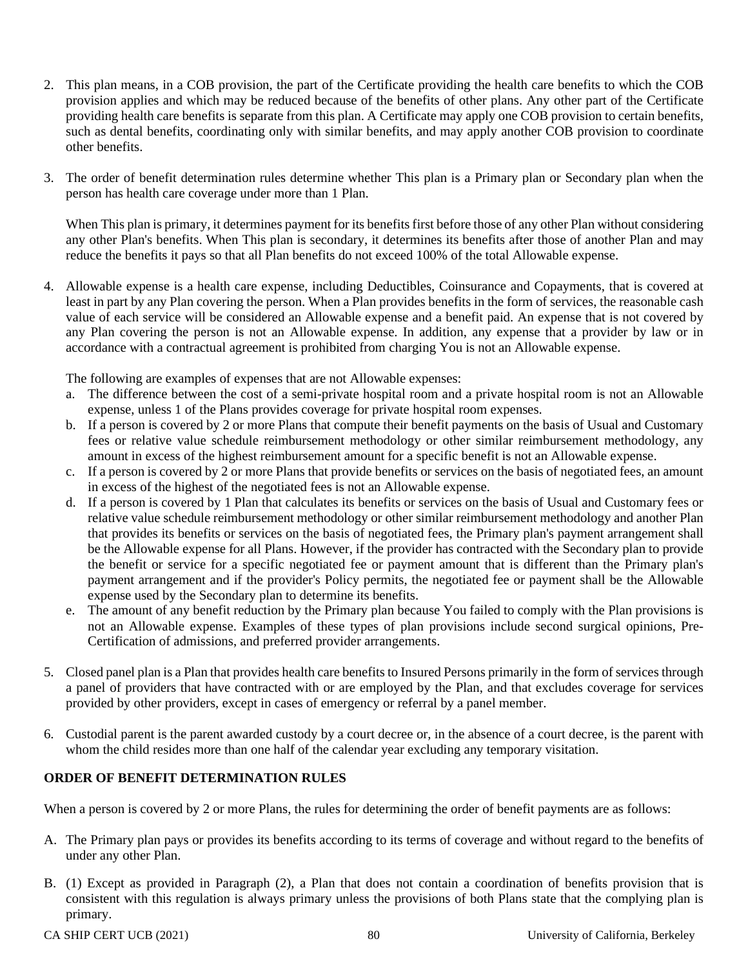- 2. This plan means, in a COB provision, the part of the Certificate providing the health care benefits to which the COB provision applies and which may be reduced because of the benefits of other plans. Any other part of the Certificate providing health care benefits is separate from this plan. A Certificate may apply one COB provision to certain benefits, such as dental benefits, coordinating only with similar benefits, and may apply another COB provision to coordinate other benefits.
- 3. The order of benefit determination rules determine whether This plan is a Primary plan or Secondary plan when the person has health care coverage under more than 1 Plan.

When This plan is primary, it determines payment for its benefits first before those of any other Plan without considering any other Plan's benefits. When This plan is secondary, it determines its benefits after those of another Plan and may reduce the benefits it pays so that all Plan benefits do not exceed 100% of the total Allowable expense.

4. Allowable expense is a health care expense, including Deductibles, Coinsurance and Copayments, that is covered at least in part by any Plan covering the person. When a Plan provides benefits in the form of services, the reasonable cash value of each service will be considered an Allowable expense and a benefit paid. An expense that is not covered by any Plan covering the person is not an Allowable expense. In addition, any expense that a provider by law or in accordance with a contractual agreement is prohibited from charging You is not an Allowable expense.

The following are examples of expenses that are not Allowable expenses:

- a. The difference between the cost of a semi-private hospital room and a private hospital room is not an Allowable expense, unless 1 of the Plans provides coverage for private hospital room expenses.
- b. If a person is covered by 2 or more Plans that compute their benefit payments on the basis of Usual and Customary fees or relative value schedule reimbursement methodology or other similar reimbursement methodology, any amount in excess of the highest reimbursement amount for a specific benefit is not an Allowable expense.
- c. If a person is covered by 2 or more Plans that provide benefits or services on the basis of negotiated fees, an amount in excess of the highest of the negotiated fees is not an Allowable expense.
- d. If a person is covered by 1 Plan that calculates its benefits or services on the basis of Usual and Customary fees or relative value schedule reimbursement methodology or other similar reimbursement methodology and another Plan that provides its benefits or services on the basis of negotiated fees, the Primary plan's payment arrangement shall be the Allowable expense for all Plans. However, if the provider has contracted with the Secondary plan to provide the benefit or service for a specific negotiated fee or payment amount that is different than the Primary plan's payment arrangement and if the provider's Policy permits, the negotiated fee or payment shall be the Allowable expense used by the Secondary plan to determine its benefits.
- e. The amount of any benefit reduction by the Primary plan because You failed to comply with the Plan provisions is not an Allowable expense. Examples of these types of plan provisions include second surgical opinions, Pre-Certification of admissions, and preferred provider arrangements.
- 5. Closed panel plan is a Plan that provides health care benefits to Insured Persons primarily in the form of services through a panel of providers that have contracted with or are employed by the Plan, and that excludes coverage for services provided by other providers, except in cases of emergency or referral by a panel member.
- 6. Custodial parent is the parent awarded custody by a court decree or, in the absence of a court decree, is the parent with whom the child resides more than one half of the calendar year excluding any temporary visitation.

#### **ORDER OF BENEFIT DETERMINATION RULES**

When a person is covered by 2 or more Plans, the rules for determining the order of benefit payments are as follows:

- A. The Primary plan pays or provides its benefits according to its terms of coverage and without regard to the benefits of under any other Plan.
- B. (1) Except as provided in Paragraph (2), a Plan that does not contain a coordination of benefits provision that is consistent with this regulation is always primary unless the provisions of both Plans state that the complying plan is primary.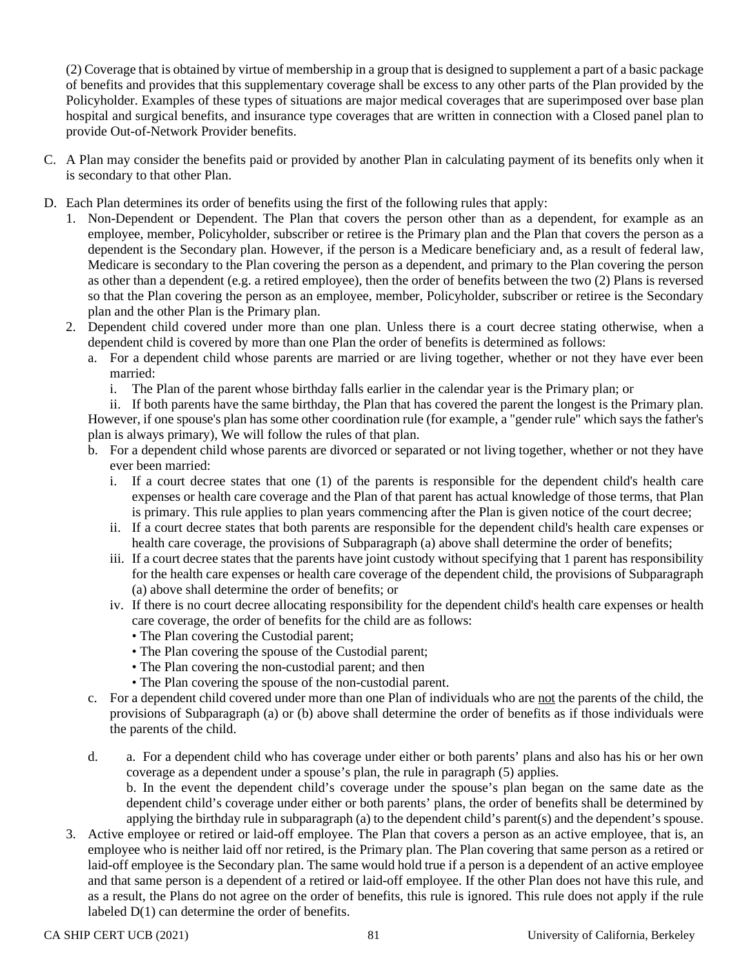(2) Coverage that is obtained by virtue of membership in a group that is designed to supplement a part of a basic package of benefits and provides that this supplementary coverage shall be excess to any other parts of the Plan provided by the Policyholder. Examples of these types of situations are major medical coverages that are superimposed over base plan hospital and surgical benefits, and insurance type coverages that are written in connection with a Closed panel plan to provide Out-of-Network Provider benefits.

- C. A Plan may consider the benefits paid or provided by another Plan in calculating payment of its benefits only when it is secondary to that other Plan.
- D. Each Plan determines its order of benefits using the first of the following rules that apply:
	- 1. Non-Dependent or Dependent. The Plan that covers the person other than as a dependent, for example as an employee, member, Policyholder, subscriber or retiree is the Primary plan and the Plan that covers the person as a dependent is the Secondary plan. However, if the person is a Medicare beneficiary and, as a result of federal law, Medicare is secondary to the Plan covering the person as a dependent, and primary to the Plan covering the person as other than a dependent (e.g. a retired employee), then the order of benefits between the two (2) Plans is reversed so that the Plan covering the person as an employee, member, Policyholder, subscriber or retiree is the Secondary plan and the other Plan is the Primary plan.
	- 2. Dependent child covered under more than one plan. Unless there is a court decree stating otherwise, when a dependent child is covered by more than one Plan the order of benefits is determined as follows:
		- a. For a dependent child whose parents are married or are living together, whether or not they have ever been married:
			- i. The Plan of the parent whose birthday falls earlier in the calendar year is the Primary plan; or

ii. If both parents have the same birthday, the Plan that has covered the parent the longest is the Primary plan. However, if one spouse's plan has some other coordination rule (for example, a "gender rule" which says the father's plan is always primary), We will follow the rules of that plan.

- b. For a dependent child whose parents are divorced or separated or not living together, whether or not they have ever been married:
	- i. If a court decree states that one (1) of the parents is responsible for the dependent child's health care expenses or health care coverage and the Plan of that parent has actual knowledge of those terms, that Plan is primary. This rule applies to plan years commencing after the Plan is given notice of the court decree;
	- ii. If a court decree states that both parents are responsible for the dependent child's health care expenses or health care coverage, the provisions of Subparagraph (a) above shall determine the order of benefits;
	- iii. If a court decree states that the parents have joint custody without specifying that 1 parent has responsibility for the health care expenses or health care coverage of the dependent child, the provisions of Subparagraph (a) above shall determine the order of benefits; or
	- iv. If there is no court decree allocating responsibility for the dependent child's health care expenses or health care coverage, the order of benefits for the child are as follows:
		- The Plan covering the Custodial parent;
		- The Plan covering the spouse of the Custodial parent;
		- The Plan covering the non-custodial parent; and then
		- The Plan covering the spouse of the non-custodial parent.
- c. For a dependent child covered under more than one Plan of individuals who are not the parents of the child, the provisions of Subparagraph (a) or (b) above shall determine the order of benefits as if those individuals were the parents of the child.
- d. a. For a dependent child who has coverage under either or both parents' plans and also has his or her own coverage as a dependent under a spouse's plan, the rule in paragraph (5) applies.

b. In the event the dependent child's coverage under the spouse's plan began on the same date as the dependent child's coverage under either or both parents' plans, the order of benefits shall be determined by applying the birthday rule in subparagraph (a) to the dependent child's parent(s) and the dependent's spouse.

3. Active employee or retired or laid-off employee. The Plan that covers a person as an active employee, that is, an employee who is neither laid off nor retired, is the Primary plan. The Plan covering that same person as a retired or laid-off employee is the Secondary plan. The same would hold true if a person is a dependent of an active employee and that same person is a dependent of a retired or laid-off employee. If the other Plan does not have this rule, and as a result, the Plans do not agree on the order of benefits, this rule is ignored. This rule does not apply if the rule labeled D(1) can determine the order of benefits.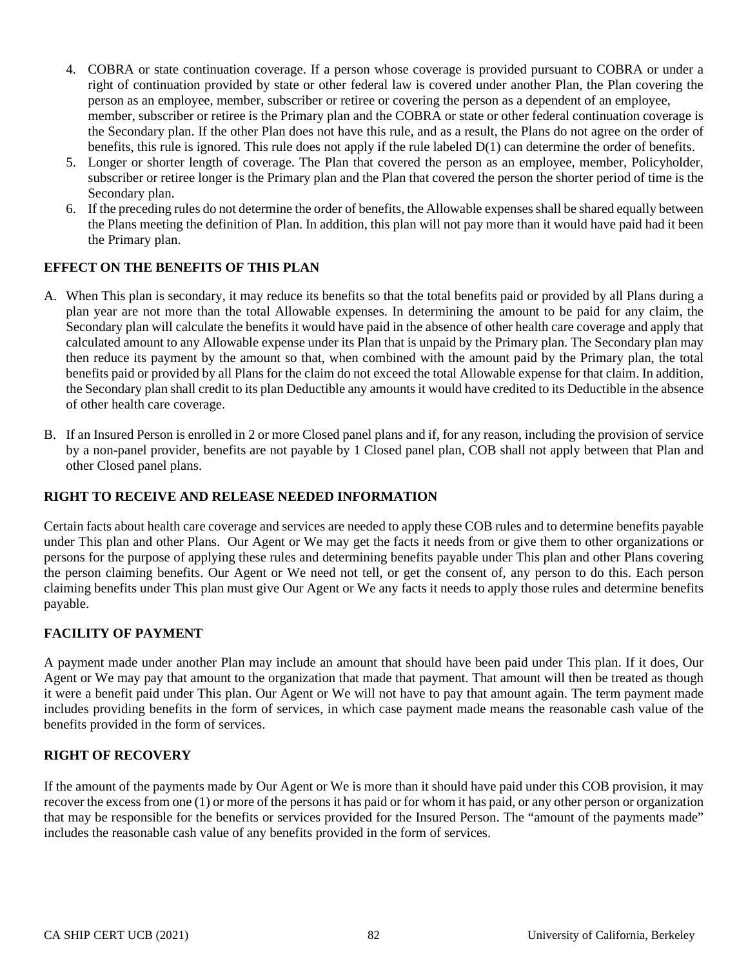- 4. COBRA or state continuation coverage. If a person whose coverage is provided pursuant to COBRA or under a right of continuation provided by state or other federal law is covered under another Plan, the Plan covering the person as an employee, member, subscriber or retiree or covering the person as a dependent of an employee, member, subscriber or retiree is the Primary plan and the COBRA or state or other federal continuation coverage is the Secondary plan. If the other Plan does not have this rule, and as a result, the Plans do not agree on the order of benefits, this rule is ignored. This rule does not apply if the rule labeled D(1) can determine the order of benefits.
- 5. Longer or shorter length of coverage. The Plan that covered the person as an employee, member, Policyholder, subscriber or retiree longer is the Primary plan and the Plan that covered the person the shorter period of time is the Secondary plan.
- 6. If the preceding rules do not determine the order of benefits, the Allowable expensesshall be shared equally between the Plans meeting the definition of Plan. In addition, this plan will not pay more than it would have paid had it been the Primary plan.

#### **EFFECT ON THE BENEFITS OF THIS PLAN**

- A. When This plan is secondary, it may reduce its benefits so that the total benefits paid or provided by all Plans during a plan year are not more than the total Allowable expenses. In determining the amount to be paid for any claim, the Secondary plan will calculate the benefits it would have paid in the absence of other health care coverage and apply that calculated amount to any Allowable expense under its Plan that is unpaid by the Primary plan. The Secondary plan may then reduce its payment by the amount so that, when combined with the amount paid by the Primary plan, the total benefits paid or provided by all Plans for the claim do not exceed the total Allowable expense for that claim. In addition, the Secondary plan shall credit to its plan Deductible any amounts it would have credited to its Deductible in the absence of other health care coverage.
- B. If an Insured Person is enrolled in 2 or more Closed panel plans and if, for any reason, including the provision of service by a non-panel provider, benefits are not payable by 1 Closed panel plan, COB shall not apply between that Plan and other Closed panel plans.

## **RIGHT TO RECEIVE AND RELEASE NEEDED INFORMATION**

Certain facts about health care coverage and services are needed to apply these COB rules and to determine benefits payable under This plan and other Plans. Our Agent or We may get the facts it needs from or give them to other organizations or persons for the purpose of applying these rules and determining benefits payable under This plan and other Plans covering the person claiming benefits. Our Agent or We need not tell, or get the consent of, any person to do this. Each person claiming benefits under This plan must give Our Agent or We any facts it needs to apply those rules and determine benefits payable.

#### **FACILITY OF PAYMENT**

A payment made under another Plan may include an amount that should have been paid under This plan. If it does, Our Agent or We may pay that amount to the organization that made that payment. That amount will then be treated as though it were a benefit paid under This plan. Our Agent or We will not have to pay that amount again. The term payment made includes providing benefits in the form of services, in which case payment made means the reasonable cash value of the benefits provided in the form of services.

#### **RIGHT OF RECOVERY**

If the amount of the payments made by Our Agent or We is more than it should have paid under this COB provision, it may recover the excess from one (1) or more of the persons it has paid or for whom it has paid, or any other person or organization that may be responsible for the benefits or services provided for the Insured Person. The "amount of the payments made" includes the reasonable cash value of any benefits provided in the form of services.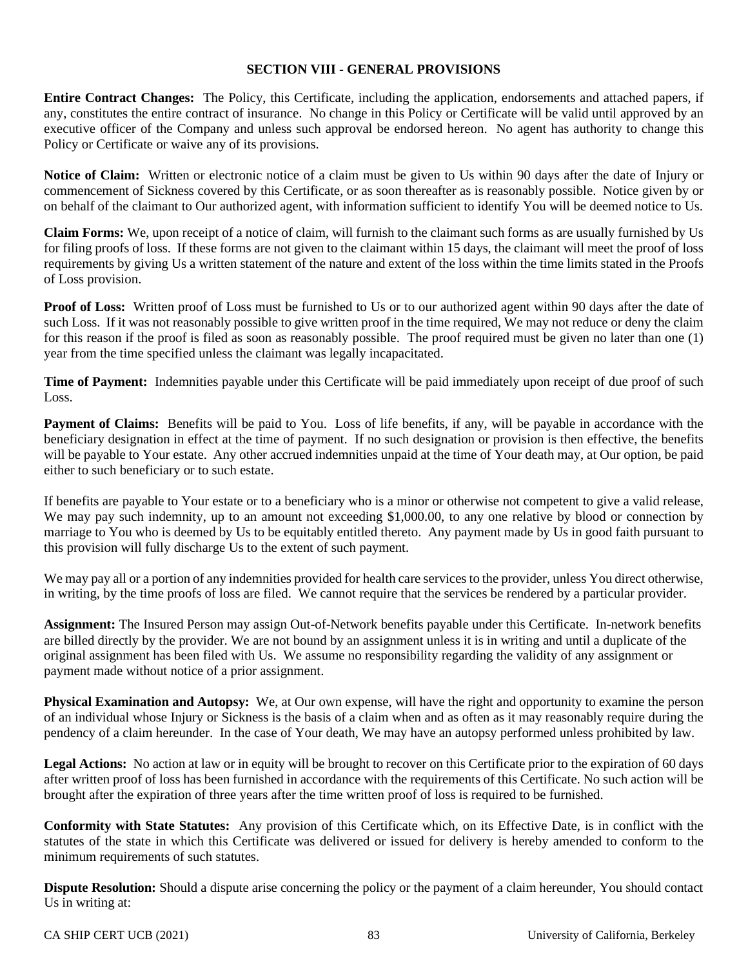#### **SECTION VIII - GENERAL PROVISIONS**

**Entire Contract Changes:** The Policy, this Certificate, including the application, endorsements and attached papers, if any, constitutes the entire contract of insurance. No change in this Policy or Certificate will be valid until approved by an executive officer of the Company and unless such approval be endorsed hereon. No agent has authority to change this Policy or Certificate or waive any of its provisions.

**Notice of Claim:** Written or electronic notice of a claim must be given to Us within 90 days after the date of Injury or commencement of Sickness covered by this Certificate, or as soon thereafter as is reasonably possible. Notice given by or on behalf of the claimant to Our authorized agent, with information sufficient to identify You will be deemed notice to Us.

**Claim Forms:** We, upon receipt of a notice of claim, will furnish to the claimant such forms as are usually furnished by Us for filing proofs of loss. If these forms are not given to the claimant within 15 days, the claimant will meet the proof of loss requirements by giving Us a written statement of the nature and extent of the loss within the time limits stated in the Proofs of Loss provision.

**Proof of Loss:** Written proof of Loss must be furnished to Us or to our authorized agent within 90 days after the date of such Loss. If it was not reasonably possible to give written proof in the time required, We may not reduce or deny the claim for this reason if the proof is filed as soon as reasonably possible. The proof required must be given no later than one (1) year from the time specified unless the claimant was legally incapacitated.

**Time of Payment:** Indemnities payable under this Certificate will be paid immediately upon receipt of due proof of such Loss.

Payment of Claims: Benefits will be paid to You. Loss of life benefits, if any, will be payable in accordance with the beneficiary designation in effect at the time of payment. If no such designation or provision is then effective, the benefits will be payable to Your estate. Any other accrued indemnities unpaid at the time of Your death may, at Our option, be paid either to such beneficiary or to such estate.

If benefits are payable to Your estate or to a beneficiary who is a minor or otherwise not competent to give a valid release, We may pay such indemnity, up to an amount not exceeding \$1,000.00, to any one relative by blood or connection by marriage to You who is deemed by Us to be equitably entitled thereto. Any payment made by Us in good faith pursuant to this provision will fully discharge Us to the extent of such payment.

We may pay all or a portion of any indemnities provided for health care services to the provider, unless You direct otherwise, in writing, by the time proofs of loss are filed. We cannot require that the services be rendered by a particular provider.

**Assignment:** The Insured Person may assign Out-of-Network benefits payable under this Certificate. In-network benefits are billed directly by the provider. We are not bound by an assignment unless it is in writing and until a duplicate of the original assignment has been filed with Us. We assume no responsibility regarding the validity of any assignment or payment made without notice of a prior assignment.

**Physical Examination and Autopsy:** We, at Our own expense, will have the right and opportunity to examine the person of an individual whose Injury or Sickness is the basis of a claim when and as often as it may reasonably require during the pendency of a claim hereunder. In the case of Your death, We may have an autopsy performed unless prohibited by law.

**Legal Actions:** No action at law or in equity will be brought to recover on this Certificate prior to the expiration of 60 days after written proof of loss has been furnished in accordance with the requirements of this Certificate. No such action will be brought after the expiration of three years after the time written proof of loss is required to be furnished.

**Conformity with State Statutes:** Any provision of this Certificate which, on its Effective Date, is in conflict with the statutes of the state in which this Certificate was delivered or issued for delivery is hereby amended to conform to the minimum requirements of such statutes.

**Dispute Resolution:** Should a dispute arise concerning the policy or the payment of a claim hereunder, You should contact Us in writing at: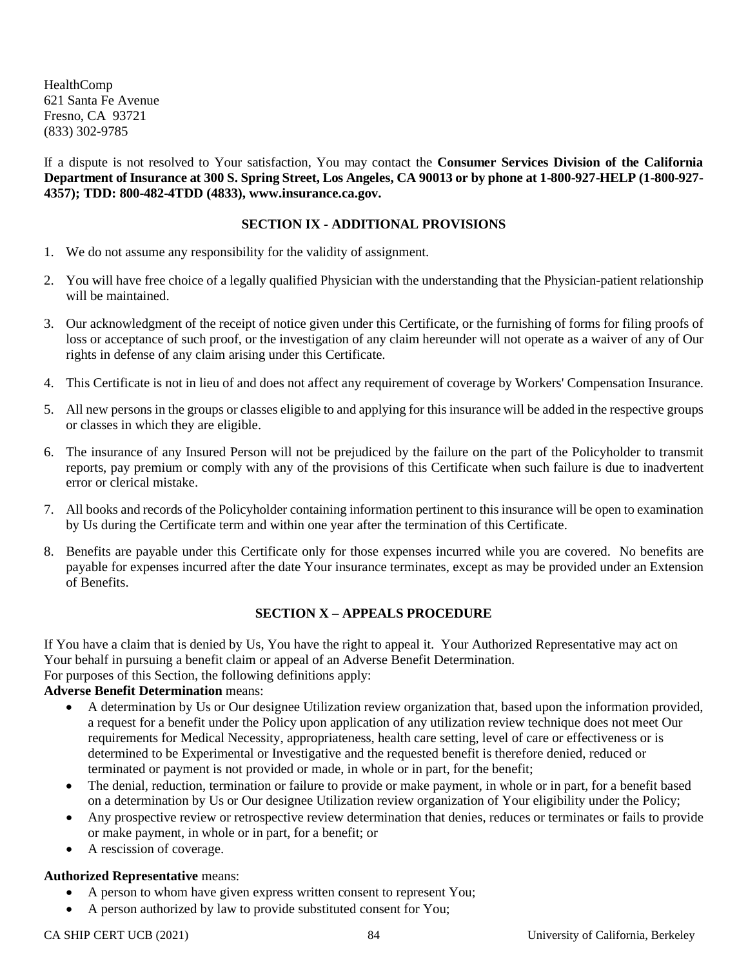HealthComp 621 Santa Fe Avenue Fresno, CA 93721 (833) 302-9785

If a dispute is not resolved to Your satisfaction, You may contact the **Consumer Services Division of the California Department of Insurance at 300 S. Spring Street, Los Angeles, CA 90013 or by phone at 1-800-927-HELP (1-800-927- 4357); TDD: 800-482-4TDD (4833), www.insurance.ca.gov.**

#### **SECTION IX - ADDITIONAL PROVISIONS**

- 1. We do not assume any responsibility for the validity of assignment.
- 2. You will have free choice of a legally qualified Physician with the understanding that the Physician-patient relationship will be maintained.
- 3. Our acknowledgment of the receipt of notice given under this Certificate, or the furnishing of forms for filing proofs of loss or acceptance of such proof, or the investigation of any claim hereunder will not operate as a waiver of any of Our rights in defense of any claim arising under this Certificate.
- 4. This Certificate is not in lieu of and does not affect any requirement of coverage by Workers' Compensation Insurance.
- 5. All new persons in the groups or classes eligible to and applying for this insurance will be added in the respective groups or classes in which they are eligible.
- 6. The insurance of any Insured Person will not be prejudiced by the failure on the part of the Policyholder to transmit reports, pay premium or comply with any of the provisions of this Certificate when such failure is due to inadvertent error or clerical mistake.
- 7. All books and records of the Policyholder containing information pertinent to this insurance will be open to examination by Us during the Certificate term and within one year after the termination of this Certificate.
- 8. Benefits are payable under this Certificate only for those expenses incurred while you are covered. No benefits are payable for expenses incurred after the date Your insurance terminates, except as may be provided under an Extension of Benefits.

#### **SECTION X – APPEALS PROCEDURE**

If You have a claim that is denied by Us, You have the right to appeal it. Your Authorized Representative may act on Your behalf in pursuing a benefit claim or appeal of an Adverse Benefit Determination. For purposes of this Section, the following definitions apply:

#### **Adverse Benefit Determination** means:

- A determination by Us or Our designee Utilization review organization that, based upon the information provided, a request for a benefit under the Policy upon application of any utilization review technique does not meet Our requirements for Medical Necessity, appropriateness, health care setting, level of care or effectiveness or is determined to be Experimental or Investigative and the requested benefit is therefore denied, reduced or terminated or payment is not provided or made, in whole or in part, for the benefit;
- The denial, reduction, termination or failure to provide or make payment, in whole or in part, for a benefit based on a determination by Us or Our designee Utilization review organization of Your eligibility under the Policy;
- Any prospective review or retrospective review determination that denies, reduces or terminates or fails to provide or make payment, in whole or in part, for a benefit; or
- A rescission of coverage.

#### **Authorized Representative** means:

- A person to whom have given express written consent to represent You;
- A person authorized by law to provide substituted consent for You;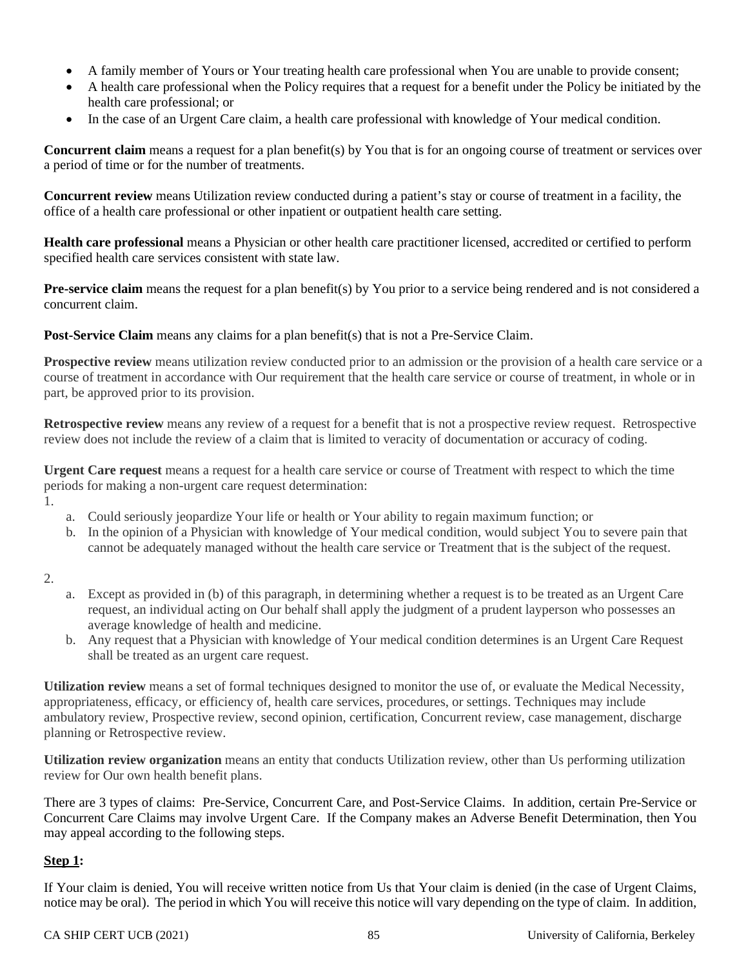- A family member of Yours or Your treating health care professional when You are unable to provide consent;
- A health care professional when the Policy requires that a request for a benefit under the Policy be initiated by the health care professional; or
- In the case of an Urgent Care claim, a health care professional with knowledge of Your medical condition.

**Concurrent claim** means a request for a plan benefit(s) by You that is for an ongoing course of treatment or services over a period of time or for the number of treatments.

**Concurrent review** means Utilization review conducted during a patient's stay or course of treatment in a facility, the office of a health care professional or other inpatient or outpatient health care setting.

**Health care professional** means a Physician or other health care practitioner licensed, accredited or certified to perform specified health care services consistent with state law.

**Pre-service claim** means the request for a plan benefit(s) by You prior to a service being rendered and is not considered a concurrent claim.

**Post-Service Claim** means any claims for a plan benefit(s) that is not a Pre-Service Claim.

**Prospective review** means utilization review conducted prior to an admission or the provision of a health care service or a course of treatment in accordance with Our requirement that the health care service or course of treatment, in whole or in part, be approved prior to its provision.

**Retrospective review** means any review of a request for a benefit that is not a prospective review request. Retrospective review does not include the review of a claim that is limited to veracity of documentation or accuracy of coding.

**Urgent Care request** means a request for a health care service or course of Treatment with respect to which the time periods for making a non-urgent care request determination:

- 1.
- a. Could seriously jeopardize Your life or health or Your ability to regain maximum function; or
- b. In the opinion of a Physician with knowledge of Your medical condition, would subject You to severe pain that cannot be adequately managed without the health care service or Treatment that is the subject of the request.
- 2.
- a. Except as provided in (b) of this paragraph, in determining whether a request is to be treated as an Urgent Care request, an individual acting on Our behalf shall apply the judgment of a prudent layperson who possesses an average knowledge of health and medicine.
- b. Any request that a Physician with knowledge of Your medical condition determines is an Urgent Care Request shall be treated as an urgent care request.

**Utilization review** means a set of formal techniques designed to monitor the use of, or evaluate the Medical Necessity, appropriateness, efficacy, or efficiency of, health care services, procedures, or settings. Techniques may include ambulatory review, Prospective review, second opinion, certification, Concurrent review, case management, discharge planning or Retrospective review.

**Utilization review organization** means an entity that conducts Utilization review, other than Us performing utilization review for Our own health benefit plans.

There are 3 types of claims: Pre-Service, Concurrent Care, and Post-Service Claims. In addition, certain Pre-Service or Concurrent Care Claims may involve Urgent Care. If the Company makes an Adverse Benefit Determination, then You may appeal according to the following steps.

## **Step 1:**

If Your claim is denied, You will receive written notice from Us that Your claim is denied (in the case of Urgent Claims, notice may be oral). The period in which You will receive this notice will vary depending on the type of claim. In addition,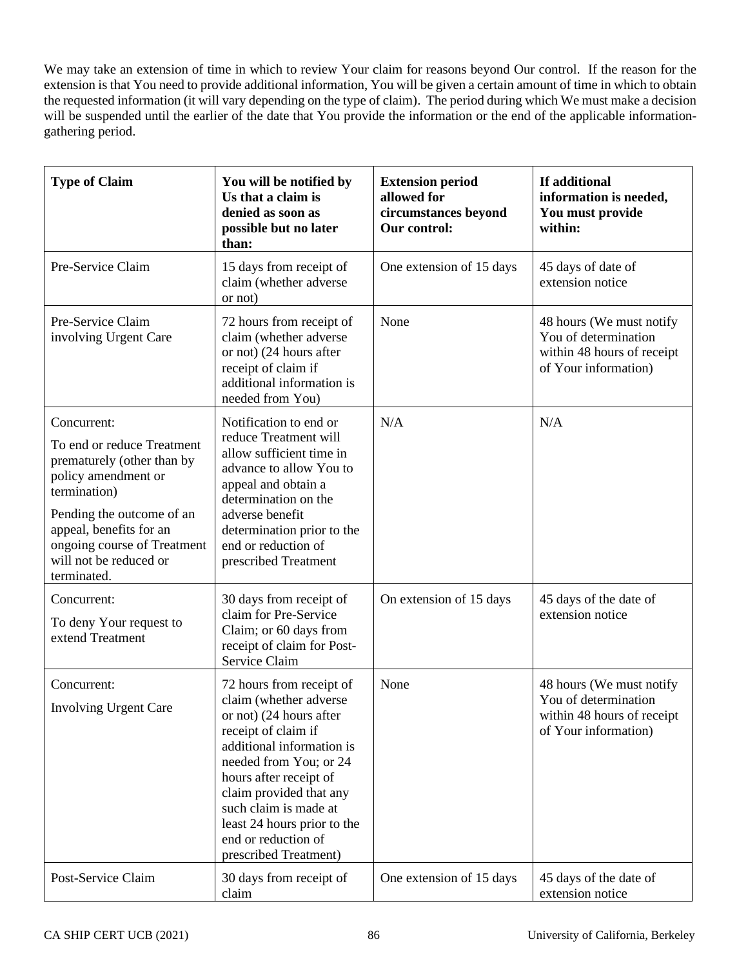We may take an extension of time in which to review Your claim for reasons beyond Our control. If the reason for the extension is that You need to provide additional information, You will be given a certain amount of time in which to obtain the requested information (it will vary depending on the type of claim). The period during which We must make a decision will be suspended until the earlier of the date that You provide the information or the end of the applicable informationgathering period.

| <b>Type of Claim</b>                                                                                                                                                                                                                           | You will be notified by<br>Us that a claim is<br>denied as soon as<br>possible but no later<br>than:                                                                                                                                                                                                                     | <b>Extension period</b><br>allowed for<br>circumstances beyond<br>Our control: | If additional<br>information is needed,<br>You must provide<br>within:                                 |
|------------------------------------------------------------------------------------------------------------------------------------------------------------------------------------------------------------------------------------------------|--------------------------------------------------------------------------------------------------------------------------------------------------------------------------------------------------------------------------------------------------------------------------------------------------------------------------|--------------------------------------------------------------------------------|--------------------------------------------------------------------------------------------------------|
| Pre-Service Claim                                                                                                                                                                                                                              | 15 days from receipt of<br>claim (whether adverse<br>or not)                                                                                                                                                                                                                                                             | One extension of 15 days                                                       | 45 days of date of<br>extension notice                                                                 |
| Pre-Service Claim<br>involving Urgent Care                                                                                                                                                                                                     | 72 hours from receipt of<br>claim (whether adverse<br>or not) (24 hours after<br>receipt of claim if<br>additional information is<br>needed from You)                                                                                                                                                                    | None                                                                           | 48 hours (We must notify<br>You of determination<br>within 48 hours of receipt<br>of Your information) |
| Concurrent:<br>To end or reduce Treatment<br>prematurely (other than by<br>policy amendment or<br>termination)<br>Pending the outcome of an<br>appeal, benefits for an<br>ongoing course of Treatment<br>will not be reduced or<br>terminated. | Notification to end or<br>reduce Treatment will<br>allow sufficient time in<br>advance to allow You to<br>appeal and obtain a<br>determination on the<br>adverse benefit<br>determination prior to the<br>end or reduction of<br>prescribed Treatment                                                                    | N/A                                                                            | N/A                                                                                                    |
| Concurrent:<br>To deny Your request to<br>extend Treatment                                                                                                                                                                                     | 30 days from receipt of<br>claim for Pre-Service<br>Claim; or 60 days from<br>receipt of claim for Post-<br>Service Claim                                                                                                                                                                                                | On extension of 15 days                                                        | 45 days of the date of<br>extension notice                                                             |
| Concurrent:<br>Involving Urgent Care                                                                                                                                                                                                           | 72 hours from receipt of<br>claim (whether adverse<br>or not) (24 hours after<br>receipt of claim if<br>additional information is<br>needed from You; or 24<br>hours after receipt of<br>claim provided that any<br>such claim is made at<br>least 24 hours prior to the<br>end or reduction of<br>prescribed Treatment) | None                                                                           | 48 hours (We must notify<br>You of determination<br>within 48 hours of receipt<br>of Your information) |
| Post-Service Claim                                                                                                                                                                                                                             | 30 days from receipt of<br>claim                                                                                                                                                                                                                                                                                         | One extension of 15 days                                                       | 45 days of the date of<br>extension notice                                                             |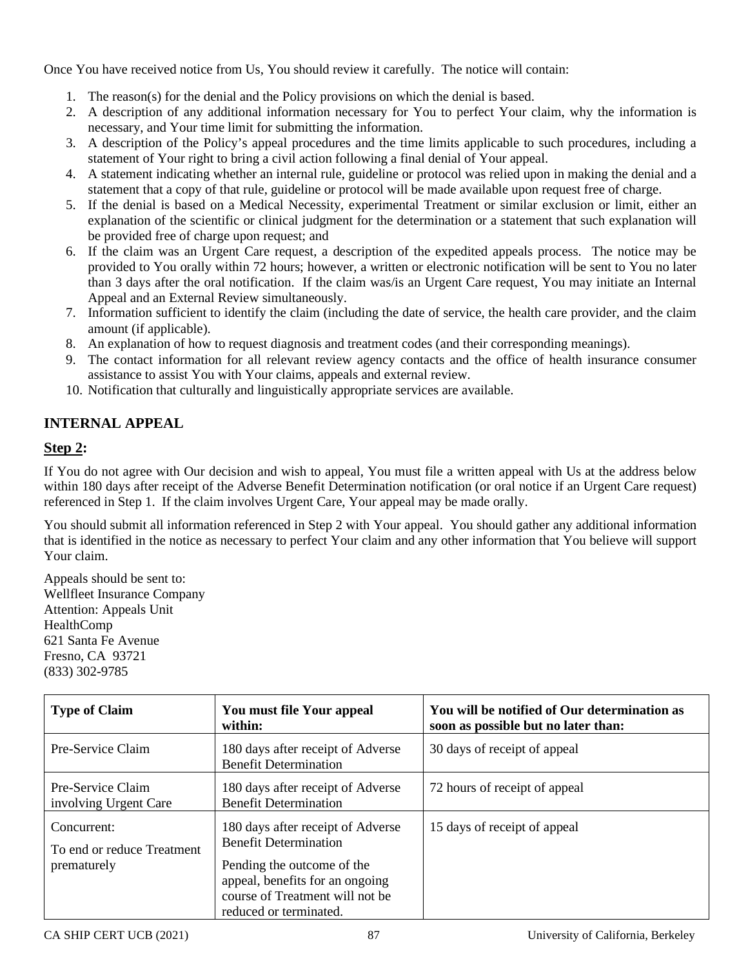Once You have received notice from Us, You should review it carefully. The notice will contain:

- 1. The reason(s) for the denial and the Policy provisions on which the denial is based.
- 2. A description of any additional information necessary for You to perfect Your claim, why the information is necessary, and Your time limit for submitting the information.
- 3. A description of the Policy's appeal procedures and the time limits applicable to such procedures, including a statement of Your right to bring a civil action following a final denial of Your appeal.
- 4. A statement indicating whether an internal rule, guideline or protocol was relied upon in making the denial and a statement that a copy of that rule, guideline or protocol will be made available upon request free of charge.
- 5. If the denial is based on a Medical Necessity, experimental Treatment or similar exclusion or limit, either an explanation of the scientific or clinical judgment for the determination or a statement that such explanation will be provided free of charge upon request; and
- 6. If the claim was an Urgent Care request, a description of the expedited appeals process. The notice may be provided to You orally within 72 hours; however, a written or electronic notification will be sent to You no later than 3 days after the oral notification. If the claim was/is an Urgent Care request, You may initiate an Internal Appeal and an External Review simultaneously.
- 7. Information sufficient to identify the claim (including the date of service, the health care provider, and the claim amount (if applicable).
- 8. An explanation of how to request diagnosis and treatment codes (and their corresponding meanings).
- 9. The contact information for all relevant review agency contacts and the office of health insurance consumer assistance to assist You with Your claims, appeals and external review.
- 10. Notification that culturally and linguistically appropriate services are available.

# **INTERNAL APPEAL**

## **Step 2:**

If You do not agree with Our decision and wish to appeal, You must file a written appeal with Us at the address below within 180 days after receipt of the Adverse Benefit Determination notification (or oral notice if an Urgent Care request) referenced in Step 1. If the claim involves Urgent Care, Your appeal may be made orally.

You should submit all information referenced in Step 2 with Your appeal. You should gather any additional information that is identified in the notice as necessary to perfect Your claim and any other information that You believe will support Your claim.

Appeals should be sent to: Wellfleet Insurance Company Attention: Appeals Unit HealthComp 621 Santa Fe Avenue Fresno, CA 93721 (833) 302-9785

| <b>Type of Claim</b>                                     | You must file Your appeal<br>within:                                                                                                                                                            | You will be notified of Our determination as<br>soon as possible but no later than: |
|----------------------------------------------------------|-------------------------------------------------------------------------------------------------------------------------------------------------------------------------------------------------|-------------------------------------------------------------------------------------|
| Pre-Service Claim                                        | 180 days after receipt of Adverse<br><b>Benefit Determination</b>                                                                                                                               | 30 days of receipt of appeal                                                        |
| Pre-Service Claim<br>involving Urgent Care               | 180 days after receipt of Adverse<br><b>Benefit Determination</b>                                                                                                                               | 72 hours of receipt of appeal                                                       |
| Concurrent:<br>To end or reduce Treatment<br>prematurely | 180 days after receipt of Adverse<br><b>Benefit Determination</b><br>Pending the outcome of the<br>appeal, benefits for an ongoing<br>course of Treatment will not be<br>reduced or terminated. | 15 days of receipt of appeal                                                        |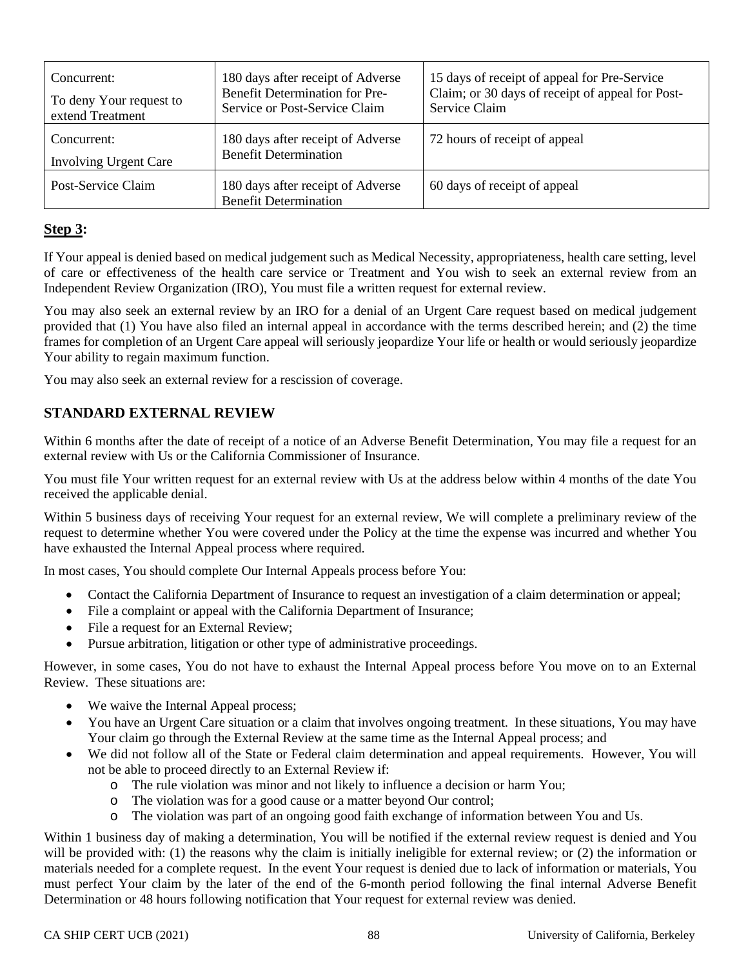| Concurrent:<br>To deny Your request to<br>extend Treatment | 180 days after receipt of Adverse<br><b>Benefit Determination for Pre-</b><br>Service or Post-Service Claim | 15 days of receipt of appeal for Pre-Service<br>Claim; or 30 days of receipt of appeal for Post-<br>Service Claim |
|------------------------------------------------------------|-------------------------------------------------------------------------------------------------------------|-------------------------------------------------------------------------------------------------------------------|
| Concurrent:<br><b>Involving Urgent Care</b>                | 180 days after receipt of Adverse<br><b>Benefit Determination</b>                                           | 72 hours of receipt of appeal                                                                                     |
| Post-Service Claim                                         | 180 days after receipt of Adverse<br><b>Benefit Determination</b>                                           | 60 days of receipt of appeal                                                                                      |

## **Step 3:**

If Your appeal is denied based on medical judgement such as Medical Necessity, appropriateness, health care setting, level of care or effectiveness of the health care service or Treatment and You wish to seek an external review from an Independent Review Organization (IRO), You must file a written request for external review.

You may also seek an external review by an IRO for a denial of an Urgent Care request based on medical judgement provided that (1) You have also filed an internal appeal in accordance with the terms described herein; and (2) the time frames for completion of an Urgent Care appeal will seriously jeopardize Your life or health or would seriously jeopardize Your ability to regain maximum function.

You may also seek an external review for a rescission of coverage.

## **STANDARD EXTERNAL REVIEW**

Within 6 months after the date of receipt of a notice of an Adverse Benefit Determination, You may file a request for an external review with Us or the California Commissioner of Insurance.

You must file Your written request for an external review with Us at the address below within 4 months of the date You received the applicable denial.

Within 5 business days of receiving Your request for an external review, We will complete a preliminary review of the request to determine whether You were covered under the Policy at the time the expense was incurred and whether You have exhausted the Internal Appeal process where required.

In most cases, You should complete Our Internal Appeals process before You:

- Contact the California Department of Insurance to request an investigation of a claim determination or appeal;
- File a complaint or appeal with the California Department of Insurance;
- File a request for an External Review;
- Pursue arbitration, litigation or other type of administrative proceedings.

However, in some cases, You do not have to exhaust the Internal Appeal process before You move on to an External Review. These situations are:

- We waive the Internal Appeal process;
- You have an Urgent Care situation or a claim that involves ongoing treatment. In these situations, You may have Your claim go through the External Review at the same time as the Internal Appeal process; and
- We did not follow all of the State or Federal claim determination and appeal requirements. However, You will not be able to proceed directly to an External Review if:
	- o The rule violation was minor and not likely to influence a decision or harm You;
	- o The violation was for a good cause or a matter beyond Our control;
	- o The violation was part of an ongoing good faith exchange of information between You and Us.

Within 1 business day of making a determination, You will be notified if the external review request is denied and You will be provided with: (1) the reasons why the claim is initially ineligible for external review; or (2) the information or materials needed for a complete request. In the event Your request is denied due to lack of information or materials, You must perfect Your claim by the later of the end of the 6-month period following the final internal Adverse Benefit Determination or 48 hours following notification that Your request for external review was denied.